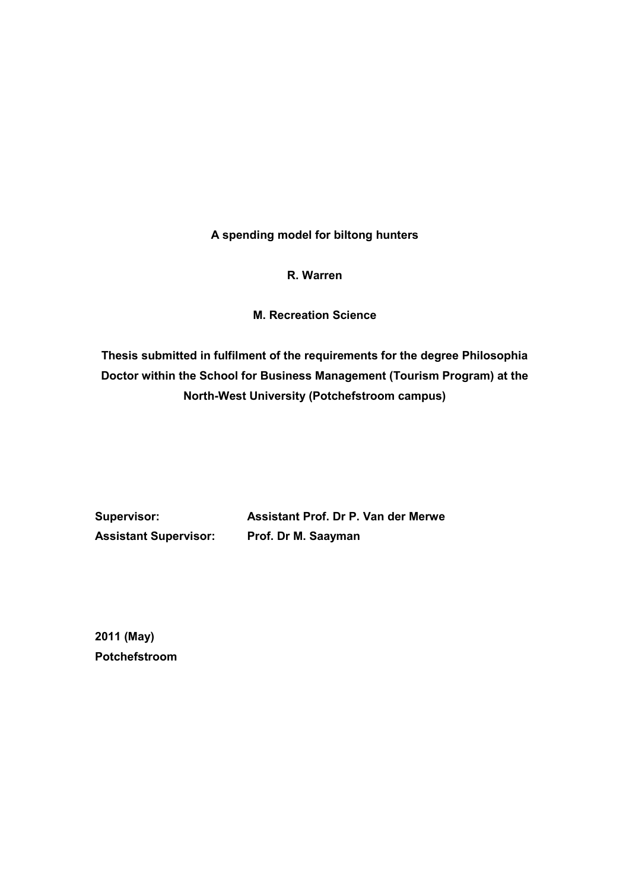**A spending model for biltong hunters** 

**R. Warren** 

**M. Recreation Science** 

**Thesis submitted in fulfilment of the requirements for the degree Philosophia Doctor within the School for Business Management (Tourism Program) at the North-West University (Potchefstroom campus)** 

**Assistant Supervisor: Prof. Dr M. Saayman** 

**Supervisor: Assistant Prof. Dr P. Van der Merwe** 

**2011 (May) Potchefstroom**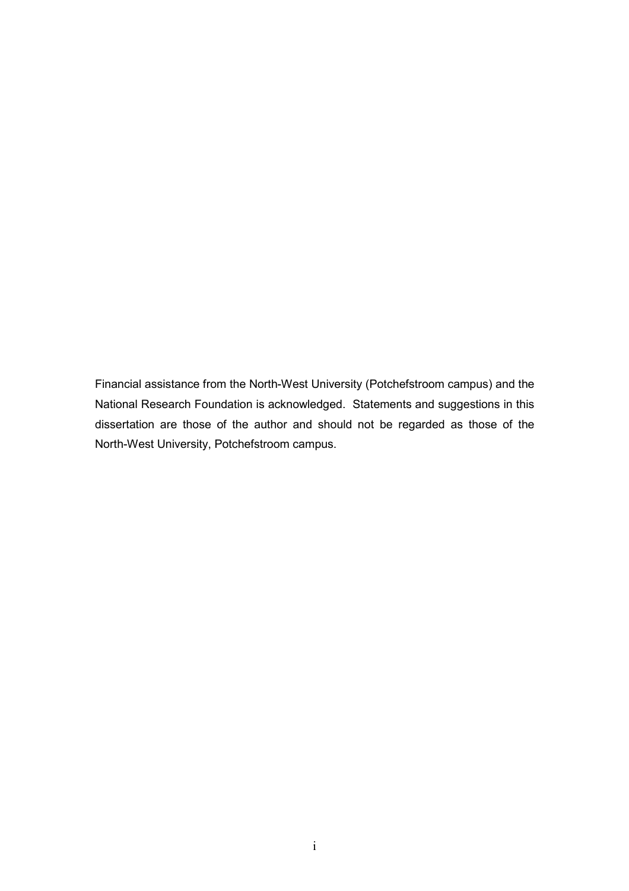Financial assistance from the North-West University (Potchefstroom campus) and the National Research Foundation is acknowledged. Statements and suggestions in this dissertation are those of the author and should not be regarded as those of the North-West University, Potchefstroom campus.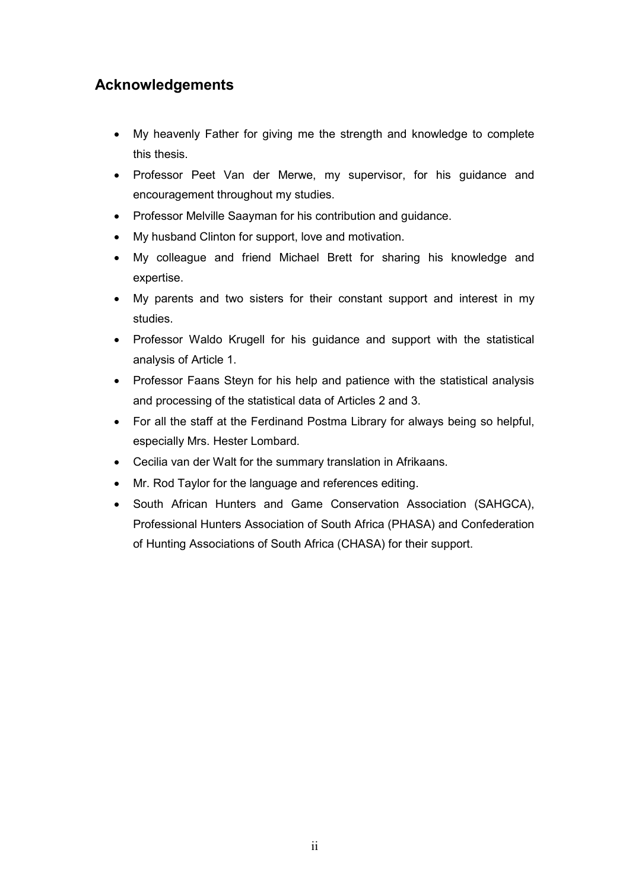# **Acknowledgements**

- My heavenly Father for giving me the strength and knowledge to complete this thesis.
- Professor Peet Van der Merwe, my supervisor, for his guidance and encouragement throughout my studies.
- Professor Melville Saayman for his contribution and guidance.
- My husband Clinton for support, love and motivation.
- My colleague and friend Michael Brett for sharing his knowledge and expertise.
- My parents and two sisters for their constant support and interest in my studies.
- Professor Waldo Krugell for his guidance and support with the statistical analysis of Article 1.
- Professor Faans Steyn for his help and patience with the statistical analysis and processing of the statistical data of Articles 2 and 3.
- For all the staff at the Ferdinand Postma Library for always being so helpful, especially Mrs. Hester Lombard.
- Cecilia van der Walt for the summary translation in Afrikaans.
- Mr. Rod Taylor for the language and references editing.
- South African Hunters and Game Conservation Association (SAHGCA), Professional Hunters Association of South Africa (PHASA) and Confederation of Hunting Associations of South Africa (CHASA) for their support.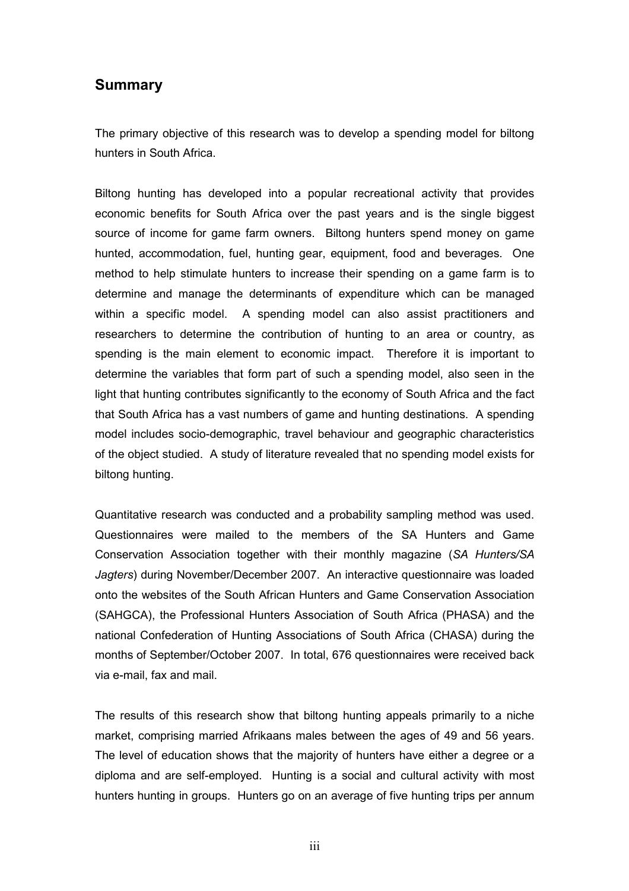### **Summary**

The primary objective of this research was to develop a spending model for biltong hunters in South Africa.

Biltong hunting has developed into a popular recreational activity that provides economic benefits for South Africa over the past years and is the single biggest source of income for game farm owners. Biltong hunters spend money on game hunted, accommodation, fuel, hunting gear, equipment, food and beverages. One method to help stimulate hunters to increase their spending on a game farm is to determine and manage the determinants of expenditure which can be managed within a specific model. A spending model can also assist practitioners and researchers to determine the contribution of hunting to an area or country, as spending is the main element to economic impact. Therefore it is important to determine the variables that form part of such a spending model, also seen in the light that hunting contributes significantly to the economy of South Africa and the fact that South Africa has a vast numbers of game and hunting destinations. A spending model includes socio-demographic, travel behaviour and geographic characteristics of the object studied. A study of literature revealed that no spending model exists for biltong hunting.

Quantitative research was conducted and a probability sampling method was used. Questionnaires were mailed to the members of the SA Hunters and Game Conservation Association together with their monthly magazine (*SA Hunters/SA Jagters*) during November/December 2007. An interactive questionnaire was loaded onto the websites of the South African Hunters and Game Conservation Association (SAHGCA), the Professional Hunters Association of South Africa (PHASA) and the national Confederation of Hunting Associations of South Africa (CHASA) during the months of September/October 2007. In total, 676 questionnaires were received back via e-mail, fax and mail.

The results of this research show that biltong hunting appeals primarily to a niche market, comprising married Afrikaans males between the ages of 49 and 56 years. The level of education shows that the majority of hunters have either a degree or a diploma and are self-employed. Hunting is a social and cultural activity with most hunters hunting in groups. Hunters go on an average of five hunting trips per annum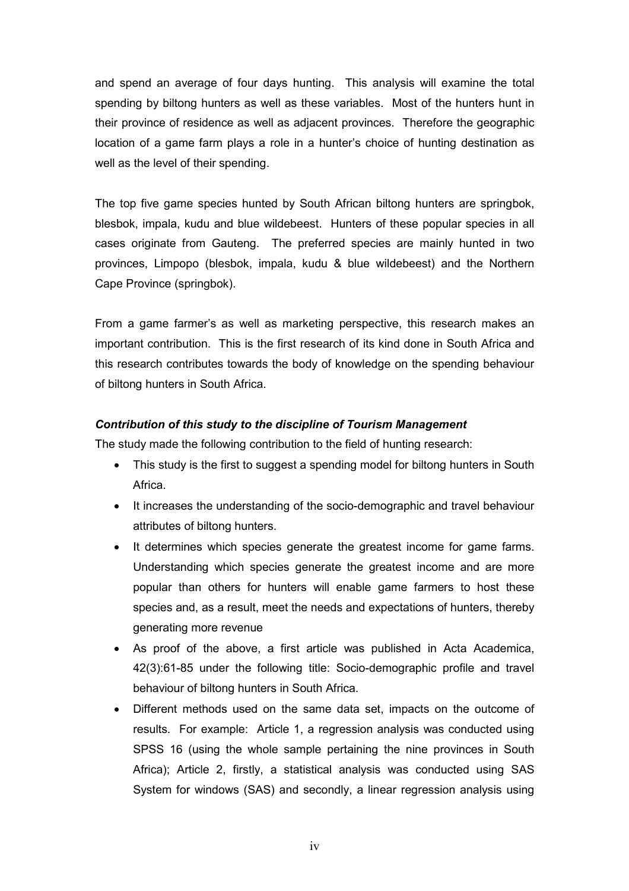and spend an average of four days hunting. This analysis will examine the total spending by biltong hunters as well as these variables. Most of the hunters hunt in their province of residence as well as adjacent provinces. Therefore the geographic location of a game farm plays a role in a hunter's choice of hunting destination as well as the level of their spending.

The top five game species hunted by South African biltong hunters are springbok, blesbok, impala, kudu and blue wildebeest. Hunters of these popular species in all cases originate from Gauteng. The preferred species are mainly hunted in two provinces, Limpopo (blesbok, impala, kudu & blue wildebeest) and the Northern Cape Province (springbok).

From a game farmer's as well as marketing perspective, this research makes an important contribution. This is the first research of its kind done in South Africa and this research contributes towards the body of knowledge on the spending behaviour of biltong hunters in South Africa.

#### *Contribution of this study to the discipline of Tourism Management*

The study made the following contribution to the field of hunting research:

- This study is the first to suggest a spending model for biltong hunters in South Africa.
- It increases the understanding of the socio-demographic and travel behaviour attributes of biltong hunters.
- It determines which species generate the greatest income for game farms. Understanding which species generate the greatest income and are more popular than others for hunters will enable game farmers to host these species and, as a result, meet the needs and expectations of hunters, thereby generating more revenue
- As proof of the above, a first article was published in Acta Academica, 42(3):61-85 under the following title: Socio-demographic profile and travel behaviour of biltong hunters in South Africa.
- Different methods used on the same data set, impacts on the outcome of results. For example: Article 1, a regression analysis was conducted using SPSS 16 (using the whole sample pertaining the nine provinces in South Africa); Article 2, firstly, a statistical analysis was conducted using SAS System for windows (SAS) and secondly, a linear regression analysis using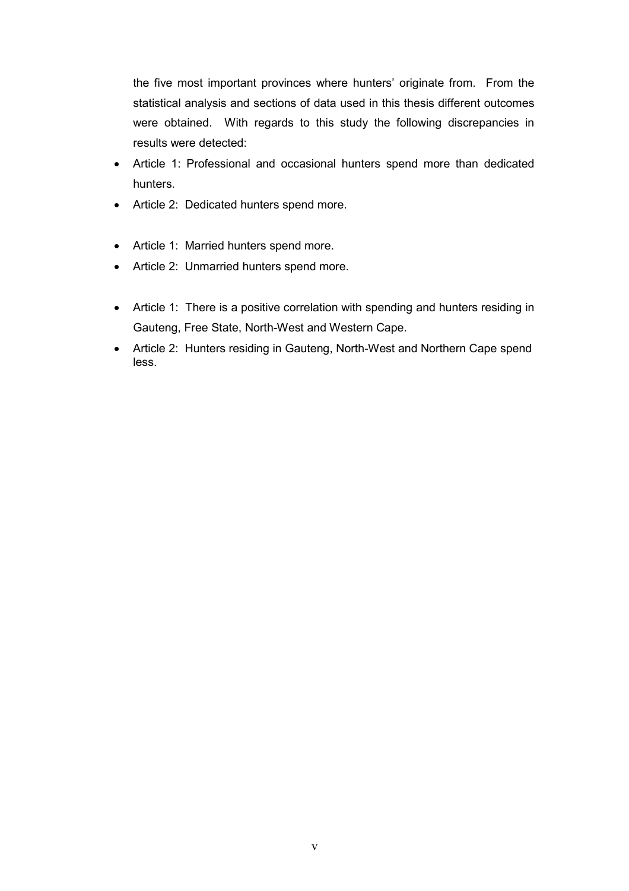the five most important provinces where hunters' originate from. From the statistical analysis and sections of data used in this thesis different outcomes were obtained. With regards to this study the following discrepancies in results were detected:

- Article 1: Professional and occasional hunters spend more than dedicated hunters.
- Article 2: Dedicated hunters spend more.
- Article 1: Married hunters spend more.
- Article 2: Unmarried hunters spend more.
- Article 1: There is a positive correlation with spending and hunters residing in Gauteng, Free State, North-West and Western Cape.
- Article 2: Hunters residing in Gauteng, North-West and Northern Cape spend less.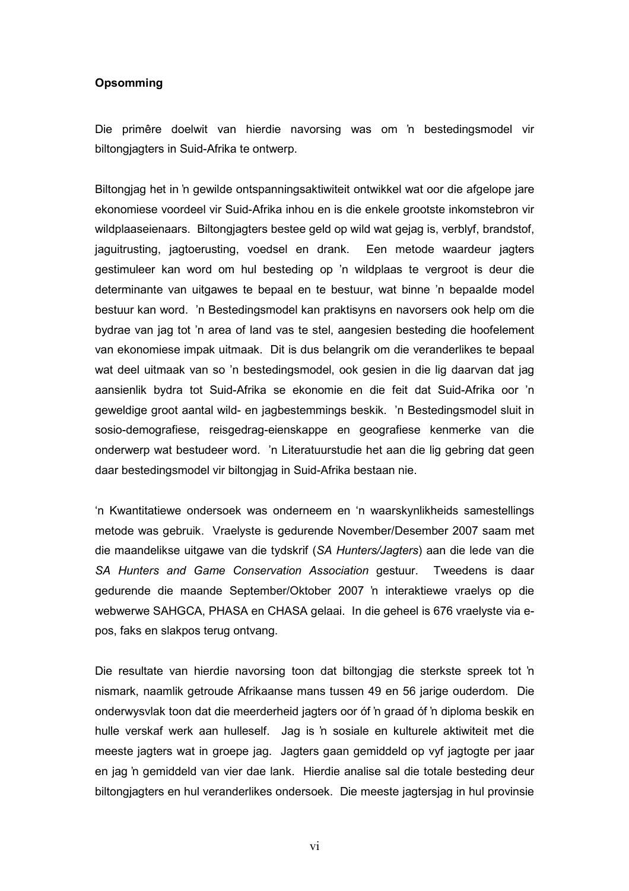#### **Opsomming**

Die primêre doelwit van hierdie navorsing was om 'n bestedingsmodel vir biltongjagters in Suid-Afrika te ontwerp.

Biltongjag het in 'n gewilde ontspanningsaktiwiteit ontwikkel wat oor die afgelope jare ekonomiese voordeel vir Suid-Afrika inhou en is die enkele grootste inkomstebron vir wildplaaseienaars. Biltongjagters bestee geld op wild wat gejag is, verblyf, brandstof, jaguitrusting, jagtoerusting, voedsel en drank. Een metode waardeur jagters gestimuleer kan word om hul besteding op 'n wildplaas te vergroot is deur die determinante van uitgawes te bepaal en te bestuur, wat binne 'n bepaalde model bestuur kan word. 'n Bestedingsmodel kan praktisyns en navorsers ook help om die bydrae van jag tot 'n area of land vas te stel, aangesien besteding die hoofelement van ekonomiese impak uitmaak. Dit is dus belangrik om die veranderlikes te bepaal wat deel uitmaak van so 'n bestedingsmodel, ook gesien in die lig daarvan dat jag aansienlik bydra tot Suid-Afrika se ekonomie en die feit dat Suid-Afrika oor 'n geweldige groot aantal wild- en jagbestemmings beskik. 'n Bestedingsmodel sluit in sosio-demografiese, reisgedrag-eienskappe en geografiese kenmerke van die onderwerp wat bestudeer word. 'n Literatuurstudie het aan die lig gebring dat geen daar bestedingsmodel vir biltongjag in Suid-Afrika bestaan nie.

'n Kwantitatiewe ondersoek was onderneem en 'n waarskynlikheids samestellings metode was gebruik. Vraelyste is gedurende November/Desember 2007 saam met die maandelikse uitgawe van die tydskrif (*SA Hunters/Jagters*) aan die lede van die *SA Hunters and Game Conservation Association* gestuur. Tweedens is daar gedurende die maande September/Oktober 2007 'n interaktiewe vraelys op die webwerwe SAHGCA, PHASA en CHASA gelaai. In die geheel is 676 vraelyste via epos, faks en slakpos terug ontvang.

Die resultate van hierdie navorsing toon dat biltongjag die sterkste spreek tot 'n nismark, naamlik getroude Afrikaanse mans tussen 49 en 56 jarige ouderdom. Die onderwysvlak toon dat die meerderheid jagters oor óf 'n graad óf 'n diploma beskik en hulle verskaf werk aan hulleself. Jag is 'n sosiale en kulturele aktiwiteit met die meeste jagters wat in groepe jag. Jagters gaan gemiddeld op vyf jagtogte per jaar en jag 'n gemiddeld van vier dae lank. Hierdie analise sal die totale besteding deur biltongjagters en hul veranderlikes ondersoek. Die meeste jagtersjag in hul provinsie

vi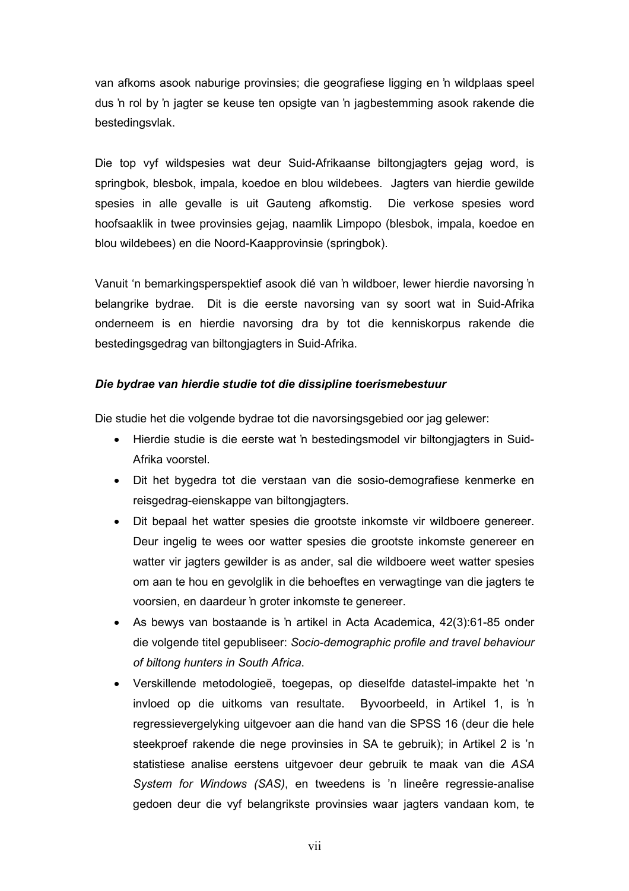van afkoms asook naburige provinsies; die geografiese ligging en 'n wildplaas speel dus 'n rol by 'n jagter se keuse ten opsigte van 'n jagbestemming asook rakende die bestedingsvlak.

Die top vyf wildspesies wat deur Suid-Afrikaanse biltongjagters gejag word, is springbok, blesbok, impala, koedoe en blou wildebees. Jagters van hierdie gewilde spesies in alle gevalle is uit Gauteng afkomstig. Die verkose spesies word hoofsaaklik in twee provinsies gejag, naamlik Limpopo (blesbok, impala, koedoe en blou wildebees) en die Noord-Kaapprovinsie (springbok).

Vanuit 'n bemarkingsperspektief asook dié van 'n wildboer, lewer hierdie navorsing 'n belangrike bydrae. Dit is die eerste navorsing van sy soort wat in Suid-Afrika onderneem is en hierdie navorsing dra by tot die kenniskorpus rakende die bestedingsgedrag van biltongjagters in Suid-Afrika.

#### *Die bydrae van hierdie studie tot die dissipline toerismebestuur*

Die studie het die volgende bydrae tot die navorsingsgebied oor jag gelewer:

- Hierdie studie is die eerste wat 'n bestedingsmodel vir biltongjagters in Suid-Afrika voorstel.
- Dit het bygedra tot die verstaan van die sosio-demografiese kenmerke en reisgedrag-eienskappe van biltongjagters.
- Dit bepaal het watter spesies die grootste inkomste vir wildboere genereer. Deur ingelig te wees oor watter spesies die grootste inkomste genereer en watter vir jagters gewilder is as ander, sal die wildboere weet watter spesies om aan te hou en gevolglik in die behoeftes en verwagtinge van die jagters te voorsien, en daardeur 'n groter inkomste te genereer.
- As bewys van bostaande is 'n artikel in Acta Academica, 42(3):61-85 onder die volgende titel gepubliseer: *Socio-demographic profile and travel behaviour of biltong hunters in South Africa*.
- Verskillende metodologieë, toegepas, op dieselfde datastel-impakte het 'n invloed op die uitkoms van resultate. Byvoorbeeld, in Artikel 1, is 'n regressievergelyking uitgevoer aan die hand van die SPSS 16 (deur die hele steekproef rakende die nege provinsies in SA te gebruik); in Artikel 2 is 'n statistiese analise eerstens uitgevoer deur gebruik te maak van die *ASA System for Windows (SAS)*, en tweedens is 'n lineêre regressie-analise gedoen deur die vyf belangrikste provinsies waar jagters vandaan kom, te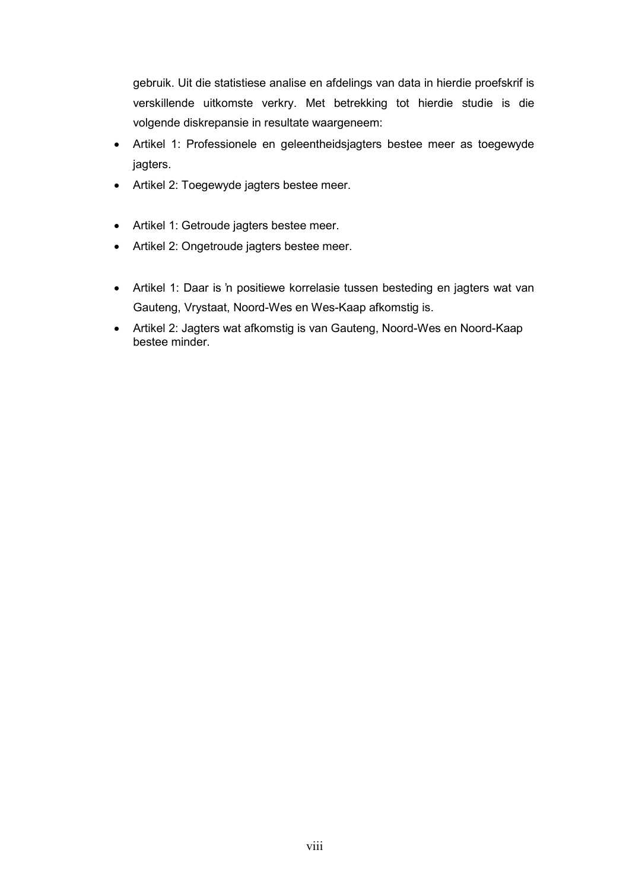gebruik. Uit die statistiese analise en afdelings van data in hierdie proefskrif is verskillende uitkomste verkry. Met betrekking tot hierdie studie is die volgende diskrepansie in resultate waargeneem:

- Artikel 1: Professionele en geleentheidsjagters bestee meer as toegewyde jagters.
- Artikel 2: Toegewyde jagters bestee meer.
- Artikel 1: Getroude jagters bestee meer.
- Artikel 2: Ongetroude jagters bestee meer.
- Artikel 1: Daar is 'n positiewe korrelasie tussen besteding en jagters wat van Gauteng, Vrystaat, Noord-Wes en Wes-Kaap afkomstig is.
- Artikel 2: Jagters wat afkomstig is van Gauteng, Noord-Wes en Noord-Kaap bestee minder.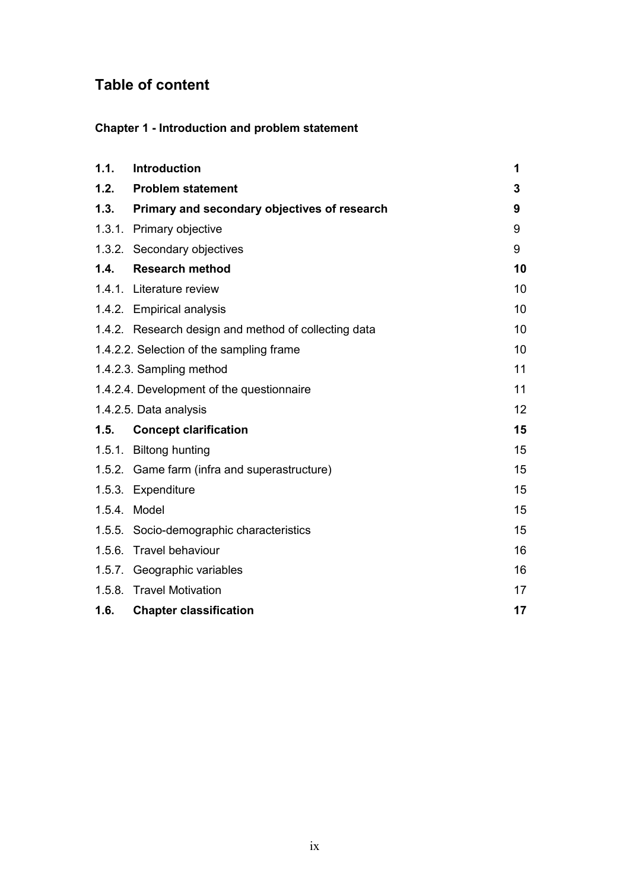# **Table of content**

**Chapter 1 - Introduction and problem statement** 

| 1.1.         | Introduction                                         | 1  |  |  |
|--------------|------------------------------------------------------|----|--|--|
| 1.2.         | <b>Problem statement</b><br>3                        |    |  |  |
| 1.3.         | Primary and secondary objectives of research         | 9  |  |  |
|              | 1.3.1. Primary objective                             | 9  |  |  |
|              | 1.3.2. Secondary objectives                          | 9  |  |  |
| 1.4.         | <b>Research method</b>                               | 10 |  |  |
|              | 1.4.1. Literature review                             | 10 |  |  |
|              | 1.4.2. Empirical analysis                            | 10 |  |  |
|              | 1.4.2. Research design and method of collecting data | 10 |  |  |
|              | 1.4.2.2. Selection of the sampling frame             | 10 |  |  |
|              | 11<br>1.4.2.3. Sampling method                       |    |  |  |
|              | 1.4.2.4. Development of the questionnaire            | 11 |  |  |
|              | 1.4.2.5. Data analysis                               | 12 |  |  |
| 1.5.         | <b>Concept clarification</b>                         | 15 |  |  |
|              | 1.5.1. Biltong hunting                               | 15 |  |  |
|              | 1.5.2. Game farm (infra and superastructure)         | 15 |  |  |
|              | 1.5.3. Expenditure                                   | 15 |  |  |
| 1.5.4. Model |                                                      | 15 |  |  |
|              | 1.5.5. Socio-demographic characteristics             | 15 |  |  |
|              | 1.5.6. Travel behaviour                              | 16 |  |  |
|              | 1.5.7. Geographic variables                          | 16 |  |  |
|              | 1.5.8. Travel Motivation                             | 17 |  |  |
| 1.6.         | <b>Chapter classification</b>                        | 17 |  |  |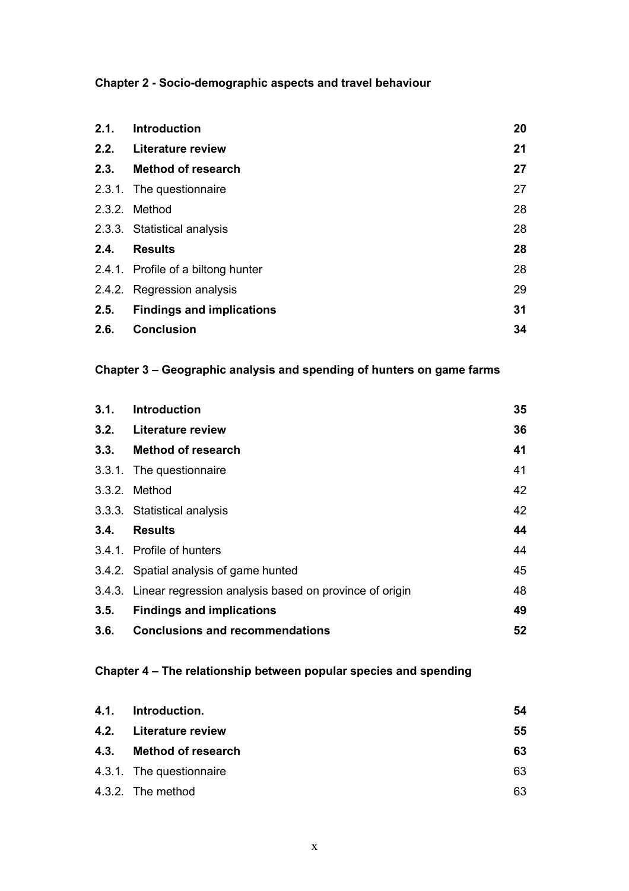# **Chapter 2 - Socio-demographic aspects and travel behaviour**

| 2.1. | <b>Introduction</b>                | 20 |
|------|------------------------------------|----|
|      | 2.2. Literature review             |    |
|      | 2.3. Method of research            | 27 |
|      | 2.3.1. The questionnaire           | 27 |
|      | 2.3.2. Method                      | 28 |
|      | 2.3.3. Statistical analysis        | 28 |
| 2.4. | <b>Results</b>                     | 28 |
|      | 2.4.1. Profile of a biltong hunter | 28 |
|      | 2.4.2. Regression analysis         | 29 |
| 2.5. | <b>Findings and implications</b>   | 31 |
| 2.6. | <b>Conclusion</b>                  | 34 |

# **Chapter 3 – Geographic analysis and spending of hunters on game farms**

| 3.1. | <b>Introduction</b><br>35                                           |    |
|------|---------------------------------------------------------------------|----|
|      | 36<br>3.2. Literature review                                        |    |
|      | 41<br>3.3. Method of research                                       |    |
|      | 3.3.1. The questionnaire                                            | 41 |
|      | 3.3.2. Method                                                       | 42 |
|      | 42<br>3.3.3. Statistical analysis                                   |    |
| 3.4. | 44<br><b>Results</b>                                                |    |
|      | 3.4.1. Profile of hunters                                           | 44 |
|      | 3.4.2. Spatial analysis of game hunted                              | 45 |
|      | 48<br>3.4.3. Linear regression analysis based on province of origin |    |
| 3.5. | 49<br><b>Findings and implications</b>                              |    |
| 3.6. | <b>Conclusions and recommendations</b><br>52                        |    |

# **Chapter 4 – The relationship between popular species and spending**

| 4.1. Introduction.       | 54 |
|--------------------------|----|
| 4.2. Literature review   | 55 |
| 4.3. Method of research  | 63 |
| 4.3.1. The questionnaire | 63 |
| 4.3.2. The method        | 63 |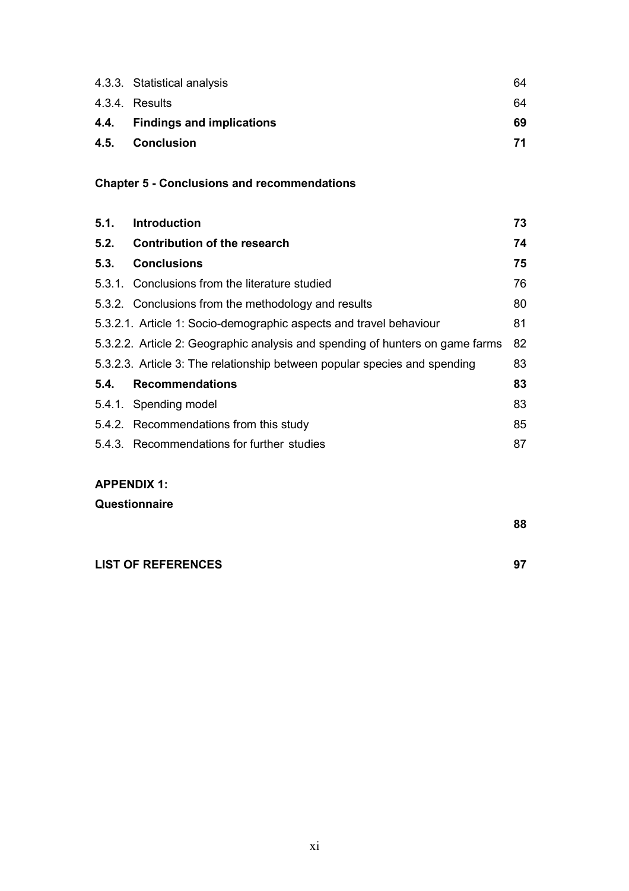| 4.3.3. Statistical analysis    | 64  |
|--------------------------------|-----|
| 4.3.4. Results                 | 64. |
|                                |     |
| 4.4. Findings and implications | 69  |

# **Chapter 5 - Conclusions and recommendations**

| 5.1. | <b>Introduction</b>                                                           | 73 |
|------|-------------------------------------------------------------------------------|----|
| 5.2. | <b>Contribution of the research</b>                                           | 74 |
| 5.3. | <b>Conclusions</b>                                                            | 75 |
|      | 5.3.1. Conclusions from the literature studied                                | 76 |
|      | 5.3.2. Conclusions from the methodology and results                           | 80 |
|      | 5.3.2.1. Article 1: Socio-demographic aspects and travel behaviour            | 81 |
|      | 5.3.2.2. Article 2: Geographic analysis and spending of hunters on game farms | 82 |
|      | 5.3.2.3. Article 3: The relationship between popular species and spending     | 83 |
| 5.4. | <b>Recommendations</b>                                                        | 83 |
|      | 5.4.1. Spending model                                                         | 83 |
|      | 5.4.2. Recommendations from this study                                        | 85 |
|      | 5.4.3. Recommendations for further studies                                    | 87 |

### **APPENDIX 1:**

### **Questionnaire**

 **88** 

**LIST OF REFERENCES 97**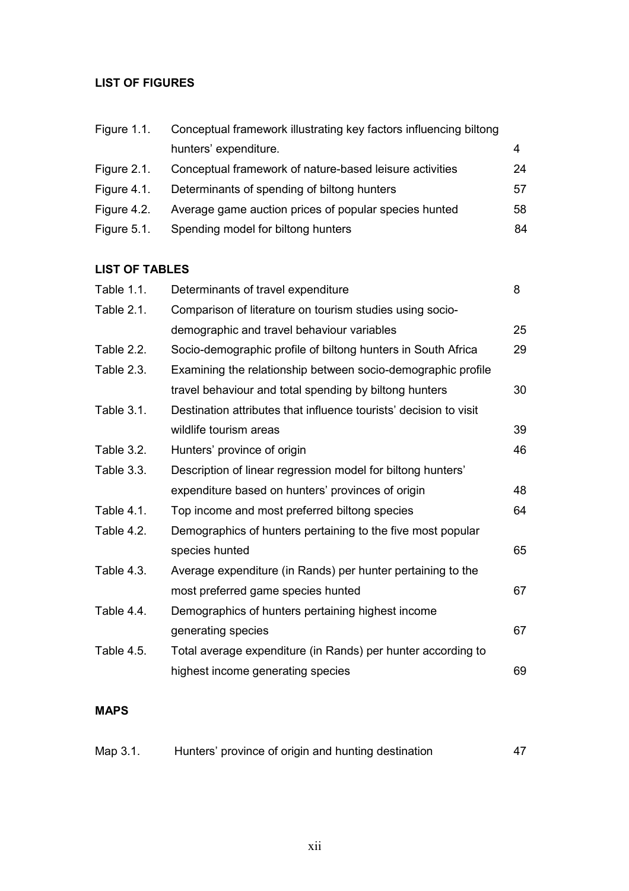### **LIST OF FIGURES**

| Figure 1.1. | Conceptual framework illustrating key factors influencing biltong |    |
|-------------|-------------------------------------------------------------------|----|
|             | hunters' expenditure.                                             | 4  |
| Figure 2.1. | Conceptual framework of nature-based leisure activities           | 24 |
| Figure 4.1. | Determinants of spending of biltong hunters                       | 57 |
| Figure 4.2. | Average game auction prices of popular species hunted             | 58 |
| Figure 5.1. | Spending model for biltong hunters                                | 84 |

#### **LIST OF TABLES**

| Table 1.1.        | 8<br>Determinants of travel expenditure                           |    |  |
|-------------------|-------------------------------------------------------------------|----|--|
| Table 2.1.        | Comparison of literature on tourism studies using socio-          |    |  |
|                   | demographic and travel behaviour variables                        | 25 |  |
| Table 2.2.        | Socio-demographic profile of biltong hunters in South Africa      | 29 |  |
| Table 2.3.        | Examining the relationship between socio-demographic profile      |    |  |
|                   | travel behaviour and total spending by biltong hunters            | 30 |  |
| Table 3.1.        | Destination attributes that influence tourists' decision to visit |    |  |
|                   | wildlife tourism areas                                            | 39 |  |
| <b>Table 3.2.</b> | Hunters' province of origin                                       | 46 |  |
| Table 3.3.        | Description of linear regression model for biltong hunters'       |    |  |
|                   | expenditure based on hunters' provinces of origin                 | 48 |  |
| Table 4.1.        | Top income and most preferred biltong species                     | 64 |  |
| Table 4.2.        | Demographics of hunters pertaining to the five most popular       |    |  |
|                   | species hunted                                                    | 65 |  |
| Table 4.3.        | Average expenditure (in Rands) per hunter pertaining to the       |    |  |
|                   | most preferred game species hunted                                | 67 |  |
| Table 4.4.        | Demographics of hunters pertaining highest income                 |    |  |
|                   | generating species                                                | 67 |  |
| Table 4.5.        | Total average expenditure (in Rands) per hunter according to      |    |  |
|                   | highest income generating species                                 | 69 |  |

### **MAPS**

| Map 3.1. | Hunters' province of origin and hunting destination |  |
|----------|-----------------------------------------------------|--|
|          |                                                     |  |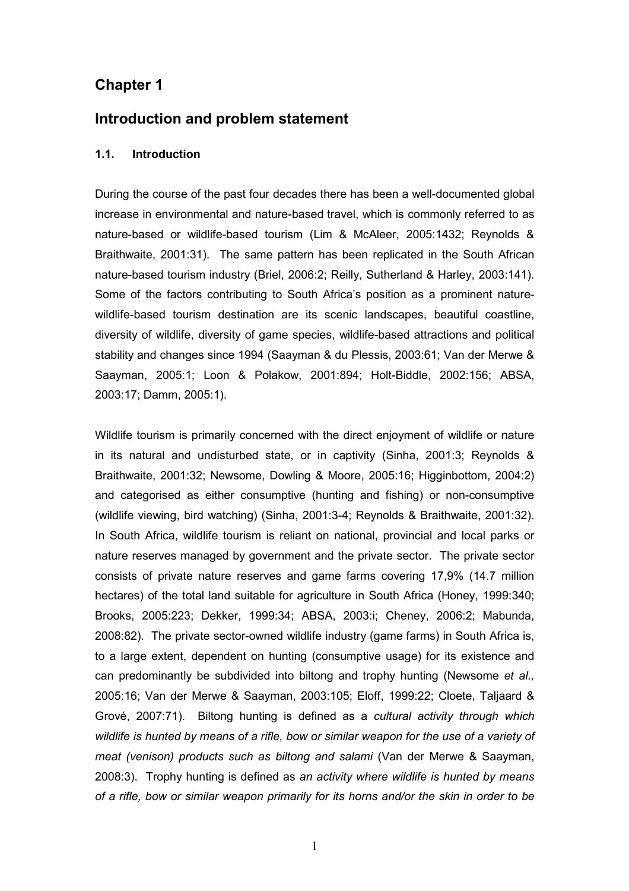# **Chapter 1**

# **Introduction and problem statement**

#### **1.1. Introduction**

During the course of the past four decades there has been a well-documented global increase in environmental and nature-based travel, which is commonly referred to as nature-based or wildlife-based tourism (Lim & McAleer, 2005:1432; Reynolds & Braithwaite, 2001:31). The same pattern has been replicated in the South African nature-based tourism industry (Briel, 2006:2; Reilly, Sutherland & Harley, 2003:141). Some of the factors contributing to South Africa's position as a prominent naturewildlife-based tourism destination are its scenic landscapes, beautiful coastline, diversity of wildlife, diversity of game species, wildlife-based attractions and political stability and changes since 1994 (Saayman & du Plessis, 2003:61; Van der Merwe & Saayman, 2005:1; Loon & Polakow, 2001:894; Holt-Biddle, 2002:156; ABSA, 2003:17; Damm, 2005:1).

Wildlife tourism is primarily concerned with the direct enjoyment of wildlife or nature in its natural and undisturbed state, or in captivity (Sinha, 2001:3; Reynolds & Braithwaite, 2001:32; Newsome, Dowling & Moore, 2005:16; Higginbottom, 2004:2) and categorised as either consumptive (hunting and fishing) or non-consumptive (wildlife viewing, bird watching) (Sinha, 2001:3-4; Reynolds & Braithwaite, 2001:32). In South Africa, wildlife tourism is reliant on national, provincial and local parks or nature reserves managed by government and the private sector. The private sector consists of private nature reserves and game farms covering 17,9% (14.7 million hectares) of the total land suitable for agriculture in South Africa (Honey, 1999:340; Brooks, 2005:223; Dekker, 1999:34; ABSA, 2003:i; Cheney, 2006:2; Mabunda, 2008:82). The private sector-owned wildlife industry (game farms) in South Africa is, to a large extent, dependent on hunting (consumptive usage) for its existence and can predominantly be subdivided into biltong and trophy hunting (Newsome *et al.,* 2005:16; Van der Merwe & Saayman, 2003:105; Eloff, 1999:22; Cloete, Taljaard & Grové, 2007:71). Biltong hunting is defined as a *cultural activity through which wildlife is hunted by means of a rifle, bow or similar weapon for the use of a variety of meat (venison) products such as biltong and salami* (Van der Merwe & Saayman, 2008:3). Trophy hunting is defined as *an activity where wildlife is hunted by means of a rifle, bow or similar weapon primarily for its horns and/or the skin in order to be*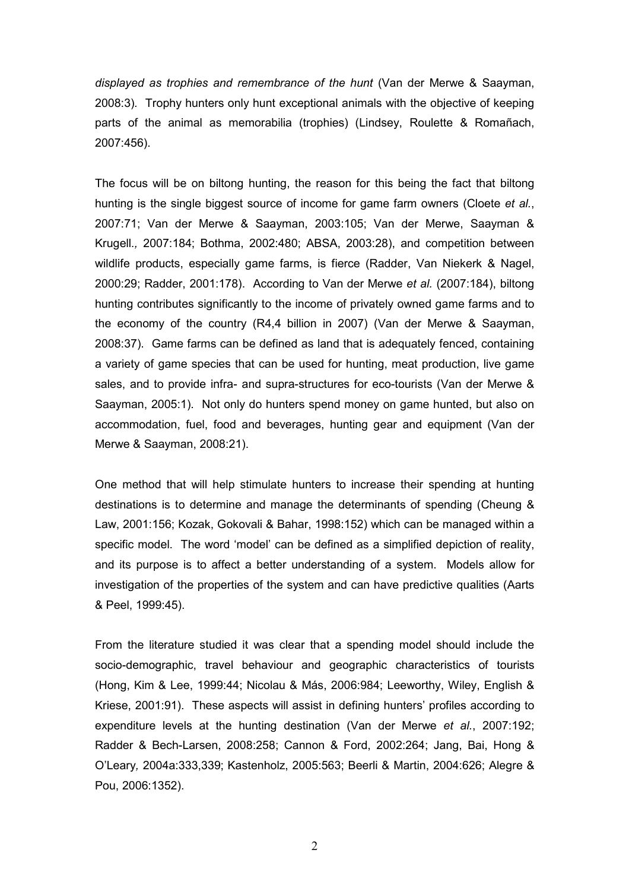*displayed as trophies and remembrance of the hunt* (Van der Merwe & Saayman, 2008:3)*.* Trophy hunters only hunt exceptional animals with the objective of keeping parts of the animal as memorabilia (trophies) (Lindsey, Roulette & Romañach, 2007:456).

The focus will be on biltong hunting, the reason for this being the fact that biltong hunting is the single biggest source of income for game farm owners (Cloete *et al.*, 2007:71; Van der Merwe & Saayman, 2003:105; Van der Merwe, Saayman & Krugell*.,* 2007:184; Bothma, 2002:480; ABSA, 2003:28), and competition between wildlife products, especially game farms, is fierce (Radder, Van Niekerk & Nagel, 2000:29; Radder, 2001:178). According to Van der Merwe *et al.* (2007:184), biltong hunting contributes significantly to the income of privately owned game farms and to the economy of the country (R4,4 billion in 2007) (Van der Merwe & Saayman, 2008:37). Game farms can be defined as land that is adequately fenced, containing a variety of game species that can be used for hunting, meat production, live game sales, and to provide infra- and supra-structures for eco-tourists (Van der Merwe & Saayman, 2005:1). Not only do hunters spend money on game hunted, but also on accommodation, fuel, food and beverages, hunting gear and equipment (Van der Merwe & Saayman, 2008:21).

One method that will help stimulate hunters to increase their spending at hunting destinations is to determine and manage the determinants of spending (Cheung & Law, 2001:156; Kozak, Gokovali & Bahar, 1998:152) which can be managed within a specific model. The word 'model' can be defined as a simplified depiction of reality, and its purpose is to affect a better understanding of a system. Models allow for investigation of the properties of the system and can have predictive qualities (Aarts & Peel, 1999:45).

From the literature studied it was clear that a spending model should include the socio-demographic, travel behaviour and geographic characteristics of tourists (Hong, Kim & Lee, 1999:44; Nicolau & Más, 2006:984; Leeworthy, Wiley, English & Kriese, 2001:91). These aspects will assist in defining hunters' profiles according to expenditure levels at the hunting destination (Van der Merwe *et al.*, 2007:192; Radder & Bech-Larsen, 2008:258; Cannon & Ford, 2002:264; Jang, Bai, Hong & O'Leary*,* 2004a:333,339; Kastenholz, 2005:563; Beerli & Martin, 2004:626; Alegre & Pou, 2006:1352).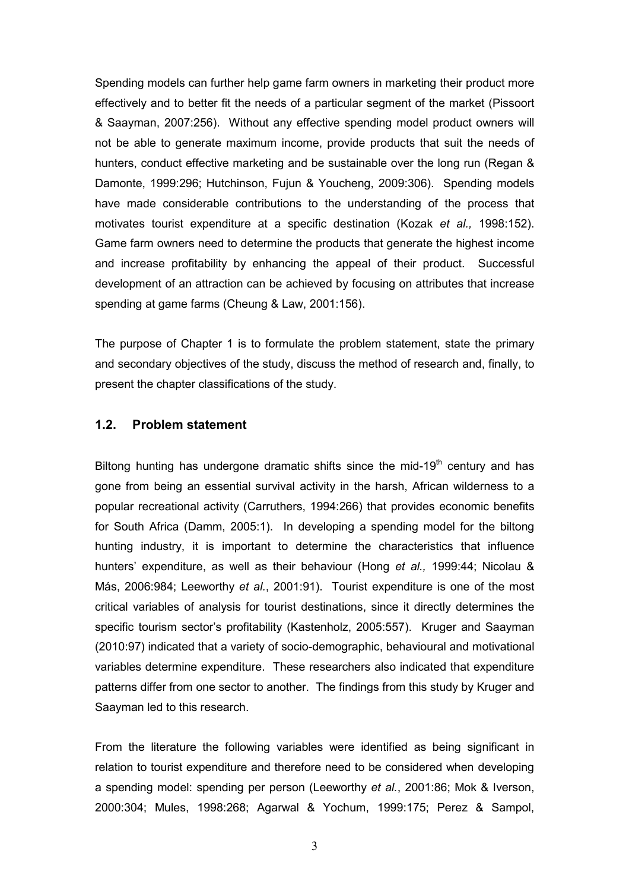Spending models can further help game farm owners in marketing their product more effectively and to better fit the needs of a particular segment of the market (Pissoort & Saayman, 2007:256). Without any effective spending model product owners will not be able to generate maximum income, provide products that suit the needs of hunters, conduct effective marketing and be sustainable over the long run (Regan & Damonte, 1999:296; Hutchinson, Fujun & Youcheng, 2009:306). Spending models have made considerable contributions to the understanding of the process that motivates tourist expenditure at a specific destination (Kozak *et al.,* 1998:152). Game farm owners need to determine the products that generate the highest income and increase profitability by enhancing the appeal of their product. Successful development of an attraction can be achieved by focusing on attributes that increase spending at game farms (Cheung & Law, 2001:156).

The purpose of Chapter 1 is to formulate the problem statement, state the primary and secondary objectives of the study, discuss the method of research and, finally, to present the chapter classifications of the study.

#### **1.2. Problem statement**

Biltong hunting has undergone dramatic shifts since the mid-19<sup>th</sup> century and has gone from being an essential survival activity in the harsh, African wilderness to a popular recreational activity (Carruthers, 1994:266) that provides economic benefits for South Africa (Damm, 2005:1). In developing a spending model for the biltong hunting industry, it is important to determine the characteristics that influence hunters' expenditure, as well as their behaviour (Hong *et al.,* 1999:44; Nicolau & Más, 2006:984; Leeworthy *et al.*, 2001:91). Tourist expenditure is one of the most critical variables of analysis for tourist destinations, since it directly determines the specific tourism sector's profitability (Kastenholz, 2005:557). Kruger and Saayman (2010:97) indicated that a variety of socio-demographic, behavioural and motivational variables determine expenditure. These researchers also indicated that expenditure patterns differ from one sector to another. The findings from this study by Kruger and Saayman led to this research.

From the literature the following variables were identified as being significant in relation to tourist expenditure and therefore need to be considered when developing a spending model: spending per person (Leeworthy *et al.*, 2001:86; Mok & Iverson, 2000:304; Mules, 1998:268; Agarwal & Yochum, 1999:175; Perez & Sampol,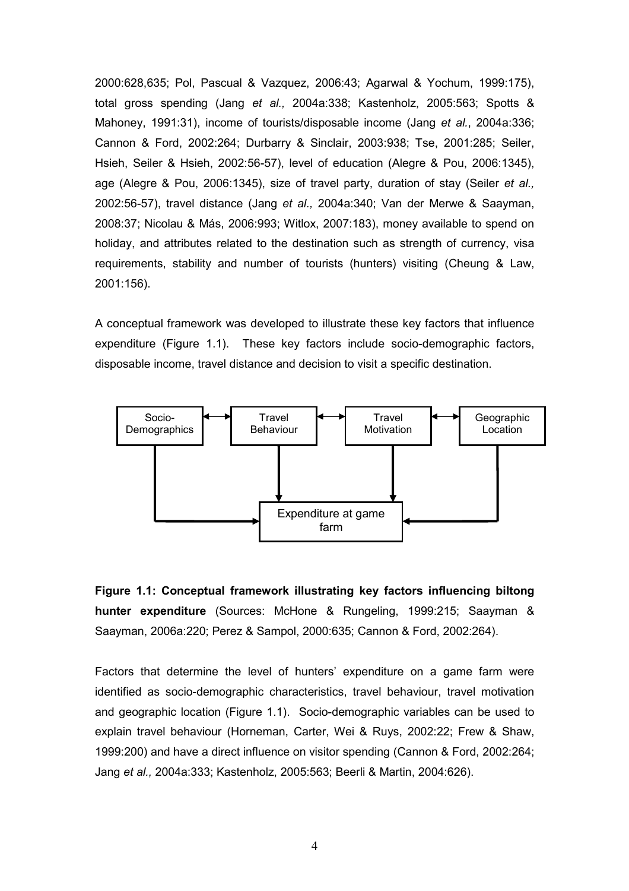2000:628,635; Pol, Pascual & Vazquez, 2006:43; Agarwal & Yochum, 1999:175), total gross spending (Jang *et al.,* 2004a:338; Kastenholz, 2005:563; Spotts & Mahoney, 1991:31), income of tourists/disposable income (Jang *et al.*, 2004a:336; Cannon & Ford, 2002:264; Durbarry & Sinclair, 2003:938; Tse, 2001:285; Seiler, Hsieh, Seiler & Hsieh, 2002:56-57), level of education (Alegre & Pou, 2006:1345), age (Alegre & Pou, 2006:1345), size of travel party, duration of stay (Seiler *et al.,* 2002:56-57), travel distance (Jang *et al.,* 2004a:340; Van der Merwe & Saayman, 2008:37; Nicolau & Más, 2006:993; Witlox, 2007:183), money available to spend on holiday, and attributes related to the destination such as strength of currency, visa requirements, stability and number of tourists (hunters) visiting (Cheung & Law, 2001:156).

A conceptual framework was developed to illustrate these key factors that influence expenditure (Figure 1.1). These key factors include socio-demographic factors, disposable income, travel distance and decision to visit a specific destination.



**Figure 1.1: Conceptual framework illustrating key factors influencing biltong hunter expenditure** (Sources: McHone & Rungeling, 1999:215; Saayman & Saayman, 2006a:220; Perez & Sampol, 2000:635; Cannon & Ford, 2002:264).

Factors that determine the level of hunters' expenditure on a game farm were identified as socio-demographic characteristics, travel behaviour, travel motivation and geographic location (Figure 1.1). Socio-demographic variables can be used to explain travel behaviour (Horneman, Carter, Wei & Ruys, 2002:22; Frew & Shaw, 1999:200) and have a direct influence on visitor spending (Cannon & Ford, 2002:264; Jang *et al.,* 2004a:333; Kastenholz, 2005:563; Beerli & Martin, 2004:626).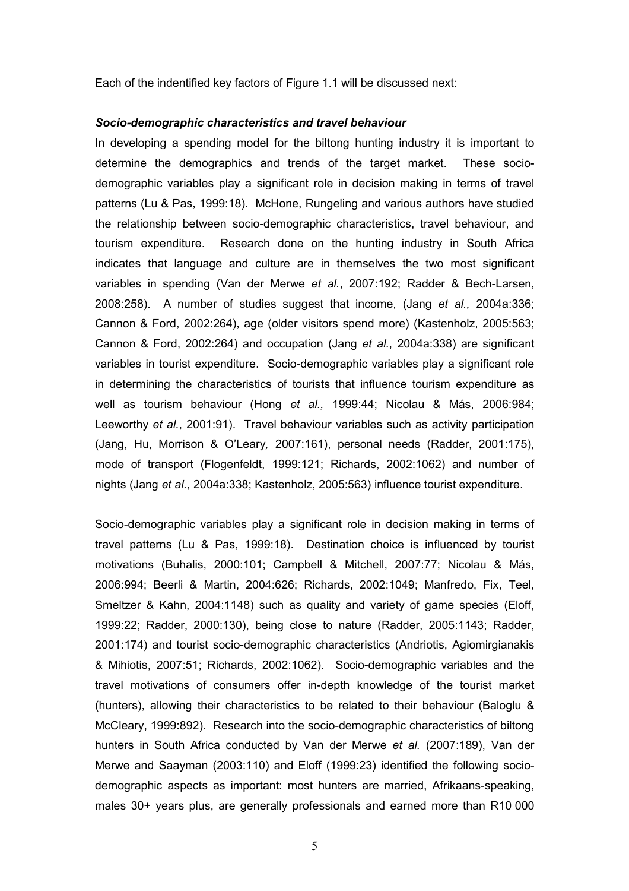Each of the indentified key factors of Figure 1.1 will be discussed next:

#### *Socio-demographic characteristics and travel behaviour*

In developing a spending model for the biltong hunting industry it is important to determine the demographics and trends of the target market. These sociodemographic variables play a significant role in decision making in terms of travel patterns (Lu & Pas, 1999:18). McHone, Rungeling and various authors have studied the relationship between socio-demographic characteristics, travel behaviour, and tourism expenditure. Research done on the hunting industry in South Africa indicates that language and culture are in themselves the two most significant variables in spending (Van der Merwe *et al.*, 2007:192; Radder & Bech-Larsen, 2008:258). A number of studies suggest that income, (Jang *et al.,* 2004a:336; Cannon & Ford, 2002:264), age (older visitors spend more) (Kastenholz, 2005:563; Cannon & Ford, 2002:264) and occupation (Jang *et al.*, 2004a:338) are significant variables in tourist expenditure. Socio-demographic variables play a significant role in determining the characteristics of tourists that influence tourism expenditure as well as tourism behaviour (Hong *et al.,* 1999:44; Nicolau & Más, 2006:984; Leeworthy *et al.*, 2001:91). Travel behaviour variables such as activity participation (Jang, Hu, Morrison & O'Leary*,* 2007:161), personal needs (Radder, 2001:175), mode of transport (Flogenfeldt, 1999:121; Richards, 2002:1062) and number of nights (Jang *et al.*, 2004a:338; Kastenholz, 2005:563) influence tourist expenditure.

Socio-demographic variables play a significant role in decision making in terms of travel patterns (Lu & Pas, 1999:18). Destination choice is influenced by tourist motivations (Buhalis, 2000:101; Campbell & Mitchell, 2007:77; Nicolau & Más, 2006:994; Beerli & Martin, 2004:626; Richards, 2002:1049; Manfredo, Fix, Teel, Smeltzer & Kahn, 2004:1148) such as quality and variety of game species (Eloff, 1999:22; Radder, 2000:130), being close to nature (Radder, 2005:1143; Radder, 2001:174) and tourist socio-demographic characteristics (Andriotis, Agiomirgianakis & Mihiotis, 2007:51; Richards, 2002:1062). Socio-demographic variables and the travel motivations of consumers offer in-depth knowledge of the tourist market (hunters), allowing their characteristics to be related to their behaviour (Baloglu & McCleary, 1999:892). Research into the socio-demographic characteristics of biltong hunters in South Africa conducted by Van der Merwe *et al.* (2007:189), Van der Merwe and Saayman (2003:110) and Eloff (1999:23) identified the following sociodemographic aspects as important: most hunters are married, Afrikaans-speaking, males 30+ years plus, are generally professionals and earned more than R10 000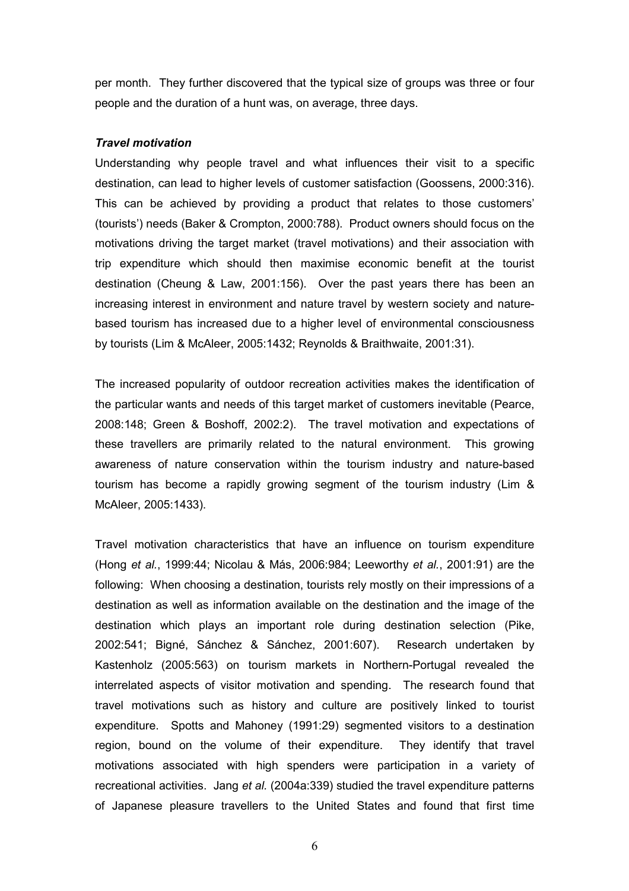per month. They further discovered that the typical size of groups was three or four people and the duration of a hunt was, on average, three days.

#### *Travel motivation*

Understanding why people travel and what influences their visit to a specific destination, can lead to higher levels of customer satisfaction (Goossens, 2000:316). This can be achieved by providing a product that relates to those customers' (tourists') needs (Baker & Crompton, 2000:788). Product owners should focus on the motivations driving the target market (travel motivations) and their association with trip expenditure which should then maximise economic benefit at the tourist destination (Cheung & Law, 2001:156). Over the past years there has been an increasing interest in environment and nature travel by western society and naturebased tourism has increased due to a higher level of environmental consciousness by tourists (Lim & McAleer, 2005:1432; Reynolds & Braithwaite, 2001:31).

The increased popularity of outdoor recreation activities makes the identification of the particular wants and needs of this target market of customers inevitable (Pearce, 2008:148; Green & Boshoff, 2002:2). The travel motivation and expectations of these travellers are primarily related to the natural environment. This growing awareness of nature conservation within the tourism industry and nature-based tourism has become a rapidly growing segment of the tourism industry (Lim & McAleer, 2005:1433).

Travel motivation characteristics that have an influence on tourism expenditure (Hong *et al.*, 1999:44; Nicolau & Más, 2006:984; Leeworthy *et al.*, 2001:91) are the following: When choosing a destination, tourists rely mostly on their impressions of a destination as well as information available on the destination and the image of the destination which plays an important role during destination selection (Pike, 2002:541; Bigné, Sánchez & Sánchez, 2001:607). Research undertaken by Kastenholz (2005:563) on tourism markets in Northern-Portugal revealed the interrelated aspects of visitor motivation and spending. The research found that travel motivations such as history and culture are positively linked to tourist expenditure. Spotts and Mahoney (1991:29) segmented visitors to a destination region, bound on the volume of their expenditure. They identify that travel motivations associated with high spenders were participation in a variety of recreational activities. Jang *et al.* (2004a:339) studied the travel expenditure patterns of Japanese pleasure travellers to the United States and found that first time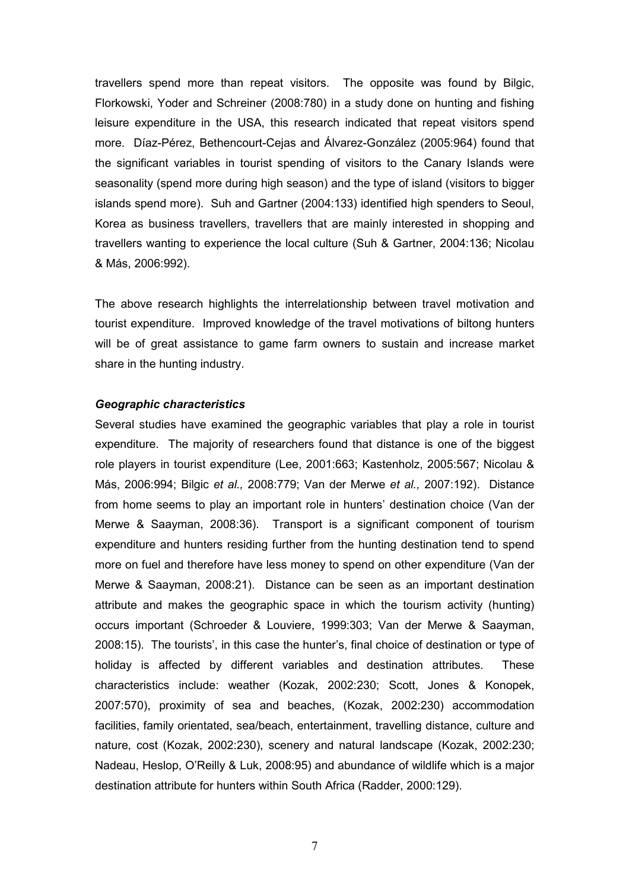travellers spend more than repeat visitors. The opposite was found by Bilgic, Florkowski, Yoder and Schreiner (2008:780) in a study done on hunting and fishing leisure expenditure in the USA, this research indicated that repeat visitors spend more. Díaz-Pérez, Bethencourt-Cejas and Álvarez-González (2005:964) found that the significant variables in tourist spending of visitors to the Canary Islands were seasonality (spend more during high season) and the type of island (visitors to bigger islands spend more). Suh and Gartner (2004:133) identified high spenders to Seoul, Korea as business travellers, travellers that are mainly interested in shopping and travellers wanting to experience the local culture (Suh & Gartner, 2004:136; Nicolau & Más, 2006:992).

The above research highlights the interrelationship between travel motivation and tourist expenditure. Improved knowledge of the travel motivations of biltong hunters will be of great assistance to game farm owners to sustain and increase market share in the hunting industry.

#### *Geographic characteristics*

Several studies have examined the geographic variables that play a role in tourist expenditure. The majority of researchers found that distance is one of the biggest role players in tourist expenditure (Lee, 2001:663; Kastenholz, 2005:567; Nicolau & Más, 2006:994; Bilgic *et al.,* 2008:779; Van der Merwe *et al.,* 2007:192). Distance from home seems to play an important role in hunters' destination choice (Van der Merwe & Saayman, 2008:36). Transport is a significant component of tourism expenditure and hunters residing further from the hunting destination tend to spend more on fuel and therefore have less money to spend on other expenditure (Van der Merwe & Saayman, 2008:21). Distance can be seen as an important destination attribute and makes the geographic space in which the tourism activity (hunting) occurs important (Schroeder & Louviere, 1999:303; Van der Merwe & Saayman, 2008:15). The tourists', in this case the hunter's, final choice of destination or type of holiday is affected by different variables and destination attributes. These characteristics include: weather (Kozak, 2002:230; Scott, Jones & Konopek, 2007:570), proximity of sea and beaches, (Kozak, 2002:230) accommodation facilities, family orientated, sea/beach, entertainment, travelling distance, culture and nature, cost (Kozak, 2002:230), scenery and natural landscape (Kozak, 2002:230; Nadeau, Heslop, O'Reilly & Luk, 2008:95) and abundance of wildlife which is a major destination attribute for hunters within South Africa (Radder, 2000:129).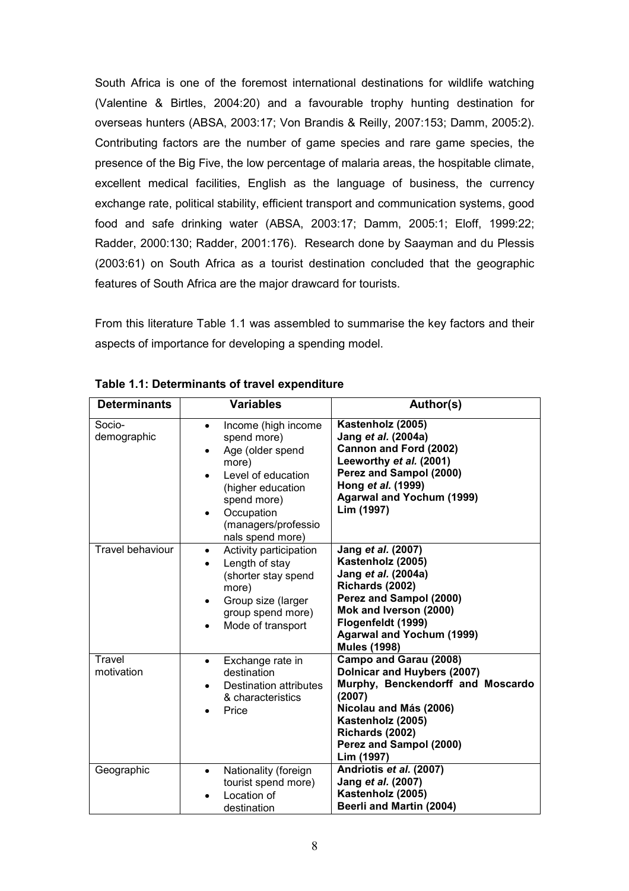South Africa is one of the foremost international destinations for wildlife watching (Valentine & Birtles, 2004:20) and a favourable trophy hunting destination for overseas hunters (ABSA, 2003:17; Von Brandis & Reilly, 2007:153; Damm, 2005:2). Contributing factors are the number of game species and rare game species, the presence of the Big Five, the low percentage of malaria areas, the hospitable climate, excellent medical facilities, English as the language of business, the currency exchange rate, political stability, efficient transport and communication systems, good food and safe drinking water (ABSA, 2003:17; Damm, 2005:1; Eloff, 1999:22; Radder, 2000:130; Radder, 2001:176). Research done by Saayman and du Plessis (2003:61) on South Africa as a tourist destination concluded that the geographic features of South Africa are the major drawcard for tourists.

From this literature Table 1.1 was assembled to summarise the key factors and their aspects of importance for developing a spending model.

| <b>Determinants</b>         | <b>Variables</b>                                                                                                                                                                                                                       | Author(s)                                                                                                                                                                                                               |
|-----------------------------|----------------------------------------------------------------------------------------------------------------------------------------------------------------------------------------------------------------------------------------|-------------------------------------------------------------------------------------------------------------------------------------------------------------------------------------------------------------------------|
| Socio-<br>demographic       | Income (high income<br>$\bullet$<br>spend more)<br>Age (older spend<br>$\bullet$<br>more)<br>Level of education<br>$\bullet$<br>(higher education<br>spend more)<br>Occupation<br>$\bullet$<br>(managers/professio<br>nals spend more) | Kastenholz (2005)<br>Jang et al. (2004a)<br>Cannon and Ford (2002)<br>Leeworthy et al. (2001)<br>Perez and Sampol (2000)<br>Hong et al. (1999)<br><b>Agarwal and Yochum (1999)</b><br>Lim (1997)                        |
| <b>Travel behaviour</b>     | Activity participation<br>$\bullet$<br>Length of stay<br>$\bullet$<br>(shorter stay spend<br>more)<br>Group size (larger<br>$\bullet$<br>group spend more)<br>Mode of transport<br>$\bullet$                                           | Jang et al. (2007)<br>Kastenholz (2005)<br>Jang et al. (2004a)<br>Richards (2002)<br>Perez and Sampol (2000)<br>Mok and Iverson (2000)<br>Flogenfeldt (1999)<br><b>Agarwal and Yochum (1999)</b><br><b>Mules (1998)</b> |
| <b>Travel</b><br>motivation | Exchange rate in<br>$\bullet$<br>destination<br>Destination attributes<br>$\bullet$<br>& characteristics<br>Price<br>$\bullet$                                                                                                         | Campo and Garau (2008)<br>Dolnicar and Huybers (2007)<br>Murphy, Benckendorff and Moscardo<br>(2007)<br>Nicolau and Más (2006)<br>Kastenholz (2005)<br>Richards (2002)<br>Perez and Sampol (2000)<br>Lim (1997)         |
| Geographic                  | Nationality (foreign<br>$\bullet$<br>tourist spend more)<br>Location of<br>destination                                                                                                                                                 | Andriotis et al. (2007)<br>Jang et al. (2007)<br>Kastenholz (2005)<br>Beerli and Martin (2004)                                                                                                                          |

**Table 1.1: Determinants of travel expenditure**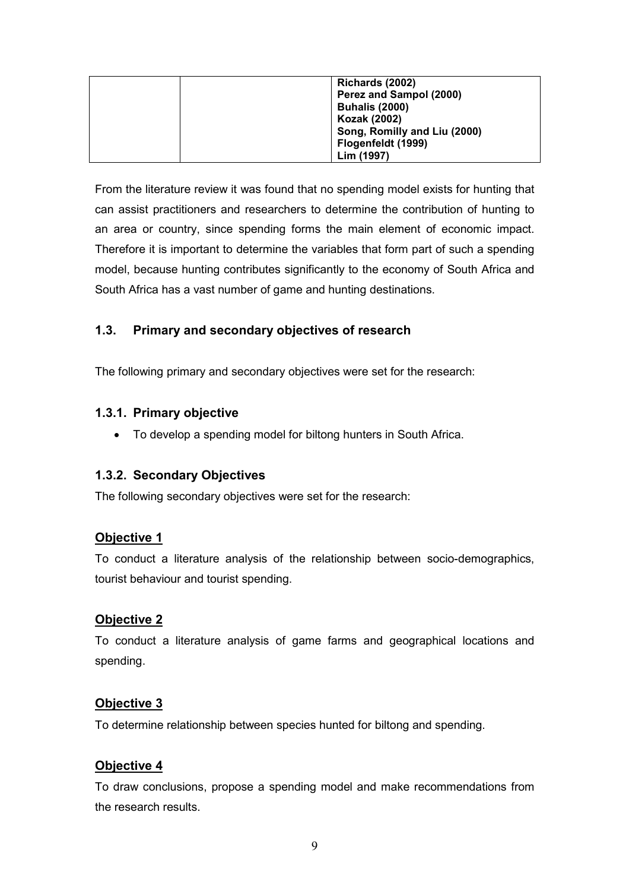| Richards (2002)              |
|------------------------------|
| Perez and Sampol (2000)      |
| <b>Buhalis (2000)</b>        |
| Kozak (2002)                 |
| Song, Romilly and Liu (2000) |
| Flogenfeldt (1999)           |
| Lim (1997)                   |

From the literature review it was found that no spending model exists for hunting that can assist practitioners and researchers to determine the contribution of hunting to an area or country, since spending forms the main element of economic impact. Therefore it is important to determine the variables that form part of such a spending model, because hunting contributes significantly to the economy of South Africa and South Africa has a vast number of game and hunting destinations.

# **1.3. Primary and secondary objectives of research**

The following primary and secondary objectives were set for the research:

# **1.3.1. Primary objective**

• To develop a spending model for biltong hunters in South Africa.

# **1.3.2. Secondary Objectives**

The following secondary objectives were set for the research:

# **Objective 1**

To conduct a literature analysis of the relationship between socio-demographics, tourist behaviour and tourist spending.

# **Objective 2**

To conduct a literature analysis of game farms and geographical locations and spending.

# **Objective 3**

To determine relationship between species hunted for biltong and spending.

# **Objective 4**

To draw conclusions, propose a spending model and make recommendations from the research results.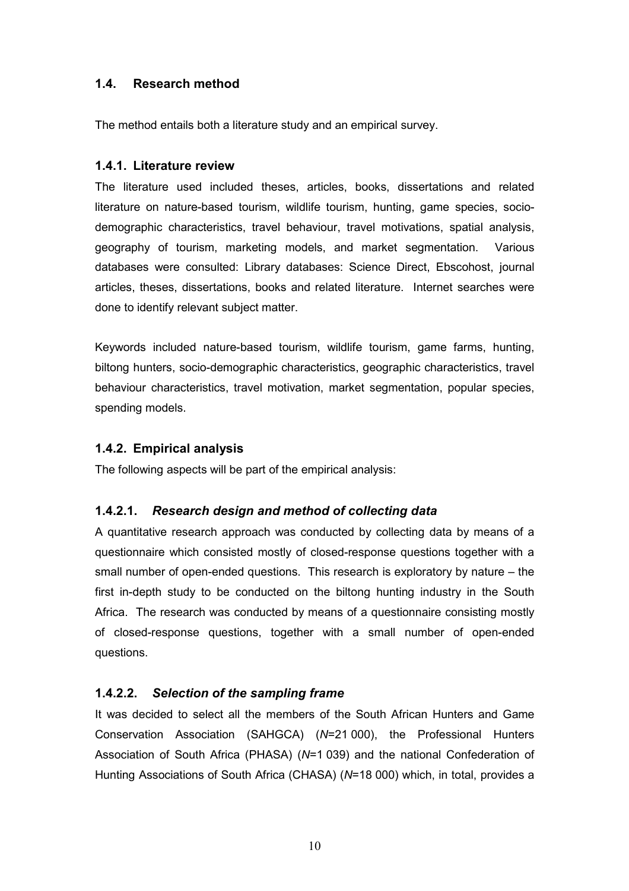### **1.4. Research method**

The method entails both a literature study and an empirical survey.

### **1.4.1. Literature review**

The literature used included theses, articles, books, dissertations and related literature on nature-based tourism, wildlife tourism, hunting, game species, sociodemographic characteristics, travel behaviour, travel motivations, spatial analysis, geography of tourism, marketing models, and market segmentation. Various databases were consulted: Library databases: Science Direct, Ebscohost, journal articles, theses, dissertations, books and related literature. Internet searches were done to identify relevant subject matter.

Keywords included nature-based tourism, wildlife tourism, game farms, hunting, biltong hunters, socio-demographic characteristics, geographic characteristics, travel behaviour characteristics, travel motivation, market segmentation, popular species, spending models.

### **1.4.2. Empirical analysis**

The following aspects will be part of the empirical analysis:

# **1.4.2.1.** *Research design and method of collecting data*

A quantitative research approach was conducted by collecting data by means of a questionnaire which consisted mostly of closed-response questions together with a small number of open-ended questions. This research is exploratory by nature – the first in-depth study to be conducted on the biltong hunting industry in the South Africa. The research was conducted by means of a questionnaire consisting mostly of closed-response questions, together with a small number of open-ended questions.

# **1.4.2.2.** *Selection of the sampling frame*

It was decided to select all the members of the South African Hunters and Game Conservation Association (SAHGCA) (*N*=21 000), the Professional Hunters Association of South Africa (PHASA) (*N*=1 039) and the national Confederation of Hunting Associations of South Africa (CHASA) (*N*=18 000) which, in total, provides a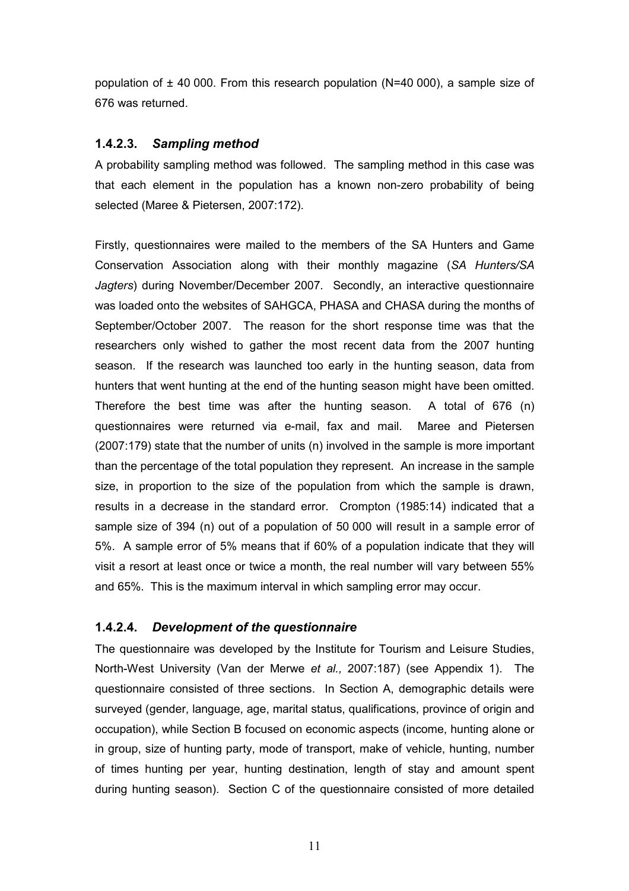population of  $\pm$  40 000. From this research population (N=40 000), a sample size of 676 was returned.

### **1.4.2.3.** *Sampling method*

A probability sampling method was followed. The sampling method in this case was that each element in the population has a known non-zero probability of being selected (Maree & Pietersen, 2007:172).

Firstly, questionnaires were mailed to the members of the SA Hunters and Game Conservation Association along with their monthly magazine (*SA Hunters/SA Jagters*) during November/December 2007. Secondly, an interactive questionnaire was loaded onto the websites of SAHGCA, PHASA and CHASA during the months of September/October 2007. The reason for the short response time was that the researchers only wished to gather the most recent data from the 2007 hunting season. If the research was launched too early in the hunting season, data from hunters that went hunting at the end of the hunting season might have been omitted. Therefore the best time was after the hunting season. A total of 676 (n) questionnaires were returned via e-mail, fax and mail. Maree and Pietersen (2007:179) state that the number of units (n) involved in the sample is more important than the percentage of the total population they represent. An increase in the sample size, in proportion to the size of the population from which the sample is drawn, results in a decrease in the standard error. Crompton (1985:14) indicated that a sample size of 394 (n) out of a population of 50 000 will result in a sample error of 5%. A sample error of 5% means that if 60% of a population indicate that they will visit a resort at least once or twice a month, the real number will vary between 55% and 65%. This is the maximum interval in which sampling error may occur.

# **1.4.2.4.** *Development of the questionnaire*

The questionnaire was developed by the Institute for Tourism and Leisure Studies, North-West University (Van der Merwe *et al.,* 2007:187) (see Appendix 1). The questionnaire consisted of three sections. In Section A, demographic details were surveyed (gender, language, age, marital status, qualifications, province of origin and occupation), while Section B focused on economic aspects (income, hunting alone or in group, size of hunting party, mode of transport, make of vehicle, hunting, number of times hunting per year, hunting destination, length of stay and amount spent during hunting season). Section C of the questionnaire consisted of more detailed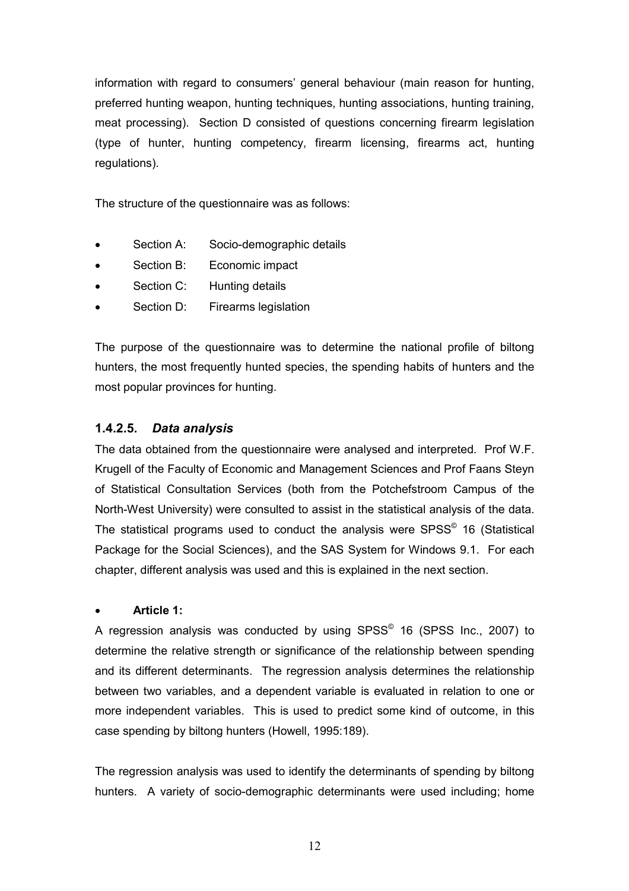information with regard to consumers' general behaviour (main reason for hunting, preferred hunting weapon, hunting techniques, hunting associations, hunting training, meat processing). Section D consisted of questions concerning firearm legislation (type of hunter, hunting competency, firearm licensing, firearms act, hunting regulations).

The structure of the questionnaire was as follows:

- Section A: Socio-demographic details
- Section B: Economic impact
- Section C: Hunting details
- Section D: Firearms legislation

The purpose of the questionnaire was to determine the national profile of biltong hunters, the most frequently hunted species, the spending habits of hunters and the most popular provinces for hunting.

### **1.4.2.5.** *Data analysis*

The data obtained from the questionnaire were analysed and interpreted. Prof W.F. Krugell of the Faculty of Economic and Management Sciences and Prof Faans Steyn of Statistical Consultation Services (both from the Potchefstroom Campus of the North-West University) were consulted to assist in the statistical analysis of the data. The statistical programs used to conduct the analysis were  $SPSS<sup>®</sup>$  16 (Statistical Package for the Social Sciences), and the SAS System for Windows 9.1. For each chapter, different analysis was used and this is explained in the next section.

#### • **Article 1:**

A regression analysis was conducted by using  $SPSS^{\circ}$  16 (SPSS Inc., 2007) to determine the relative strength or significance of the relationship between spending and its different determinants. The regression analysis determines the relationship between two variables, and a dependent variable is evaluated in relation to one or more independent variables. This is used to predict some kind of outcome, in this case spending by biltong hunters (Howell, 1995:189).

The regression analysis was used to identify the determinants of spending by biltong hunters. A variety of socio-demographic determinants were used including; home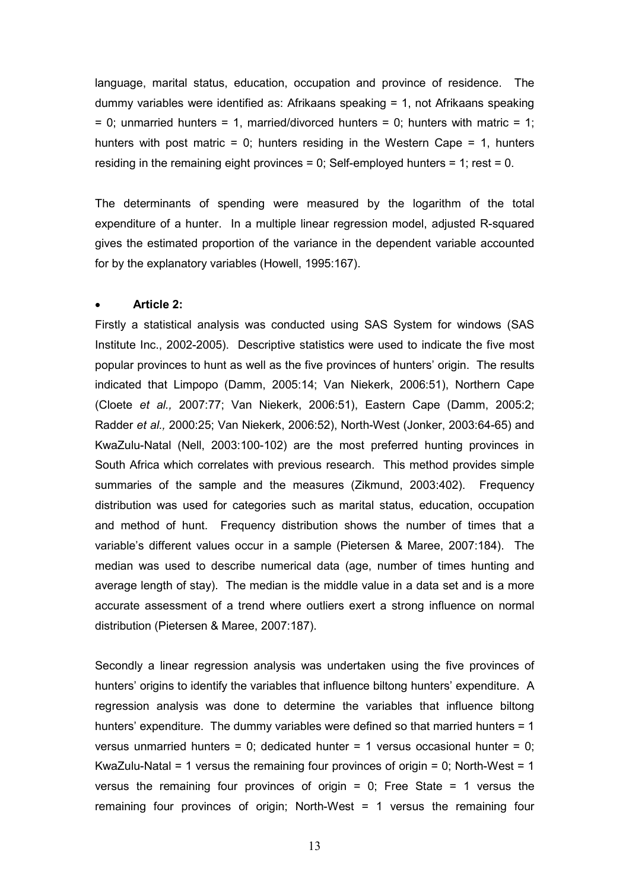language, marital status, education, occupation and province of residence. The dummy variables were identified as: Afrikaans speaking = 1, not Afrikaans speaking  $= 0$ ; unmarried hunters  $= 1$ , married/divorced hunters  $= 0$ ; hunters with matric  $= 1$ ; hunters with post matric  $= 0$ ; hunters residing in the Western Cape  $= 1$ , hunters residing in the remaining eight provinces =  $0$ ; Self-employed hunters = 1; rest = 0.

The determinants of spending were measured by the logarithm of the total expenditure of a hunter. In a multiple linear regression model, adjusted R-squared gives the estimated proportion of the variance in the dependent variable accounted for by the explanatory variables (Howell, 1995:167).

#### • **Article 2:**

Firstly a statistical analysis was conducted using SAS System for windows (SAS Institute Inc., 2002-2005). Descriptive statistics were used to indicate the five most popular provinces to hunt as well as the five provinces of hunters' origin. The results indicated that Limpopo (Damm, 2005:14; Van Niekerk, 2006:51), Northern Cape (Cloete *et al.,* 2007:77; Van Niekerk, 2006:51), Eastern Cape (Damm, 2005:2; Radder *et al.,* 2000:25; Van Niekerk, 2006:52), North-West (Jonker, 2003:64-65) and KwaZulu-Natal (Nell, 2003:100-102) are the most preferred hunting provinces in South Africa which correlates with previous research. This method provides simple summaries of the sample and the measures (Zikmund, 2003:402). Frequency distribution was used for categories such as marital status, education, occupation and method of hunt. Frequency distribution shows the number of times that a variable's different values occur in a sample (Pietersen & Maree, 2007:184). The median was used to describe numerical data (age, number of times hunting and average length of stay). The median is the middle value in a data set and is a more accurate assessment of a trend where outliers exert a strong influence on normal distribution (Pietersen & Maree, 2007:187).

Secondly a linear regression analysis was undertaken using the five provinces of hunters' origins to identify the variables that influence biltong hunters' expenditure. A regression analysis was done to determine the variables that influence biltong hunters' expenditure. The dummy variables were defined so that married hunters = 1 versus unmarried hunters = 0; dedicated hunter = 1 versus occasional hunter = 0; KwaZulu-Natal = 1 versus the remaining four provinces of origin = 0; North-West = 1 versus the remaining four provinces of origin  $= 0$ ; Free State  $= 1$  versus the remaining four provinces of origin; North-West = 1 versus the remaining four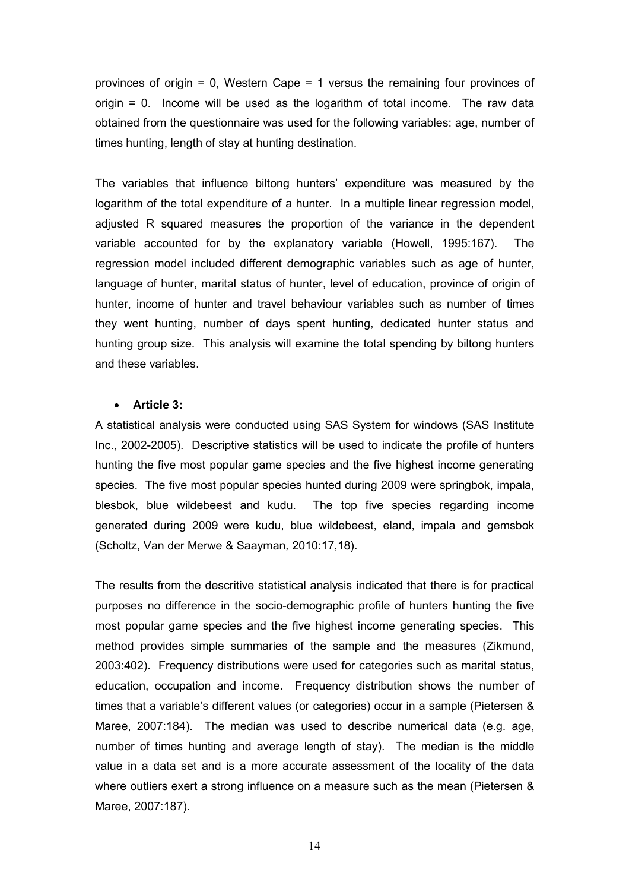provinces of origin = 0, Western Cape = 1 versus the remaining four provinces of origin = 0. Income will be used as the logarithm of total income. The raw data obtained from the questionnaire was used for the following variables: age, number of times hunting, length of stay at hunting destination.

The variables that influence biltong hunters' expenditure was measured by the logarithm of the total expenditure of a hunter. In a multiple linear regression model, adjusted R squared measures the proportion of the variance in the dependent variable accounted for by the explanatory variable (Howell, 1995:167). The regression model included different demographic variables such as age of hunter, language of hunter, marital status of hunter, level of education, province of origin of hunter, income of hunter and travel behaviour variables such as number of times they went hunting, number of days spent hunting, dedicated hunter status and hunting group size. This analysis will examine the total spending by biltong hunters and these variables.

#### • **Article 3:**

A statistical analysis were conducted using SAS System for windows (SAS Institute Inc., 2002-2005). Descriptive statistics will be used to indicate the profile of hunters hunting the five most popular game species and the five highest income generating species. The five most popular species hunted during 2009 were springbok, impala, blesbok, blue wildebeest and kudu. The top five species regarding income generated during 2009 were kudu, blue wildebeest, eland, impala and gemsbok (Scholtz, Van der Merwe & Saayman*,* 2010:17,18).

The results from the descritive statistical analysis indicated that there is for practical purposes no difference in the socio-demographic profile of hunters hunting the five most popular game species and the five highest income generating species. This method provides simple summaries of the sample and the measures (Zikmund, 2003:402). Frequency distributions were used for categories such as marital status, education, occupation and income. Frequency distribution shows the number of times that a variable's different values (or categories) occur in a sample (Pietersen & Maree, 2007:184). The median was used to describe numerical data (e.g. age, number of times hunting and average length of stay). The median is the middle value in a data set and is a more accurate assessment of the locality of the data where outliers exert a strong influence on a measure such as the mean (Pietersen & Maree, 2007:187).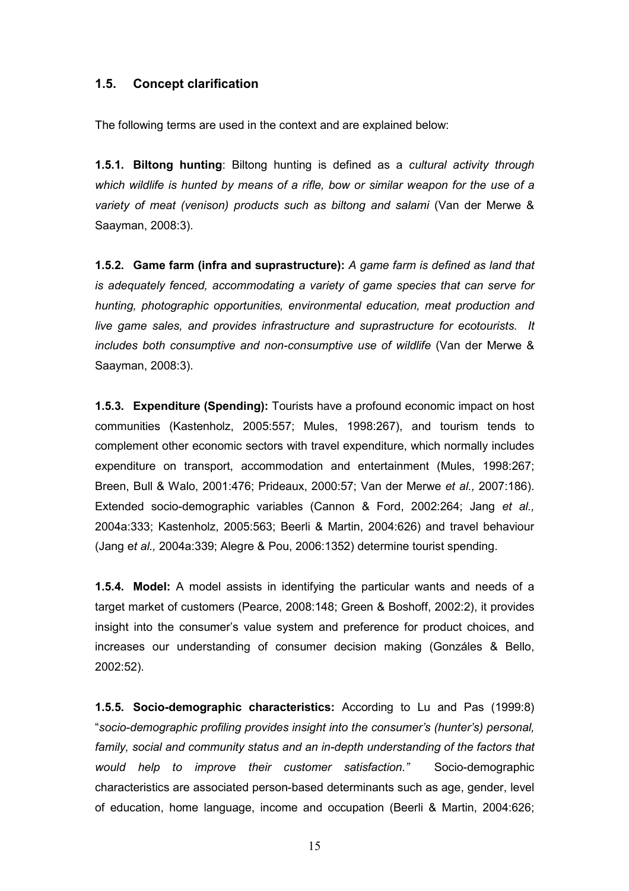#### **1.5. Concept clarification**

The following terms are used in the context and are explained below:

**1.5.1. Biltong hunting**: Biltong hunting is defined as a *cultural activity through which wildlife is hunted by means of a rifle, bow or similar weapon for the use of a variety of meat (venison) products such as biltong and salami* (Van der Merwe & Saayman, 2008:3).

**1.5.2. Game farm (infra and suprastructure):** *A game farm is defined as land that is adequately fenced, accommodating a variety of game species that can serve for hunting, photographic opportunities, environmental education, meat production and live game sales, and provides infrastructure and suprastructure for ecotourists. It includes both consumptive and non-consumptive use of wildlife* (Van der Merwe & Saayman, 2008:3).

**1.5.3. Expenditure (Spending):** Tourists have a profound economic impact on host communities (Kastenholz, 2005:557; Mules, 1998:267), and tourism tends to complement other economic sectors with travel expenditure, which normally includes expenditure on transport, accommodation and entertainment (Mules, 1998:267; Breen, Bull & Walo, 2001:476; Prideaux, 2000:57; Van der Merwe *et al.,* 2007:186). Extended socio-demographic variables (Cannon & Ford, 2002:264; Jang *et al.,* 2004a:333; Kastenholz, 2005:563; Beerli & Martin, 2004:626) and travel behaviour (Jang e*t al.,* 2004a:339; Alegre & Pou, 2006:1352) determine tourist spending.

**1.5.4. Model:** A model assists in identifying the particular wants and needs of a target market of customers (Pearce, 2008:148; Green & Boshoff, 2002:2), it provides insight into the consumer's value system and preference for product choices, and increases our understanding of consumer decision making (Gonzáles & Bello, 2002:52).

**1.5.5. Socio-demographic characteristics:** According to Lu and Pas (1999:8) "*socio-demographic profiling provides insight into the consumer's (hunter's) personal, family, social and community status and an in-depth understanding of the factors that would help to improve their customer satisfaction."* Socio-demographic characteristics are associated person-based determinants such as age, gender, level of education, home language, income and occupation (Beerli & Martin, 2004:626;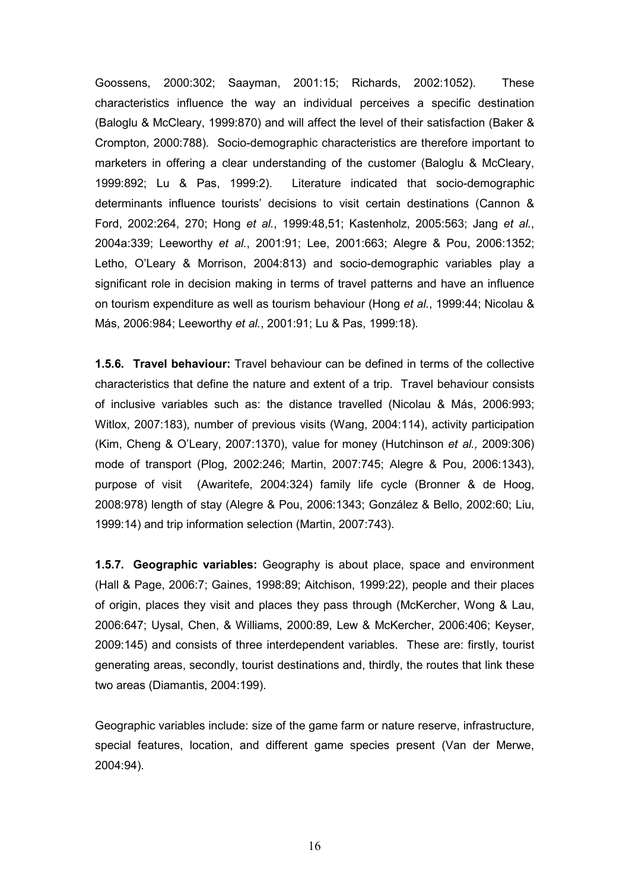Goossens, 2000:302; Saayman, 2001:15; Richards, 2002:1052). These characteristics influence the way an individual perceives a specific destination (Baloglu & McCleary, 1999:870) and will affect the level of their satisfaction (Baker & Crompton, 2000:788). Socio-demographic characteristics are therefore important to marketers in offering a clear understanding of the customer (Baloglu & McCleary, 1999:892; Lu & Pas, 1999:2). Literature indicated that socio-demographic determinants influence tourists' decisions to visit certain destinations (Cannon & Ford, 2002:264, 270; Hong *et al.*, 1999:48,51; Kastenholz, 2005:563; Jang *et al.*, 2004a:339; Leeworthy *et al.*, 2001:91; Lee, 2001:663; Alegre & Pou, 2006:1352; Letho, O'Leary & Morrison, 2004:813) and socio-demographic variables play a significant role in decision making in terms of travel patterns and have an influence on tourism expenditure as well as tourism behaviour (Hong *et al.*, 1999:44; Nicolau & Más, 2006:984; Leeworthy *et al.*, 2001:91; Lu & Pas, 1999:18).

**1.5.6. Travel behaviour:** Travel behaviour can be defined in terms of the collective characteristics that define the nature and extent of a trip. Travel behaviour consists of inclusive variables such as: the distance travelled (Nicolau & Más, 2006:993; Witlox, 2007:183), number of previous visits (Wang, 2004:114), activity participation (Kim, Cheng & O'Leary, 2007:1370), value for money (Hutchinson *et al.,* 2009:306) mode of transport (Plog, 2002:246; Martin, 2007:745; Alegre & Pou, 2006:1343), purpose of visit (Awaritefe, 2004:324) family life cycle (Bronner & de Hoog, 2008:978) length of stay (Alegre & Pou, 2006:1343; González & Bello, 2002:60; Liu, 1999:14) and trip information selection (Martin, 2007:743).

**1.5.7. Geographic variables:** Geography is about place, space and environment (Hall & Page, 2006:7; Gaines, 1998:89; Aitchison, 1999:22), people and their places of origin, places they visit and places they pass through (McKercher, Wong & Lau, 2006:647; Uysal, Chen, & Williams, 2000:89, Lew & McKercher, 2006:406; Keyser, 2009:145) and consists of three interdependent variables. These are: firstly, tourist generating areas, secondly, tourist destinations and, thirdly, the routes that link these two areas (Diamantis, 2004:199).

Geographic variables include: size of the game farm or nature reserve, infrastructure, special features, location, and different game species present (Van der Merwe, 2004:94).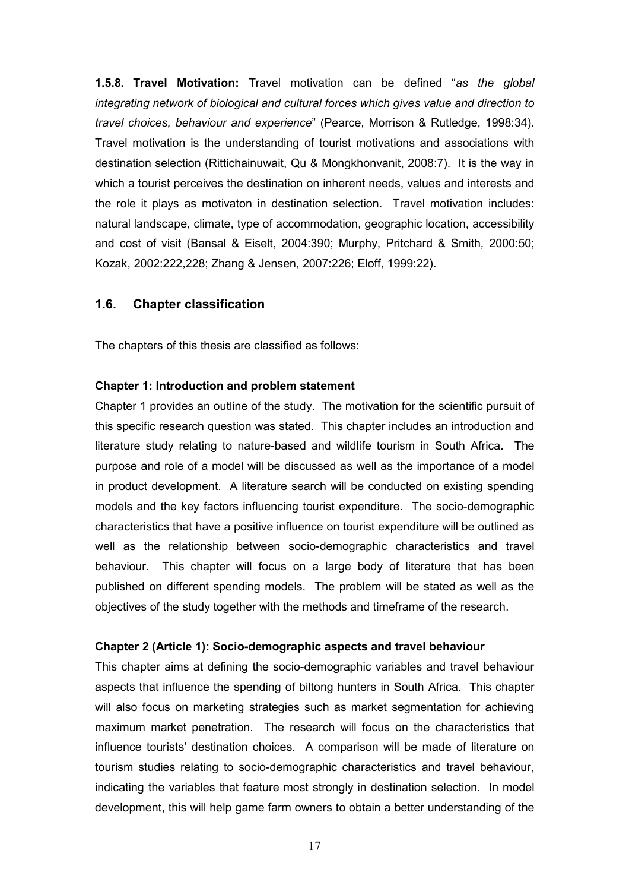**1.5.8. Travel Motivation:** Travel motivation can be defined "*as the global integrating network of biological and cultural forces which gives value and direction to travel choices, behaviour and experience*" (Pearce, Morrison & Rutledge, 1998:34). Travel motivation is the understanding of tourist motivations and associations with destination selection (Rittichainuwait, Qu & Mongkhonvanit, 2008:7). It is the way in which a tourist perceives the destination on inherent needs, values and interests and the role it plays as motivaton in destination selection. Travel motivation includes: natural landscape, climate, type of accommodation, geographic location, accessibility and cost of visit (Bansal & Eiselt, 2004:390; Murphy, Pritchard & Smith*,* 2000:50; Kozak, 2002:222,228; Zhang & Jensen, 2007:226; Eloff, 1999:22).

#### **1.6. Chapter classification**

The chapters of this thesis are classified as follows:

#### **Chapter 1: Introduction and problem statement**

Chapter 1 provides an outline of the study. The motivation for the scientific pursuit of this specific research question was stated. This chapter includes an introduction and literature study relating to nature-based and wildlife tourism in South Africa. The purpose and role of a model will be discussed as well as the importance of a model in product development. A literature search will be conducted on existing spending models and the key factors influencing tourist expenditure. The socio-demographic characteristics that have a positive influence on tourist expenditure will be outlined as well as the relationship between socio-demographic characteristics and travel behaviour. This chapter will focus on a large body of literature that has been published on different spending models. The problem will be stated as well as the objectives of the study together with the methods and timeframe of the research.

#### **Chapter 2 (Article 1): Socio-demographic aspects and travel behaviour**

This chapter aims at defining the socio-demographic variables and travel behaviour aspects that influence the spending of biltong hunters in South Africa. This chapter will also focus on marketing strategies such as market segmentation for achieving maximum market penetration. The research will focus on the characteristics that influence tourists' destination choices. A comparison will be made of literature on tourism studies relating to socio-demographic characteristics and travel behaviour, indicating the variables that feature most strongly in destination selection. In model development, this will help game farm owners to obtain a better understanding of the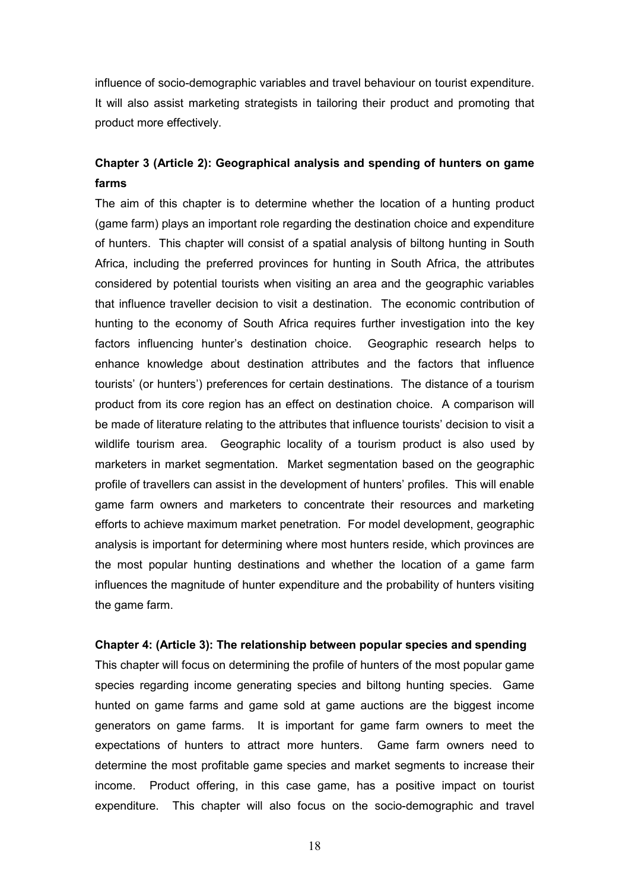influence of socio-demographic variables and travel behaviour on tourist expenditure. It will also assist marketing strategists in tailoring their product and promoting that product more effectively.

# **Chapter 3 (Article 2): Geographical analysis and spending of hunters on game farms**

The aim of this chapter is to determine whether the location of a hunting product (game farm) plays an important role regarding the destination choice and expenditure of hunters. This chapter will consist of a spatial analysis of biltong hunting in South Africa, including the preferred provinces for hunting in South Africa, the attributes considered by potential tourists when visiting an area and the geographic variables that influence traveller decision to visit a destination. The economic contribution of hunting to the economy of South Africa requires further investigation into the key factors influencing hunter's destination choice. Geographic research helps to enhance knowledge about destination attributes and the factors that influence tourists' (or hunters') preferences for certain destinations. The distance of a tourism product from its core region has an effect on destination choice. A comparison will be made of literature relating to the attributes that influence tourists' decision to visit a wildlife tourism area. Geographic locality of a tourism product is also used by marketers in market segmentation. Market segmentation based on the geographic profile of travellers can assist in the development of hunters' profiles. This will enable game farm owners and marketers to concentrate their resources and marketing efforts to achieve maximum market penetration. For model development, geographic analysis is important for determining where most hunters reside, which provinces are the most popular hunting destinations and whether the location of a game farm influences the magnitude of hunter expenditure and the probability of hunters visiting the game farm.

#### **Chapter 4: (Article 3): The relationship between popular species and spending**

This chapter will focus on determining the profile of hunters of the most popular game species regarding income generating species and biltong hunting species. Game hunted on game farms and game sold at game auctions are the biggest income generators on game farms. It is important for game farm owners to meet the expectations of hunters to attract more hunters. Game farm owners need to determine the most profitable game species and market segments to increase their income. Product offering, in this case game, has a positive impact on tourist expenditure. This chapter will also focus on the socio-demographic and travel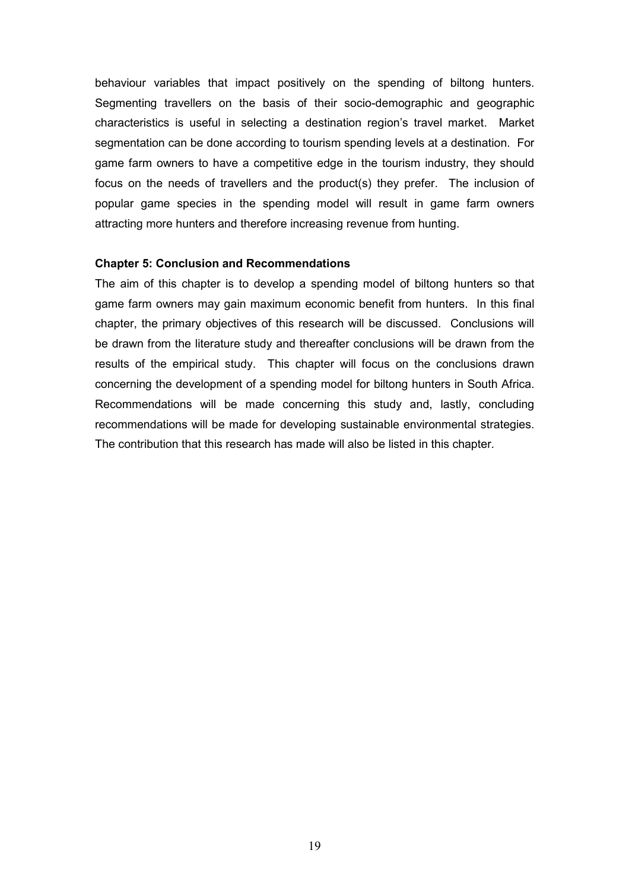behaviour variables that impact positively on the spending of biltong hunters. Segmenting travellers on the basis of their socio-demographic and geographic characteristics is useful in selecting a destination region's travel market. Market segmentation can be done according to tourism spending levels at a destination. For game farm owners to have a competitive edge in the tourism industry, they should focus on the needs of travellers and the product(s) they prefer. The inclusion of popular game species in the spending model will result in game farm owners attracting more hunters and therefore increasing revenue from hunting.

#### **Chapter 5: Conclusion and Recommendations**

The aim of this chapter is to develop a spending model of biltong hunters so that game farm owners may gain maximum economic benefit from hunters. In this final chapter, the primary objectives of this research will be discussed. Conclusions will be drawn from the literature study and thereafter conclusions will be drawn from the results of the empirical study. This chapter will focus on the conclusions drawn concerning the development of a spending model for biltong hunters in South Africa. Recommendations will be made concerning this study and, lastly, concluding recommendations will be made for developing sustainable environmental strategies. The contribution that this research has made will also be listed in this chapter.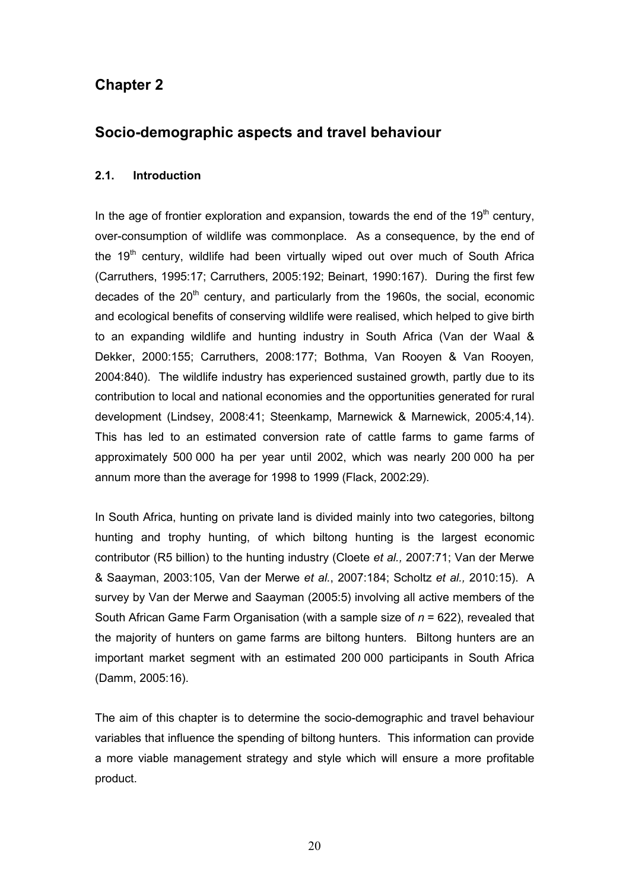# **Chapter 2**

# **Socio-demographic aspects and travel behaviour**

#### **2.1. Introduction**

In the age of frontier exploration and expansion, towards the end of the 19<sup>th</sup> century, over-consumption of wildlife was commonplace. As a consequence, by the end of the  $19<sup>th</sup>$  century, wildlife had been virtually wiped out over much of South Africa (Carruthers, 1995:17; Carruthers, 2005:192; Beinart, 1990:167). During the first few decades of the  $20<sup>th</sup>$  century, and particularly from the 1960s, the social, economic and ecological benefits of conserving wildlife were realised, which helped to give birth to an expanding wildlife and hunting industry in South Africa (Van der Waal & Dekker, 2000:155; Carruthers, 2008:177; Bothma, Van Rooyen & Van Rooyen*,*  2004:840). The wildlife industry has experienced sustained growth, partly due to its contribution to local and national economies and the opportunities generated for rural development (Lindsey, 2008:41; Steenkamp, Marnewick & Marnewick, 2005:4,14). This has led to an estimated conversion rate of cattle farms to game farms of approximately 500 000 ha per year until 2002, which was nearly 200 000 ha per annum more than the average for 1998 to 1999 (Flack, 2002:29).

In South Africa, hunting on private land is divided mainly into two categories, biltong hunting and trophy hunting, of which biltong hunting is the largest economic contributor (R5 billion) to the hunting industry (Cloete *et al.,* 2007:71; Van der Merwe & Saayman, 2003:105, Van der Merwe *et al.*, 2007:184; Scholtz *et al.,* 2010:15). A survey by Van der Merwe and Saayman (2005:5) involving all active members of the South African Game Farm Organisation (with a sample size of *n* = 622), revealed that the majority of hunters on game farms are biltong hunters. Biltong hunters are an important market segment with an estimated 200 000 participants in South Africa (Damm, 2005:16).

The aim of this chapter is to determine the socio-demographic and travel behaviour variables that influence the spending of biltong hunters. This information can provide a more viable management strategy and style which will ensure a more profitable product.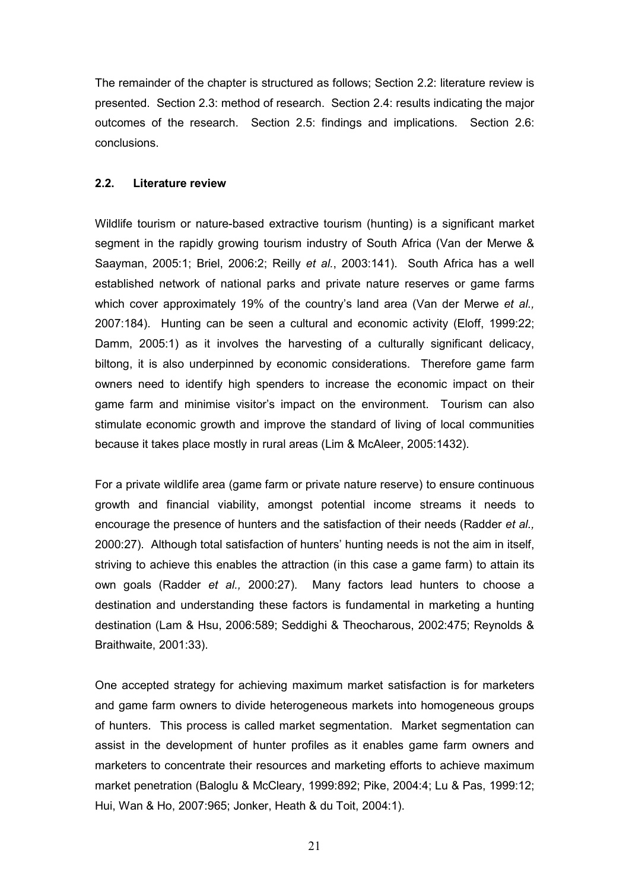The remainder of the chapter is structured as follows; Section 2.2: literature review is presented. Section 2.3: method of research. Section 2.4: results indicating the major outcomes of the research. Section 2.5: findings and implications. Section 2.6: conclusions.

#### **2.2. Literature review**

Wildlife tourism or nature-based extractive tourism (hunting) is a significant market segment in the rapidly growing tourism industry of South Africa (Van der Merwe & Saayman, 2005:1; Briel, 2006:2; Reilly *et al.*, 2003:141). South Africa has a well established network of national parks and private nature reserves or game farms which cover approximately 19% of the country's land area (Van der Merwe *et al.,* 2007:184). Hunting can be seen a cultural and economic activity (Eloff, 1999:22; Damm, 2005:1) as it involves the harvesting of a culturally significant delicacy, biltong, it is also underpinned by economic considerations. Therefore game farm owners need to identify high spenders to increase the economic impact on their game farm and minimise visitor's impact on the environment. Tourism can also stimulate economic growth and improve the standard of living of local communities because it takes place mostly in rural areas (Lim & McAleer, 2005:1432).

For a private wildlife area (game farm or private nature reserve) to ensure continuous growth and financial viability, amongst potential income streams it needs to encourage the presence of hunters and the satisfaction of their needs (Radder *et al.,* 2000:27). Although total satisfaction of hunters' hunting needs is not the aim in itself, striving to achieve this enables the attraction (in this case a game farm) to attain its own goals (Radder *et al.,* 2000:27). Many factors lead hunters to choose a destination and understanding these factors is fundamental in marketing a hunting destination (Lam & Hsu, 2006:589; Seddighi & Theocharous, 2002:475; Reynolds & Braithwaite, 2001:33).

One accepted strategy for achieving maximum market satisfaction is for marketers and game farm owners to divide heterogeneous markets into homogeneous groups of hunters. This process is called market segmentation. Market segmentation can assist in the development of hunter profiles as it enables game farm owners and marketers to concentrate their resources and marketing efforts to achieve maximum market penetration (Baloglu & McCleary, 1999:892; Pike, 2004:4; Lu & Pas, 1999:12; Hui, Wan & Ho, 2007:965; Jonker, Heath & du Toit, 2004:1).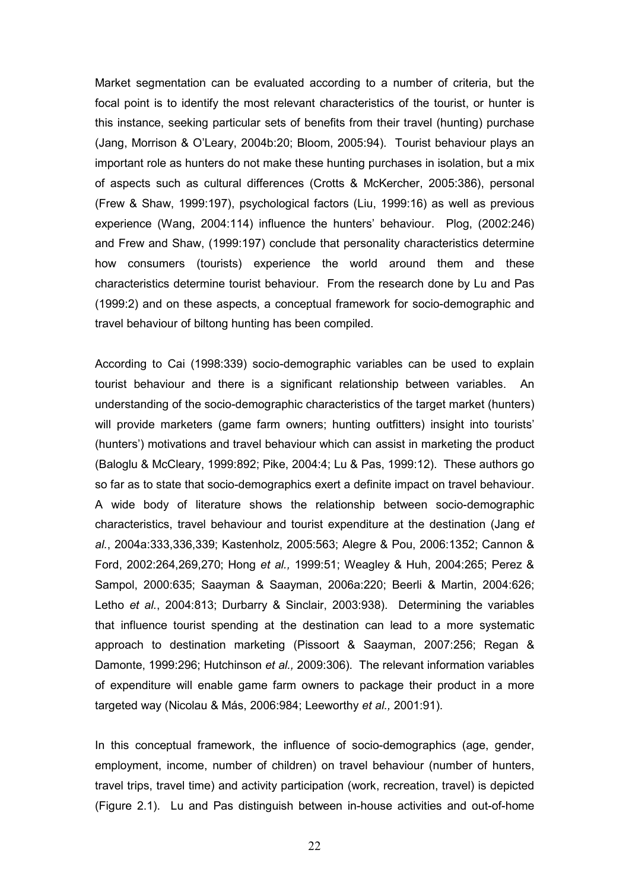Market segmentation can be evaluated according to a number of criteria, but the focal point is to identify the most relevant characteristics of the tourist, or hunter is this instance, seeking particular sets of benefits from their travel (hunting) purchase (Jang, Morrison & O'Leary, 2004b:20; Bloom, 2005:94). Tourist behaviour plays an important role as hunters do not make these hunting purchases in isolation, but a mix of aspects such as cultural differences (Crotts & McKercher, 2005:386), personal (Frew & Shaw, 1999:197), psychological factors (Liu, 1999:16) as well as previous experience (Wang, 2004:114) influence the hunters' behaviour. Plog, (2002:246) and Frew and Shaw, (1999:197) conclude that personality characteristics determine how consumers (tourists) experience the world around them and these characteristics determine tourist behaviour. From the research done by Lu and Pas (1999:2) and on these aspects, a conceptual framework for socio-demographic and travel behaviour of biltong hunting has been compiled.

According to Cai (1998:339) socio-demographic variables can be used to explain tourist behaviour and there is a significant relationship between variables. An understanding of the socio-demographic characteristics of the target market (hunters) will provide marketers (game farm owners; hunting outfitters) insight into tourists' (hunters') motivations and travel behaviour which can assist in marketing the product (Baloglu & McCleary, 1999:892; Pike, 2004:4; Lu & Pas, 1999:12). These authors go so far as to state that socio-demographics exert a definite impact on travel behaviour. A wide body of literature shows the relationship between socio-demographic characteristics, travel behaviour and tourist expenditure at the destination (Jang e*t al.*, 2004a:333,336,339; Kastenholz, 2005:563; Alegre & Pou, 2006:1352; Cannon & Ford, 2002:264,269,270; Hong *et al.,* 1999:51; Weagley & Huh, 2004:265; Perez & Sampol, 2000:635; Saayman & Saayman, 2006a:220; Beerli & Martin, 2004:626; Letho *et al.*, 2004:813; Durbarry & Sinclair, 2003:938). Determining the variables that influence tourist spending at the destination can lead to a more systematic approach to destination marketing (Pissoort & Saayman, 2007:256; Regan & Damonte, 1999:296; Hutchinson *et al.,* 2009:306). The relevant information variables of expenditure will enable game farm owners to package their product in a more targeted way (Nicolau & Más, 2006:984; Leeworthy *et al.,* 2001:91).

In this conceptual framework, the influence of socio-demographics (age, gender, employment, income, number of children) on travel behaviour (number of hunters, travel trips, travel time) and activity participation (work, recreation, travel) is depicted (Figure 2.1). Lu and Pas distinguish between in-house activities and out-of-home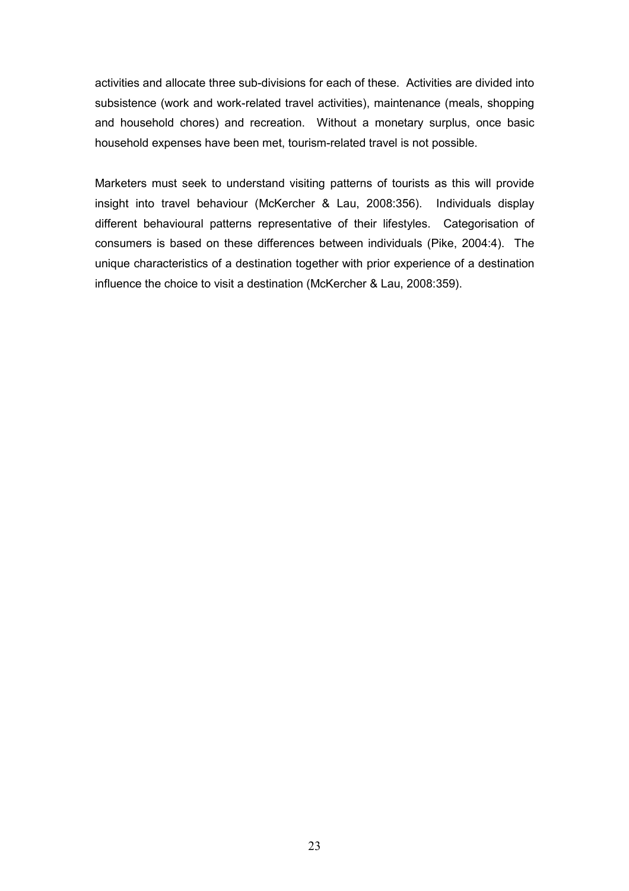activities and allocate three sub-divisions for each of these. Activities are divided into subsistence (work and work-related travel activities), maintenance (meals, shopping and household chores) and recreation. Without a monetary surplus, once basic household expenses have been met, tourism-related travel is not possible.

Marketers must seek to understand visiting patterns of tourists as this will provide insight into travel behaviour (McKercher & Lau, 2008:356). Individuals display different behavioural patterns representative of their lifestyles. Categorisation of consumers is based on these differences between individuals (Pike, 2004:4). The unique characteristics of a destination together with prior experience of a destination influence the choice to visit a destination (McKercher & Lau, 2008:359).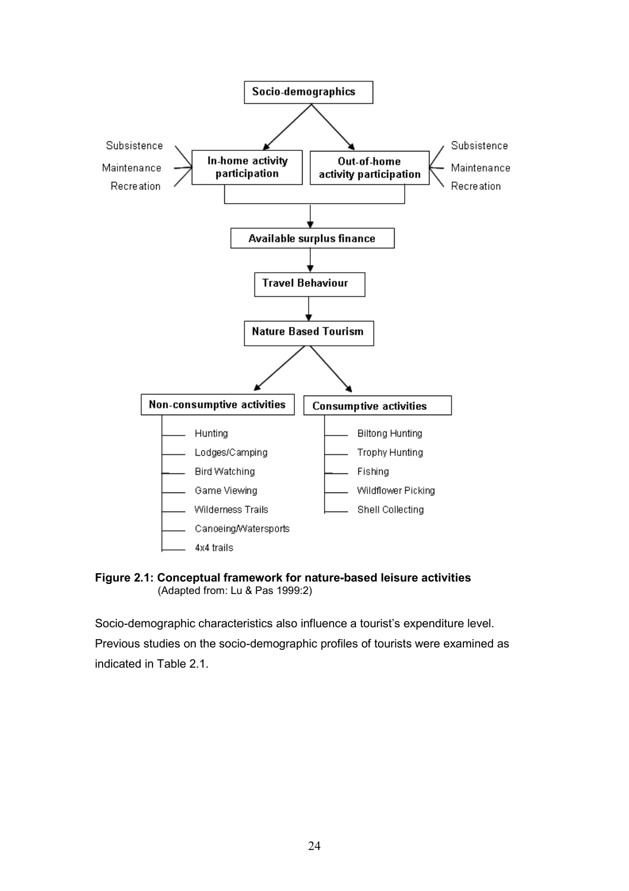

**Figure 2.1: Conceptual framework for nature-based leisure activities**  (Adapted from: Lu & Pas 1999:2)

Socio-demographic characteristics also influence a tourist's expenditure level. Previous studies on the socio-demographic profiles of tourists were examined as indicated in Table 2.1.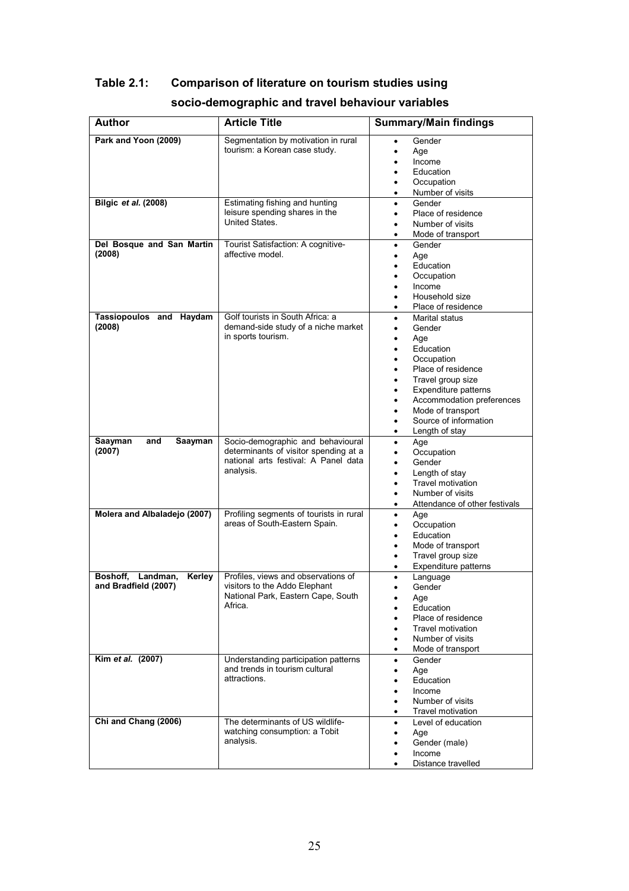# **Table 2.1: Comparison of literature on tourism studies using**

| <b>Author</b>                                       | <b>Article Title</b>                                                                                                            | <b>Summary/Main findings</b>                                                                                                                                                                                                                                                                                                                           |
|-----------------------------------------------------|---------------------------------------------------------------------------------------------------------------------------------|--------------------------------------------------------------------------------------------------------------------------------------------------------------------------------------------------------------------------------------------------------------------------------------------------------------------------------------------------------|
| Park and Yoon (2009)                                | Segmentation by motivation in rural<br>tourism: a Korean case study.                                                            | Gender<br>$\bullet$<br>Age<br>$\bullet$<br>Income<br>$\bullet$<br>Education<br>Occupation<br>٠<br>Number of visits<br>٠                                                                                                                                                                                                                                |
| Bilgic et al. (2008)                                | Estimating fishing and hunting<br>leisure spending shares in the<br>United States.                                              | Gender<br>٠<br>Place of residence<br>$\bullet$<br>Number of visits<br>$\bullet$<br>Mode of transport<br>$\bullet$                                                                                                                                                                                                                                      |
| Del Bosque and San Martin<br>(2008)                 | Tourist Satisfaction: A cognitive-<br>affective model.                                                                          | Gender<br>$\bullet$<br>Age<br>٠<br>Education<br>Occupation<br>٠<br>Income<br>$\bullet$<br>Household size<br>Place of residence<br>$\bullet$                                                                                                                                                                                                            |
| Tassiopoulos and<br>Haydam<br>(2008)                | Golf tourists in South Africa: a<br>demand-side study of a niche market<br>in sports tourism.                                   | Marital status<br>$\bullet$<br>Gender<br>$\bullet$<br>Age<br>٠<br>Education<br>$\bullet$<br>Occupation<br>$\bullet$<br>Place of residence<br>$\bullet$<br>Travel group size<br>$\bullet$<br>Expenditure patterns<br>$\bullet$<br>Accommodation preferences<br>٠<br>Mode of transport<br>$\bullet$<br>Source of information<br>٠<br>Length of stay<br>٠ |
| Saayman<br>Saayman<br>and<br>(2007)                 | Socio-demographic and behavioural<br>determinants of visitor spending at a<br>national arts festival: A Panel data<br>analysis. | Age<br>$\bullet$<br>Occupation<br>$\bullet$<br>Gender<br>$\bullet$<br>Length of stay<br>٠<br>Travel motivation<br>$\bullet$<br>Number of visits<br>Attendance of other festivals<br>$\bullet$                                                                                                                                                          |
| Molera and Albaladejo (2007)                        | Profiling segments of tourists in rural<br>areas of South-Eastern Spain.                                                        | Age<br>$\bullet$<br>Occupation<br>٠<br>Education<br>٠<br>Mode of transport<br>$\bullet$<br>Travel group size<br>$\bullet$<br>Expenditure patterns<br>$\bullet$                                                                                                                                                                                         |
| Boshoff, Landman,<br>Kerley<br>and Bradfield (2007) | Profiles, views and observations of<br>visitors to the Addo Elephant<br>National Park, Eastern Cape, South<br>Africa.           | Language<br>$\bullet$<br>Gender<br>Age<br>٠<br>Education<br>Place of residence<br>$\bullet$<br>Travel motivation<br>Number of visits<br>Mode of transport<br>٠                                                                                                                                                                                         |
| Kim et al. (2007)                                   | Understanding participation patterns<br>and trends in tourism cultural<br>attractions.                                          | Gender<br>$\bullet$<br>Age<br>Education<br>Income<br>$\bullet$<br>Number of visits<br>$\bullet$<br>Travel motivation                                                                                                                                                                                                                                   |
| Chi and Chang (2006)                                | The determinants of US wildlife-<br>watching consumption: a Tobit<br>analysis.                                                  | Level of education<br>$\bullet$<br>Age<br>$\bullet$<br>Gender (male)<br>Income<br>Distance travelled                                                                                                                                                                                                                                                   |

# **socio-demographic and travel behaviour variables**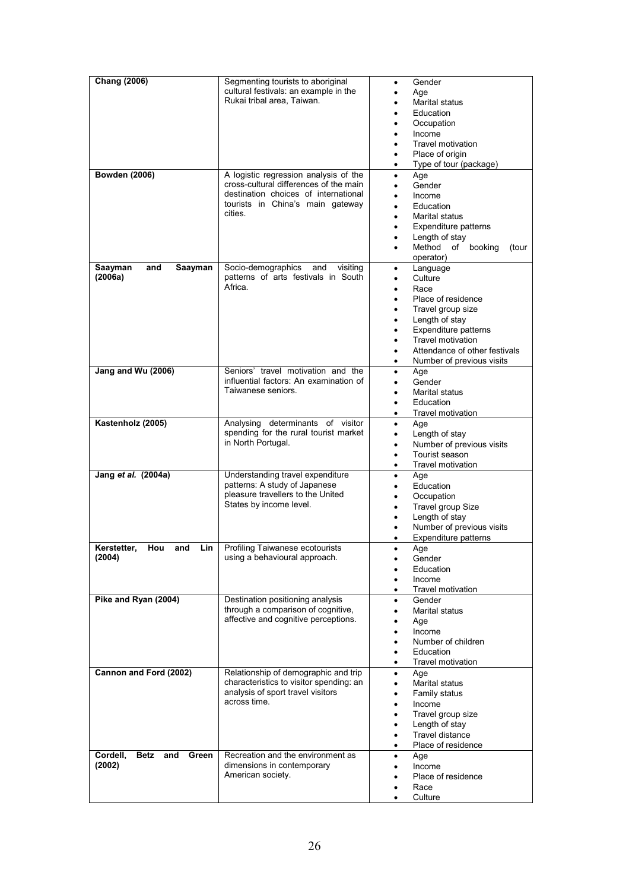| <b>Chang (2006)</b>                               | Segmenting tourists to aboriginal<br>cultural festivals: an example in the<br>Rukai tribal area, Taiwan.                                                               | Gender<br>٠<br>Age<br>Marital status<br>$\bullet$<br>Education<br>$\bullet$<br>Occupation<br>$\bullet$<br>Income<br>$\bullet$<br>Travel motivation<br>$\bullet$<br>Place of origin<br>Type of tour (package)<br>$\bullet$                                                                             |
|---------------------------------------------------|------------------------------------------------------------------------------------------------------------------------------------------------------------------------|-------------------------------------------------------------------------------------------------------------------------------------------------------------------------------------------------------------------------------------------------------------------------------------------------------|
| <b>Bowden (2006)</b>                              | A logistic regression analysis of the<br>cross-cultural differences of the main<br>destination choices of international<br>tourists in China's main gateway<br>cities. | Age<br>$\bullet$<br>Gender<br>$\bullet$<br>Income<br>$\bullet$<br>Education<br>Marital status<br>$\bullet$<br>Expenditure patterns<br>٠<br>Length of stay<br>٠<br>Method of booking<br>(tour<br>٠<br>operator)                                                                                        |
| Saayman<br>and<br>Saayman<br>(2006a)              | Socio-demographics<br>visiting<br>and<br>patterns of arts festivals in South<br>Africa.                                                                                | Language<br>$\bullet$<br>Culture<br>$\bullet$<br>Race<br>٠<br>Place of residence<br>$\bullet$<br>Travel group size<br>٠<br>Length of stay<br>$\bullet$<br>Expenditure patterns<br>$\bullet$<br>Travel motivation<br>٠<br>Attendance of other festivals<br>$\bullet$<br>Number of previous visits<br>٠ |
| Jang and Wu (2006)                                | Seniors' travel motivation and the<br>influential factors: An examination of<br>Taiwanese seniors.                                                                     | Age<br>٠<br>Gender<br>$\bullet$<br><b>Marital status</b><br>٠<br>Education<br>$\bullet$<br>Travel motivation<br>٠                                                                                                                                                                                     |
| Kastenholz (2005)                                 | Analysing determinants of visitor<br>spending for the rural tourist market<br>in North Portugal.                                                                       | Age<br>$\bullet$<br>Length of stay<br>٠<br>Number of previous visits<br>٠<br>Tourist season<br>$\bullet$<br>Travel motivation<br>٠                                                                                                                                                                    |
| Jang et al. (2004a)                               | Understanding travel expenditure<br>patterns: A study of Japanese<br>pleasure travellers to the United<br>States by income level.                                      | Age<br>٠<br>Education<br>٠<br>Occupation<br>$\bullet$<br>Travel group Size<br>$\bullet$<br>Length of stay<br>Number of previous visits<br>$\bullet$<br><b>Expenditure patterns</b><br>$\bullet$                                                                                                       |
| Kerstetter,<br>Hou and<br>(2004)                  | Lin Profiling Taiwanese ecotourists<br>using a behavioural approach.                                                                                                   | Age<br>Gender<br>$\bullet$<br>Education<br>$\bullet$<br>Income<br>$\bullet$<br>Travel motivation<br>$\bullet$                                                                                                                                                                                         |
| Pike and Ryan (2004)                              | Destination positioning analysis<br>through a comparison of cognitive.<br>affective and cognitive perceptions.                                                         | Gender<br>٠<br>Marital status<br>٠<br>Age<br>٠<br>Income<br>Number of children<br>$\bullet$<br>Education<br>$\bullet$<br>Travel motivation<br>$\bullet$                                                                                                                                               |
| Cannon and Ford (2002)                            | Relationship of demographic and trip<br>characteristics to visitor spending: an<br>analysis of sport travel visitors<br>across time.                                   | Age<br>$\bullet$<br>Marital status<br>٠<br>Family status<br>Income<br>$\bullet$<br>Travel group size<br>Length of stay<br>$\bullet$<br><b>Travel distance</b><br>٠<br>Place of residence<br>$\bullet$                                                                                                 |
| Cordell,<br><b>Betz</b><br>and<br>Green<br>(2002) | Recreation and the environment as<br>dimensions in contemporary<br>American society.                                                                                   | Age<br>$\bullet$<br>Income<br>٠<br>Place of residence<br>Race<br>٠<br>Culture<br>$\bullet$                                                                                                                                                                                                            |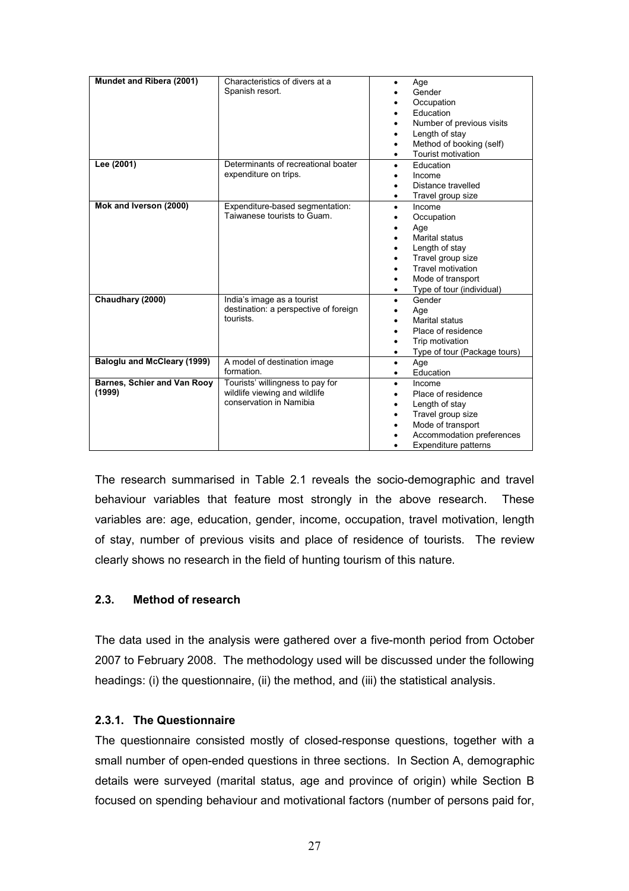| Mundet and Ribera (2001)    | Characteristics of divers at a        | Age<br>$\bullet$                      |
|-----------------------------|---------------------------------------|---------------------------------------|
|                             | Spanish resort.                       | Gender                                |
|                             |                                       | Occupation                            |
|                             |                                       | Education                             |
|                             |                                       | Number of previous visits             |
|                             |                                       | Length of stay                        |
|                             |                                       | Method of booking (self)<br>$\bullet$ |
|                             |                                       | Tourist motivation<br>$\bullet$       |
| Lee (2001)                  | Determinants of recreational boater   | Education<br>$\bullet$                |
|                             | expenditure on trips.                 | Income                                |
|                             |                                       | Distance travelled                    |
|                             |                                       | Travel group size<br>$\bullet$        |
| Mok and Iverson (2000)      | Expenditure-based segmentation:       | Income<br>$\bullet$                   |
|                             | Taiwanese tourists to Guam            | Occupation                            |
|                             |                                       | Age                                   |
|                             |                                       | <b>Marital status</b>                 |
|                             |                                       | Length of stay                        |
|                             |                                       | Travel group size                     |
|                             |                                       | <b>Travel motivation</b>              |
|                             |                                       | Mode of transport                     |
|                             |                                       | Type of tour (individual)             |
| Chaudhary (2000)            | India's image as a tourist            | Gender<br>$\bullet$                   |
|                             | destination: a perspective of foreign | Age                                   |
|                             | tourists.                             | Marital status                        |
|                             |                                       | Place of residence                    |
|                             |                                       | Trip motivation                       |
|                             |                                       | Type of tour (Package tours)          |
| Baloglu and McCleary (1999) | A model of destination image          | Age<br>$\bullet$                      |
|                             | formation.                            | Education<br>$\bullet$                |
| Barnes, Schier and Van Rooy | Tourists' willingness to pay for      | Income<br>$\bullet$                   |
| (1999)                      | wildlife viewing and wildlife         | Place of residence                    |
|                             | conservation in Namibia               | Length of stay                        |
|                             |                                       | Travel group size                     |
|                             |                                       | Mode of transport                     |
|                             |                                       | Accommodation preferences             |
|                             |                                       | <b>Expenditure patterns</b>           |

The research summarised in Table 2.1 reveals the socio-demographic and travel behaviour variables that feature most strongly in the above research. These variables are: age, education, gender, income, occupation, travel motivation, length of stay, number of previous visits and place of residence of tourists. The review clearly shows no research in the field of hunting tourism of this nature.

# **2.3. Method of research**

The data used in the analysis were gathered over a five-month period from October 2007 to February 2008. The methodology used will be discussed under the following headings: (i) the questionnaire, (ii) the method, and (iii) the statistical analysis.

# **2.3.1. The Questionnaire**

The questionnaire consisted mostly of closed-response questions, together with a small number of open-ended questions in three sections. In Section A, demographic details were surveyed (marital status, age and province of origin) while Section B focused on spending behaviour and motivational factors (number of persons paid for,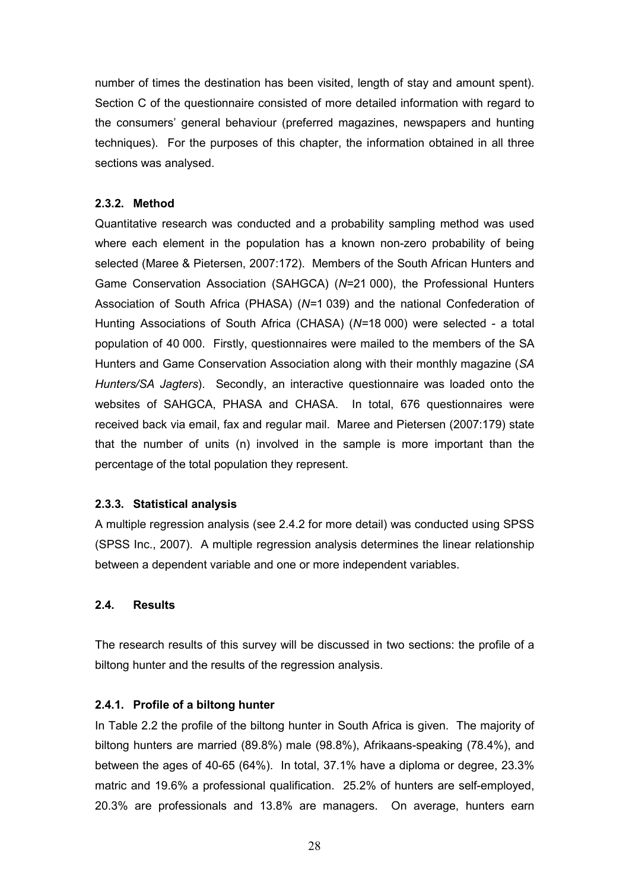number of times the destination has been visited, length of stay and amount spent). Section C of the questionnaire consisted of more detailed information with regard to the consumers' general behaviour (preferred magazines, newspapers and hunting techniques). For the purposes of this chapter, the information obtained in all three sections was analysed.

# **2.3.2. Method**

Quantitative research was conducted and a probability sampling method was used where each element in the population has a known non-zero probability of being selected (Maree & Pietersen, 2007:172). Members of the South African Hunters and Game Conservation Association (SAHGCA) (*N=*21 000), the Professional Hunters Association of South Africa (PHASA) (*N=*1 039) and the national Confederation of Hunting Associations of South Africa (CHASA) (*N=*18 000) were selected - a total population of 40 000. Firstly, questionnaires were mailed to the members of the SA Hunters and Game Conservation Association along with their monthly magazine (*SA Hunters/SA Jagters*). Secondly, an interactive questionnaire was loaded onto the websites of SAHGCA, PHASA and CHASA. In total, 676 questionnaires were received back via email, fax and regular mail. Maree and Pietersen (2007:179) state that the number of units (n) involved in the sample is more important than the percentage of the total population they represent.

#### **2.3.3. Statistical analysis**

A multiple regression analysis (see 2.4.2 for more detail) was conducted using SPSS (SPSS Inc., 2007). A multiple regression analysis determines the linear relationship between a dependent variable and one or more independent variables.

#### **2.4. Results**

The research results of this survey will be discussed in two sections: the profile of a biltong hunter and the results of the regression analysis.

#### **2.4.1. Profile of a biltong hunter**

In Table 2.2 the profile of the biltong hunter in South Africa is given. The majority of biltong hunters are married (89.8%) male (98.8%), Afrikaans-speaking (78.4%), and between the ages of 40-65 (64%). In total, 37.1% have a diploma or degree, 23.3% matric and 19.6% a professional qualification. 25.2% of hunters are self-employed, 20.3% are professionals and 13.8% are managers. On average, hunters earn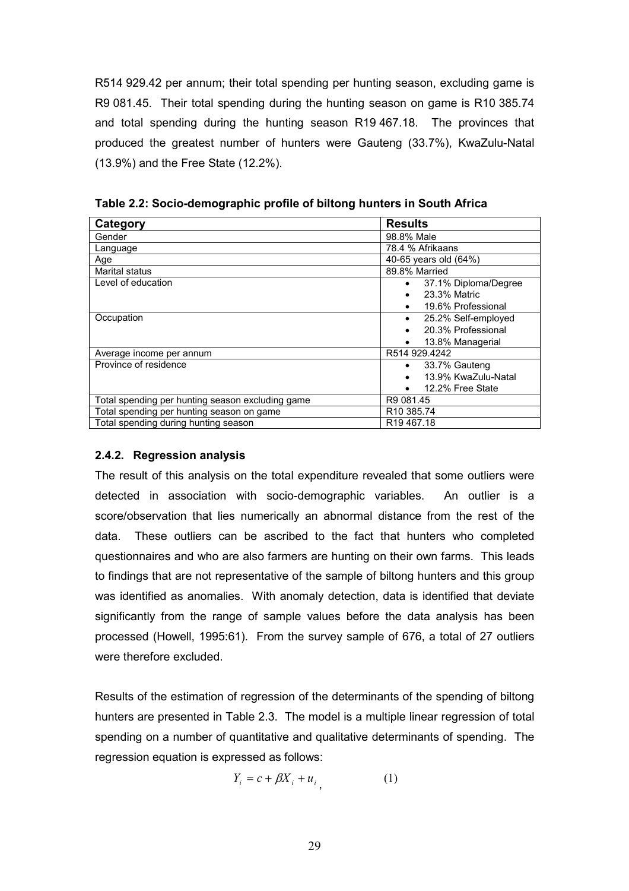R514 929.42 per annum; their total spending per hunting season, excluding game is R9 081.45. Their total spending during the hunting season on game is R10 385.74 and total spending during the hunting season R19 467.18. The provinces that produced the greatest number of hunters were Gauteng (33.7%), KwaZulu-Natal (13.9%) and the Free State (12.2%).

| Category                                         | <b>Results</b>                    |
|--------------------------------------------------|-----------------------------------|
| Gender                                           | 98.8% Male                        |
| Language                                         | 78.4 % Afrikaans                  |
| Age                                              | 40-65 years old (64%)             |
| Marital status                                   | 89.8% Married                     |
| Level of education                               | 37.1% Diploma/Degree<br>$\bullet$ |
|                                                  | 23.3% Matric                      |
|                                                  | 19.6% Professional<br>$\bullet$   |
| Occupation                                       | 25.2% Self-employed               |
|                                                  | 20.3% Professional<br>$\bullet$   |
|                                                  | 13.8% Managerial<br>$\bullet$     |
| Average income per annum                         | R514 929.4242                     |
| Province of residence                            | 33.7% Gauteng<br>$\bullet$        |
|                                                  | 13.9% KwaZulu-Natal               |
|                                                  | 12.2% Free State                  |
| Total spending per hunting season excluding game | R9 081.45                         |
| Total spending per hunting season on game        | R <sub>10</sub> 385.74            |
| Total spending during hunting season             | R <sub>19</sub> 467.18            |

**Table 2.2: Socio-demographic profile of biltong hunters in South Africa** 

# **2.4.2. Regression analysis**

The result of this analysis on the total expenditure revealed that some outliers were detected in association with socio-demographic variables. An outlier is a score/observation that lies numerically an abnormal distance from the rest of the data. These outliers can be ascribed to the fact that hunters who completed questionnaires and who are also farmers are hunting on their own farms. This leads to findings that are not representative of the sample of biltong hunters and this group was identified as anomalies. With anomaly detection, data is identified that deviate significantly from the range of sample values before the data analysis has been processed (Howell, 1995:61). From the survey sample of 676, a total of 27 outliers were therefore excluded.

Results of the estimation of regression of the determinants of the spending of biltong hunters are presented in Table 2.3. The model is a multiple linear regression of total spending on a number of quantitative and qualitative determinants of spending. The regression equation is expressed as follows:

$$
Y_i = c + \beta X_i + u_i \tag{1}
$$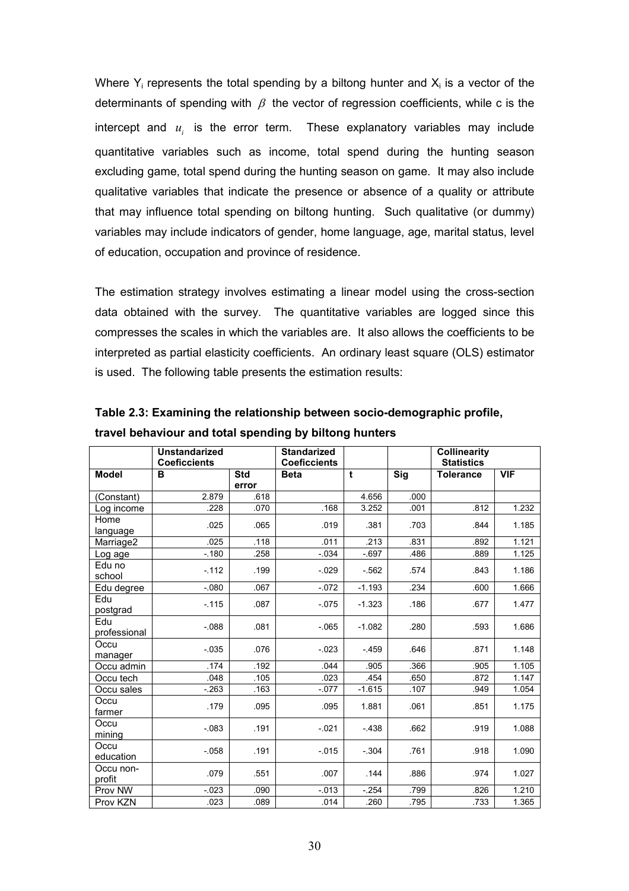Where  $Y_i$  represents the total spending by a biltong hunter and  $X_i$  is a vector of the determinants of spending with  $\beta$  the vector of regression coefficients, while c is the intercept and  $u_i$  is the error term. These explanatory variables may include quantitative variables such as income, total spend during the hunting season excluding game, total spend during the hunting season on game. It may also include qualitative variables that indicate the presence or absence of a quality or attribute that may influence total spending on biltong hunting. Such qualitative (or dummy) variables may include indicators of gender, home language, age, marital status, level of education, occupation and province of residence.

The estimation strategy involves estimating a linear model using the cross-section data obtained with the survey. The quantitative variables are logged since this compresses the scales in which the variables are. It also allows the coefficients to be interpreted as partial elasticity coefficients. An ordinary least square (OLS) estimator is used. The following table presents the estimation results:

|                     | <b>Unstandarized</b><br><b>Coeficcients</b> |                     | <b>Standarized</b><br><b>Coeficcients</b> |          |      | <b>Collinearity</b><br><b>Statistics</b> |            |
|---------------------|---------------------------------------------|---------------------|-------------------------------------------|----------|------|------------------------------------------|------------|
| <b>Model</b>        | B                                           | <b>Std</b><br>error | <b>Beta</b>                               | t        | Sig  | Tolerance                                | <b>VIF</b> |
| (Constant)          | 2.879                                       | .618                |                                           | 4.656    | .000 |                                          |            |
| Log income          | .228                                        | .070                | .168                                      | 3.252    | .001 | .812                                     | 1.232      |
| Home<br>language    | .025                                        | .065                | .019                                      | .381     | .703 | .844                                     | 1.185      |
| Marriage2           | .025                                        | .118                | .011                                      | .213     | .831 | 892                                      | 1.121      |
| Log age             | $-180$                                      | .258                | $-.034$                                   | $-697$   | .486 | .889                                     | 1.125      |
| Edu no<br>school    | $-112$                                      | .199                | $-0.29$                                   | $-562$   | .574 | .843                                     | 1.186      |
| Edu degree          | $-080$                                      | .067                | $-072$                                    | $-1.193$ | .234 | .600                                     | 1.666      |
| Edu<br>postgrad     | $-115$                                      | .087                | $-075$                                    | $-1.323$ | .186 | .677                                     | 1.477      |
| Edu<br>professional | $-0.088$                                    | .081                | $-065$                                    | $-1.082$ | .280 | .593                                     | 1.686      |
| Occu<br>manager     | $-0.35$                                     | .076                | $-023$                                    | $-459$   | .646 | .871                                     | 1.148      |
| Occu admin          | .174                                        | .192                | .044                                      | .905     | .366 | .905                                     | 1.105      |
| Occu tech           | .048                                        | .105                | .023                                      | .454     | .650 | .872                                     | 1.147      |
| Occu sales          | $-263$                                      | .163                | $-077$                                    | $-1.615$ | .107 | .949                                     | 1.054      |
| Occu<br>farmer      | .179                                        | .095                | .095                                      | 1.881    | .061 | .851                                     | 1.175      |
| Occu<br>mining      | $-.083$                                     | .191                | $-.021$                                   | $-438$   | .662 | .919                                     | 1.088      |
| Occu<br>education   | $-0.058$                                    | .191                | $-0.015$                                  | $-.304$  | .761 | .918                                     | 1.090      |
| Occu non-<br>profit | .079                                        | .551                | .007                                      | .144     | .886 | .974                                     | 1.027      |
| Prov NW             | $-023$                                      | .090                | $-013$                                    | $-254$   | .799 | .826                                     | 1.210      |
| Prov KZN            | .023                                        | .089                | .014                                      | .260     | .795 | .733                                     | 1.365      |

**Table 2.3: Examining the relationship between socio-demographic profile, travel behaviour and total spending by biltong hunters**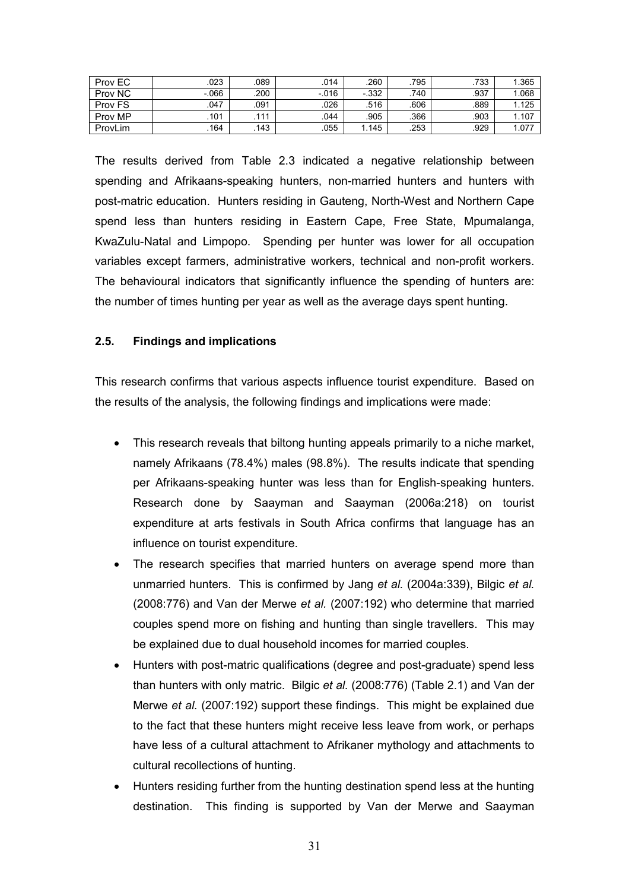| Prov EC            | .023     | .089 | .014     | .260   | .795 | .733 | .365  |
|--------------------|----------|------|----------|--------|------|------|-------|
| Prov <sub>NC</sub> | $-0.066$ | .200 | $-0.016$ | $-332$ | .740 | .937 | .068  |
| Prov <sub>FS</sub> | .047     | .091 | .026     | .516   | .606 | .889 | 1.125 |
| Prov MP            | .101     | .111 | .044     | .905   | .366 | .903 | .107  |
| ProvLim            | .164     | .143 | .055     | .145   | .253 | .929 | 1.077 |

The results derived from Table 2.3 indicated a negative relationship between spending and Afrikaans-speaking hunters, non-married hunters and hunters with post-matric education. Hunters residing in Gauteng, North-West and Northern Cape spend less than hunters residing in Eastern Cape, Free State, Mpumalanga, KwaZulu-Natal and Limpopo. Spending per hunter was lower for all occupation variables except farmers, administrative workers, technical and non-profit workers. The behavioural indicators that significantly influence the spending of hunters are: the number of times hunting per year as well as the average days spent hunting.

# **2.5. Findings and implications**

This research confirms that various aspects influence tourist expenditure. Based on the results of the analysis, the following findings and implications were made:

- This research reveals that biltong hunting appeals primarily to a niche market, namely Afrikaans (78.4%) males (98.8%). The results indicate that spending per Afrikaans-speaking hunter was less than for English-speaking hunters. Research done by Saayman and Saayman (2006a:218) on tourist expenditure at arts festivals in South Africa confirms that language has an influence on tourist expenditure.
- The research specifies that married hunters on average spend more than unmarried hunters. This is confirmed by Jang *et al.* (2004a:339), Bilgic *et al.* (2008:776) and Van der Merwe *et al.* (2007:192) who determine that married couples spend more on fishing and hunting than single travellers. This may be explained due to dual household incomes for married couples.
- Hunters with post-matric qualifications (degree and post-graduate) spend less than hunters with only matric. Bilgic *et al.* (2008:776) (Table 2.1) and Van der Merwe *et al.* (2007:192) support these findings. This might be explained due to the fact that these hunters might receive less leave from work, or perhaps have less of a cultural attachment to Afrikaner mythology and attachments to cultural recollections of hunting.
- Hunters residing further from the hunting destination spend less at the hunting destination. This finding is supported by Van der Merwe and Saayman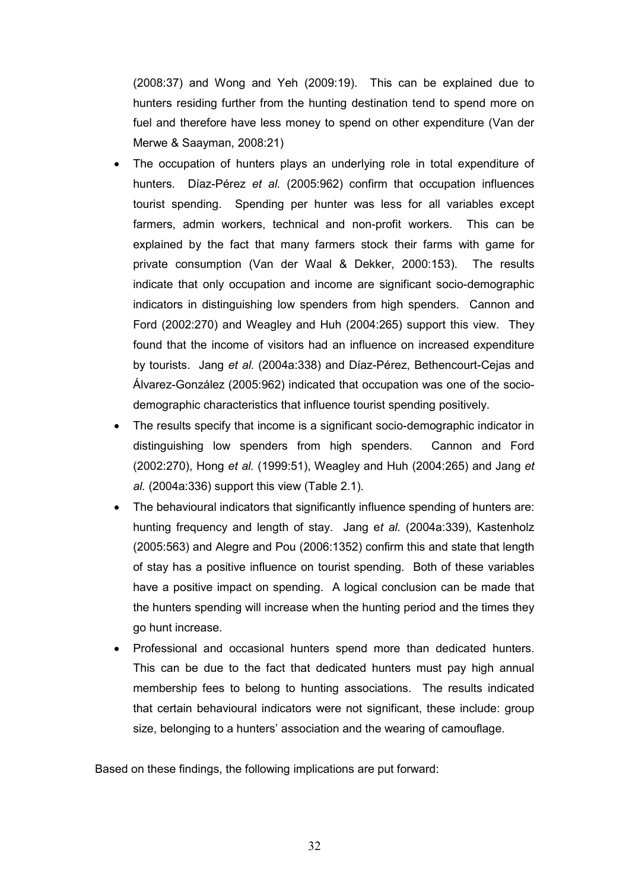(2008:37) and Wong and Yeh (2009:19). This can be explained due to hunters residing further from the hunting destination tend to spend more on fuel and therefore have less money to spend on other expenditure (Van der Merwe & Saayman, 2008:21)

- The occupation of hunters plays an underlying role in total expenditure of hunters. Díaz-Pérez *et al.* (2005:962) confirm that occupation influences tourist spending. Spending per hunter was less for all variables except farmers, admin workers, technical and non-profit workers. This can be explained by the fact that many farmers stock their farms with game for private consumption (Van der Waal & Dekker, 2000:153). The results indicate that only occupation and income are significant socio-demographic indicators in distinguishing low spenders from high spenders. Cannon and Ford (2002:270) and Weagley and Huh (2004:265) support this view. They found that the income of visitors had an influence on increased expenditure by tourists. Jang *et al.* (2004a:338) and Díaz-Pérez, Bethencourt-Cejas and Álvarez-González (2005:962) indicated that occupation was one of the sociodemographic characteristics that influence tourist spending positively.
- The results specify that income is a significant socio-demographic indicator in distinguishing low spenders from high spenders. Cannon and Ford (2002:270), Hong *et al.* (1999:51), Weagley and Huh (2004:265) and Jang *et al.* (2004a:336) support this view (Table 2.1).
- The behavioural indicators that significantly influence spending of hunters are: hunting frequency and length of stay. Jang e*t al.* (2004a:339), Kastenholz (2005:563) and Alegre and Pou (2006:1352) confirm this and state that length of stay has a positive influence on tourist spending. Both of these variables have a positive impact on spending. A logical conclusion can be made that the hunters spending will increase when the hunting period and the times they go hunt increase.
- Professional and occasional hunters spend more than dedicated hunters. This can be due to the fact that dedicated hunters must pay high annual membership fees to belong to hunting associations. The results indicated that certain behavioural indicators were not significant, these include: group size, belonging to a hunters' association and the wearing of camouflage.

Based on these findings, the following implications are put forward: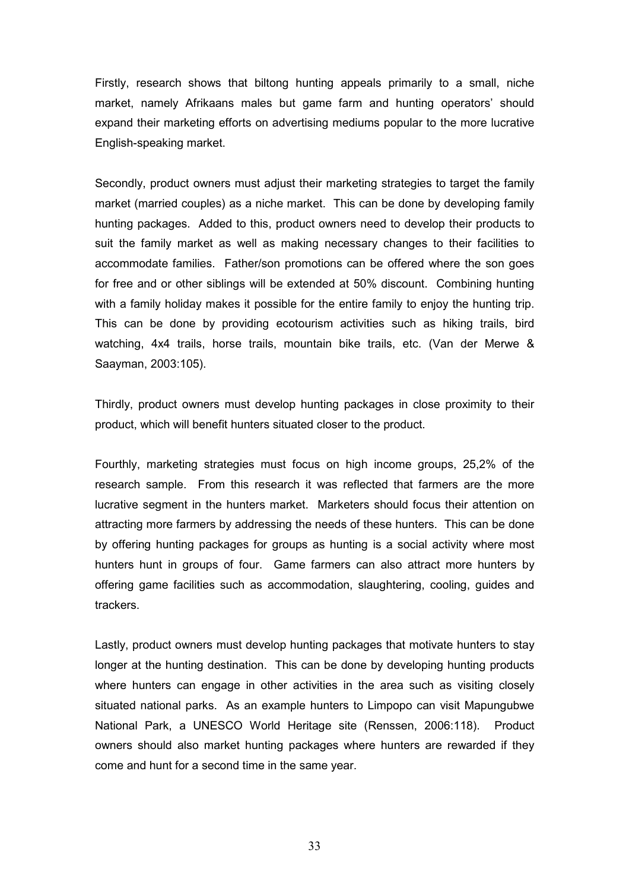Firstly, research shows that biltong hunting appeals primarily to a small, niche market, namely Afrikaans males but game farm and hunting operators' should expand their marketing efforts on advertising mediums popular to the more lucrative English-speaking market.

Secondly, product owners must adjust their marketing strategies to target the family market (married couples) as a niche market. This can be done by developing family hunting packages. Added to this, product owners need to develop their products to suit the family market as well as making necessary changes to their facilities to accommodate families. Father/son promotions can be offered where the son goes for free and or other siblings will be extended at 50% discount. Combining hunting with a family holiday makes it possible for the entire family to enjoy the hunting trip. This can be done by providing ecotourism activities such as hiking trails, bird watching, 4x4 trails, horse trails, mountain bike trails, etc. (Van der Merwe & Saayman, 2003:105).

Thirdly, product owners must develop hunting packages in close proximity to their product, which will benefit hunters situated closer to the product.

Fourthly, marketing strategies must focus on high income groups, 25,2% of the research sample. From this research it was reflected that farmers are the more lucrative segment in the hunters market. Marketers should focus their attention on attracting more farmers by addressing the needs of these hunters. This can be done by offering hunting packages for groups as hunting is a social activity where most hunters hunt in groups of four. Game farmers can also attract more hunters by offering game facilities such as accommodation, slaughtering, cooling, guides and trackers.

Lastly, product owners must develop hunting packages that motivate hunters to stay longer at the hunting destination. This can be done by developing hunting products where hunters can engage in other activities in the area such as visiting closely situated national parks. As an example hunters to Limpopo can visit Mapungubwe National Park, a UNESCO World Heritage site (Renssen, 2006:118). Product owners should also market hunting packages where hunters are rewarded if they come and hunt for a second time in the same year.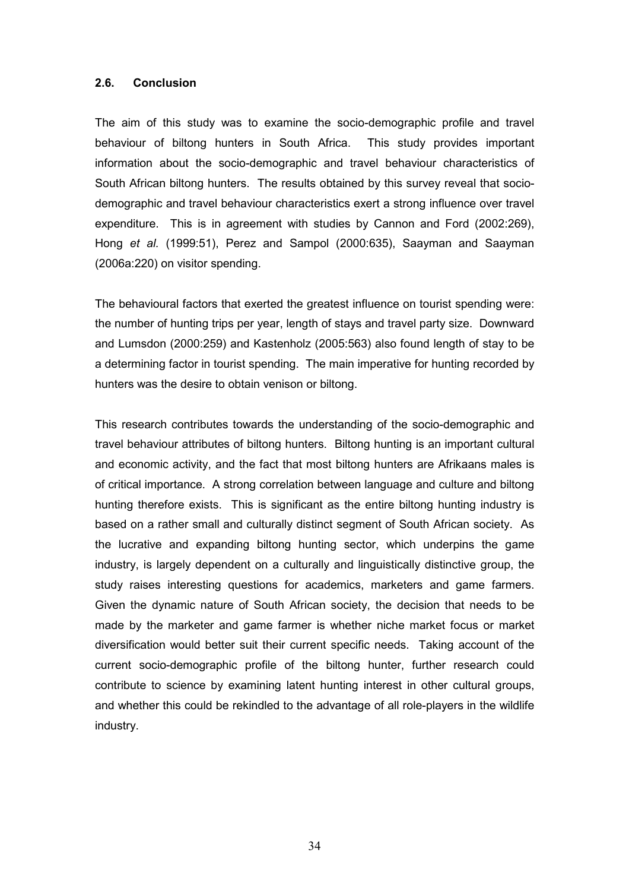#### **2.6. Conclusion**

The aim of this study was to examine the socio-demographic profile and travel behaviour of biltong hunters in South Africa. This study provides important information about the socio-demographic and travel behaviour characteristics of South African biltong hunters. The results obtained by this survey reveal that sociodemographic and travel behaviour characteristics exert a strong influence over travel expenditure. This is in agreement with studies by Cannon and Ford (2002:269), Hong *et al.* (1999:51), Perez and Sampol (2000:635), Saayman and Saayman (2006a:220) on visitor spending.

The behavioural factors that exerted the greatest influence on tourist spending were: the number of hunting trips per year, length of stays and travel party size. Downward and Lumsdon (2000:259) and Kastenholz (2005:563) also found length of stay to be a determining factor in tourist spending. The main imperative for hunting recorded by hunters was the desire to obtain venison or biltong.

This research contributes towards the understanding of the socio-demographic and travel behaviour attributes of biltong hunters. Biltong hunting is an important cultural and economic activity, and the fact that most biltong hunters are Afrikaans males is of critical importance. A strong correlation between language and culture and biltong hunting therefore exists. This is significant as the entire biltong hunting industry is based on a rather small and culturally distinct segment of South African society. As the lucrative and expanding biltong hunting sector, which underpins the game industry, is largely dependent on a culturally and linguistically distinctive group, the study raises interesting questions for academics, marketers and game farmers. Given the dynamic nature of South African society, the decision that needs to be made by the marketer and game farmer is whether niche market focus or market diversification would better suit their current specific needs. Taking account of the current socio-demographic profile of the biltong hunter, further research could contribute to science by examining latent hunting interest in other cultural groups, and whether this could be rekindled to the advantage of all role-players in the wildlife industry.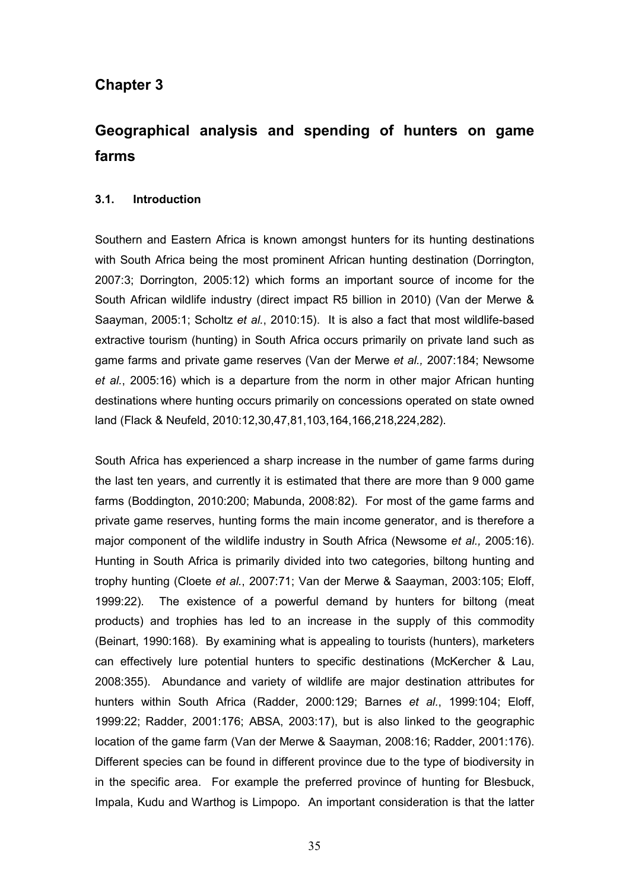# **Chapter 3**

# **Geographical analysis and spending of hunters on game farms**

# **3.1. Introduction**

Southern and Eastern Africa is known amongst hunters for its hunting destinations with South Africa being the most prominent African hunting destination (Dorrington, 2007:3; Dorrington, 2005:12) which forms an important source of income for the South African wildlife industry (direct impact R5 billion in 2010) (Van der Merwe & Saayman, 2005:1; Scholtz *et al.*, 2010:15). It is also a fact that most wildlife-based extractive tourism (hunting) in South Africa occurs primarily on private land such as game farms and private game reserves (Van der Merwe *et al.,* 2007:184; Newsome *et al.*, 2005:16) which is a departure from the norm in other major African hunting destinations where hunting occurs primarily on concessions operated on state owned land (Flack & Neufeld, 2010:12,30,47,81,103,164,166,218,224,282).

South Africa has experienced a sharp increase in the number of game farms during the last ten years, and currently it is estimated that there are more than 9 000 game farms (Boddington, 2010:200; Mabunda, 2008:82). For most of the game farms and private game reserves, hunting forms the main income generator, and is therefore a major component of the wildlife industry in South Africa (Newsome *et al.,* 2005:16). Hunting in South Africa is primarily divided into two categories, biltong hunting and trophy hunting (Cloete *et al.*, 2007:71; Van der Merwe & Saayman, 2003:105; Eloff, 1999:22). The existence of a powerful demand by hunters for biltong (meat products) and trophies has led to an increase in the supply of this commodity (Beinart, 1990:168). By examining what is appealing to tourists (hunters), marketers can effectively lure potential hunters to specific destinations (McKercher & Lau, 2008:355). Abundance and variety of wildlife are major destination attributes for hunters within South Africa (Radder, 2000:129; Barnes *et al.*, 1999:104; Eloff, 1999:22; Radder, 2001:176; ABSA, 2003:17), but is also linked to the geographic location of the game farm (Van der Merwe & Saayman, 2008:16; Radder, 2001:176). Different species can be found in different province due to the type of biodiversity in in the specific area. For example the preferred province of hunting for Blesbuck, Impala, Kudu and Warthog is Limpopo. An important consideration is that the latter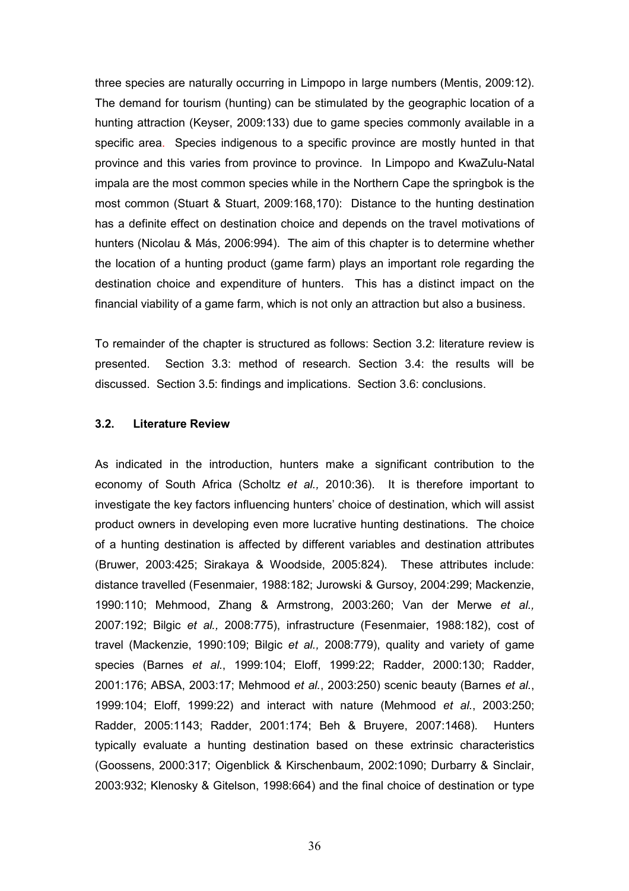three species are naturally occurring in Limpopo in large numbers (Mentis, 2009:12). The demand for tourism (hunting) can be stimulated by the geographic location of a hunting attraction (Keyser, 2009:133) due to game species commonly available in a specific area. Species indigenous to a specific province are mostly hunted in that province and this varies from province to province. In Limpopo and KwaZulu-Natal impala are the most common species while in the Northern Cape the springbok is the most common (Stuart & Stuart, 2009:168,170): Distance to the hunting destination has a definite effect on destination choice and depends on the travel motivations of hunters (Nicolau & Más, 2006:994). The aim of this chapter is to determine whether the location of a hunting product (game farm) plays an important role regarding the destination choice and expenditure of hunters. This has a distinct impact on the financial viability of a game farm, which is not only an attraction but also a business.

To remainder of the chapter is structured as follows: Section 3.2: literature review is presented. Section 3.3: method of research. Section 3.4: the results will be discussed. Section 3.5: findings and implications. Section 3.6: conclusions.

#### **3.2. Literature Review**

As indicated in the introduction, hunters make a significant contribution to the economy of South Africa (Scholtz *et al.,* 2010:36). It is therefore important to investigate the key factors influencing hunters' choice of destination, which will assist product owners in developing even more lucrative hunting destinations. The choice of a hunting destination is affected by different variables and destination attributes (Bruwer, 2003:425; Sirakaya & Woodside, 2005:824). These attributes include: distance travelled (Fesenmaier, 1988:182; Jurowski & Gursoy, 2004:299; Mackenzie, 1990:110; Mehmood, Zhang & Armstrong, 2003:260; Van der Merwe *et al.,* 2007:192; Bilgic *et al.,* 2008:775), infrastructure (Fesenmaier, 1988:182), cost of travel (Mackenzie, 1990:109; Bilgic *et al.,* 2008:779), quality and variety of game species (Barnes *et al.*, 1999:104; Eloff, 1999:22; Radder, 2000:130; Radder, 2001:176; ABSA, 2003:17; Mehmood *et al.*, 2003:250) scenic beauty (Barnes *et al.*, 1999:104; Eloff, 1999:22) and interact with nature (Mehmood *et al.*, 2003:250; Radder, 2005:1143; Radder, 2001:174; Beh & Bruyere, 2007:1468). Hunters typically evaluate a hunting destination based on these extrinsic characteristics (Goossens, 2000:317; Oigenblick & Kirschenbaum, 2002:1090; Durbarry & Sinclair, 2003:932; Klenosky & Gitelson, 1998:664) and the final choice of destination or type

36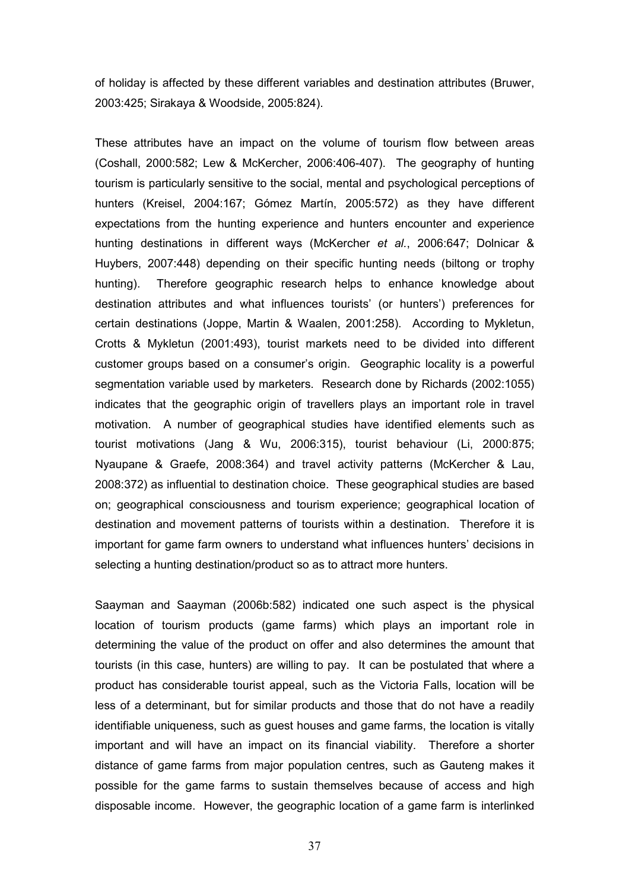of holiday is affected by these different variables and destination attributes (Bruwer, 2003:425; Sirakaya & Woodside, 2005:824).

These attributes have an impact on the volume of tourism flow between areas (Coshall, 2000:582; Lew & McKercher, 2006:406-407). The geography of hunting tourism is particularly sensitive to the social, mental and psychological perceptions of hunters (Kreisel, 2004:167; Gómez Martín, 2005:572) as they have different expectations from the hunting experience and hunters encounter and experience hunting destinations in different ways (McKercher *et al.*, 2006:647; Dolnicar & Huybers, 2007:448) depending on their specific hunting needs (biltong or trophy hunting). Therefore geographic research helps to enhance knowledge about destination attributes and what influences tourists' (or hunters') preferences for certain destinations (Joppe, Martin & Waalen, 2001:258). According to Mykletun, Crotts & Mykletun (2001:493), tourist markets need to be divided into different customer groups based on a consumer's origin. Geographic locality is a powerful segmentation variable used by marketers. Research done by Richards (2002:1055) indicates that the geographic origin of travellers plays an important role in travel motivation. A number of geographical studies have identified elements such as tourist motivations (Jang & Wu, 2006:315), tourist behaviour (Li, 2000:875; Nyaupane & Graefe, 2008:364) and travel activity patterns (McKercher & Lau, 2008:372) as influential to destination choice. These geographical studies are based on; geographical consciousness and tourism experience; geographical location of destination and movement patterns of tourists within a destination. Therefore it is important for game farm owners to understand what influences hunters' decisions in selecting a hunting destination/product so as to attract more hunters.

Saayman and Saayman (2006b:582) indicated one such aspect is the physical location of tourism products (game farms) which plays an important role in determining the value of the product on offer and also determines the amount that tourists (in this case, hunters) are willing to pay. It can be postulated that where a product has considerable tourist appeal, such as the Victoria Falls, location will be less of a determinant, but for similar products and those that do not have a readily identifiable uniqueness, such as guest houses and game farms, the location is vitally important and will have an impact on its financial viability. Therefore a shorter distance of game farms from major population centres, such as Gauteng makes it possible for the game farms to sustain themselves because of access and high disposable income. However, the geographic location of a game farm is interlinked

37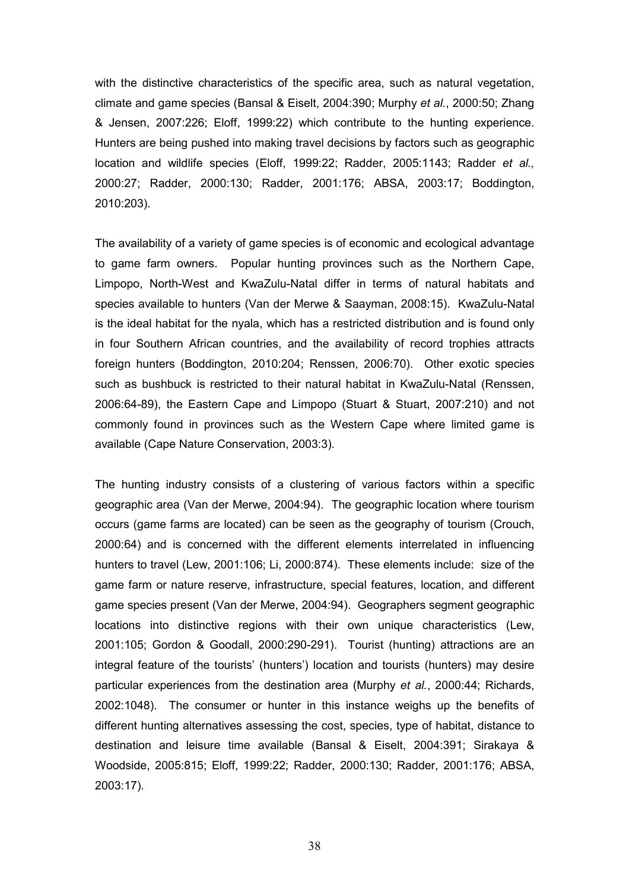with the distinctive characteristics of the specific area, such as natural vegetation, climate and game species (Bansal & Eiselt, 2004:390; Murphy *et al.*, 2000:50; Zhang & Jensen, 2007:226; Eloff, 1999:22) which contribute to the hunting experience. Hunters are being pushed into making travel decisions by factors such as geographic location and wildlife species (Eloff, 1999:22; Radder, 2005:1143; Radder *et al.,* 2000:27; Radder, 2000:130; Radder, 2001:176; ABSA, 2003:17; Boddington, 2010:203).

The availability of a variety of game species is of economic and ecological advantage to game farm owners. Popular hunting provinces such as the Northern Cape, Limpopo, North-West and KwaZulu-Natal differ in terms of natural habitats and species available to hunters (Van der Merwe & Saayman, 2008:15). KwaZulu-Natal is the ideal habitat for the nyala, which has a restricted distribution and is found only in four Southern African countries, and the availability of record trophies attracts foreign hunters (Boddington, 2010:204; Renssen, 2006:70). Other exotic species such as bushbuck is restricted to their natural habitat in KwaZulu-Natal (Renssen, 2006:64-89), the Eastern Cape and Limpopo (Stuart & Stuart, 2007:210) and not commonly found in provinces such as the Western Cape where limited game is available (Cape Nature Conservation, 2003:3).

The hunting industry consists of a clustering of various factors within a specific geographic area (Van der Merwe, 2004:94). The geographic location where tourism occurs (game farms are located) can be seen as the geography of tourism (Crouch, 2000:64) and is concerned with the different elements interrelated in influencing hunters to travel (Lew, 2001:106; Li, 2000:874). These elements include: size of the game farm or nature reserve, infrastructure, special features, location, and different game species present (Van der Merwe, 2004:94). Geographers segment geographic locations into distinctive regions with their own unique characteristics (Lew, 2001:105; Gordon & Goodall, 2000:290-291). Tourist (hunting) attractions are an integral feature of the tourists' (hunters') location and tourists (hunters) may desire particular experiences from the destination area (Murphy *et al.*, 2000:44; Richards, 2002:1048). The consumer or hunter in this instance weighs up the benefits of different hunting alternatives assessing the cost, species, type of habitat, distance to destination and leisure time available (Bansal & Eiselt, 2004:391; Sirakaya & Woodside, 2005:815; Eloff, 1999:22; Radder, 2000:130; Radder, 2001:176; ABSA, 2003:17).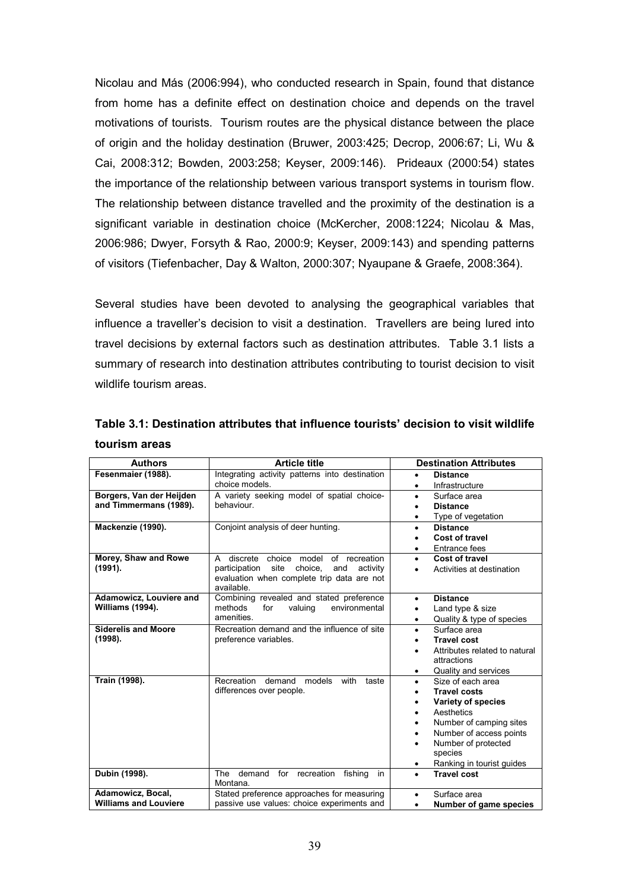Nicolau and Más (2006:994), who conducted research in Spain, found that distance from home has a definite effect on destination choice and depends on the travel motivations of tourists. Tourism routes are the physical distance between the place of origin and the holiday destination (Bruwer, 2003:425; Decrop, 2006:67; Li, Wu & Cai, 2008:312; Bowden, 2003:258; Keyser, 2009:146). Prideaux (2000:54) states the importance of the relationship between various transport systems in tourism flow. The relationship between distance travelled and the proximity of the destination is a significant variable in destination choice (McKercher, 2008:1224; Nicolau & Mas, 2006:986; Dwyer, Forsyth & Rao, 2000:9; Keyser, 2009:143) and spending patterns of visitors (Tiefenbacher, Day & Walton, 2000:307; Nyaupane & Graefe, 2008:364).

Several studies have been devoted to analysing the geographical variables that influence a traveller's decision to visit a destination. Travellers are being lured into travel decisions by external factors such as destination attributes. Table 3.1 lists a summary of research into destination attributes contributing to tourist decision to visit wildlife tourism areas.

| Table 3.1: Destination attributes that influence tourists' decision to visit wildlife |  |  |  |
|---------------------------------------------------------------------------------------|--|--|--|
| tourism areas                                                                         |  |  |  |
|                                                                                       |  |  |  |

| <b>Authors</b>               | <b>Article title</b>                                    | <b>Destination Attributes</b>          |
|------------------------------|---------------------------------------------------------|----------------------------------------|
| Fesenmaier (1988).           | Integrating activity patterns into destination          | <b>Distance</b><br>$\bullet$           |
|                              | choice models.                                          | Infrastructure<br>$\bullet$            |
| Borgers, Van der Heijden     | A variety seeking model of spatial choice-              | Surface area<br>$\bullet$              |
| and Timmermans (1989).       | hehaviour                                               | <b>Distance</b><br>$\bullet$           |
|                              |                                                         | Type of vegetation<br>٠                |
| Mackenzie (1990).            | Conjoint analysis of deer hunting.                      | <b>Distance</b><br>$\bullet$           |
|                              |                                                         | Cost of travel                         |
|                              |                                                         | Entrance fees<br>$\bullet$             |
| Morey, Shaw and Rowe         | A discrete choice model of recreation                   | Cost of travel<br>$\bullet$            |
| (1991).                      | participation<br>site<br>choice,<br>and<br>activity     | Activities at destination              |
|                              | evaluation when complete trip data are not              |                                        |
|                              | available.                                              |                                        |
| Adamowicz, Louviere and      | Combining revealed and stated preference                | <b>Distance</b><br>$\bullet$           |
| <b>Williams (1994).</b>      | methods<br>for<br>valuing<br>environmental              | Land type & size<br>٠                  |
|                              | amenities.                                              | Quality & type of species<br>$\bullet$ |
| <b>Siderelis and Moore</b>   | Recreation demand and the influence of site             | Surface area<br>$\bullet$              |
| (1998).                      | preference variables.                                   | <b>Travel cost</b>                     |
|                              |                                                         | Attributes related to natural          |
|                              |                                                         | attractions                            |
|                              |                                                         | Quality and services<br>٠              |
| Train (1998).                | Recreation demand<br>with<br>models<br>taste            | Size of each area<br>$\bullet$         |
|                              | differences over people.                                | <b>Travel costs</b>                    |
|                              |                                                         | Variety of species                     |
|                              |                                                         | Aesthetics<br>$\bullet$                |
|                              |                                                         | Number of camping sites                |
|                              |                                                         | Number of access points                |
|                              |                                                         | Number of protected                    |
|                              |                                                         | species                                |
|                              |                                                         | Ranking in tourist guides<br>٠         |
| Dubin (1998).                | <b>The</b><br>demand<br>for<br>recreation fishing<br>in | <b>Travel cost</b><br>$\bullet$        |
|                              | Montana.                                                |                                        |
| Adamowicz, Bocal,            | Stated preference approaches for measuring              | Surface area<br>$\bullet$              |
| <b>Williams and Louviere</b> | passive use values: choice experiments and              | Number of game species<br>$\bullet$    |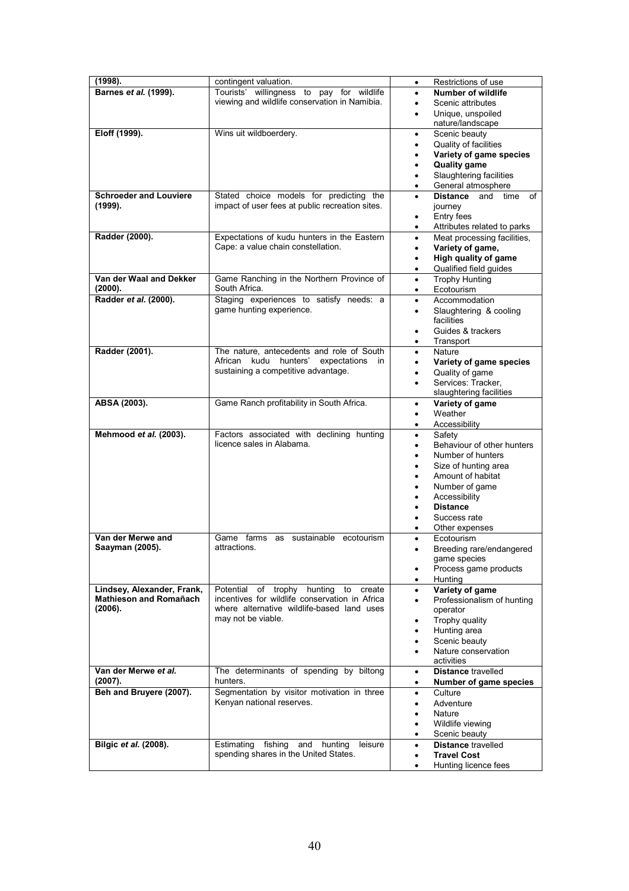| (1998).                           | contingent valuation.                                                                         | Restrictions of use<br>$\bullet$                     |
|-----------------------------------|-----------------------------------------------------------------------------------------------|------------------------------------------------------|
| Barnes et al. (1999).             | Tourists' willingness to pay for wildlife                                                     | Number of wildlife                                   |
|                                   | viewing and wildlife conservation in Namibia.                                                 | Scenic attributes<br>$\bullet$                       |
|                                   |                                                                                               | Unique, unspoiled<br>$\bullet$                       |
|                                   |                                                                                               | nature/landscape                                     |
| Eloff (1999).                     | Wins uit wildboerdery.                                                                        | Scenic beauty<br>$\bullet$                           |
|                                   |                                                                                               | Quality of facilities<br>٠                           |
|                                   |                                                                                               | Variety of game species<br>$\bullet$                 |
|                                   |                                                                                               | <b>Quality game</b><br>٠                             |
|                                   |                                                                                               | Slaughtering facilities<br>٠                         |
|                                   |                                                                                               | General atmosphere<br>٠                              |
| <b>Schroeder and Louviere</b>     | Stated choice models for predicting the                                                       | Distance<br>and<br>time<br>of                        |
| (1999).                           | impact of user fees at public recreation sites.                                               | journey                                              |
|                                   |                                                                                               | Entry fees<br>٠                                      |
|                                   |                                                                                               | Attributes related to parks<br>٠                     |
| Radder (2000).                    | Expectations of kudu hunters in the Eastern                                                   | Meat processing facilities,<br>$\bullet$             |
|                                   | Cape: a value chain constellation.                                                            | Variety of game,<br>٠                                |
|                                   |                                                                                               | High quality of game<br>$\bullet$                    |
|                                   |                                                                                               | Qualified field guides<br>٠                          |
| Van der Waal and Dekker           | Game Ranching in the Northern Province of                                                     | <b>Trophy Hunting</b>                                |
| (2000).                           | South Africa.                                                                                 | ٠<br>Ecotourism<br>$\bullet$                         |
| Radder et al. (2000).             | Staging experiences to satisfy needs: a                                                       | Accommodation<br>$\bullet$                           |
|                                   | game hunting experience.                                                                      | $\bullet$                                            |
|                                   |                                                                                               | Slaughtering & cooling<br>facilities                 |
|                                   |                                                                                               |                                                      |
|                                   |                                                                                               | Guides & trackers<br>٠                               |
|                                   |                                                                                               | Transport<br>٠                                       |
| Radder (2001).                    | The nature, antecedents and role of South<br>African<br>kudu hunters'<br>expectations<br>in.  | <b>Nature</b><br>$\bullet$                           |
|                                   | sustaining a competitive advantage.                                                           | Variety of game species<br>٠                         |
|                                   |                                                                                               | Quality of game<br>٠                                 |
|                                   |                                                                                               | Services: Tracker,<br>$\bullet$                      |
|                                   |                                                                                               | slaughtering facilities                              |
| ABSA (2003).                      | Game Ranch profitability in South Africa.                                                     | Variety of game<br>٠                                 |
|                                   |                                                                                               | Weather<br>٠                                         |
|                                   |                                                                                               | Accessibility<br>$\bullet$                           |
| Mehmood et al. (2003).            | Factors associated with declining hunting<br>licence sales in Alabama.                        | Safety<br>٠                                          |
|                                   |                                                                                               | Behaviour of other hunters<br>$\bullet$              |
|                                   |                                                                                               | Number of hunters<br>٠                               |
|                                   |                                                                                               | Size of hunting area<br>٠                            |
|                                   |                                                                                               | Amount of habitat<br>٠                               |
|                                   |                                                                                               | Number of game<br>$\bullet$                          |
|                                   |                                                                                               | Accessibility<br>٠                                   |
|                                   |                                                                                               | <b>Distance</b>                                      |
|                                   |                                                                                               | Success rate                                         |
|                                   |                                                                                               | Other expenses<br>٠                                  |
| Van der Merwe and                 | Game farms as sustainable ecotourism<br>attractions.                                          | Ecotourism<br>$\bullet$                              |
| Saayman (2005).                   |                                                                                               | Breeding rare/endangered                             |
|                                   |                                                                                               | game species                                         |
|                                   |                                                                                               | Process game products                                |
|                                   |                                                                                               | Hunting<br>٠                                         |
| Lindsey, Alexander, Frank,        | Potential of trophy hunting<br>to<br>create<br>incentives for wildlife conservation in Africa | Variety of game<br>٠                                 |
| Mathieson and Romañach<br>(2006). | where alternative wildlife-based land uses                                                    | Professionalism of hunting<br>$\bullet$              |
|                                   |                                                                                               | operator                                             |
|                                   | may not be viable.                                                                            | Trophy quality<br>٠                                  |
|                                   |                                                                                               | Hunting area<br>٠                                    |
|                                   |                                                                                               | Scenic beauty<br>٠                                   |
|                                   |                                                                                               | Nature conservation                                  |
| Van der Merwe et al.              | The determinants of spending by biltong                                                       | activities<br><b>Distance travelled</b>              |
| (2007).                           |                                                                                               | ٠                                                    |
|                                   |                                                                                               |                                                      |
|                                   | hunters.                                                                                      | Number of game species<br>٠                          |
| Beh and Bruyere (2007).           | Segmentation by visitor motivation in three                                                   | Culture<br>٠                                         |
|                                   | Kenyan national reserves.                                                                     | Adventure<br>٠                                       |
|                                   |                                                                                               | Nature<br>$\bullet$                                  |
|                                   |                                                                                               | Wildlife viewing<br>٠                                |
|                                   |                                                                                               | Scenic beauty<br>٠                                   |
| Bilgic et al. (2008).             | Estimating<br>fishing<br>and hunting<br>leisure                                               | <b>Distance travelled</b><br>٠                       |
|                                   | spending shares in the United States.                                                         | <b>Travel Cost</b><br>٠<br>Hunting licence fees<br>٠ |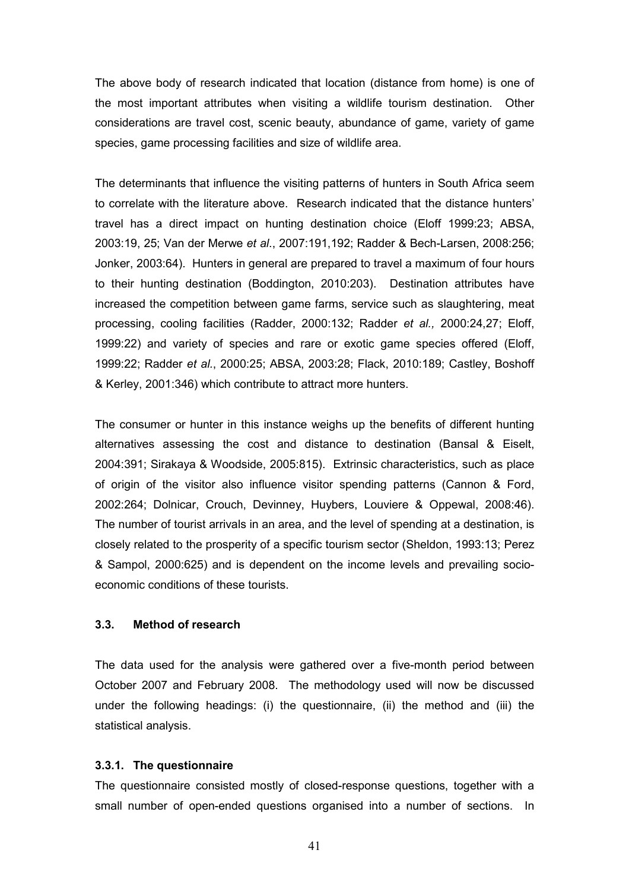The above body of research indicated that location (distance from home) is one of the most important attributes when visiting a wildlife tourism destination. Other considerations are travel cost, scenic beauty, abundance of game, variety of game species, game processing facilities and size of wildlife area.

The determinants that influence the visiting patterns of hunters in South Africa seem to correlate with the literature above. Research indicated that the distance hunters' travel has a direct impact on hunting destination choice (Eloff 1999:23; ABSA, 2003:19, 25; Van der Merwe *et al*., 2007:191,192; Radder & Bech-Larsen, 2008:256; Jonker, 2003:64). Hunters in general are prepared to travel a maximum of four hours to their hunting destination (Boddington, 2010:203). Destination attributes have increased the competition between game farms, service such as slaughtering, meat processing, cooling facilities (Radder, 2000:132; Radder *et al.,* 2000:24,27; Eloff, 1999:22) and variety of species and rare or exotic game species offered (Eloff, 1999:22; Radder *et al.*, 2000:25; ABSA, 2003:28; Flack, 2010:189; Castley, Boshoff & Kerley, 2001:346) which contribute to attract more hunters.

The consumer or hunter in this instance weighs up the benefits of different hunting alternatives assessing the cost and distance to destination (Bansal & Eiselt, 2004:391; Sirakaya & Woodside, 2005:815). Extrinsic characteristics, such as place of origin of the visitor also influence visitor spending patterns (Cannon & Ford, 2002:264; Dolnicar, Crouch, Devinney, Huybers, Louviere & Oppewal, 2008:46). The number of tourist arrivals in an area, and the level of spending at a destination, is closely related to the prosperity of a specific tourism sector (Sheldon, 1993:13; Perez & Sampol, 2000:625) and is dependent on the income levels and prevailing socioeconomic conditions of these tourists.

#### **3.3. Method of research**

The data used for the analysis were gathered over a five-month period between October 2007 and February 2008. The methodology used will now be discussed under the following headings: (i) the questionnaire, (ii) the method and (iii) the statistical analysis.

#### **3.3.1. The questionnaire**

The questionnaire consisted mostly of closed-response questions, together with a small number of open-ended questions organised into a number of sections. In

41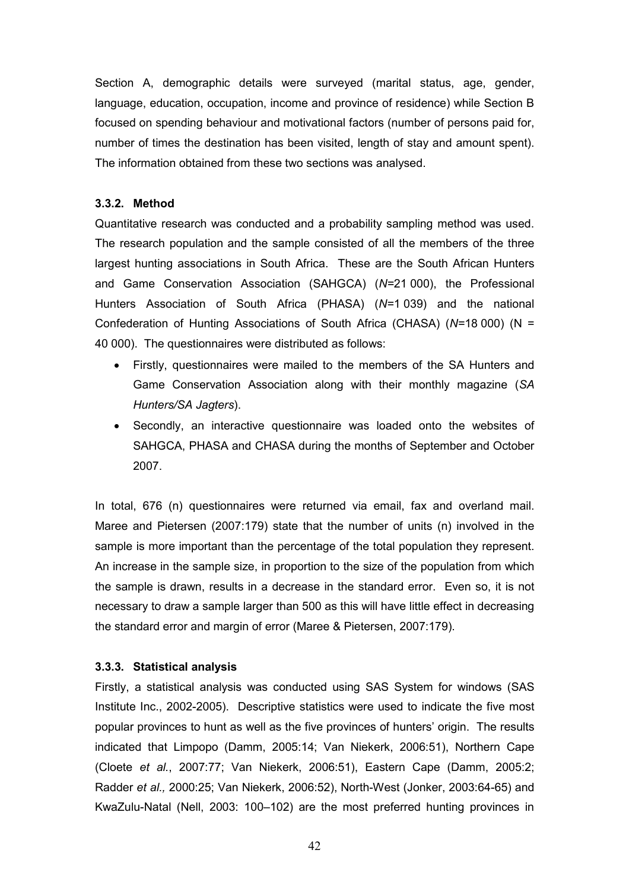Section A, demographic details were surveyed (marital status, age, gender, language, education, occupation, income and province of residence) while Section B focused on spending behaviour and motivational factors (number of persons paid for, number of times the destination has been visited, length of stay and amount spent). The information obtained from these two sections was analysed.

# **3.3.2. Method**

Quantitative research was conducted and a probability sampling method was used. The research population and the sample consisted of all the members of the three largest hunting associations in South Africa. These are the South African Hunters and Game Conservation Association (SAHGCA) (*N=*21 000), the Professional Hunters Association of South Africa (PHASA) (*N=*1 039) and the national Confederation of Hunting Associations of South Africa (CHASA) (*N=*18 000) (N = 40 000). The questionnaires were distributed as follows:

- Firstly, questionnaires were mailed to the members of the SA Hunters and Game Conservation Association along with their monthly magazine (*SA Hunters/SA Jagters*).
- Secondly, an interactive questionnaire was loaded onto the websites of SAHGCA, PHASA and CHASA during the months of September and October 2007.

In total, 676 (n) questionnaires were returned via email, fax and overland mail. Maree and Pietersen (2007:179) state that the number of units (n) involved in the sample is more important than the percentage of the total population they represent. An increase in the sample size, in proportion to the size of the population from which the sample is drawn, results in a decrease in the standard error. Even so, it is not necessary to draw a sample larger than 500 as this will have little effect in decreasing the standard error and margin of error (Maree & Pietersen, 2007:179).

#### **3.3.3. Statistical analysis**

Firstly, a statistical analysis was conducted using SAS System for windows (SAS Institute Inc., 2002-2005). Descriptive statistics were used to indicate the five most popular provinces to hunt as well as the five provinces of hunters' origin. The results indicated that Limpopo (Damm, 2005:14; Van Niekerk, 2006:51), Northern Cape (Cloete *et al.*, 2007:77; Van Niekerk, 2006:51), Eastern Cape (Damm, 2005:2; Radder *et al.,* 2000:25; Van Niekerk, 2006:52), North-West (Jonker, 2003:64-65) and KwaZulu-Natal (Nell, 2003: 100–102) are the most preferred hunting provinces in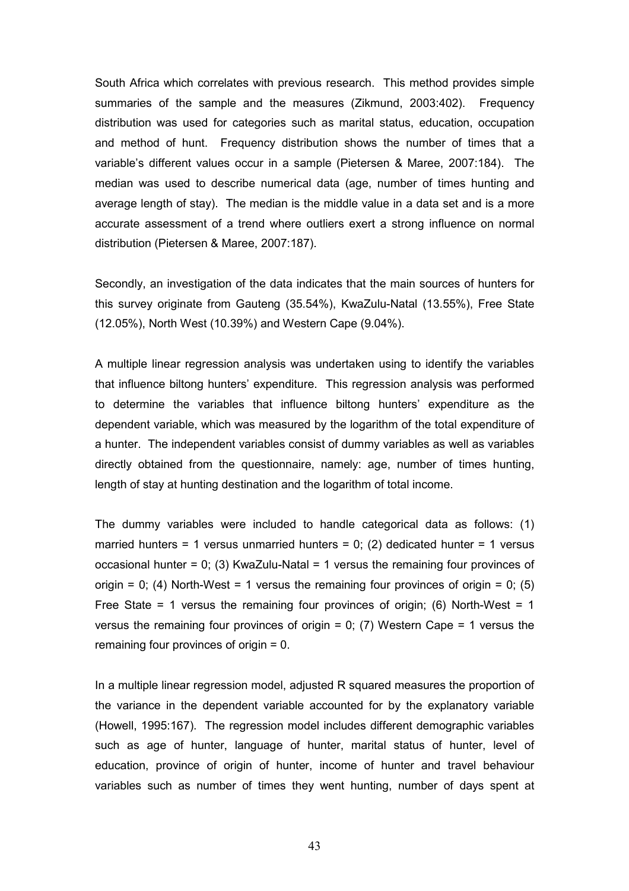South Africa which correlates with previous research. This method provides simple summaries of the sample and the measures (Zikmund, 2003:402). Frequency distribution was used for categories such as marital status, education, occupation and method of hunt. Frequency distribution shows the number of times that a variable's different values occur in a sample (Pietersen & Maree, 2007:184). The median was used to describe numerical data (age, number of times hunting and average length of stay). The median is the middle value in a data set and is a more accurate assessment of a trend where outliers exert a strong influence on normal distribution (Pietersen & Maree, 2007:187).

Secondly, an investigation of the data indicates that the main sources of hunters for this survey originate from Gauteng (35.54%), KwaZulu-Natal (13.55%), Free State (12.05%), North West (10.39%) and Western Cape (9.04%).

A multiple linear regression analysis was undertaken using to identify the variables that influence biltong hunters' expenditure. This regression analysis was performed to determine the variables that influence biltong hunters' expenditure as the dependent variable, which was measured by the logarithm of the total expenditure of a hunter. The independent variables consist of dummy variables as well as variables directly obtained from the questionnaire, namely: age, number of times hunting, length of stay at hunting destination and the logarithm of total income.

The dummy variables were included to handle categorical data as follows: (1) married hunters = 1 versus unmarried hunters =  $0$ ; (2) dedicated hunter = 1 versus occasional hunter =  $0$ ; (3) KwaZulu-Natal = 1 versus the remaining four provinces of origin = 0; (4) North-West = 1 versus the remaining four provinces of origin = 0; (5) Free State = 1 versus the remaining four provinces of origin; (6) North-West = 1 versus the remaining four provinces of origin = 0; (7) Western Cape = 1 versus the remaining four provinces of origin = 0.

In a multiple linear regression model, adjusted R squared measures the proportion of the variance in the dependent variable accounted for by the explanatory variable (Howell, 1995:167). The regression model includes different demographic variables such as age of hunter, language of hunter, marital status of hunter, level of education, province of origin of hunter, income of hunter and travel behaviour variables such as number of times they went hunting, number of days spent at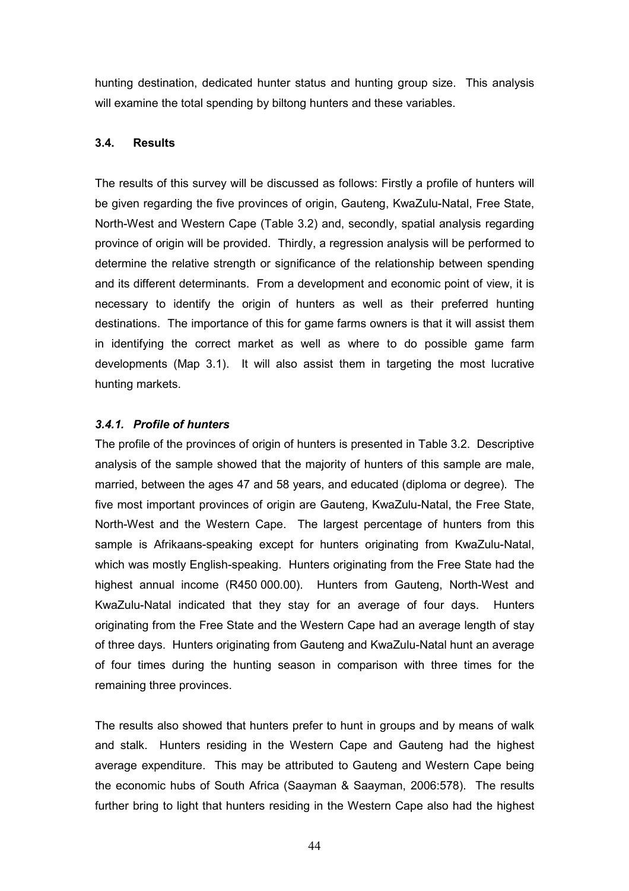hunting destination, dedicated hunter status and hunting group size. This analysis will examine the total spending by biltong hunters and these variables.

# **3.4. Results**

The results of this survey will be discussed as follows: Firstly a profile of hunters will be given regarding the five provinces of origin, Gauteng, KwaZulu-Natal, Free State, North-West and Western Cape (Table 3.2) and, secondly, spatial analysis regarding province of origin will be provided. Thirdly, a regression analysis will be performed to determine the relative strength or significance of the relationship between spending and its different determinants. From a development and economic point of view, it is necessary to identify the origin of hunters as well as their preferred hunting destinations. The importance of this for game farms owners is that it will assist them in identifying the correct market as well as where to do possible game farm developments (Map 3.1). It will also assist them in targeting the most lucrative hunting markets.

# *3.4.1. Profile of hunters*

The profile of the provinces of origin of hunters is presented in Table 3.2. Descriptive analysis of the sample showed that the majority of hunters of this sample are male, married, between the ages 47 and 58 years, and educated (diploma or degree). The five most important provinces of origin are Gauteng, KwaZulu-Natal, the Free State, North-West and the Western Cape. The largest percentage of hunters from this sample is Afrikaans-speaking except for hunters originating from KwaZulu-Natal, which was mostly English-speaking. Hunters originating from the Free State had the highest annual income (R450 000.00). Hunters from Gauteng, North-West and KwaZulu-Natal indicated that they stay for an average of four days. Hunters originating from the Free State and the Western Cape had an average length of stay of three days. Hunters originating from Gauteng and KwaZulu-Natal hunt an average of four times during the hunting season in comparison with three times for the remaining three provinces.

The results also showed that hunters prefer to hunt in groups and by means of walk and stalk. Hunters residing in the Western Cape and Gauteng had the highest average expenditure. This may be attributed to Gauteng and Western Cape being the economic hubs of South Africa (Saayman & Saayman, 2006:578). The results further bring to light that hunters residing in the Western Cape also had the highest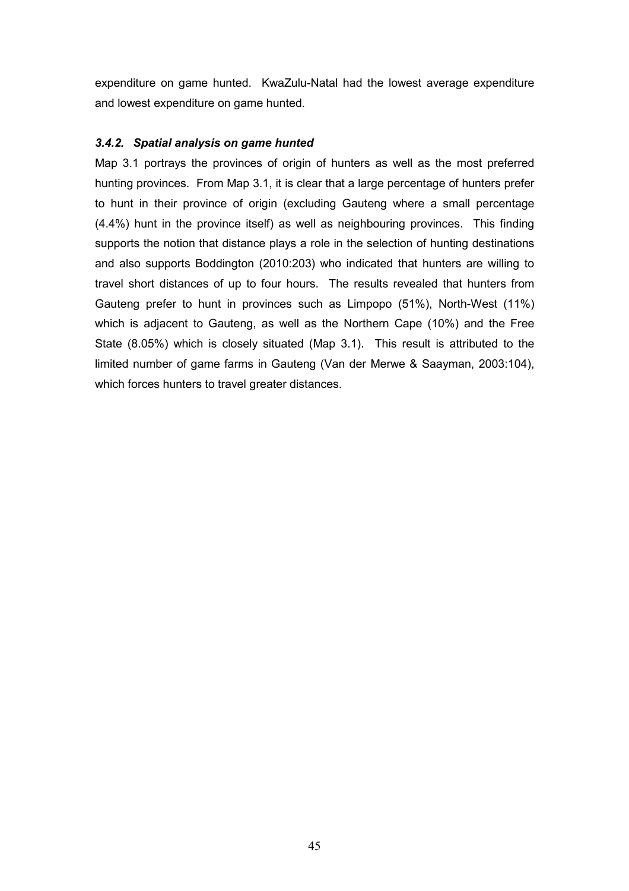expenditure on game hunted. KwaZulu-Natal had the lowest average expenditure and lowest expenditure on game hunted.

# *3.4.2. Spatial analysis on game hunted*

Map 3.1 portrays the provinces of origin of hunters as well as the most preferred hunting provinces. From Map 3.1, it is clear that a large percentage of hunters prefer to hunt in their province of origin (excluding Gauteng where a small percentage (4.4%) hunt in the province itself) as well as neighbouring provinces. This finding supports the notion that distance plays a role in the selection of hunting destinations and also supports Boddington (2010:203) who indicated that hunters are willing to travel short distances of up to four hours. The results revealed that hunters from Gauteng prefer to hunt in provinces such as Limpopo (51%), North-West (11%) which is adjacent to Gauteng, as well as the Northern Cape (10%) and the Free State (8.05%) which is closely situated (Map 3.1). This result is attributed to the limited number of game farms in Gauteng (Van der Merwe & Saayman, 2003:104), which forces hunters to travel greater distances.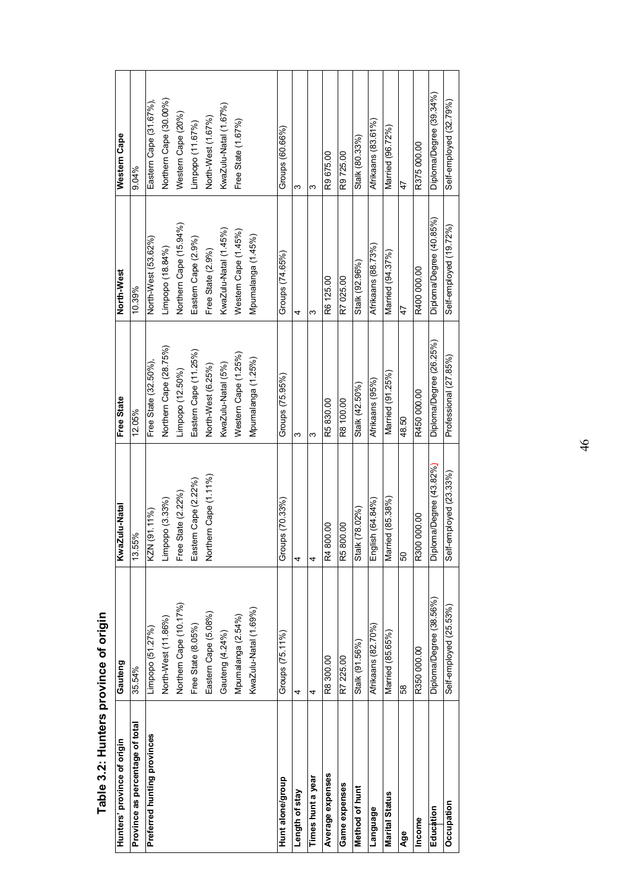| Hunters' province of origin     | Gauteng                 | KwaZulu-Natal           | Free State              | North-West              | Western Cape            |
|---------------------------------|-------------------------|-------------------------|-------------------------|-------------------------|-------------------------|
| Province as percentage of total | 35.54%                  | 13.55%                  | 12.05%                  | 10.39%                  | 9.04%                   |
| Preferred hunting provinces     | Limpopo (51.27%)        | KZN (91.11%)            | Free State (32.50%),    | North-West (53.62%)     | Eastern Cape (31.67%),  |
|                                 | North-West (11.86%)     | Limpopo (3.33%)         | Northern Cape (28.75%)  | Limpopo (18.84%)        | Northern Cape (30.00%)  |
|                                 | Northern Cape (10.17%)  | Free State (2.22%)      | Limpopo (12.50%)        | Northern Cape (15.94%)  | Western Cape (20%)      |
|                                 | Free State (8.05%)      | Eastern Cape (2.22%)    | Eastern Cape (11.25%)   | Eastern Cape (2.9%)     | Limpopo (11.67%)        |
|                                 | Eastern Cape (5.08%)    | Northern Cape (1.11%)   | North-West (6.25%)      | Free State (2.9%)       | North-West (1.67%)      |
|                                 | Gauteng (4.24%)         |                         | KwaZulu-Natal (5%)      | KwaZulu-Natal (1.45%)   | KwaZulu-Natal (1.67%)   |
|                                 | Mpumalanga (2.54%)      |                         | Western Cape (1.25%)    | Western Cape (1.45%)    | Free State (1.67%)      |
|                                 | KwaZulu-Natal (1.69%)   |                         | Mpumalanga (1.25%)      | Mpumalanga (1.45%)      |                         |
| Hunt alone/group                | Groups (75.11%)         | Groups (70.33%)         | Groups (75.95%)         | Groups (74.65%)         | Groups (60.66%)         |
| Length of stay                  | 4                       | 4                       | ო                       | 4                       | 3                       |
| Times hunt a year               | 4                       | 4                       | ო                       | ω                       | ო                       |
| Average expenses                | R8 300.00               | R4 800.00               | R5 830.00               | R6 125.00               | R9 675.00               |
| Game expenses                   | R7 225.00               | 800.00<br>$\tilde{5}$   | R8 100.00               | R7 025.00               | R9 725.00               |
| Method of hunt                  | Stalk (91.56%)          | Stalk (78.02%)          | Stalk (42.50%)          | Stalk (92.96%)          | Stalk (80.33%)          |
| <b>Panguage</b>                 | Afrikaans (82.70%)      | English (64.84%)        | Afrikaans (95%)         | Afrikaans (88.73%)      | Afrikaans (83.61%)      |
| <b>Marital Status</b>           | Married (85.65%)        | Married (85.38%)        | Married (91.25%)        | Married (94.37%)        | Married (96.72%)        |
| Age                             | 58                      | 8                       | 48.50                   | 47                      | 47                      |
| Income                          | R350 000.00             | R300 000.00             | R450 000.00             | R400 000.00             | R375 000.00             |
| Education                       | Diploma/Degree (38.56%) | Diploma/Degree (43.82%) | Diploma/Degree (26.25%) | Diploma/Degree (40.85%) | Diploma/Degree (39.34%) |
| Occupation                      | Self-employed (25.53%)  | Self-employed (23.33%)  | Professional (27.85%)   | Self-employed (19.72%)  | Self-employed (32.79%)  |
|                                 |                         |                         |                         |                         |                         |

Table 3.2: Hunters province of origin **Table 3.2: Hunters province of origin** 

46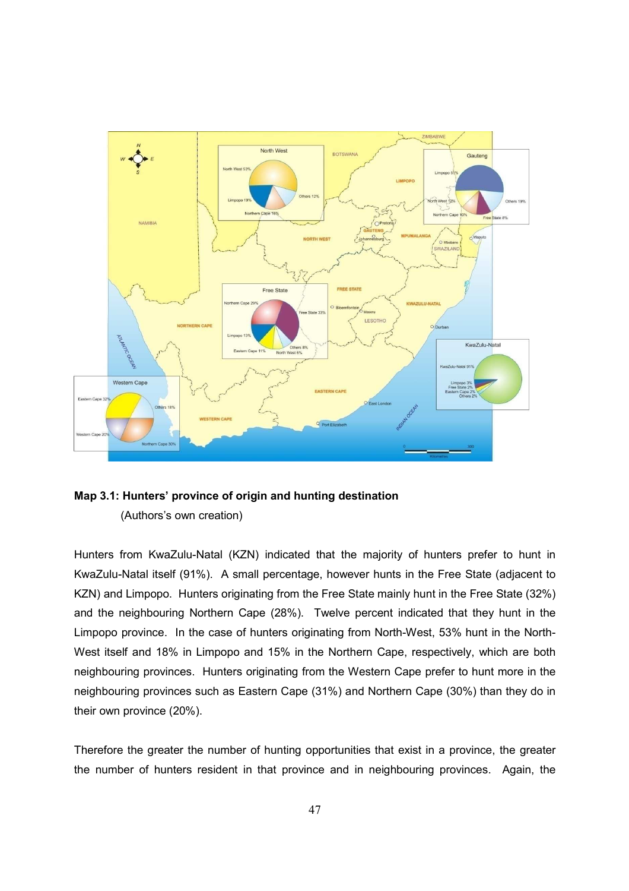

**Map 3.1: Hunters' province of origin and hunting destination** 

(Authors's own creation)

Hunters from KwaZulu-Natal (KZN) indicated that the majority of hunters prefer to hunt in KwaZulu-Natal itself (91%). A small percentage, however hunts in the Free State (adjacent to KZN) and Limpopo. Hunters originating from the Free State mainly hunt in the Free State (32%) and the neighbouring Northern Cape (28%). Twelve percent indicated that they hunt in the Limpopo province. In the case of hunters originating from North-West, 53% hunt in the North-West itself and 18% in Limpopo and 15% in the Northern Cape, respectively, which are both neighbouring provinces. Hunters originating from the Western Cape prefer to hunt more in the neighbouring provinces such as Eastern Cape (31%) and Northern Cape (30%) than they do in their own province (20%).

Therefore the greater the number of hunting opportunities that exist in a province, the greater the number of hunters resident in that province and in neighbouring provinces. Again, the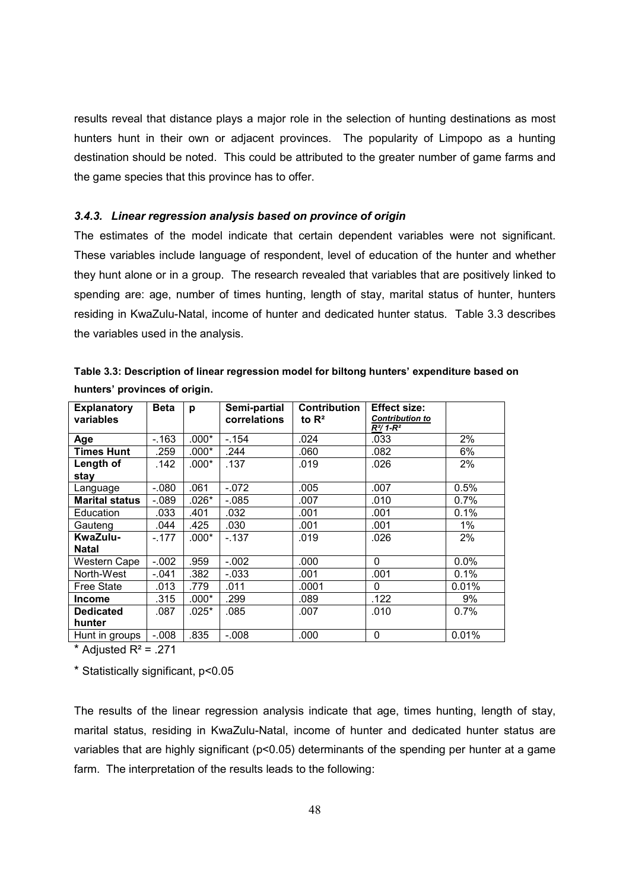results reveal that distance plays a major role in the selection of hunting destinations as most hunters hunt in their own or adjacent provinces. The popularity of Limpopo as a hunting destination should be noted. This could be attributed to the greater number of game farms and the game species that this province has to offer.

#### *3.4.3. Linear regression analysis based on province of origin*

The estimates of the model indicate that certain dependent variables were not significant. These variables include language of respondent, level of education of the hunter and whether they hunt alone or in a group. The research revealed that variables that are positively linked to spending are: age, number of times hunting, length of stay, marital status of hunter, hunters residing in KwaZulu-Natal, income of hunter and dedicated hunter status. Table 3.3 describes the variables used in the analysis.

| <b>Explanatory</b><br>variables | <b>Beta</b> | р       | Semi-partial<br>correlations | <b>Contribution</b><br>to $R^2$ | <b>Effect size:</b><br><b>Contribution to</b><br>$R^2/1-R^2$ |       |
|---------------------------------|-------------|---------|------------------------------|---------------------------------|--------------------------------------------------------------|-------|
| Age                             | $-.163$     | $.000*$ | $-.154$                      | .024                            | .033                                                         | 2%    |
| <b>Times Hunt</b>               | .259        | $.000*$ | .244                         | .060                            | .082                                                         | 6%    |
| Length of                       | .142        | $.000*$ | .137                         | .019                            | .026                                                         | 2%    |
| stay                            |             |         |                              |                                 |                                                              |       |
| Language                        | $-080$      | .061    | $-.072$                      | .005                            | .007                                                         | 0.5%  |
| <b>Marital status</b>           | $-0.89$     | $.026*$ | $-.085$                      | .007                            | .010                                                         | 0.7%  |
| Education                       | .033        | .401    | .032                         | .001                            | .001                                                         | 0.1%  |
| Gauteng                         | .044        | .425    | .030                         | .001                            | .001                                                         | 1%    |
| KwaZulu-                        | $-177$      | $.000*$ | $-137$                       | .019                            | .026                                                         | 2%    |
| <b>Natal</b>                    |             |         |                              |                                 |                                                              |       |
| <b>Western Cape</b>             | $-.002$     | .959    | $-.002$                      | .000                            | $\Omega$                                                     | 0.0%  |
| North-West                      | $-.041$     | .382    | $-.033$                      | .001                            | .001                                                         | 0.1%  |
| <b>Free State</b>               | .013        | .779    | .011                         | .0001                           | 0                                                            | 0.01% |
| <b>Income</b>                   | .315        | $.000*$ | .299                         | .089                            | .122                                                         | 9%    |
| <b>Dedicated</b>                | .087        | $.025*$ | .085                         | .007                            | .010                                                         | 0.7%  |
| hunter                          |             |         |                              |                                 |                                                              |       |
| Hunt in groups                  | $-.008$     | .835    | $-.008$                      | .000                            | 0                                                            | 0.01% |

**Table 3.3: Description of linear regression model for biltong hunters' expenditure based on hunters' provinces of origin.** 

 $*$  Adjusted R<sup>2</sup> = .271

\* Statistically significant, p<0.05

The results of the linear regression analysis indicate that age, times hunting, length of stay, marital status, residing in KwaZulu-Natal, income of hunter and dedicated hunter status are variables that are highly significant (p<0.05) determinants of the spending per hunter at a game farm. The interpretation of the results leads to the following: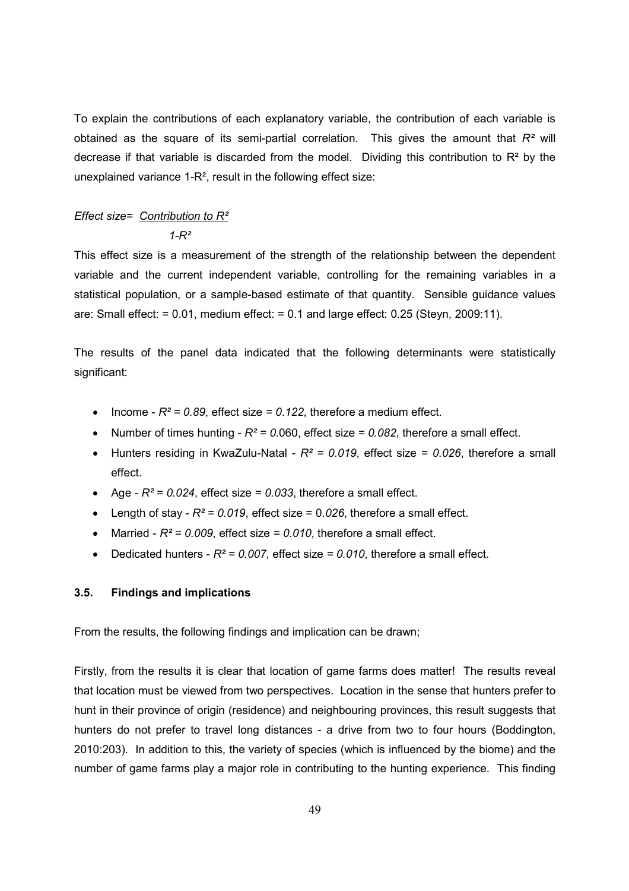To explain the contributions of each explanatory variable, the contribution of each variable is obtained as the square of its semi-partial correlation. This gives the amount that *R²* will decrease if that variable is discarded from the model*.* Dividing this contribution to R² by the unexplained variance 1-R², result in the following effect size:

# *Effect size= Contribution to R² 1-R²*

This effect size is a measurement of the strength of the relationship between the dependent variable and the current independent variable, controlling for the remaining variables in a statistical population, or a sample-based estimate of that quantity. Sensible guidance values are: Small effect:  $= 0.01$ , medium effect:  $= 0.1$  and large effect: 0.25 (Steyn, 2009:11).

The results of the panel data indicated that the following determinants were statistically significant:

- Income  $R^2$  = 0.89, effect size = 0.122, therefore a medium effect.
- Number of times hunting  $-R^2 = 0.060$ , effect size  $= 0.082$ , therefore a small effect.
- Hunters residing in KwaZulu-Natal  $R^2$  = 0.019, effect size = 0.026, therefore a small effect.
- Age  $R^2$  = 0.024, effect size = 0.033, therefore a small effect.
- Length of stay  $-R^2 = 0.019$ , effect size  $= 0.026$ , therefore a small effect.
- Married  $R^2$  = 0.009, effect size = 0.010, therefore a small effect.
- Dedicated hunters  $-R^2 = 0.007$ , effect size  $= 0.010$ , therefore a small effect.

#### **3.5. Findings and implications**

From the results, the following findings and implication can be drawn;

Firstly, from the results it is clear that location of game farms does matter! The results reveal that location must be viewed from two perspectives. Location in the sense that hunters prefer to hunt in their province of origin (residence) and neighbouring provinces, this result suggests that hunters do not prefer to travel long distances - a drive from two to four hours (Boddington, 2010:203). In addition to this, the variety of species (which is influenced by the biome) and the number of game farms play a major role in contributing to the hunting experience. This finding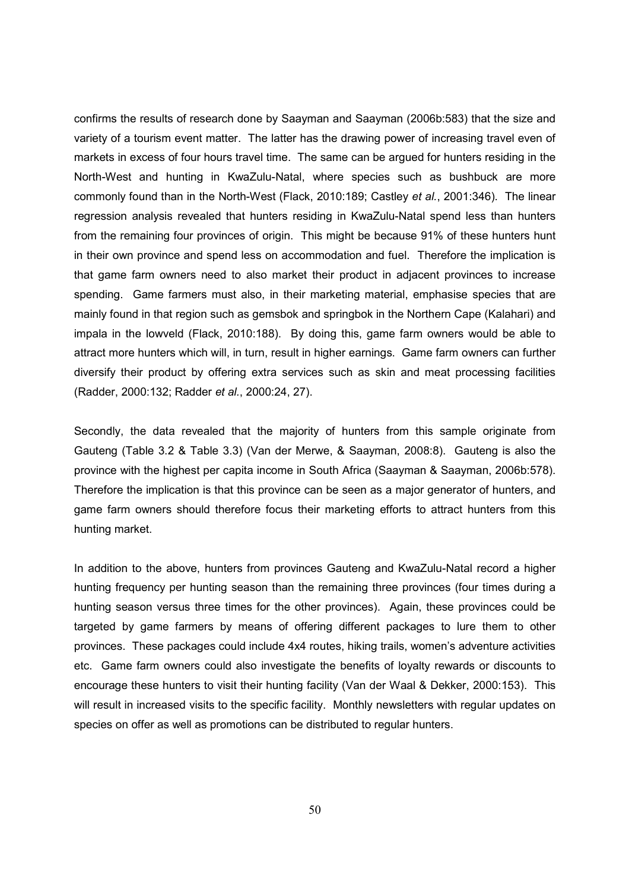confirms the results of research done by Saayman and Saayman (2006b:583) that the size and variety of a tourism event matter. The latter has the drawing power of increasing travel even of markets in excess of four hours travel time. The same can be argued for hunters residing in the North-West and hunting in KwaZulu-Natal, where species such as bushbuck are more commonly found than in the North-West (Flack, 2010:189; Castley *et al.*, 2001:346). The linear regression analysis revealed that hunters residing in KwaZulu-Natal spend less than hunters from the remaining four provinces of origin. This might be because 91% of these hunters hunt in their own province and spend less on accommodation and fuel. Therefore the implication is that game farm owners need to also market their product in adjacent provinces to increase spending. Game farmers must also, in their marketing material, emphasise species that are mainly found in that region such as gemsbok and springbok in the Northern Cape (Kalahari) and impala in the lowveld (Flack, 2010:188). By doing this, game farm owners would be able to attract more hunters which will, in turn, result in higher earnings. Game farm owners can further diversify their product by offering extra services such as skin and meat processing facilities (Radder, 2000:132; Radder *et al.*, 2000:24, 27).

Secondly, the data revealed that the majority of hunters from this sample originate from Gauteng (Table 3.2 & Table 3.3) (Van der Merwe, & Saayman, 2008:8). Gauteng is also the province with the highest per capita income in South Africa (Saayman & Saayman, 2006b:578). Therefore the implication is that this province can be seen as a major generator of hunters, and game farm owners should therefore focus their marketing efforts to attract hunters from this hunting market.

In addition to the above, hunters from provinces Gauteng and KwaZulu-Natal record a higher hunting frequency per hunting season than the remaining three provinces (four times during a hunting season versus three times for the other provinces). Again, these provinces could be targeted by game farmers by means of offering different packages to lure them to other provinces. These packages could include 4x4 routes, hiking trails, women's adventure activities etc. Game farm owners could also investigate the benefits of loyalty rewards or discounts to encourage these hunters to visit their hunting facility (Van der Waal & Dekker, 2000:153). This will result in increased visits to the specific facility. Monthly newsletters with regular updates on species on offer as well as promotions can be distributed to regular hunters.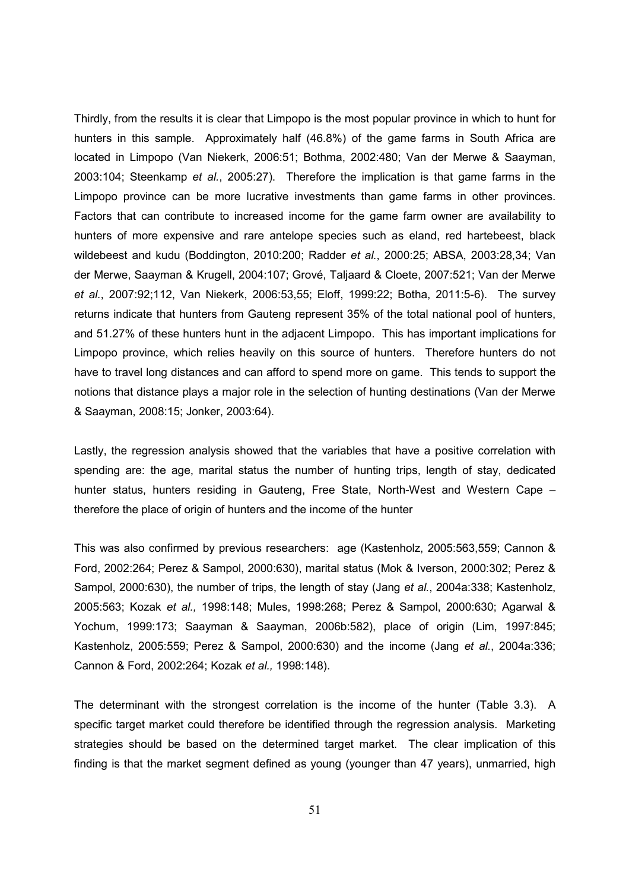Thirdly, from the results it is clear that Limpopo is the most popular province in which to hunt for hunters in this sample. Approximately half (46.8%) of the game farms in South Africa are located in Limpopo (Van Niekerk, 2006:51; Bothma, 2002:480; Van der Merwe & Saayman, 2003:104; Steenkamp *et al.*, 2005:27). Therefore the implication is that game farms in the Limpopo province can be more lucrative investments than game farms in other provinces. Factors that can contribute to increased income for the game farm owner are availability to hunters of more expensive and rare antelope species such as eland, red hartebeest, black wildebeest and kudu (Boddington, 2010:200; Radder *et al.*, 2000:25; ABSA, 2003:28,34; Van der Merwe, Saayman & Krugell, 2004:107; Grové, Taljaard & Cloete, 2007:521; Van der Merwe *et al.*, 2007:92;112, Van Niekerk, 2006:53,55; Eloff, 1999:22; Botha, 2011:5-6). The survey returns indicate that hunters from Gauteng represent 35% of the total national pool of hunters, and 51.27% of these hunters hunt in the adjacent Limpopo. This has important implications for Limpopo province, which relies heavily on this source of hunters. Therefore hunters do not have to travel long distances and can afford to spend more on game. This tends to support the notions that distance plays a major role in the selection of hunting destinations (Van der Merwe & Saayman, 2008:15; Jonker, 2003:64).

Lastly, the regression analysis showed that the variables that have a positive correlation with spending are: the age, marital status the number of hunting trips, length of stay, dedicated hunter status, hunters residing in Gauteng, Free State, North-West and Western Cape – therefore the place of origin of hunters and the income of the hunter

This was also confirmed by previous researchers: age (Kastenholz, 2005:563,559; Cannon & Ford, 2002:264; Perez & Sampol, 2000:630), marital status (Mok & Iverson, 2000:302; Perez & Sampol, 2000:630), the number of trips, the length of stay (Jang *et al.*, 2004a:338; Kastenholz, 2005:563; Kozak *et al.,* 1998:148; Mules, 1998:268; Perez & Sampol, 2000:630; Agarwal & Yochum, 1999:173; Saayman & Saayman, 2006b:582), place of origin (Lim, 1997:845; Kastenholz, 2005:559; Perez & Sampol, 2000:630) and the income (Jang *et al.*, 2004a:336; Cannon & Ford, 2002:264; Kozak *et al.,* 1998:148).

The determinant with the strongest correlation is the income of the hunter (Table 3.3). A specific target market could therefore be identified through the regression analysis. Marketing strategies should be based on the determined target market. The clear implication of this finding is that the market segment defined as young (younger than 47 years), unmarried, high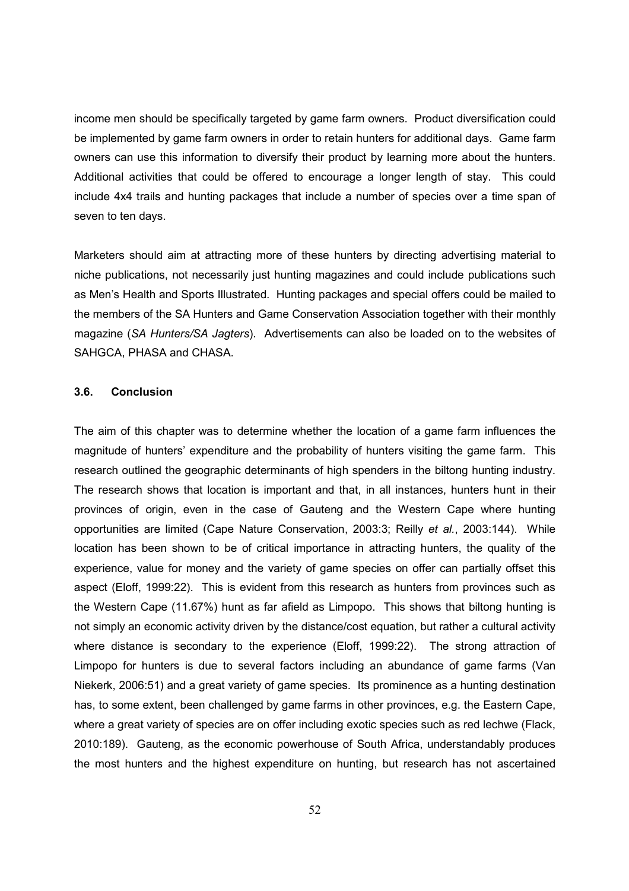income men should be specifically targeted by game farm owners. Product diversification could be implemented by game farm owners in order to retain hunters for additional days. Game farm owners can use this information to diversify their product by learning more about the hunters. Additional activities that could be offered to encourage a longer length of stay. This could include 4x4 trails and hunting packages that include a number of species over a time span of seven to ten days.

Marketers should aim at attracting more of these hunters by directing advertising material to niche publications, not necessarily just hunting magazines and could include publications such as Men's Health and Sports Illustrated. Hunting packages and special offers could be mailed to the members of the SA Hunters and Game Conservation Association together with their monthly magazine (*SA Hunters/SA Jagters*). Advertisements can also be loaded on to the websites of SAHGCA, PHASA and CHASA.

#### **3.6. Conclusion**

The aim of this chapter was to determine whether the location of a game farm influences the magnitude of hunters' expenditure and the probability of hunters visiting the game farm. This research outlined the geographic determinants of high spenders in the biltong hunting industry. The research shows that location is important and that, in all instances, hunters hunt in their provinces of origin, even in the case of Gauteng and the Western Cape where hunting opportunities are limited (Cape Nature Conservation, 2003:3; Reilly *et al.*, 2003:144). While location has been shown to be of critical importance in attracting hunters, the quality of the experience, value for money and the variety of game species on offer can partially offset this aspect (Eloff, 1999:22). This is evident from this research as hunters from provinces such as the Western Cape (11.67%) hunt as far afield as Limpopo. This shows that biltong hunting is not simply an economic activity driven by the distance/cost equation, but rather a cultural activity where distance is secondary to the experience (Eloff, 1999:22). The strong attraction of Limpopo for hunters is due to several factors including an abundance of game farms (Van Niekerk, 2006:51) and a great variety of game species. Its prominence as a hunting destination has, to some extent, been challenged by game farms in other provinces, e.g. the Eastern Cape, where a great variety of species are on offer including exotic species such as red lechwe (Flack, 2010:189). Gauteng, as the economic powerhouse of South Africa, understandably produces the most hunters and the highest expenditure on hunting, but research has not ascertained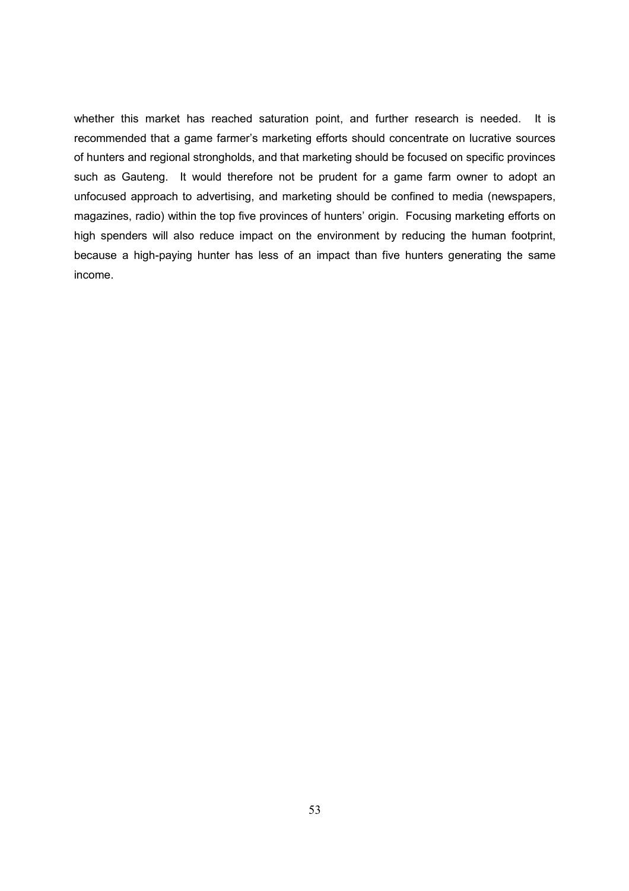whether this market has reached saturation point, and further research is needed. It is recommended that a game farmer's marketing efforts should concentrate on lucrative sources of hunters and regional strongholds, and that marketing should be focused on specific provinces such as Gauteng. It would therefore not be prudent for a game farm owner to adopt an unfocused approach to advertising, and marketing should be confined to media (newspapers, magazines, radio) within the top five provinces of hunters' origin. Focusing marketing efforts on high spenders will also reduce impact on the environment by reducing the human footprint, because a high-paying hunter has less of an impact than five hunters generating the same income.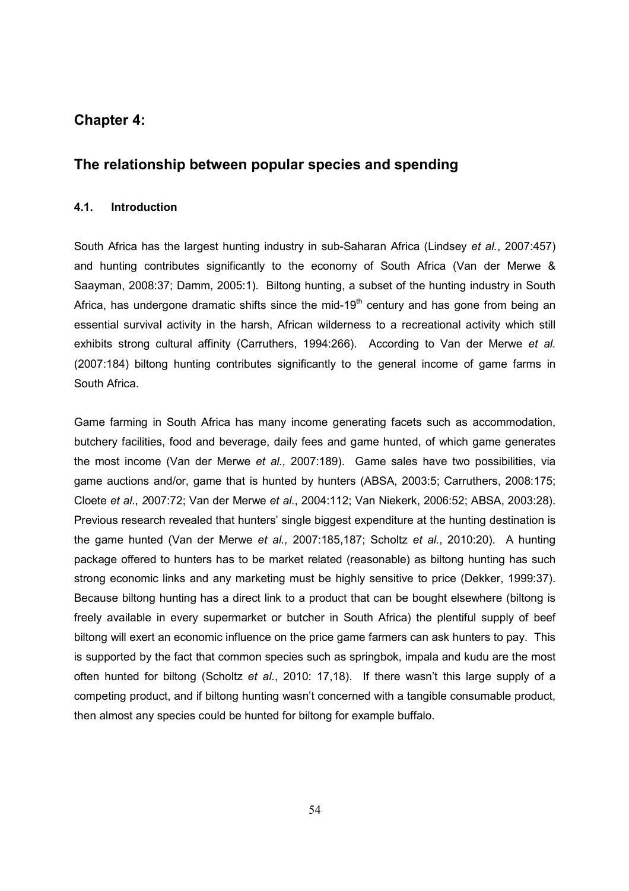# **Chapter 4:**

# **The relationship between popular species and spending**

# **4.1. Introduction**

South Africa has the largest hunting industry in sub-Saharan Africa (Lindsey *et al.*, 2007:457) and hunting contributes significantly to the economy of South Africa (Van der Merwe & Saayman, 2008:37; Damm, 2005:1). Biltong hunting, a subset of the hunting industry in South Africa, has undergone dramatic shifts since the mid-19<sup>th</sup> century and has gone from being an essential survival activity in the harsh, African wilderness to a recreational activity which still exhibits strong cultural affinity (Carruthers, 1994:266). According to Van der Merwe *et al.* (2007:184) biltong hunting contributes significantly to the general income of game farms in South Africa.

Game farming in South Africa has many income generating facets such as accommodation, butchery facilities, food and beverage, daily fees and game hunted, of which game generates the most income (Van der Merwe *et al.,* 2007:189). Game sales have two possibilities, via game auctions and/or, game that is hunted by hunters (ABSA, 2003:5; Carruthers, 2008:175; Cloete *et al.*, *2*007:72; Van der Merwe *et al.*, 2004:112; Van Niekerk, 2006:52; ABSA, 2003:28). Previous research revealed that hunters' single biggest expenditure at the hunting destination is the game hunted (Van der Merwe *et al.,* 2007:185,187; Scholtz *et al.*, 2010:20). A hunting package offered to hunters has to be market related (reasonable) as biltong hunting has such strong economic links and any marketing must be highly sensitive to price (Dekker, 1999:37). Because biltong hunting has a direct link to a product that can be bought elsewhere (biltong is freely available in every supermarket or butcher in South Africa) the plentiful supply of beef biltong will exert an economic influence on the price game farmers can ask hunters to pay. This is supported by the fact that common species such as springbok, impala and kudu are the most often hunted for biltong (Scholtz *et al*., 2010: 17,18). If there wasn't this large supply of a competing product, and if biltong hunting wasn't concerned with a tangible consumable product, then almost any species could be hunted for biltong for example buffalo.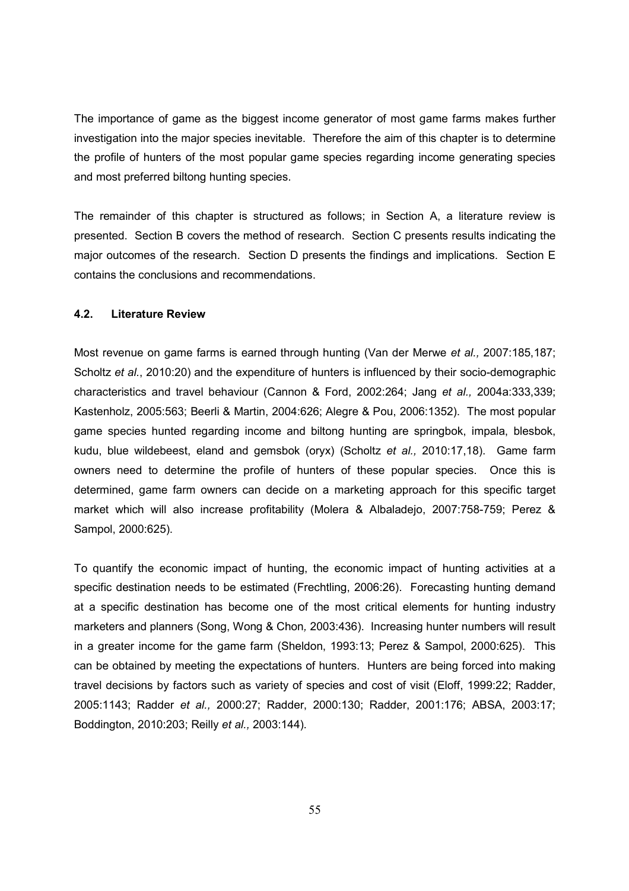The importance of game as the biggest income generator of most game farms makes further investigation into the major species inevitable. Therefore the aim of this chapter is to determine the profile of hunters of the most popular game species regarding income generating species and most preferred biltong hunting species.

The remainder of this chapter is structured as follows; in Section A, a literature review is presented. Section B covers the method of research. Section C presents results indicating the major outcomes of the research. Section D presents the findings and implications. Section E contains the conclusions and recommendations.

#### **4.2. Literature Review**

Most revenue on game farms is earned through hunting (Van der Merwe *et al.,* 2007:185,187; Scholtz *et al.*, 2010:20) and the expenditure of hunters is influenced by their socio-demographic characteristics and travel behaviour (Cannon & Ford, 2002:264; Jang *et al.,* 2004a:333,339; Kastenholz, 2005:563; Beerli & Martin, 2004:626; Alegre & Pou, 2006:1352). The most popular game species hunted regarding income and biltong hunting are springbok, impala, blesbok, kudu, blue wildebeest, eland and gemsbok (oryx) (Scholtz *et al.,* 2010:17,18). Game farm owners need to determine the profile of hunters of these popular species. Once this is determined, game farm owners can decide on a marketing approach for this specific target market which will also increase profitability (Molera & Albaladejo, 2007:758-759; Perez & Sampol, 2000:625).

To quantify the economic impact of hunting, the economic impact of hunting activities at a specific destination needs to be estimated (Frechtling, 2006:26). Forecasting hunting demand at a specific destination has become one of the most critical elements for hunting industry marketers and planners (Song, Wong & Chon*,* 2003:436). Increasing hunter numbers will result in a greater income for the game farm (Sheldon, 1993:13; Perez & Sampol, 2000:625). This can be obtained by meeting the expectations of hunters. Hunters are being forced into making travel decisions by factors such as variety of species and cost of visit (Eloff, 1999:22; Radder, 2005:1143; Radder *et al.,* 2000:27; Radder, 2000:130; Radder, 2001:176; ABSA, 2003:17; Boddington, 2010:203; Reilly *et al.,* 2003:144).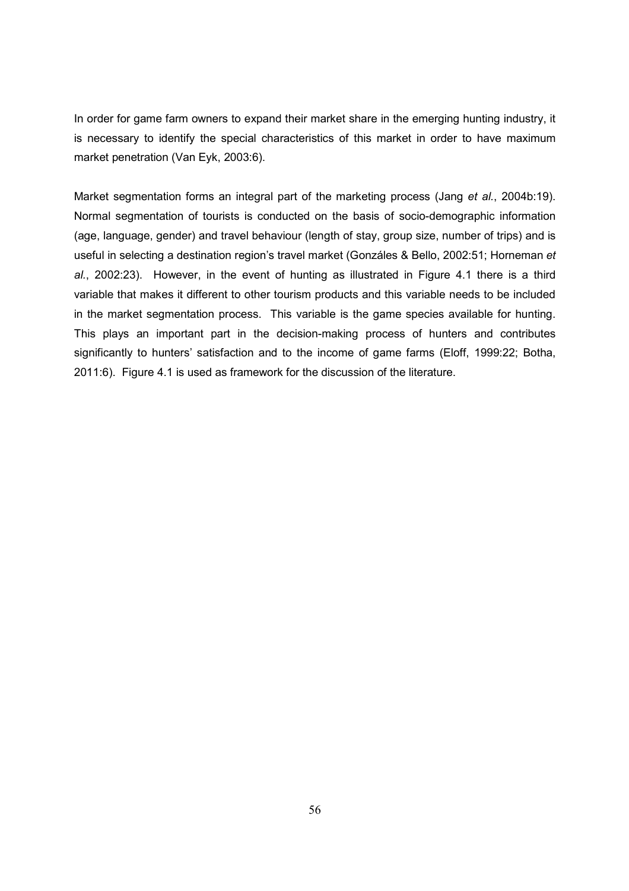In order for game farm owners to expand their market share in the emerging hunting industry, it is necessary to identify the special characteristics of this market in order to have maximum market penetration (Van Eyk, 2003:6).

Market segmentation forms an integral part of the marketing process (Jang *et al.*, 2004b:19). Normal segmentation of tourists is conducted on the basis of socio-demographic information (age, language, gender) and travel behaviour (length of stay, group size, number of trips) and is useful in selecting a destination region's travel market (Gonzáles & Bello, 2002:51; Horneman *et al.*, 2002:23). However, in the event of hunting as illustrated in Figure 4.1 there is a third variable that makes it different to other tourism products and this variable needs to be included in the market segmentation process. This variable is the game species available for hunting. This plays an important part in the decision-making process of hunters and contributes significantly to hunters' satisfaction and to the income of game farms (Eloff, 1999:22; Botha, 2011:6). Figure 4.1 is used as framework for the discussion of the literature.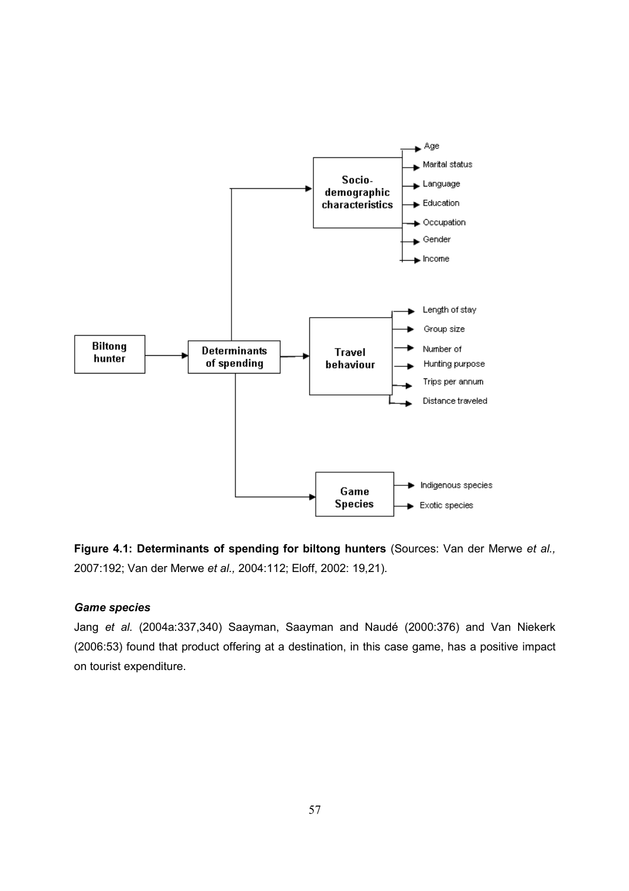

**Figure 4.1: Determinants of spending for biltong hunters** (Sources: Van der Merwe *et al.,* 2007:192; Van der Merwe *et al.,* 2004:112; Eloff, 2002: 19,21).

# *Game species*

Jang *et al.* (2004a:337,340) Saayman, Saayman and Naudé (2000:376) and Van Niekerk (2006:53) found that product offering at a destination, in this case game, has a positive impact on tourist expenditure.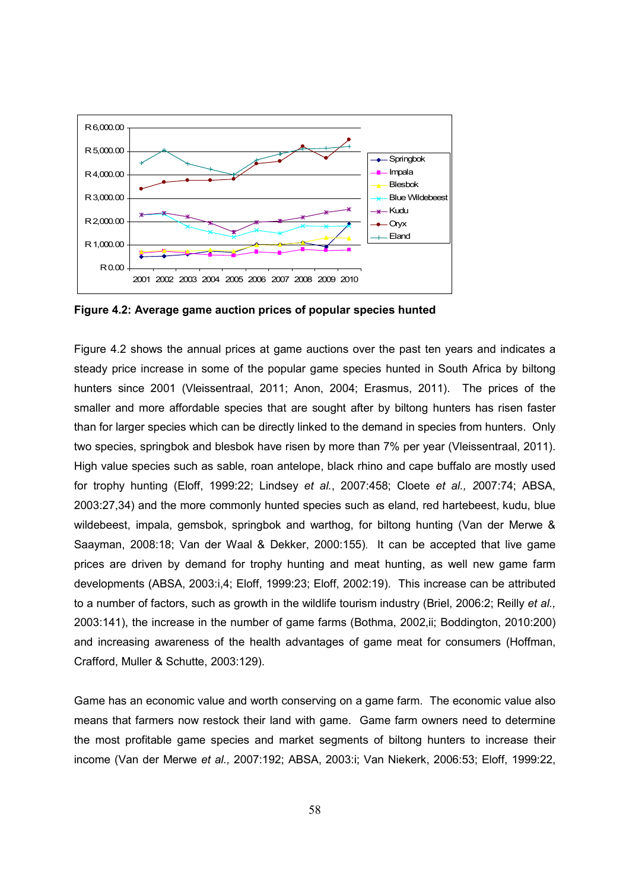

**Figure 4.2: Average game auction prices of popular species hunted**

Figure 4.2 shows the annual prices at game auctions over the past ten years and indicates a steady price increase in some of the popular game species hunted in South Africa by biltong hunters since 2001 (Vleissentraal, 2011; Anon, 2004; Erasmus, 2011). The prices of the smaller and more affordable species that are sought after by biltong hunters has risen faster than for larger species which can be directly linked to the demand in species from hunters. Only two species, springbok and blesbok have risen by more than 7% per year (Vleissentraal, 2011). High value species such as sable, roan antelope, black rhino and cape buffalo are mostly used for trophy hunting (Eloff, 1999:22; Lindsey *et al.*, 2007:458; Cloete *et al., 2*007:74; ABSA, 2003:27,34) and the more commonly hunted species such as eland, red hartebeest, kudu, blue wildebeest, impala, gemsbok, springbok and warthog, for biltong hunting (Van der Merwe & Saayman, 2008:18; Van der Waal & Dekker, 2000:155). It can be accepted that live game prices are driven by demand for trophy hunting and meat hunting, as well new game farm developments (ABSA, 2003:i,4; Eloff, 1999:23; Eloff, 2002:19). This increase can be attributed to a number of factors, such as growth in the wildlife tourism industry (Briel, 2006:2; Reilly *et al.,*  2003:141), the increase in the number of game farms (Bothma, 2002,ii; Boddington, 2010:200) and increasing awareness of the health advantages of game meat for consumers (Hoffman, Crafford, Muller & Schutte, 2003:129).

Game has an economic value and worth conserving on a game farm. The economic value also means that farmers now restock their land with game. Game farm owners need to determine the most profitable game species and market segments of biltong hunters to increase their income (Van der Merwe *et al.,* 2007:192; ABSA, 2003:i; Van Niekerk, 2006:53; Eloff, 1999:22,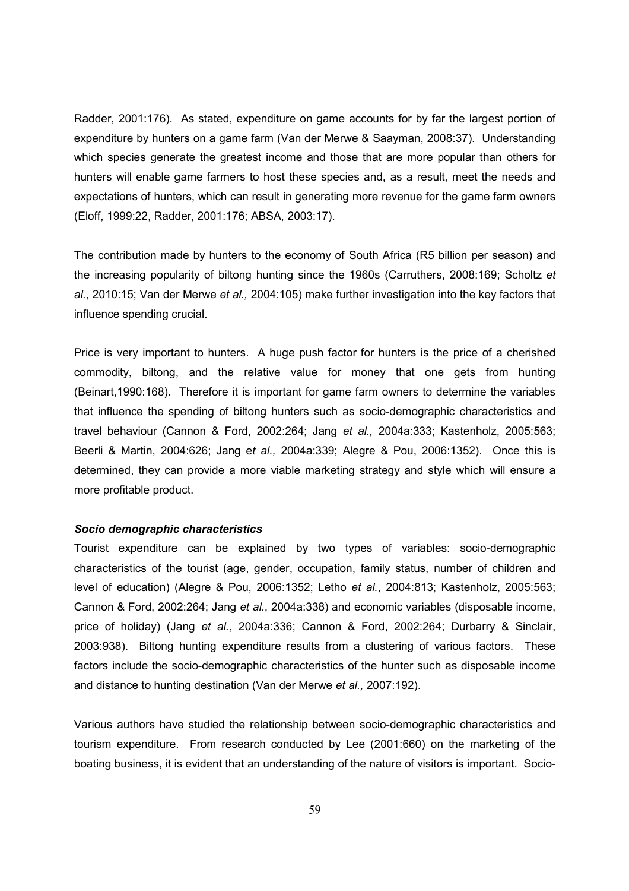Radder, 2001:176). As stated, expenditure on game accounts for by far the largest portion of expenditure by hunters on a game farm (Van der Merwe & Saayman, 2008:37). Understanding which species generate the greatest income and those that are more popular than others for hunters will enable game farmers to host these species and, as a result, meet the needs and expectations of hunters, which can result in generating more revenue for the game farm owners (Eloff, 1999:22, Radder, 2001:176; ABSA, 2003:17).

The contribution made by hunters to the economy of South Africa (R5 billion per season) and the increasing popularity of biltong hunting since the 1960s (Carruthers, 2008:169; Scholtz *et al.*, 2010:15; Van der Merwe *et al.,* 2004:105) make further investigation into the key factors that influence spending crucial.

Price is very important to hunters. A huge push factor for hunters is the price of a cherished commodity, biltong, and the relative value for money that one gets from hunting (Beinart,1990:168). Therefore it is important for game farm owners to determine the variables that influence the spending of biltong hunters such as socio-demographic characteristics and travel behaviour (Cannon & Ford, 2002:264; Jang *et al.,* 2004a:333; Kastenholz, 2005:563; Beerli & Martin, 2004:626; Jang e*t al.,* 2004a:339; Alegre & Pou, 2006:1352). Once this is determined, they can provide a more viable marketing strategy and style which will ensure a more profitable product.

#### *Socio demographic characteristics*

Tourist expenditure can be explained by two types of variables: socio-demographic characteristics of the tourist (age, gender, occupation, family status, number of children and level of education) (Alegre & Pou, 2006:1352; Letho *et al.*, 2004:813; Kastenholz, 2005:563; Cannon & Ford, 2002:264; Jang *et al.*, 2004a:338) and economic variables (disposable income, price of holiday) (Jang *et al.*, 2004a:336; Cannon & Ford, 2002:264; Durbarry & Sinclair, 2003:938). Biltong hunting expenditure results from a clustering of various factors. These factors include the socio-demographic characteristics of the hunter such as disposable income and distance to hunting destination (Van der Merwe *et al.,* 2007:192).

Various authors have studied the relationship between socio-demographic characteristics and tourism expenditure. From research conducted by Lee (2001:660) on the marketing of the boating business, it is evident that an understanding of the nature of visitors is important. Socio-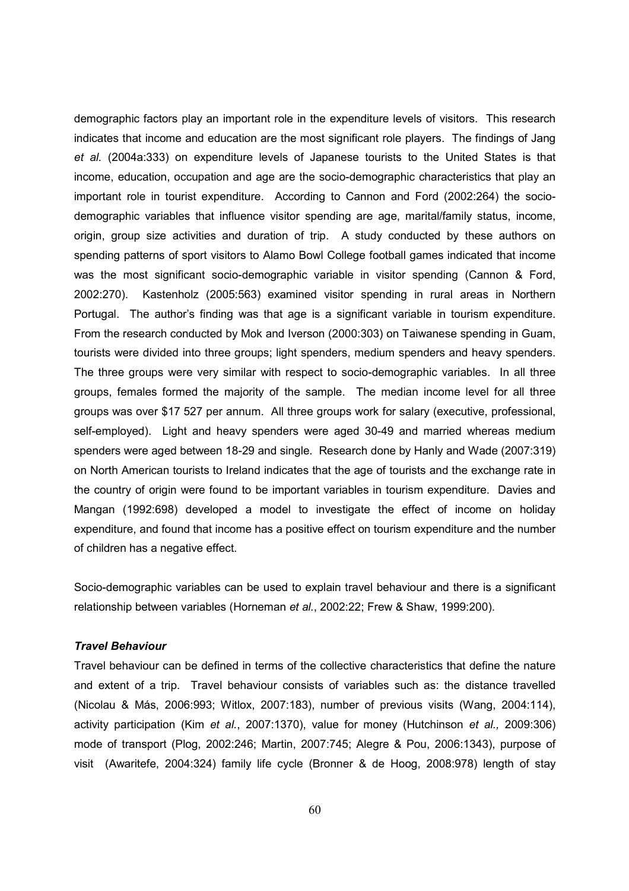demographic factors play an important role in the expenditure levels of visitors. This research indicates that income and education are the most significant role players. The findings of Jang *et al.* (2004a:333) on expenditure levels of Japanese tourists to the United States is that income, education, occupation and age are the socio-demographic characteristics that play an important role in tourist expenditure. According to Cannon and Ford (2002:264) the sociodemographic variables that influence visitor spending are age, marital/family status, income, origin, group size activities and duration of trip. A study conducted by these authors on spending patterns of sport visitors to Alamo Bowl College football games indicated that income was the most significant socio-demographic variable in visitor spending (Cannon & Ford, 2002:270). Kastenholz (2005:563) examined visitor spending in rural areas in Northern Portugal. The author's finding was that age is a significant variable in tourism expenditure. From the research conducted by Mok and Iverson (2000:303) on Taiwanese spending in Guam, tourists were divided into three groups; light spenders, medium spenders and heavy spenders. The three groups were very similar with respect to socio-demographic variables. In all three groups, females formed the majority of the sample. The median income level for all three groups was over \$17 527 per annum. All three groups work for salary (executive, professional, self-employed). Light and heavy spenders were aged 30-49 and married whereas medium spenders were aged between 18-29 and single. Research done by Hanly and Wade (2007:319) on North American tourists to Ireland indicates that the age of tourists and the exchange rate in the country of origin were found to be important variables in tourism expenditure. Davies and Mangan (1992:698) developed a model to investigate the effect of income on holiday expenditure, and found that income has a positive effect on tourism expenditure and the number of children has a negative effect.

Socio-demographic variables can be used to explain travel behaviour and there is a significant relationship between variables (Horneman *et al.*, 2002:22; Frew & Shaw, 1999:200).

#### *Travel Behaviour*

Travel behaviour can be defined in terms of the collective characteristics that define the nature and extent of a trip. Travel behaviour consists of variables such as: the distance travelled (Nicolau & Más, 2006:993; Witlox, 2007:183), number of previous visits (Wang, 2004:114), activity participation (Kim *et al.*, 2007:1370), value for money (Hutchinson *et al.,* 2009:306) mode of transport (Plog, 2002:246; Martin, 2007:745; Alegre & Pou, 2006:1343), purpose of visit (Awaritefe, 2004:324) family life cycle (Bronner & de Hoog, 2008:978) length of stay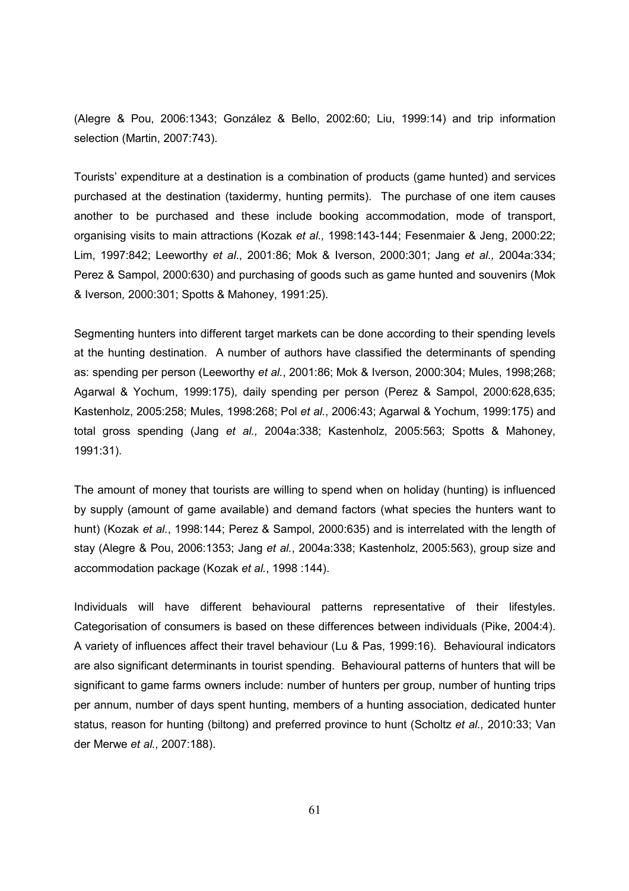(Alegre & Pou, 2006:1343; González & Bello, 2002:60; Liu, 1999:14) and trip information selection (Martin, 2007:743).

Tourists' expenditure at a destination is a combination of products (game hunted) and services purchased at the destination (taxidermy, hunting permits). The purchase of one item causes another to be purchased and these include booking accommodation, mode of transport, organising visits to main attractions (Kozak *et al.,* 1998:143-144; Fesenmaier & Jeng, 2000:22; Lim, 1997:842; Leeworthy *et al*., 2001:86; Mok & Iverson, 2000:301; Jang *et al.,* 2004a:334; Perez & Sampol, 2000:630) and purchasing of goods such as game hunted and souvenirs (Mok & Iverson*,* 2000:301; Spotts & Mahoney, 1991:25).

Segmenting hunters into different target markets can be done according to their spending levels at the hunting destination. A number of authors have classified the determinants of spending as: spending per person (Leeworthy *et al.*, 2001:86; Mok & Iverson, 2000:304; Mules, 1998;268; Agarwal & Yochum, 1999:175), daily spending per person (Perez & Sampol, 2000:628,635; Kastenholz, 2005:258; Mules, 1998:268; Pol *et al.*, 2006:43; Agarwal & Yochum, 1999:175) and total gross spending (Jang *et al.,* 2004a:338; Kastenholz, 2005:563; Spotts & Mahoney, 1991:31).

The amount of money that tourists are willing to spend when on holiday (hunting) is influenced by supply (amount of game available) and demand factors (what species the hunters want to hunt) (Kozak *et al.*, 1998:144; Perez & Sampol, 2000:635) and is interrelated with the length of stay (Alegre & Pou, 2006:1353; Jang *et al.*, 2004a:338; Kastenholz, 2005:563), group size and accommodation package (Kozak *et al.*, 1998 :144).

Individuals will have different behavioural patterns representative of their lifestyles. Categorisation of consumers is based on these differences between individuals (Pike, 2004:4). A variety of influences affect their travel behaviour (Lu & Pas, 1999:16). Behavioural indicators are also significant determinants in tourist spending. Behavioural patterns of hunters that will be significant to game farms owners include: number of hunters per group, number of hunting trips per annum, number of days spent hunting, members of a hunting association, dedicated hunter status, reason for hunting (biltong) and preferred province to hunt (Scholtz *et al.,* 2010:33; Van der Merwe *et al.,* 2007:188).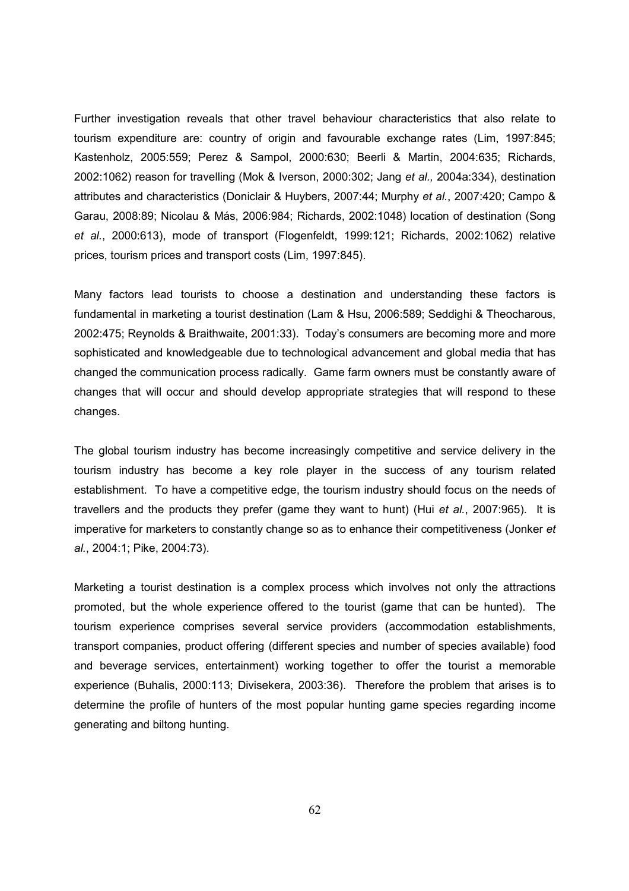Further investigation reveals that other travel behaviour characteristics that also relate to tourism expenditure are: country of origin and favourable exchange rates (Lim, 1997:845; Kastenholz, 2005:559; Perez & Sampol, 2000:630; Beerli & Martin, 2004:635; Richards, 2002:1062) reason for travelling (Mok & Iverson, 2000:302; Jang *et al.,* 2004a:334), destination attributes and characteristics (Doniclair & Huybers, 2007:44; Murphy *et al.*, 2007:420; Campo & Garau, 2008:89; Nicolau & Más, 2006:984; Richards, 2002:1048) location of destination (Song *et al.*, 2000:613), mode of transport (Flogenfeldt, 1999:121; Richards, 2002:1062) relative prices, tourism prices and transport costs (Lim, 1997:845).

Many factors lead tourists to choose a destination and understanding these factors is fundamental in marketing a tourist destination (Lam & Hsu, 2006:589; Seddighi & Theocharous, 2002:475; Reynolds & Braithwaite, 2001:33). Today's consumers are becoming more and more sophisticated and knowledgeable due to technological advancement and global media that has changed the communication process radically. Game farm owners must be constantly aware of changes that will occur and should develop appropriate strategies that will respond to these changes.

The global tourism industry has become increasingly competitive and service delivery in the tourism industry has become a key role player in the success of any tourism related establishment. To have a competitive edge, the tourism industry should focus on the needs of travellers and the products they prefer (game they want to hunt) (Hui *et al.*, 2007:965). It is imperative for marketers to constantly change so as to enhance their competitiveness (Jonker *et al.*, 2004:1; Pike, 2004:73).

Marketing a tourist destination is a complex process which involves not only the attractions promoted, but the whole experience offered to the tourist (game that can be hunted). The tourism experience comprises several service providers (accommodation establishments, transport companies, product offering (different species and number of species available) food and beverage services, entertainment) working together to offer the tourist a memorable experience (Buhalis, 2000:113; Divisekera, 2003:36). Therefore the problem that arises is to determine the profile of hunters of the most popular hunting game species regarding income generating and biltong hunting.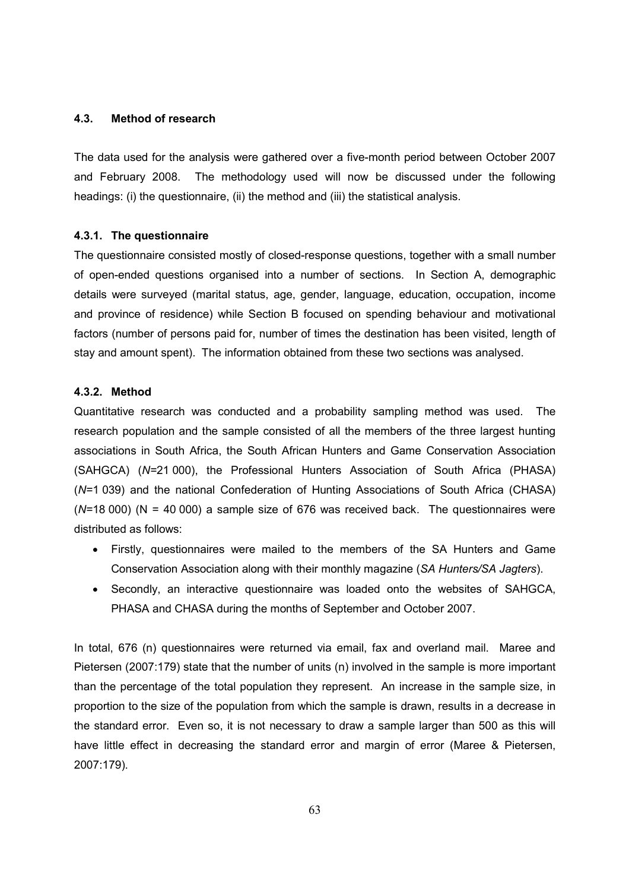#### **4.3. Method of research**

The data used for the analysis were gathered over a five-month period between October 2007 and February 2008. The methodology used will now be discussed under the following headings: (i) the questionnaire, (ii) the method and (iii) the statistical analysis.

#### **4.3.1. The questionnaire**

The questionnaire consisted mostly of closed-response questions, together with a small number of open-ended questions organised into a number of sections. In Section A, demographic details were surveyed (marital status, age, gender, language, education, occupation, income and province of residence) while Section B focused on spending behaviour and motivational factors (number of persons paid for, number of times the destination has been visited, length of stay and amount spent). The information obtained from these two sections was analysed.

#### **4.3.2. Method**

Quantitative research was conducted and a probability sampling method was used. The research population and the sample consisted of all the members of the three largest hunting associations in South Africa, the South African Hunters and Game Conservation Association (SAHGCA) (*N=*21 000), the Professional Hunters Association of South Africa (PHASA) (*N=*1 039) and the national Confederation of Hunting Associations of South Africa (CHASA) (*N=*18 000) (N = 40 000) a sample size of 676 was received back. The questionnaires were distributed as follows:

- Firstly, questionnaires were mailed to the members of the SA Hunters and Game Conservation Association along with their monthly magazine (*SA Hunters/SA Jagters*).
- Secondly, an interactive questionnaire was loaded onto the websites of SAHGCA, PHASA and CHASA during the months of September and October 2007.

In total, 676 (n) questionnaires were returned via email, fax and overland mail. Maree and Pietersen (2007:179) state that the number of units (n) involved in the sample is more important than the percentage of the total population they represent. An increase in the sample size, in proportion to the size of the population from which the sample is drawn, results in a decrease in the standard error. Even so, it is not necessary to draw a sample larger than 500 as this will have little effect in decreasing the standard error and margin of error (Maree & Pietersen, 2007:179).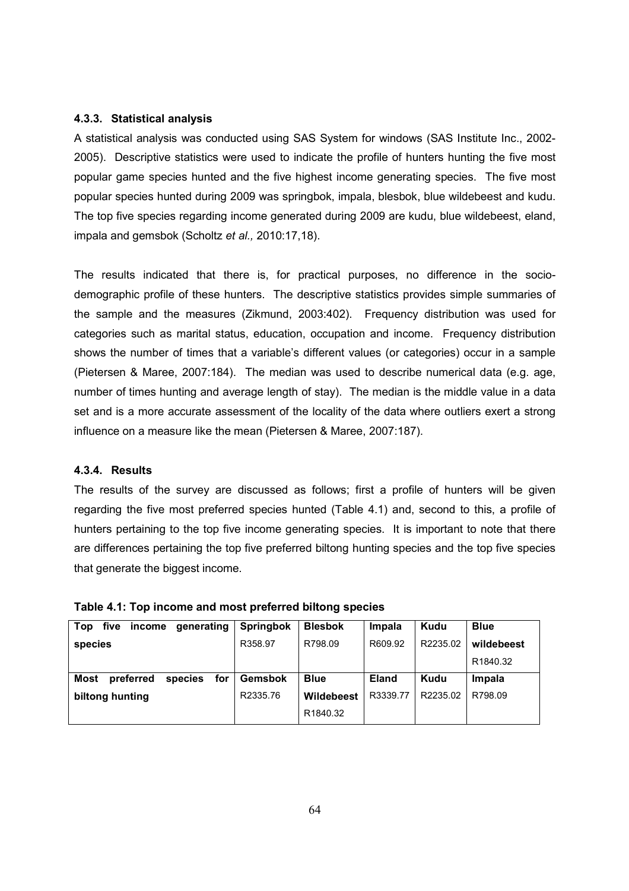#### **4.3.3. Statistical analysis**

A statistical analysis was conducted using SAS System for windows (SAS Institute Inc., 2002- 2005). Descriptive statistics were used to indicate the profile of hunters hunting the five most popular game species hunted and the five highest income generating species. The five most popular species hunted during 2009 was springbok, impala, blesbok, blue wildebeest and kudu. The top five species regarding income generated during 2009 are kudu, blue wildebeest, eland, impala and gemsbok (Scholtz *et al.,* 2010:17,18).

The results indicated that there is, for practical purposes, no difference in the sociodemographic profile of these hunters. The descriptive statistics provides simple summaries of the sample and the measures (Zikmund, 2003:402). Frequency distribution was used for categories such as marital status, education, occupation and income. Frequency distribution shows the number of times that a variable's different values (or categories) occur in a sample (Pietersen & Maree, 2007:184). The median was used to describe numerical data (e.g. age, number of times hunting and average length of stay). The median is the middle value in a data set and is a more accurate assessment of the locality of the data where outliers exert a strong influence on a measure like the mean (Pietersen & Maree, 2007:187).

#### **4.3.4. Results**

The results of the survey are discussed as follows; first a profile of hunters will be given regarding the five most preferred species hunted (Table 4.1) and, second to this, a profile of hunters pertaining to the top five income generating species. It is important to note that there are differences pertaining the top five preferred biltong hunting species and the top five species that generate the biggest income.

| Top<br>five<br>generating<br>income        | <b>Springbok</b> | <b>Blesbok</b> | Impala       | Kudu     | <b>Blue</b>          |
|--------------------------------------------|------------------|----------------|--------------|----------|----------------------|
| species                                    | R358.97          | R798.09        | R609.92      | R2235.02 | wildebeest           |
|                                            |                  |                |              |          | R <sub>1840.32</sub> |
| <b>Most</b><br>preferred<br>for<br>species | <b>Gemsbok</b>   | <b>Blue</b>    | <b>Eland</b> | Kudu     | Impala               |
| biltong hunting                            | R2335.76         | Wildebeest     | R3339.77     | R2235.02 | R798.09              |
|                                            |                  |                |              |          |                      |

**Table 4.1: Top income and most preferred biltong species**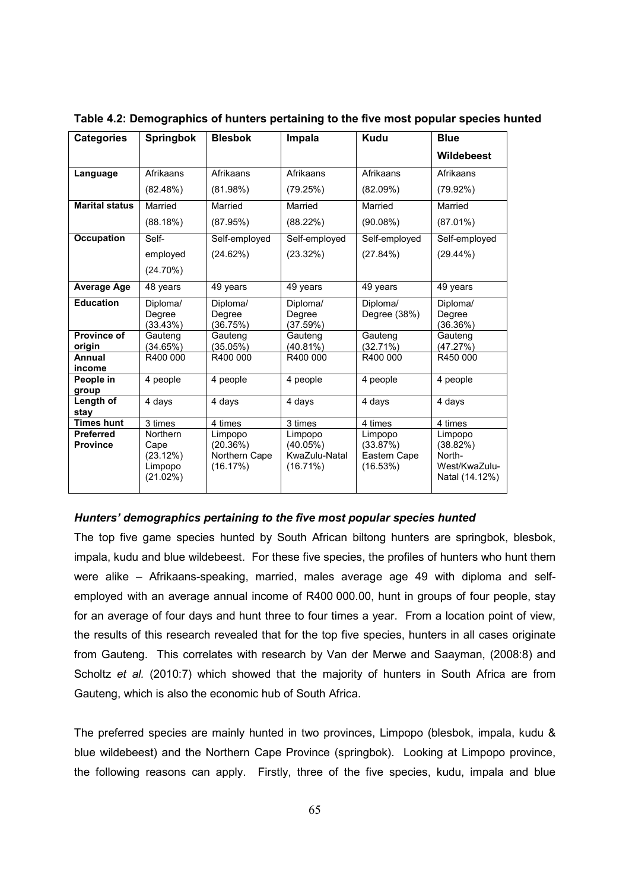| Categories                          | <b>Springbok</b>                                              | <b>Blesbok</b>                                   | Impala                                           | Kudu                                            | <b>Blue</b>                                                      |
|-------------------------------------|---------------------------------------------------------------|--------------------------------------------------|--------------------------------------------------|-------------------------------------------------|------------------------------------------------------------------|
|                                     |                                                               |                                                  |                                                  |                                                 | Wildebeest                                                       |
| Language                            | Afrikaans                                                     | Afrikaans                                        | Afrikaans                                        | Afrikaans                                       | Afrikaans                                                        |
|                                     | (82.48%)                                                      | (81.98%)                                         | (79.25%)                                         | (82.09%)                                        | $(79.92\%)$                                                      |
| <b>Marital status</b>               | Married                                                       | Married                                          | Married                                          | Married                                         | Married                                                          |
|                                     | (88.18%)                                                      | (87.95%)                                         | $(88.22\%)$                                      | (90.08%)                                        | $(87.01\%)$                                                      |
| <b>Occupation</b>                   | Self-                                                         | Self-employed                                    | Self-employed                                    | Self-employed                                   | Self-employed                                                    |
|                                     | employed                                                      | (24.62%)                                         | (23.32%)                                         | (27.84%)                                        | (29.44%)                                                         |
|                                     | $(24.70\%)$                                                   |                                                  |                                                  |                                                 |                                                                  |
| <b>Average Age</b>                  | 48 years                                                      | 49 years                                         | 49 years                                         | 49 years                                        | 49 years                                                         |
| <b>Education</b>                    | Diploma/<br>Degree<br>(33.43%)                                | Diploma/<br>Degree<br>(36.75%)                   | Diploma/<br>Degree<br>(37.59%)                   | Diploma/<br>Degree (38%)                        | Diploma/<br>Degree<br>(36.36%)                                   |
| <b>Province of</b><br>origin        | Gauteng<br>(34.65%)                                           | Gauteng<br>(35.05%)                              | Gauteng<br>(40.81%)                              | Gauteng<br>(32.71%)                             | Gauteng<br>(47.27%)                                              |
| Annual<br>income                    | R400 000                                                      | R400 000                                         | R400 000                                         | R400 000                                        | R450 000                                                         |
| People in<br>group                  | 4 people                                                      | 4 people                                         | 4 people                                         | 4 people                                        | 4 people                                                         |
| Length of<br>stay                   | 4 days                                                        | 4 days                                           | 4 days                                           | 4 days                                          | $\overline{4}$ days                                              |
| <b>Times hunt</b>                   | 3 times                                                       | 4 times                                          | 3 times                                          | 4 times                                         | 4 times                                                          |
| <b>Preferred</b><br><b>Province</b> | <b>Northern</b><br>Cape<br>(23.12%)<br>Limpopo<br>$(21.02\%)$ | Limpopo<br>(20.36%)<br>Northern Cape<br>(16.17%) | Limpopo<br>(40.05%)<br>KwaZulu-Natal<br>(16.71%) | Limpopo<br>(33.87%)<br>Eastern Cape<br>(16.53%) | Limpopo<br>(38.82%)<br>North-<br>West/KwaZulu-<br>Natal (14.12%) |

**Table 4.2: Demographics of hunters pertaining to the five most popular species hunted**

#### *Hunters' demographics pertaining to the five most popular species hunted*

The top five game species hunted by South African biltong hunters are springbok, blesbok, impala, kudu and blue wildebeest. For these five species, the profiles of hunters who hunt them were alike – Afrikaans-speaking, married, males average age 49 with diploma and selfemployed with an average annual income of R400 000.00, hunt in groups of four people, stay for an average of four days and hunt three to four times a year. From a location point of view, the results of this research revealed that for the top five species, hunters in all cases originate from Gauteng. This correlates with research by Van der Merwe and Saayman, (2008:8) and Scholtz *et al.* (2010:7) which showed that the majority of hunters in South Africa are from Gauteng, which is also the economic hub of South Africa.

The preferred species are mainly hunted in two provinces, Limpopo (blesbok, impala, kudu & blue wildebeest) and the Northern Cape Province (springbok). Looking at Limpopo province, the following reasons can apply. Firstly, three of the five species, kudu, impala and blue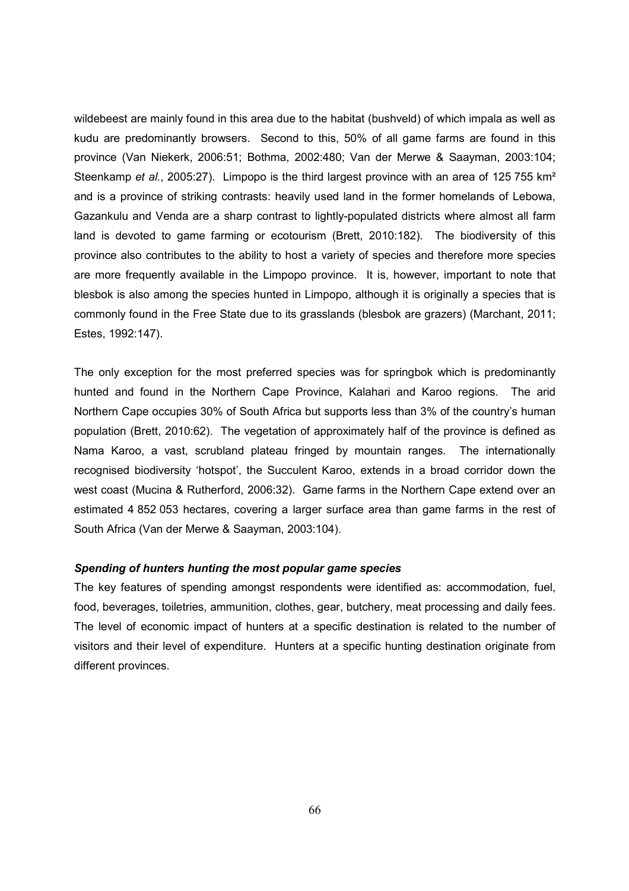wildebeest are mainly found in this area due to the habitat (bushveld) of which impala as well as kudu are predominantly browsers. Second to this, 50% of all game farms are found in this province (Van Niekerk, 2006:51; Bothma, 2002:480; Van der Merwe & Saayman, 2003:104; Steenkamp *et al.*, 2005:27). Limpopo is the third largest province with an area of 125 755 km<sup>2</sup> and is a province of striking contrasts: heavily used land in the former homelands of Lebowa, Gazankulu and Venda are a sharp contrast to lightly-populated districts where almost all farm land is devoted to game farming or ecotourism (Brett, 2010:182). The biodiversity of this province also contributes to the ability to host a variety of species and therefore more species are more frequently available in the Limpopo province. It is, however, important to note that blesbok is also among the species hunted in Limpopo, although it is originally a species that is commonly found in the Free State due to its grasslands (blesbok are grazers) (Marchant, 2011; Estes, 1992:147).

The only exception for the most preferred species was for springbok which is predominantly hunted and found in the Northern Cape Province, Kalahari and Karoo regions. The arid Northern Cape occupies 30% of South Africa but supports less than 3% of the country's human population (Brett, 2010:62). The vegetation of approximately half of the province is defined as Nama Karoo, a vast, scrubland plateau fringed by mountain ranges. The internationally recognised biodiversity 'hotspot', the Succulent Karoo, extends in a broad corridor down the west coast (Mucina & Rutherford, 2006:32). Game farms in the Northern Cape extend over an estimated 4 852 053 hectares, covering a larger surface area than game farms in the rest of South Africa (Van der Merwe & Saayman, 2003:104).

#### *Spending of hunters hunting the most popular game species*

The key features of spending amongst respondents were identified as: accommodation, fuel, food, beverages, toiletries, ammunition, clothes, gear, butchery, meat processing and daily fees. The level of economic impact of hunters at a specific destination is related to the number of visitors and their level of expenditure. Hunters at a specific hunting destination originate from different provinces.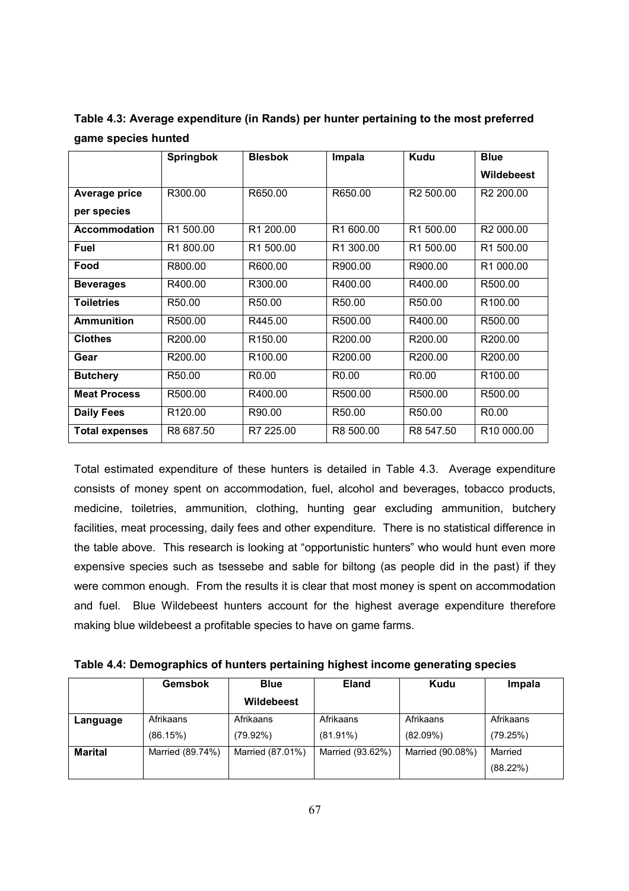|                       | <b>Springbok</b>      | <b>Blesbok</b>        | Impala            | Kudu              | <b>Blue</b>           |
|-----------------------|-----------------------|-----------------------|-------------------|-------------------|-----------------------|
|                       |                       |                       |                   |                   | Wildebeest            |
| Average price         | R300.00               | R650.00               | R650.00           | R2 500.00         | R2 200.00             |
| per species           |                       |                       |                   |                   |                       |
| <b>Accommodation</b>  | R <sub>1</sub> 500.00 | R <sub>1</sub> 200.00 | R1 600.00         | R1 500.00         | R <sub>2</sub> 000.00 |
| Fuel                  | R1800.00              | R1 500.00             | R1 300.00         | R1 500.00         | R1 500.00             |
| Food                  | R800.00               | R600.00               | R900.00           | R900.00           | R1 000.00             |
| <b>Beverages</b>      | R400.00               | R300.00               | R400.00           | R400.00           | R500.00               |
| <b>Toiletries</b>     | R50.00                | R50.00                | R50.00            | R50.00            | R100.00               |
| <b>Ammunition</b>     | R500.00               | R445.00               | R500.00           | R400.00           | R500.00               |
| <b>Clothes</b>        | R200.00               | R <sub>150.00</sub>   | R200.00           | R200.00           | R200.00               |
| Gear                  | R200.00               | R <sub>100.00</sub>   | R200.00           | R200.00           | R200.00               |
| <b>Butchery</b>       | R50.00                | R <sub>0.00</sub>     | R <sub>0.00</sub> | R <sub>0.00</sub> | R <sub>100.00</sub>   |
| <b>Meat Process</b>   | R500.00               | R400.00               | R500.00           | R500.00           | R500.00               |
| <b>Daily Fees</b>     | R120.00               | R90.00                | R50.00            | R50.00            | R <sub>0.00</sub>     |
| <b>Total expenses</b> | R8 687.50             | R7 225.00             | R8 500.00         | R8 547.50         | R10 000.00            |

**Table 4.3: Average expenditure (in Rands) per hunter pertaining to the most preferred game species hunted** 

Total estimated expenditure of these hunters is detailed in Table 4.3. Average expenditure consists of money spent on accommodation, fuel, alcohol and beverages, tobacco products, medicine, toiletries, ammunition, clothing, hunting gear excluding ammunition, butchery facilities, meat processing, daily fees and other expenditure. There is no statistical difference in the table above. This research is looking at "opportunistic hunters" who would hunt even more expensive species such as tsessebe and sable for biltong (as people did in the past) if they were common enough. From the results it is clear that most money is spent on accommodation and fuel. Blue Wildebeest hunters account for the highest average expenditure therefore making blue wildebeest a profitable species to have on game farms.

**Table 4.4: Demographics of hunters pertaining highest income generating species** 

|                | <b>Gemsbok</b>   | <b>Blue</b>      | <b>Eland</b>     | Kudu             | Impala      |
|----------------|------------------|------------------|------------------|------------------|-------------|
|                |                  | Wildebeest       |                  |                  |             |
| Language       | Afrikaans        | Afrikaans        | Afrikaans        | Afrikaans        | Afrikaans   |
|                | (86.15%)         | (79.92%)         | $(81.91\%)$      | (82.09%)         | (79.25%)    |
| <b>Marital</b> | Married (89.74%) | Married (87.01%) | Married (93.62%) | Married (90.08%) | Married     |
|                |                  |                  |                  |                  | $(88.22\%)$ |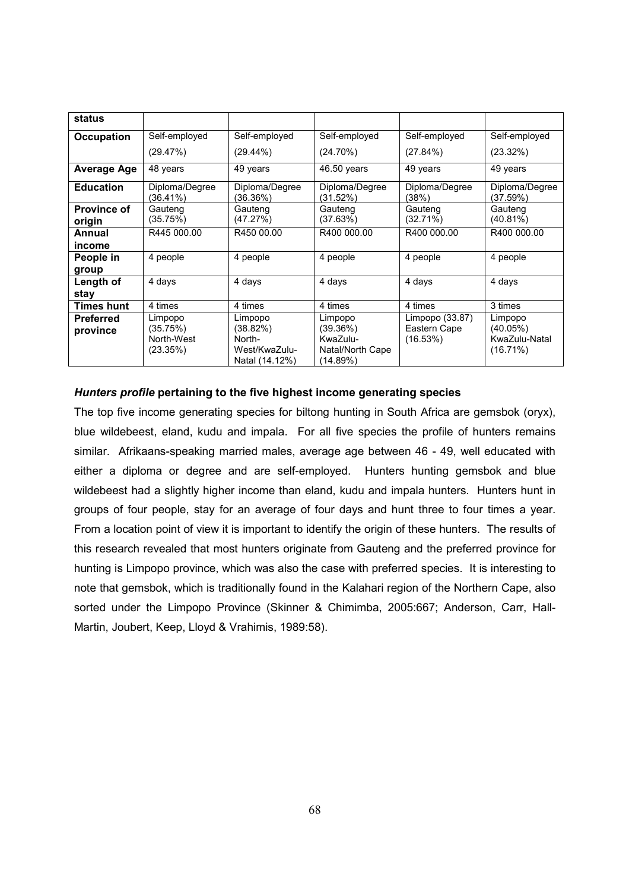| status                       |                                               |                                                                  |                                                                 |                                             |                                                  |
|------------------------------|-----------------------------------------------|------------------------------------------------------------------|-----------------------------------------------------------------|---------------------------------------------|--------------------------------------------------|
| <b>Occupation</b>            | Self-employed                                 | Self-employed                                                    | Self-employed                                                   | Self-employed                               | Self-employed                                    |
|                              | (29.47%)                                      | $(29.44\%)$                                                      | $(24.70\%)$                                                     | (27.84%)                                    | (23.32%)                                         |
| Average Age                  | 48 years                                      | 49 years                                                         | 46.50 years                                                     | 49 years                                    | 49 years                                         |
| <b>Education</b>             | Diploma/Degree<br>(36.41%)                    | Diploma/Degree<br>(36.36%)                                       | Diploma/Degree<br>(31.52%)                                      | Diploma/Degree<br>(38%)                     | Diploma/Degree<br>(37.59%)                       |
| <b>Province of</b><br>origin | Gauteng<br>(35.75%)                           | Gauteng<br>(47.27%)                                              | Gauteng<br>(37.63%)                                             | Gauteng<br>(32.71%)                         | Gauteng<br>$(40.81\%)$                           |
| Annual<br>income             | R445 000.00                                   | R450 00.00                                                       | R400 000.00                                                     | R400 000.00                                 | R400 000.00                                      |
| People in<br>group           | 4 people                                      | 4 people                                                         | 4 people                                                        | 4 people                                    | 4 people                                         |
| Length of<br>stav            | 4 days                                        | 4 days                                                           | 4 days                                                          | 4 days                                      | 4 days                                           |
| <b>Times hunt</b>            | 4 times                                       | 4 times                                                          | 4 times                                                         | 4 times                                     | 3 times                                          |
| <b>Preferred</b><br>province | Limpopo<br>(35.75%)<br>North-West<br>(23.35%) | Limpopo<br>(38.82%)<br>North-<br>West/KwaZulu-<br>Natal (14.12%) | Limpopo<br>(39.36%)<br>KwaZulu-<br>Natal/North Cape<br>(14.89%) | Limpopo (33.87)<br>Eastern Cape<br>(16.53%) | Limpopo<br>(40.05%)<br>KwaZulu-Natal<br>(16.71%) |

#### *Hunters profile* **pertaining to the five highest income generating species**

The top five income generating species for biltong hunting in South Africa are gemsbok (oryx), blue wildebeest, eland, kudu and impala. For all five species the profile of hunters remains similar. Afrikaans-speaking married males, average age between 46 - 49, well educated with either a diploma or degree and are self-employed. Hunters hunting gemsbok and blue wildebeest had a slightly higher income than eland, kudu and impala hunters. Hunters hunt in groups of four people, stay for an average of four days and hunt three to four times a year. From a location point of view it is important to identify the origin of these hunters. The results of this research revealed that most hunters originate from Gauteng and the preferred province for hunting is Limpopo province, which was also the case with preferred species. It is interesting to note that gemsbok, which is traditionally found in the Kalahari region of the Northern Cape, also sorted under the Limpopo Province (Skinner & Chimimba, 2005:667; Anderson, Carr, Hall-Martin, Joubert, Keep, Lloyd & Vrahimis, 1989:58).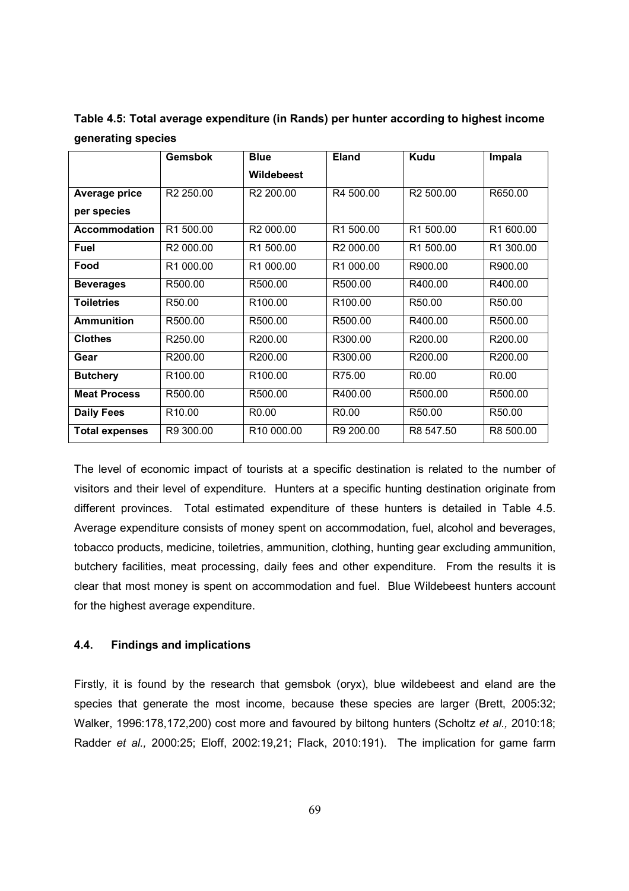|                       | <b>Gemsbok</b>        | <b>Blue</b>            | <b>Eland</b>          | Kudu                  | Impala            |
|-----------------------|-----------------------|------------------------|-----------------------|-----------------------|-------------------|
|                       |                       | Wildebeest             |                       |                       |                   |
| Average price         | R <sub>2</sub> 250.00 | R <sub>2</sub> 200.00  | R4 500.00             | R <sub>2</sub> 500.00 | R650.00           |
| per species           |                       |                        |                       |                       |                   |
| <b>Accommodation</b>  | R <sub>1</sub> 500.00 | R <sub>2</sub> 000.00  | R <sub>1</sub> 500.00 | R <sub>1</sub> 500.00 | R1 600.00         |
| Fuel                  | R <sub>2</sub> 000.00 | R1 500.00              | R <sub>2</sub> 000.00 | R1 500.00             | R1 300.00         |
| Food                  | R1 000.00             | R1 000.00              | R1 000.00             | R900.00               | R900.00           |
| <b>Beverages</b>      | R500.00               | R500.00                | R500.00               | R400.00               | R400.00           |
| <b>Toiletries</b>     | R50.00                | R <sub>100.00</sub>    | R <sub>100.00</sub>   | R50.00                | R50.00            |
| <b>Ammunition</b>     | R500.00               | R500.00                | R500.00               | R400.00               | R500.00           |
| <b>Clothes</b>        | R250.00               | R200.00                | R300.00               | R200.00               | R200.00           |
| Gear                  | R200.00               | R200.00                | R300.00               | R200.00               | R200.00           |
| <b>Butchery</b>       | R <sub>100.00</sub>   | R <sub>100.00</sub>    | R75.00                | R <sub>0.00</sub>     | R <sub>0.00</sub> |
| <b>Meat Process</b>   | R500.00               | R500.00                | R400.00               | R500.00               | R500.00           |
| <b>Daily Fees</b>     | R <sub>10.00</sub>    | R <sub>0.00</sub>      | R <sub>0.00</sub>     | R50.00                | R50.00            |
| <b>Total expenses</b> | R9 300.00             | R <sub>10</sub> 000.00 | R9 200.00             | R8 547.50             | R8 500.00         |

**Table 4.5: Total average expenditure (in Rands) per hunter according to highest income generating species** 

The level of economic impact of tourists at a specific destination is related to the number of visitors and their level of expenditure. Hunters at a specific hunting destination originate from different provinces. Total estimated expenditure of these hunters is detailed in Table 4.5. Average expenditure consists of money spent on accommodation, fuel, alcohol and beverages, tobacco products, medicine, toiletries, ammunition, clothing, hunting gear excluding ammunition, butchery facilities, meat processing, daily fees and other expenditure. From the results it is clear that most money is spent on accommodation and fuel. Blue Wildebeest hunters account for the highest average expenditure.

#### **4.4. Findings and implications**

Firstly, it is found by the research that gemsbok (oryx), blue wildebeest and eland are the species that generate the most income, because these species are larger (Brett, 2005:32; Walker, 1996:178,172,200) cost more and favoured by biltong hunters (Scholtz *et al.,* 2010:18; Radder *et al.,* 2000:25; Eloff, 2002:19,21; Flack, 2010:191). The implication for game farm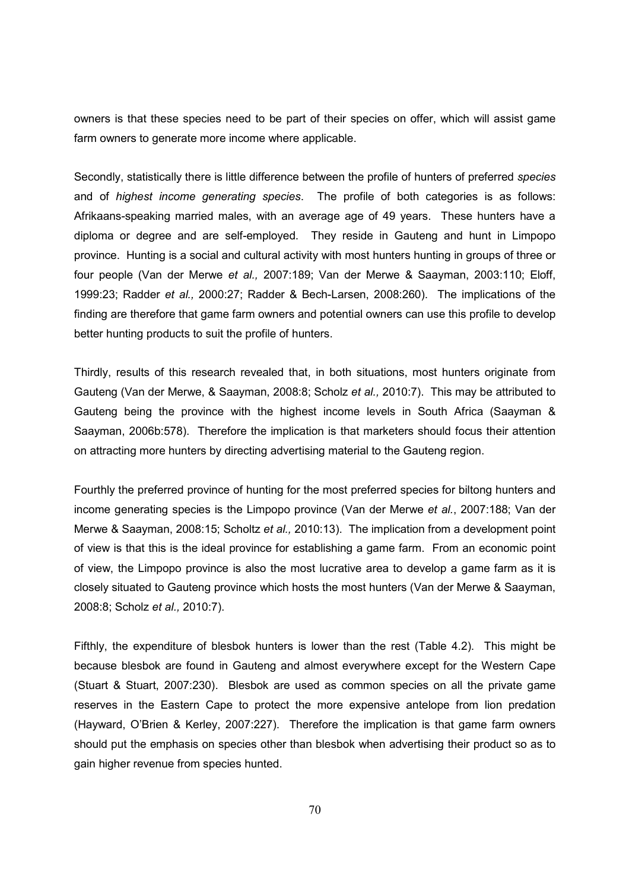owners is that these species need to be part of their species on offer, which will assist game farm owners to generate more income where applicable.

Secondly, statistically there is little difference between the profile of hunters of preferred *species* and of *highest income generating species*. The profile of both categories is as follows: Afrikaans-speaking married males, with an average age of 49 years. These hunters have a diploma or degree and are self-employed. They reside in Gauteng and hunt in Limpopo province. Hunting is a social and cultural activity with most hunters hunting in groups of three or four people (Van der Merwe *et al.,* 2007:189; Van der Merwe & Saayman, 2003:110; Eloff, 1999:23; Radder *et al.,* 2000:27; Radder & Bech-Larsen, 2008:260). The implications of the finding are therefore that game farm owners and potential owners can use this profile to develop better hunting products to suit the profile of hunters.

Thirdly, results of this research revealed that, in both situations, most hunters originate from Gauteng (Van der Merwe, & Saayman, 2008:8; Scholz *et al.,* 2010:7). This may be attributed to Gauteng being the province with the highest income levels in South Africa (Saayman & Saayman, 2006b:578). Therefore the implication is that marketers should focus their attention on attracting more hunters by directing advertising material to the Gauteng region.

Fourthly the preferred province of hunting for the most preferred species for biltong hunters and income generating species is the Limpopo province (Van der Merwe *et al.*, 2007:188; Van der Merwe & Saayman, 2008:15; Scholtz *et al.,* 2010:13). The implication from a development point of view is that this is the ideal province for establishing a game farm. From an economic point of view, the Limpopo province is also the most lucrative area to develop a game farm as it is closely situated to Gauteng province which hosts the most hunters (Van der Merwe & Saayman, 2008:8; Scholz *et al.,* 2010:7).

Fifthly, the expenditure of blesbok hunters is lower than the rest (Table 4.2). This might be because blesbok are found in Gauteng and almost everywhere except for the Western Cape (Stuart & Stuart, 2007:230). Blesbok are used as common species on all the private game reserves in the Eastern Cape to protect the more expensive antelope from lion predation (Hayward, O'Brien & Kerley, 2007:227). Therefore the implication is that game farm owners should put the emphasis on species other than blesbok when advertising their product so as to gain higher revenue from species hunted.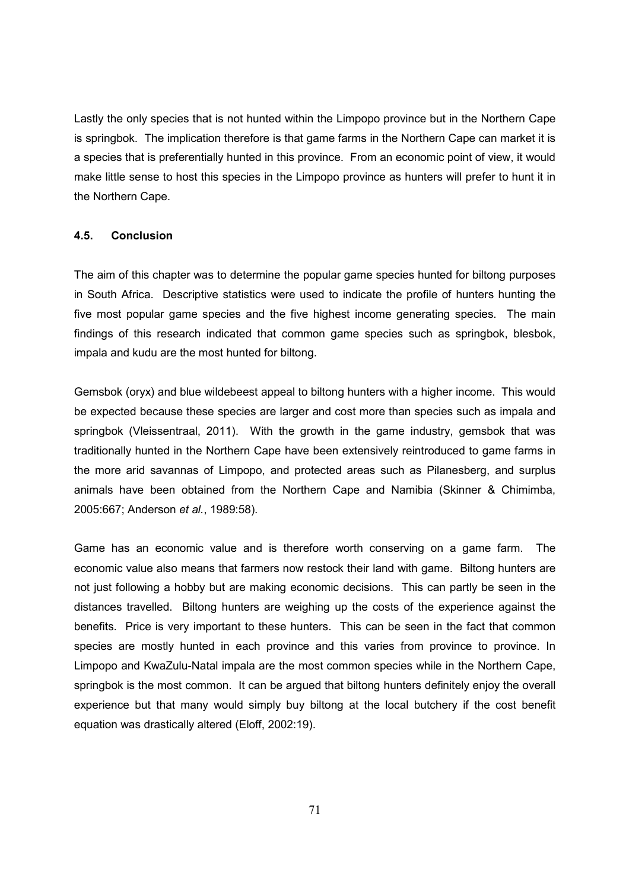Lastly the only species that is not hunted within the Limpopo province but in the Northern Cape is springbok. The implication therefore is that game farms in the Northern Cape can market it is a species that is preferentially hunted in this province. From an economic point of view, it would make little sense to host this species in the Limpopo province as hunters will prefer to hunt it in the Northern Cape.

#### **4.5. Conclusion**

The aim of this chapter was to determine the popular game species hunted for biltong purposes in South Africa. Descriptive statistics were used to indicate the profile of hunters hunting the five most popular game species and the five highest income generating species. The main findings of this research indicated that common game species such as springbok, blesbok, impala and kudu are the most hunted for biltong.

Gemsbok (oryx) and blue wildebeest appeal to biltong hunters with a higher income. This would be expected because these species are larger and cost more than species such as impala and springbok (Vleissentraal, 2011). With the growth in the game industry, gemsbok that was traditionally hunted in the Northern Cape have been extensively reintroduced to game farms in the more arid savannas of Limpopo, and protected areas such as Pilanesberg, and surplus animals have been obtained from the Northern Cape and Namibia (Skinner & Chimimba, 2005:667; Anderson *et al.*, 1989:58).

Game has an economic value and is therefore worth conserving on a game farm. The economic value also means that farmers now restock their land with game. Biltong hunters are not just following a hobby but are making economic decisions. This can partly be seen in the distances travelled. Biltong hunters are weighing up the costs of the experience against the benefits. Price is very important to these hunters. This can be seen in the fact that common species are mostly hunted in each province and this varies from province to province. In Limpopo and KwaZulu-Natal impala are the most common species while in the Northern Cape, springbok is the most common. It can be argued that biltong hunters definitely enjoy the overall experience but that many would simply buy biltong at the local butchery if the cost benefit equation was drastically altered (Eloff, 2002:19).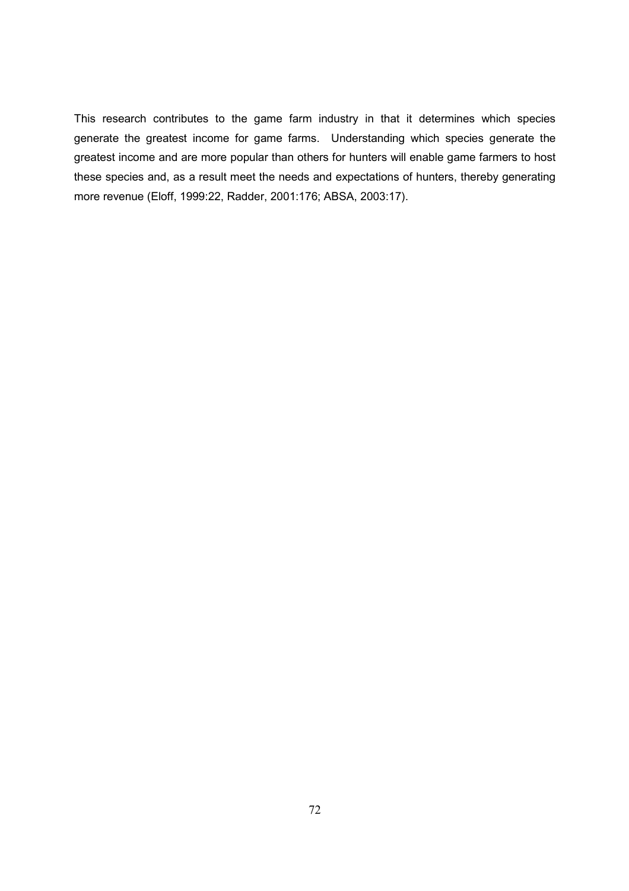This research contributes to the game farm industry in that it determines which species generate the greatest income for game farms. Understanding which species generate the greatest income and are more popular than others for hunters will enable game farmers to host these species and, as a result meet the needs and expectations of hunters, thereby generating more revenue (Eloff, 1999:22, Radder, 2001:176; ABSA, 2003:17).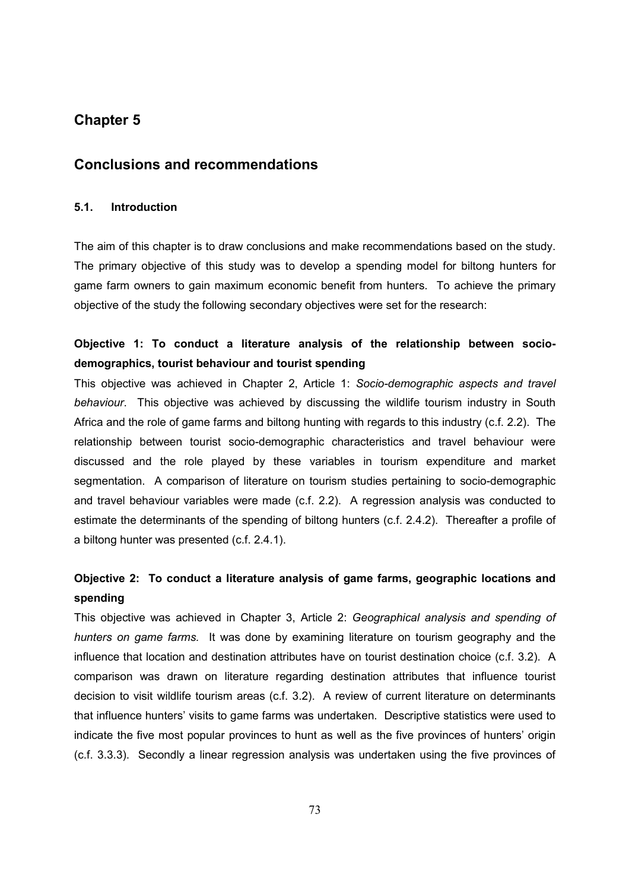# **Chapter 5**

# **Conclusions and recommendations**

### **5.1. Introduction**

The aim of this chapter is to draw conclusions and make recommendations based on the study. The primary objective of this study was to develop a spending model for biltong hunters for game farm owners to gain maximum economic benefit from hunters. To achieve the primary objective of the study the following secondary objectives were set for the research:

# **Objective 1: To conduct a literature analysis of the relationship between sociodemographics, tourist behaviour and tourist spending**

This objective was achieved in Chapter 2, Article 1: *Socio-demographic aspects and travel behaviour*. This objective was achieved by discussing the wildlife tourism industry in South Africa and the role of game farms and biltong hunting with regards to this industry (c.f. 2.2). The relationship between tourist socio-demographic characteristics and travel behaviour were discussed and the role played by these variables in tourism expenditure and market segmentation. A comparison of literature on tourism studies pertaining to socio-demographic and travel behaviour variables were made (c.f. 2.2). A regression analysis was conducted to estimate the determinants of the spending of biltong hunters (c.f. 2.4.2). Thereafter a profile of a biltong hunter was presented (c.f. 2.4.1).

# **Objective 2: To conduct a literature analysis of game farms, geographic locations and spending**

This objective was achieved in Chapter 3, Article 2: *Geographical analysis and spending of hunters on game farms.* It was done by examining literature on tourism geography and the influence that location and destination attributes have on tourist destination choice (c.f. 3.2). A comparison was drawn on literature regarding destination attributes that influence tourist decision to visit wildlife tourism areas (c.f. 3.2). A review of current literature on determinants that influence hunters' visits to game farms was undertaken. Descriptive statistics were used to indicate the five most popular provinces to hunt as well as the five provinces of hunters' origin (c.f. 3.3.3). Secondly a linear regression analysis was undertaken using the five provinces of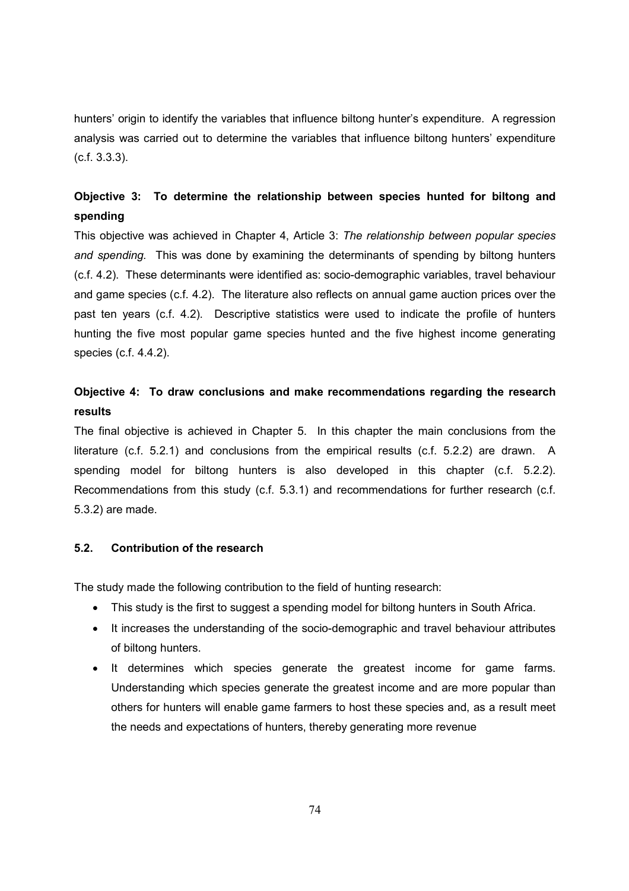hunters' origin to identify the variables that influence biltong hunter's expenditure. A regression analysis was carried out to determine the variables that influence biltong hunters' expenditure (c.f. 3.3.3).

# **Objective 3: To determine the relationship between species hunted for biltong and spending**

This objective was achieved in Chapter 4, Article 3: *The relationship between popular species and spending.* This was done by examining the determinants of spending by biltong hunters (c.f. 4.2). These determinants were identified as: socio-demographic variables, travel behaviour and game species (c.f. 4.2). The literature also reflects on annual game auction prices over the past ten years (c.f. 4.2). Descriptive statistics were used to indicate the profile of hunters hunting the five most popular game species hunted and the five highest income generating species (c.f. 4.4.2).

# **Objective 4: To draw conclusions and make recommendations regarding the research results**

The final objective is achieved in Chapter 5. In this chapter the main conclusions from the literature (c.f. 5.2.1) and conclusions from the empirical results (c.f. 5.2.2) are drawn. A spending model for biltong hunters is also developed in this chapter (c.f. 5.2.2). Recommendations from this study (c.f. 5.3.1) and recommendations for further research (c.f. 5.3.2) are made.

## **5.2. Contribution of the research**

The study made the following contribution to the field of hunting research:

- This study is the first to suggest a spending model for biltong hunters in South Africa.
- It increases the understanding of the socio-demographic and travel behaviour attributes of biltong hunters.
- It determines which species generate the greatest income for game farms. Understanding which species generate the greatest income and are more popular than others for hunters will enable game farmers to host these species and, as a result meet the needs and expectations of hunters, thereby generating more revenue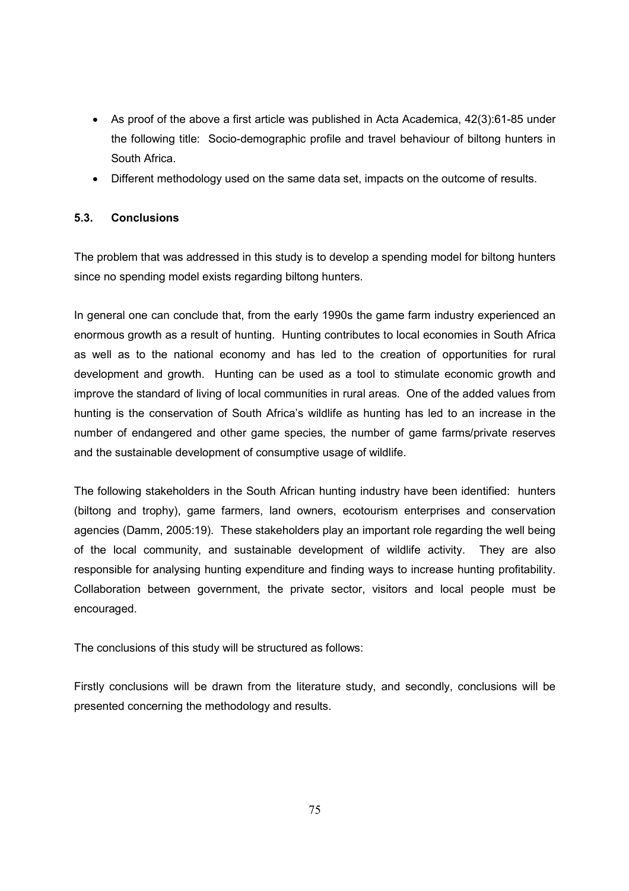- As proof of the above a first article was published in Acta Academica, 42(3):61-85 under the following title: Socio-demographic profile and travel behaviour of biltong hunters in South Africa.
- Different methodology used on the same data set, impacts on the outcome of results.

### **5.3. Conclusions**

The problem that was addressed in this study is to develop a spending model for biltong hunters since no spending model exists regarding biltong hunters.

In general one can conclude that, from the early 1990s the game farm industry experienced an enormous growth as a result of hunting. Hunting contributes to local economies in South Africa as well as to the national economy and has led to the creation of opportunities for rural development and growth. Hunting can be used as a tool to stimulate economic growth and improve the standard of living of local communities in rural areas. One of the added values from hunting is the conservation of South Africa's wildlife as hunting has led to an increase in the number of endangered and other game species, the number of game farms/private reserves and the sustainable development of consumptive usage of wildlife.

The following stakeholders in the South African hunting industry have been identified: hunters (biltong and trophy), game farmers, land owners, ecotourism enterprises and conservation agencies (Damm, 2005:19). These stakeholders play an important role regarding the well being of the local community, and sustainable development of wildlife activity. They are also responsible for analysing hunting expenditure and finding ways to increase hunting profitability. Collaboration between government, the private sector, visitors and local people must be encouraged.

The conclusions of this study will be structured as follows:

Firstly conclusions will be drawn from the literature study, and secondly, conclusions will be presented concerning the methodology and results.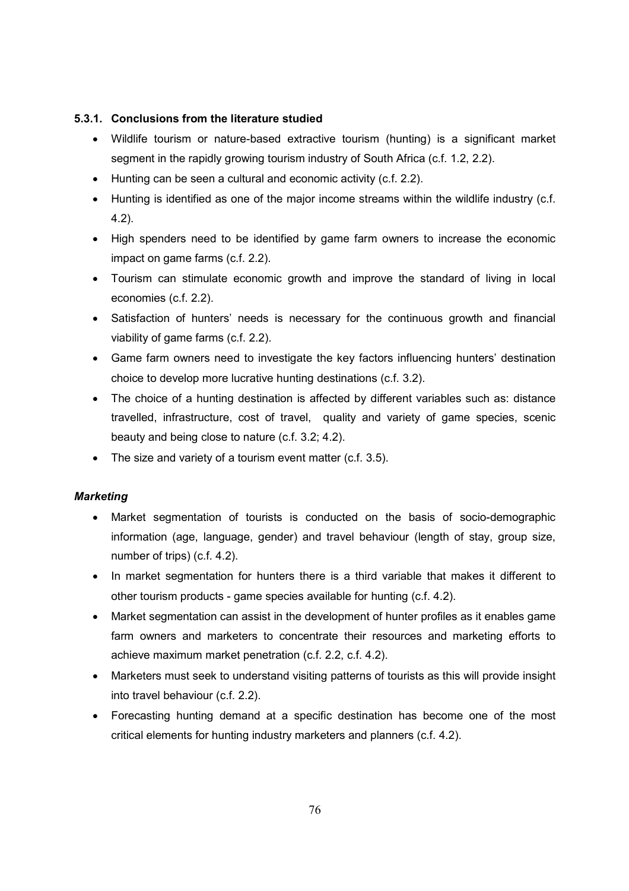#### **5.3.1. Conclusions from the literature studied**

- Wildlife tourism or nature-based extractive tourism (hunting) is a significant market segment in the rapidly growing tourism industry of South Africa (c.f. 1.2, 2.2).
- Hunting can be seen a cultural and economic activity (c.f. 2.2).
- Hunting is identified as one of the major income streams within the wildlife industry (c.f. 4.2).
- High spenders need to be identified by game farm owners to increase the economic impact on game farms (c.f. 2.2).
- Tourism can stimulate economic growth and improve the standard of living in local economies (c.f. 2.2).
- Satisfaction of hunters' needs is necessary for the continuous growth and financial viability of game farms (c.f. 2.2).
- Game farm owners need to investigate the key factors influencing hunters' destination choice to develop more lucrative hunting destinations (c.f. 3.2).
- The choice of a hunting destination is affected by different variables such as: distance travelled, infrastructure, cost of travel, quality and variety of game species, scenic beauty and being close to nature (c.f. 3.2; 4.2).
- The size and variety of a tourism event matter (c.f. 3.5).

## *Marketing*

- Market segmentation of tourists is conducted on the basis of socio-demographic information (age, language, gender) and travel behaviour (length of stay, group size, number of trips) (c.f. 4.2).
- In market segmentation for hunters there is a third variable that makes it different to other tourism products - game species available for hunting (c.f. 4.2).
- Market segmentation can assist in the development of hunter profiles as it enables game farm owners and marketers to concentrate their resources and marketing efforts to achieve maximum market penetration (c.f. 2.2, c.f. 4.2).
- Marketers must seek to understand visiting patterns of tourists as this will provide insight into travel behaviour (c.f. 2.2).
- Forecasting hunting demand at a specific destination has become one of the most critical elements for hunting industry marketers and planners (c.f. 4.2).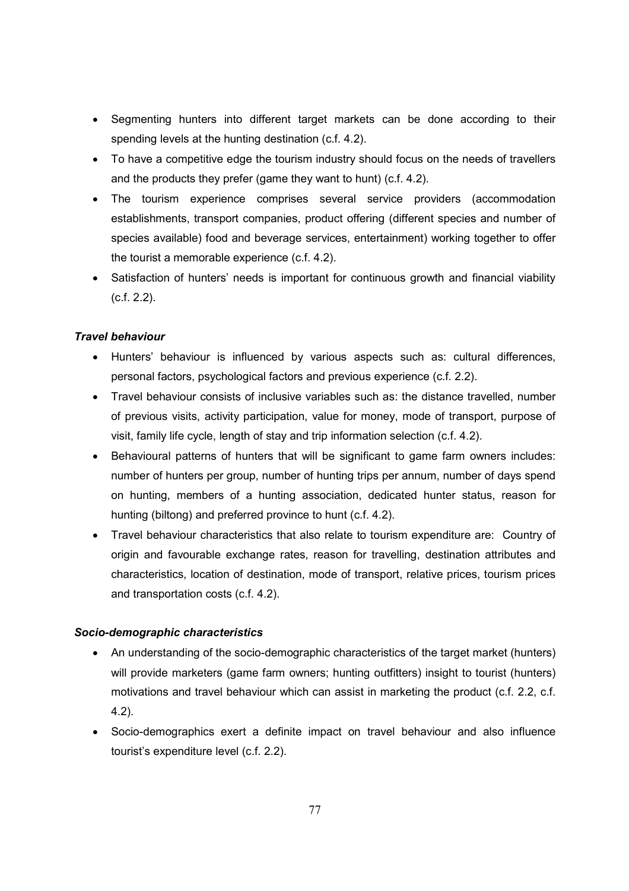- Segmenting hunters into different target markets can be done according to their spending levels at the hunting destination (c.f. 4.2).
- To have a competitive edge the tourism industry should focus on the needs of travellers and the products they prefer (game they want to hunt) (c.f. 4.2).
- The tourism experience comprises several service providers (accommodation establishments, transport companies, product offering (different species and number of species available) food and beverage services, entertainment) working together to offer the tourist a memorable experience (c.f. 4.2).
- Satisfaction of hunters' needs is important for continuous growth and financial viability (c.f. 2.2).

## *Travel behaviour*

- Hunters' behaviour is influenced by various aspects such as: cultural differences, personal factors, psychological factors and previous experience (c.f. 2.2).
- Travel behaviour consists of inclusive variables such as: the distance travelled, number of previous visits, activity participation, value for money, mode of transport, purpose of visit, family life cycle, length of stay and trip information selection (c.f. 4.2).
- Behavioural patterns of hunters that will be significant to game farm owners includes: number of hunters per group, number of hunting trips per annum, number of days spend on hunting, members of a hunting association, dedicated hunter status, reason for hunting (biltong) and preferred province to hunt (c.f. 4.2).
- Travel behaviour characteristics that also relate to tourism expenditure are: Country of origin and favourable exchange rates, reason for travelling, destination attributes and characteristics, location of destination, mode of transport, relative prices, tourism prices and transportation costs (c.f. 4.2).

## *Socio-demographic characteristics*

- An understanding of the socio-demographic characteristics of the target market (hunters) will provide marketers (game farm owners; hunting outfitters) insight to tourist (hunters) motivations and travel behaviour which can assist in marketing the product (c.f. 2.2, c.f. 4.2).
- Socio-demographics exert a definite impact on travel behaviour and also influence tourist's expenditure level (c.f. 2.2).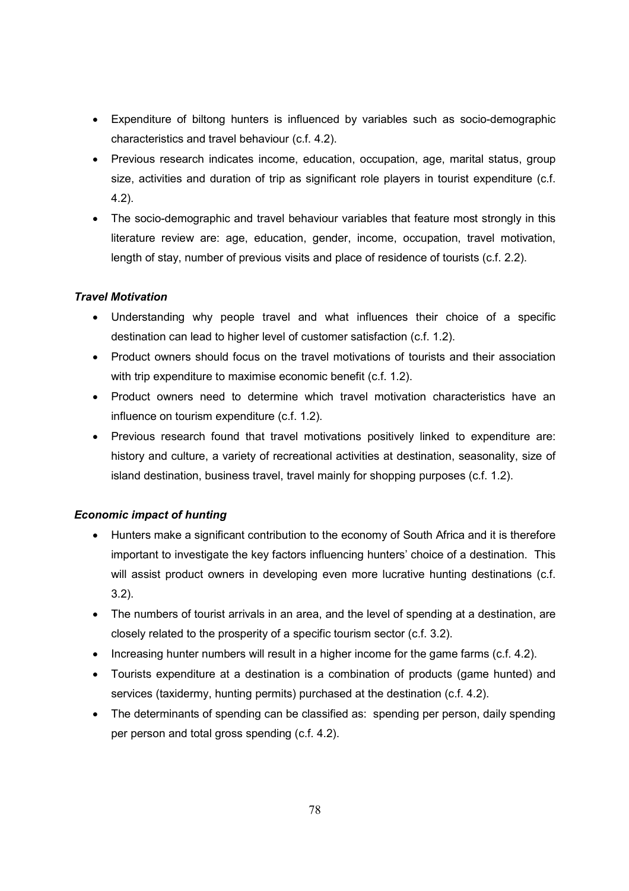- Expenditure of biltong hunters is influenced by variables such as socio-demographic characteristics and travel behaviour (c.f. 4.2).
- Previous research indicates income, education, occupation, age, marital status, group size, activities and duration of trip as significant role players in tourist expenditure (c.f. 4.2).
- The socio-demographic and travel behaviour variables that feature most strongly in this literature review are: age, education, gender, income, occupation, travel motivation, length of stay, number of previous visits and place of residence of tourists (c.f. 2.2).

#### *Travel Motivation*

- Understanding why people travel and what influences their choice of a specific destination can lead to higher level of customer satisfaction (c.f. 1.2).
- Product owners should focus on the travel motivations of tourists and their association with trip expenditure to maximise economic benefit (c.f. 1.2).
- Product owners need to determine which travel motivation characteristics have an influence on tourism expenditure (c.f. 1.2).
- Previous research found that travel motivations positively linked to expenditure are: history and culture, a variety of recreational activities at destination, seasonality, size of island destination, business travel, travel mainly for shopping purposes (c.f. 1.2).

## *Economic impact of hunting*

- Hunters make a significant contribution to the economy of South Africa and it is therefore important to investigate the key factors influencing hunters' choice of a destination. This will assist product owners in developing even more lucrative hunting destinations (c.f. 3.2).
- The numbers of tourist arrivals in an area, and the level of spending at a destination, are closely related to the prosperity of a specific tourism sector (c.f. 3.2).
- Increasing hunter numbers will result in a higher income for the game farms (c.f. 4.2).
- Tourists expenditure at a destination is a combination of products (game hunted) and services (taxidermy, hunting permits) purchased at the destination (c.f. 4.2).
- The determinants of spending can be classified as: spending per person, daily spending per person and total gross spending (c.f. 4.2).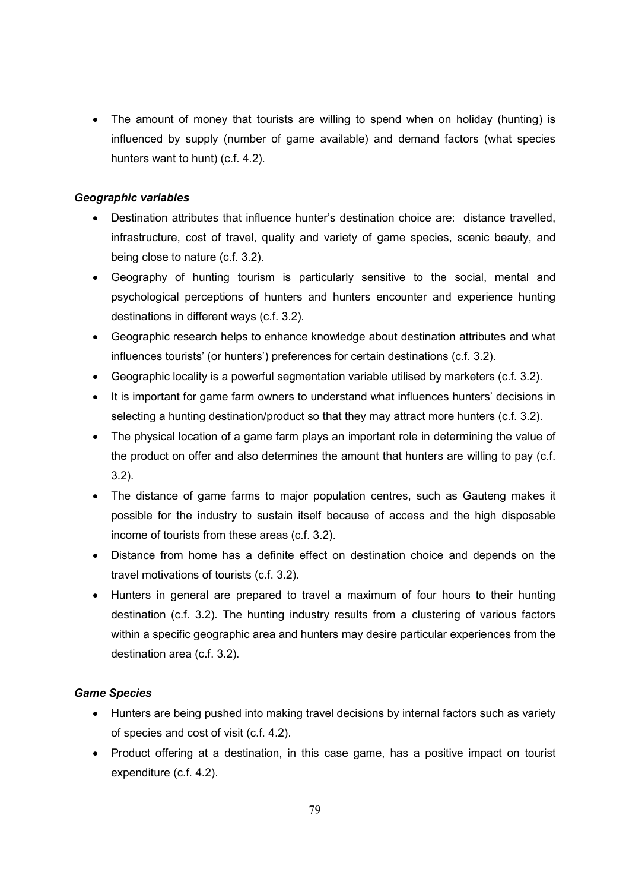• The amount of money that tourists are willing to spend when on holiday (hunting) is influenced by supply (number of game available) and demand factors (what species hunters want to hunt) (c.f. 4.2).

## *Geographic variables*

- Destination attributes that influence hunter's destination choice are: distance travelled, infrastructure, cost of travel, quality and variety of game species, scenic beauty, and being close to nature (c.f. 3.2).
- Geography of hunting tourism is particularly sensitive to the social, mental and psychological perceptions of hunters and hunters encounter and experience hunting destinations in different ways (c.f. 3.2).
- Geographic research helps to enhance knowledge about destination attributes and what influences tourists' (or hunters') preferences for certain destinations (c.f. 3.2).
- Geographic locality is a powerful segmentation variable utilised by marketers (c.f. 3.2).
- It is important for game farm owners to understand what influences hunters' decisions in selecting a hunting destination/product so that they may attract more hunters (c.f. 3.2).
- The physical location of a game farm plays an important role in determining the value of the product on offer and also determines the amount that hunters are willing to pay (c.f. 3.2).
- The distance of game farms to major population centres, such as Gauteng makes it possible for the industry to sustain itself because of access and the high disposable income of tourists from these areas (c.f. 3.2).
- Distance from home has a definite effect on destination choice and depends on the travel motivations of tourists (c.f. 3.2).
- Hunters in general are prepared to travel a maximum of four hours to their hunting destination (c.f. 3.2). The hunting industry results from a clustering of various factors within a specific geographic area and hunters may desire particular experiences from the destination area (c.f. 3.2).

## *Game Species*

- Hunters are being pushed into making travel decisions by internal factors such as variety of species and cost of visit (c.f. 4.2).
- Product offering at a destination, in this case game, has a positive impact on tourist expenditure (c.f. 4.2).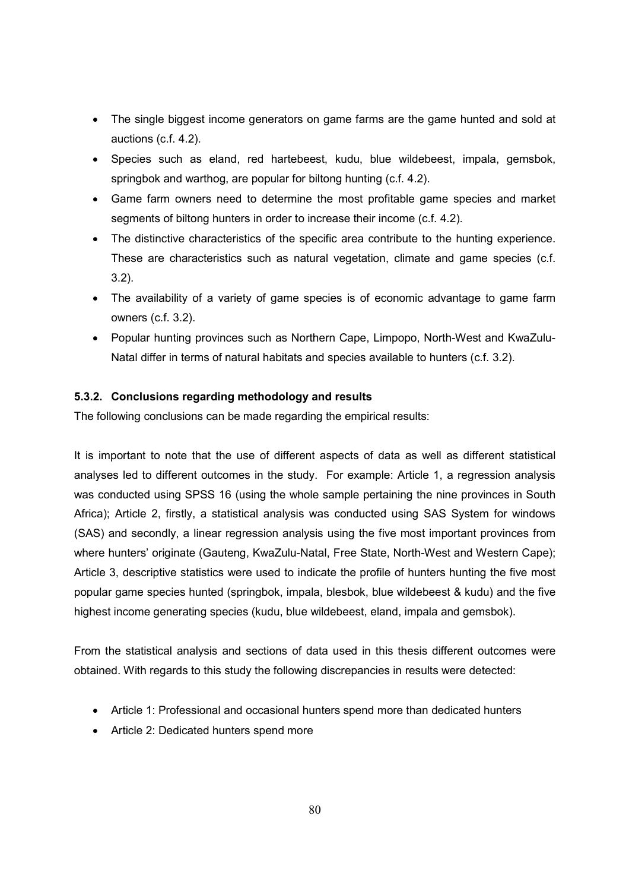- The single biggest income generators on game farms are the game hunted and sold at auctions (c.f. 4.2).
- Species such as eland, red hartebeest, kudu, blue wildebeest, impala, gemsbok, springbok and warthog, are popular for biltong hunting (c.f. 4.2).
- Game farm owners need to determine the most profitable game species and market segments of biltong hunters in order to increase their income (c.f. 4.2).
- The distinctive characteristics of the specific area contribute to the hunting experience. These are characteristics such as natural vegetation, climate and game species (c.f. 3.2).
- The availability of a variety of game species is of economic advantage to game farm owners (c.f. 3.2).
- Popular hunting provinces such as Northern Cape, Limpopo, North-West and KwaZulu-Natal differ in terms of natural habitats and species available to hunters (c.f. 3.2).

## **5.3.2. Conclusions regarding methodology and results**

The following conclusions can be made regarding the empirical results:

It is important to note that the use of different aspects of data as well as different statistical analyses led to different outcomes in the study. For example: Article 1, a regression analysis was conducted using SPSS 16 (using the whole sample pertaining the nine provinces in South Africa); Article 2, firstly, a statistical analysis was conducted using SAS System for windows (SAS) and secondly, a linear regression analysis using the five most important provinces from where hunters' originate (Gauteng, KwaZulu-Natal, Free State, North-West and Western Cape); Article 3, descriptive statistics were used to indicate the profile of hunters hunting the five most popular game species hunted (springbok, impala, blesbok, blue wildebeest & kudu) and the five highest income generating species (kudu, blue wildebeest, eland, impala and gemsbok).

From the statistical analysis and sections of data used in this thesis different outcomes were obtained. With regards to this study the following discrepancies in results were detected:

- Article 1: Professional and occasional hunters spend more than dedicated hunters
- Article 2: Dedicated hunters spend more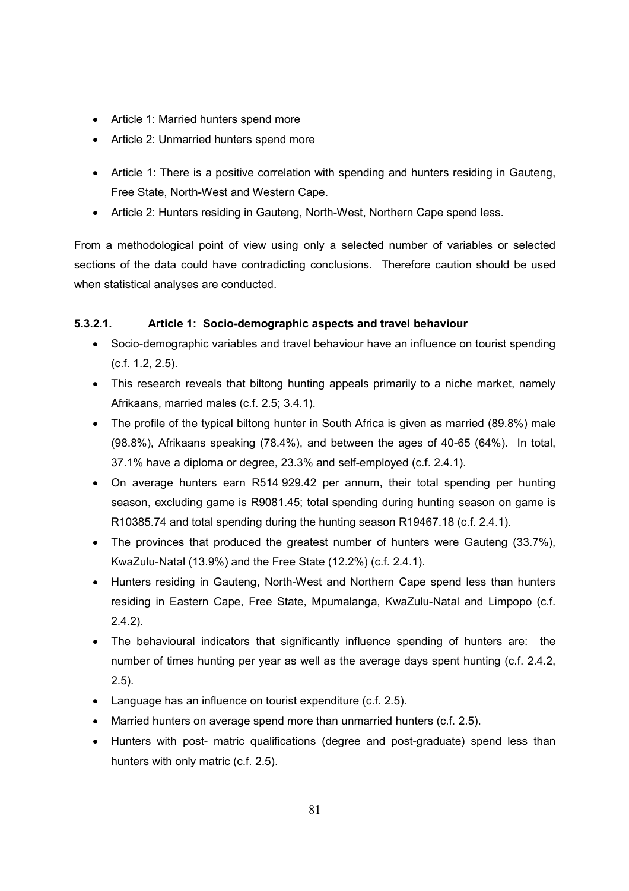- Article 1: Married hunters spend more
- Article 2: Unmarried hunters spend more
- Article 1: There is a positive correlation with spending and hunters residing in Gauteng, Free State, North-West and Western Cape.
- Article 2: Hunters residing in Gauteng, North-West, Northern Cape spend less.

From a methodological point of view using only a selected number of variables or selected sections of the data could have contradicting conclusions. Therefore caution should be used when statistical analyses are conducted.

# **5.3.2.1. Article 1: Socio-demographic aspects and travel behaviour**

- Socio-demographic variables and travel behaviour have an influence on tourist spending (c.f. 1.2, 2.5).
- This research reveals that biltong hunting appeals primarily to a niche market, namely Afrikaans, married males (c.f. 2.5; 3.4.1).
- The profile of the typical biltong hunter in South Africa is given as married (89.8%) male (98.8%), Afrikaans speaking (78.4%), and between the ages of 40-65 (64%). In total, 37.1% have a diploma or degree, 23.3% and self-employed (c.f. 2.4.1).
- On average hunters earn R514 929.42 per annum, their total spending per hunting season, excluding game is R9081.45; total spending during hunting season on game is R10385.74 and total spending during the hunting season R19467.18 (c.f. 2.4.1).
- The provinces that produced the greatest number of hunters were Gauteng (33.7%), KwaZulu-Natal (13.9%) and the Free State (12.2%) (c.f. 2.4.1).
- Hunters residing in Gauteng, North-West and Northern Cape spend less than hunters residing in Eastern Cape, Free State, Mpumalanga, KwaZulu-Natal and Limpopo (c.f. 2.4.2).
- The behavioural indicators that significantly influence spending of hunters are: the number of times hunting per year as well as the average days spent hunting (c.f. 2.4.2, 2.5).
- Language has an influence on tourist expenditure (c.f. 2.5).
- Married hunters on average spend more than unmarried hunters (c.f. 2.5).
- Hunters with post- matric qualifications (degree and post-graduate) spend less than hunters with only matric (c.f. 2.5).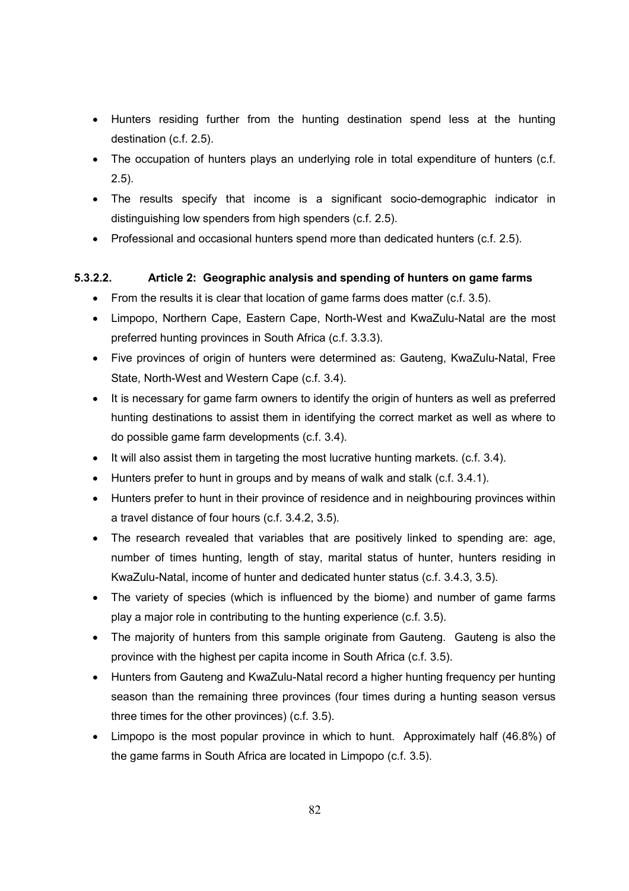- Hunters residing further from the hunting destination spend less at the hunting destination (c.f. 2.5).
- The occupation of hunters plays an underlying role in total expenditure of hunters (c.f. 2.5).
- The results specify that income is a significant socio-demographic indicator in distinguishing low spenders from high spenders (c.f. 2.5).
- Professional and occasional hunters spend more than dedicated hunters (c.f. 2.5).

## **5.3.2.2. Article 2: Geographic analysis and spending of hunters on game farms**

- From the results it is clear that location of game farms does matter (c.f. 3.5).
- Limpopo, Northern Cape, Eastern Cape, North-West and KwaZulu-Natal are the most preferred hunting provinces in South Africa (c.f. 3.3.3).
- Five provinces of origin of hunters were determined as: Gauteng, KwaZulu-Natal, Free State, North-West and Western Cape (c.f. 3.4).
- It is necessary for game farm owners to identify the origin of hunters as well as preferred hunting destinations to assist them in identifying the correct market as well as where to do possible game farm developments (c.f. 3.4).
- It will also assist them in targeting the most lucrative hunting markets. (c.f. 3.4).
- Hunters prefer to hunt in groups and by means of walk and stalk (c.f. 3.4.1).
- Hunters prefer to hunt in their province of residence and in neighbouring provinces within a travel distance of four hours (c.f. 3.4.2, 3.5).
- The research revealed that variables that are positively linked to spending are: age, number of times hunting, length of stay, marital status of hunter, hunters residing in KwaZulu-Natal, income of hunter and dedicated hunter status (c.f. 3.4.3, 3.5).
- The variety of species (which is influenced by the biome) and number of game farms play a major role in contributing to the hunting experience (c.f. 3.5).
- The majority of hunters from this sample originate from Gauteng. Gauteng is also the province with the highest per capita income in South Africa (c.f. 3.5).
- Hunters from Gauteng and KwaZulu-Natal record a higher hunting frequency per hunting season than the remaining three provinces (four times during a hunting season versus three times for the other provinces) (c.f. 3.5).
- Limpopo is the most popular province in which to hunt. Approximately half (46.8%) of the game farms in South Africa are located in Limpopo (c.f. 3.5).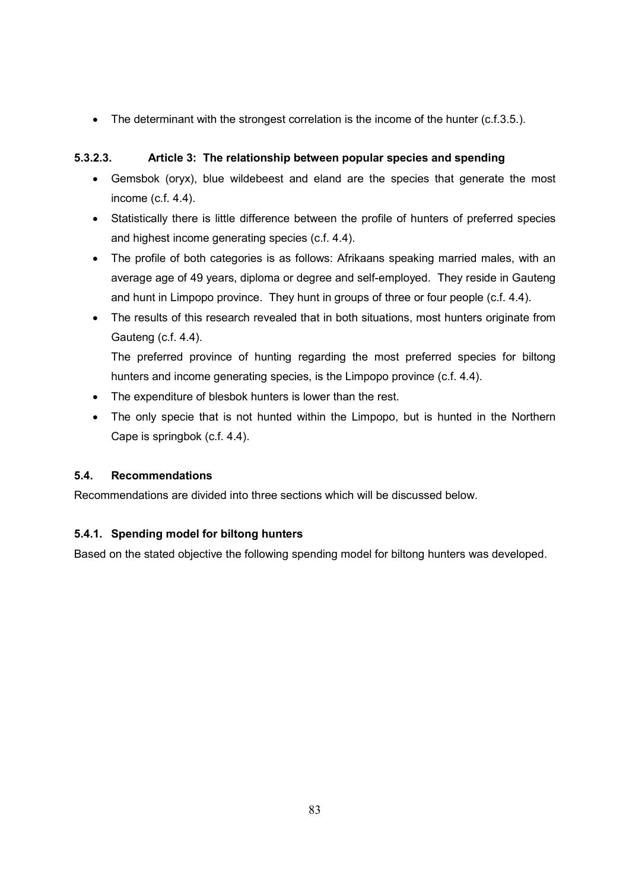• The determinant with the strongest correlation is the income of the hunter (c.f.3.5.).

#### **5.3.2.3. Article 3: The relationship between popular species and spending**

- Gemsbok (oryx), blue wildebeest and eland are the species that generate the most income (c.f. 4.4).
- Statistically there is little difference between the profile of hunters of preferred species and highest income generating species (c.f. 4.4).
- The profile of both categories is as follows: Afrikaans speaking married males, with an average age of 49 years, diploma or degree and self-employed. They reside in Gauteng and hunt in Limpopo province. They hunt in groups of three or four people (c.f. 4.4).
- The results of this research revealed that in both situations, most hunters originate from Gauteng (c.f. 4.4).

The preferred province of hunting regarding the most preferred species for biltong hunters and income generating species, is the Limpopo province (c.f. 4.4).

- The expenditure of blesbok hunters is lower than the rest.
- The only specie that is not hunted within the Limpopo, but is hunted in the Northern Cape is springbok (c.f. 4.4).

## **5.4. Recommendations**

Recommendations are divided into three sections which will be discussed below.

## **5.4.1. Spending model for biltong hunters**

Based on the stated objective the following spending model for biltong hunters was developed.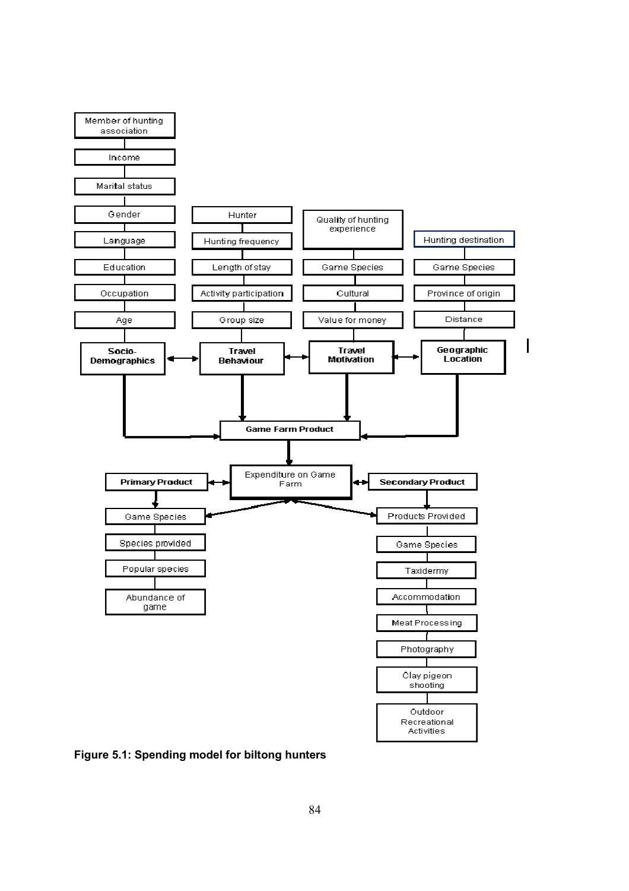

**Figure 5.1: Spending model for biltong hunters**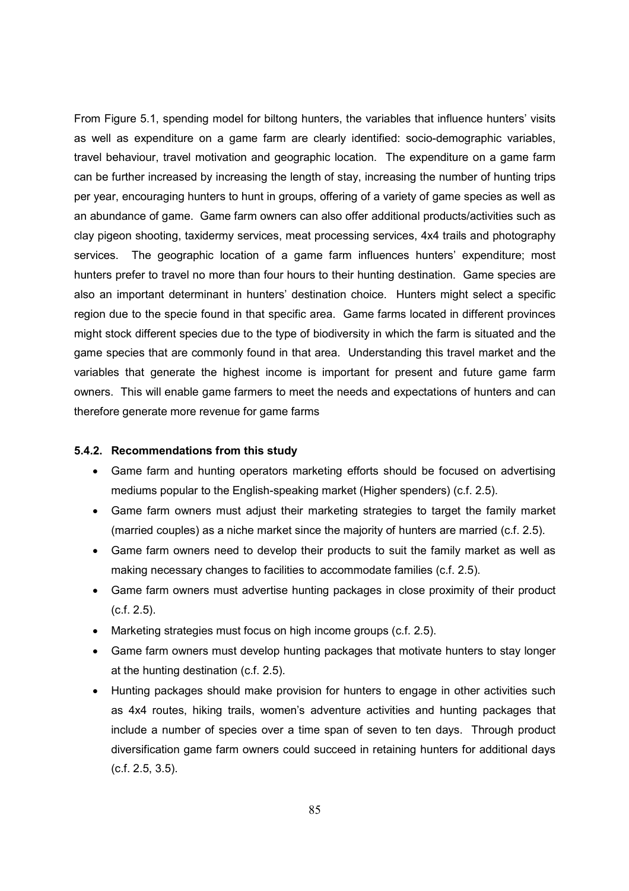From Figure 5.1, spending model for biltong hunters, the variables that influence hunters' visits as well as expenditure on a game farm are clearly identified: socio-demographic variables, travel behaviour, travel motivation and geographic location. The expenditure on a game farm can be further increased by increasing the length of stay, increasing the number of hunting trips per year, encouraging hunters to hunt in groups, offering of a variety of game species as well as an abundance of game. Game farm owners can also offer additional products/activities such as clay pigeon shooting, taxidermy services, meat processing services, 4x4 trails and photography services. The geographic location of a game farm influences hunters' expenditure; most hunters prefer to travel no more than four hours to their hunting destination. Game species are also an important determinant in hunters' destination choice. Hunters might select a specific region due to the specie found in that specific area. Game farms located in different provinces might stock different species due to the type of biodiversity in which the farm is situated and the game species that are commonly found in that area. Understanding this travel market and the variables that generate the highest income is important for present and future game farm owners. This will enable game farmers to meet the needs and expectations of hunters and can therefore generate more revenue for game farms

#### **5.4.2. Recommendations from this study**

- Game farm and hunting operators marketing efforts should be focused on advertising mediums popular to the English-speaking market (Higher spenders) (c.f. 2.5).
- Game farm owners must adjust their marketing strategies to target the family market (married couples) as a niche market since the majority of hunters are married (c.f. 2.5).
- Game farm owners need to develop their products to suit the family market as well as making necessary changes to facilities to accommodate families (c.f. 2.5).
- Game farm owners must advertise hunting packages in close proximity of their product (c.f. 2.5).
- Marketing strategies must focus on high income groups (c.f. 2.5).
- Game farm owners must develop hunting packages that motivate hunters to stay longer at the hunting destination (c.f. 2.5).
- Hunting packages should make provision for hunters to engage in other activities such as 4x4 routes, hiking trails, women's adventure activities and hunting packages that include a number of species over a time span of seven to ten days. Through product diversification game farm owners could succeed in retaining hunters for additional days (c.f. 2.5, 3.5).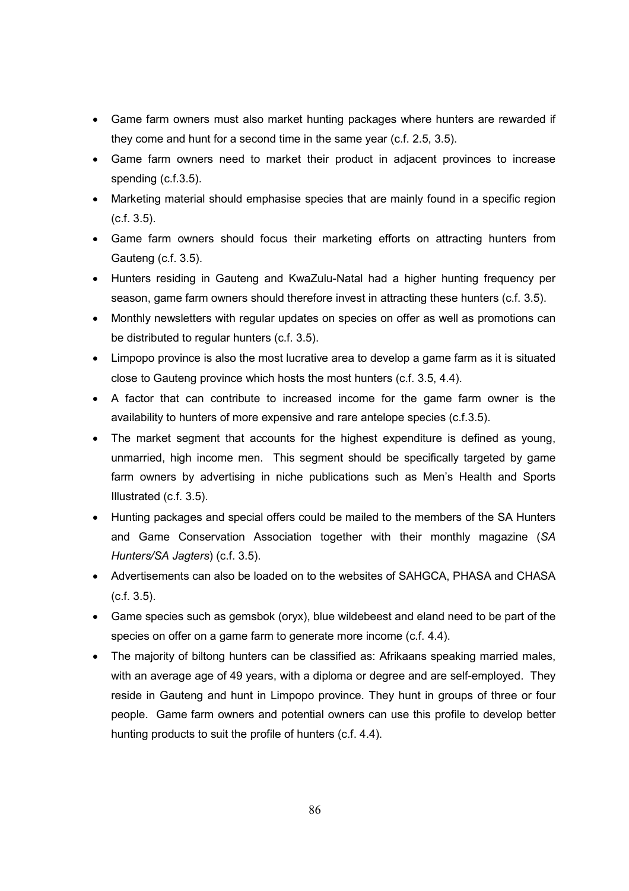- Game farm owners must also market hunting packages where hunters are rewarded if they come and hunt for a second time in the same year (c.f. 2.5, 3.5).
- Game farm owners need to market their product in adjacent provinces to increase spending (c.f.3.5).
- Marketing material should emphasise species that are mainly found in a specific region (c.f. 3.5).
- Game farm owners should focus their marketing efforts on attracting hunters from Gauteng (c.f. 3.5).
- Hunters residing in Gauteng and KwaZulu-Natal had a higher hunting frequency per season, game farm owners should therefore invest in attracting these hunters (c.f. 3.5).
- Monthly newsletters with regular updates on species on offer as well as promotions can be distributed to regular hunters (c.f. 3.5).
- Limpopo province is also the most lucrative area to develop a game farm as it is situated close to Gauteng province which hosts the most hunters (c.f. 3.5, 4.4).
- A factor that can contribute to increased income for the game farm owner is the availability to hunters of more expensive and rare antelope species (c.f.3.5).
- The market segment that accounts for the highest expenditure is defined as young, unmarried, high income men. This segment should be specifically targeted by game farm owners by advertising in niche publications such as Men's Health and Sports Illustrated (c.f. 3.5).
- Hunting packages and special offers could be mailed to the members of the SA Hunters and Game Conservation Association together with their monthly magazine (*SA Hunters/SA Jagters*) (c.f. 3.5).
- Advertisements can also be loaded on to the websites of SAHGCA, PHASA and CHASA (c.f. 3.5).
- Game species such as gemsbok (oryx), blue wildebeest and eland need to be part of the species on offer on a game farm to generate more income (c.f. 4.4).
- The majority of biltong hunters can be classified as: Afrikaans speaking married males, with an average age of 49 years, with a diploma or degree and are self-employed. They reside in Gauteng and hunt in Limpopo province. They hunt in groups of three or four people. Game farm owners and potential owners can use this profile to develop better hunting products to suit the profile of hunters (c.f. 4.4).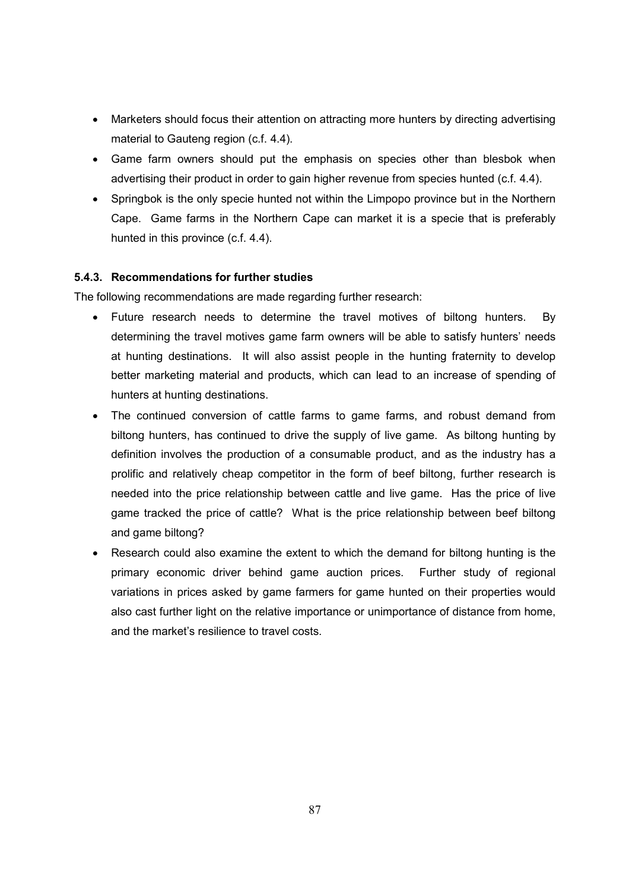- Marketers should focus their attention on attracting more hunters by directing advertising material to Gauteng region (c.f. 4.4).
- Game farm owners should put the emphasis on species other than blesbok when advertising their product in order to gain higher revenue from species hunted (c.f. 4.4).
- Springbok is the only specie hunted not within the Limpopo province but in the Northern Cape. Game farms in the Northern Cape can market it is a specie that is preferably hunted in this province (c.f. 4.4).

## **5.4.3. Recommendations for further studies**

The following recommendations are made regarding further research:

- Future research needs to determine the travel motives of biltong hunters. By determining the travel motives game farm owners will be able to satisfy hunters' needs at hunting destinations. It will also assist people in the hunting fraternity to develop better marketing material and products, which can lead to an increase of spending of hunters at hunting destinations.
- The continued conversion of cattle farms to game farms, and robust demand from biltong hunters, has continued to drive the supply of live game. As biltong hunting by definition involves the production of a consumable product, and as the industry has a prolific and relatively cheap competitor in the form of beef biltong, further research is needed into the price relationship between cattle and live game. Has the price of live game tracked the price of cattle? What is the price relationship between beef biltong and game biltong?
- Research could also examine the extent to which the demand for biltong hunting is the primary economic driver behind game auction prices. Further study of regional variations in prices asked by game farmers for game hunted on their properties would also cast further light on the relative importance or unimportance of distance from home, and the market's resilience to travel costs.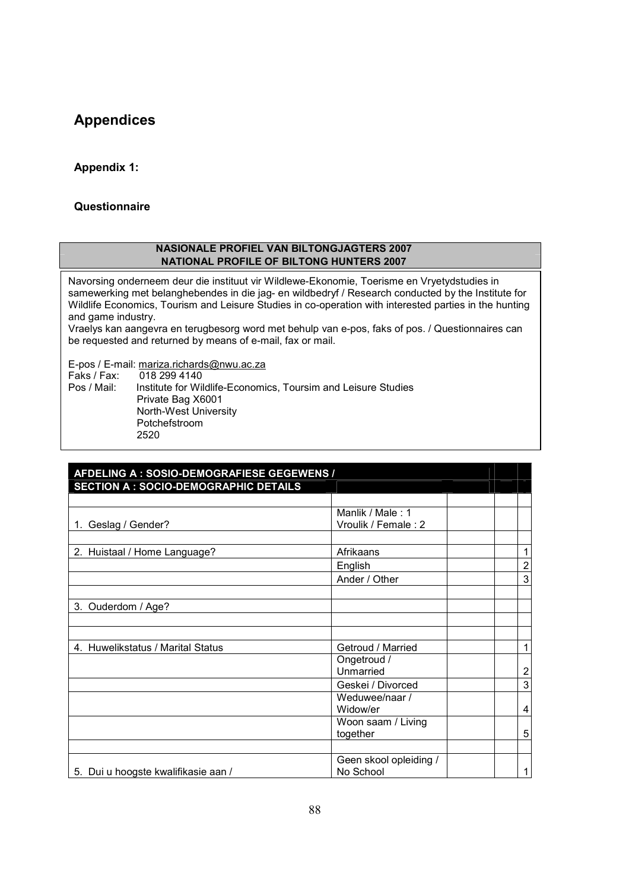# **Appendices**

## **Appendix 1:**

## **Questionnaire**

#### **NASIONALE PROFIEL VAN BILTONGJAGTERS 2007 NATIONAL PROFILE OF BILTONG HUNTERS 2007**

Navorsing onderneem deur die instituut vir Wildlewe-Ekonomie, Toerisme en Vryetydstudies in samewerking met belanghebendes in die jag- en wildbedryf / Research conducted by the Institute for Wildlife Economics, Tourism and Leisure Studies in co-operation with interested parties in the hunting and game industry.

Vraelys kan aangevra en terugbesorg word met behulp van e-pos, faks of pos. / Questionnaires can be requested and returned by means of e-mail, fax or mail.

E-pos / E-mail: mariza.richards@nwu.ac.za<br>Faks / Fax: 018 299 4140 Faks / Fax: 018 299 4140<br>Pos / Mail: Institute for Wil Institute for Wildlife-Economics, Toursim and Leisure Studies Private Bag X6001 North-West University Potchefstroom 2520

| AFDELING A : SOSIO-DEMOGRAFIESE GEGEWENS /<br><b>SECTION A : SOCIO-DEMOGRAPHIC DETAILS</b> |                                         |  |                |
|--------------------------------------------------------------------------------------------|-----------------------------------------|--|----------------|
|                                                                                            |                                         |  |                |
| 1. Geslag / Gender?                                                                        | Manlik / Male: 1<br>Vroulik / Female: 2 |  |                |
|                                                                                            |                                         |  |                |
| 2. Huistaal / Home Language?                                                               | Afrikaans                               |  | 1              |
|                                                                                            | English                                 |  | $\overline{c}$ |
|                                                                                            | Ander / Other                           |  | 3              |
| 3. Ouderdom / Age?                                                                         |                                         |  |                |
|                                                                                            |                                         |  |                |
| 4. Huwelikstatus / Marital Status                                                          | Getroud / Married                       |  | 1              |
|                                                                                            | Ongetroud /<br>Unmarried                |  | $\overline{c}$ |
|                                                                                            | Geskei / Divorced                       |  | 3              |
|                                                                                            | Weduwee/naar /<br>Widow/er              |  | 4              |
|                                                                                            | Woon saam / Living<br>together          |  | 5              |
|                                                                                            |                                         |  |                |
| 5. Dui u hoogste kwalifikasie aan /                                                        | Geen skool opleiding /<br>No School     |  |                |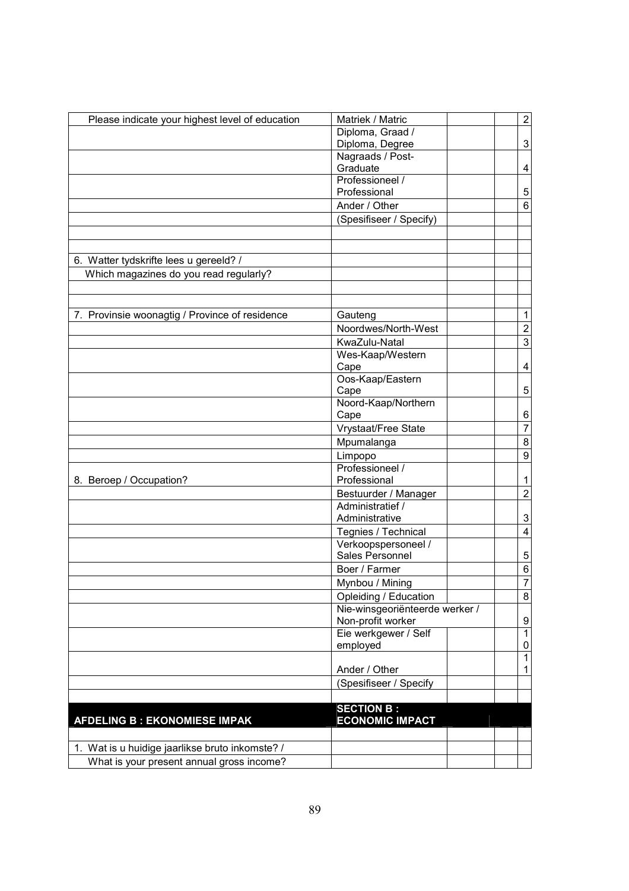| Please indicate your highest level of education | Matriek / Matric                            |  | $\sqrt{2}$                |
|-------------------------------------------------|---------------------------------------------|--|---------------------------|
|                                                 | Diploma, Graad /                            |  |                           |
|                                                 | Diploma, Degree                             |  | $\mathfrak{S}$            |
|                                                 | Nagraads / Post-                            |  |                           |
|                                                 | Graduate                                    |  | $\overline{4}$            |
|                                                 | Professioneel /                             |  |                           |
|                                                 | Professional                                |  | $\sqrt{5}$<br>$\,6\,$     |
|                                                 | Ander / Other                               |  |                           |
|                                                 | (Spesifiseer / Specify)                     |  |                           |
|                                                 |                                             |  |                           |
| 6. Watter tydskrifte lees u gereeld? /          |                                             |  |                           |
| Which magazines do you read regularly?          |                                             |  |                           |
|                                                 |                                             |  |                           |
|                                                 |                                             |  |                           |
| 7. Provinsie woonagtig / Province of residence  | Gauteng                                     |  | $\mathbf{1}$              |
|                                                 | Noordwes/North-West                         |  | $\overline{2}$            |
|                                                 | KwaZulu-Natal                               |  | $\ensuremath{\mathsf{3}}$ |
|                                                 | Wes-Kaap/Western                            |  |                           |
|                                                 | Cape                                        |  | $\overline{4}$            |
|                                                 | Oos-Kaap/Eastern                            |  |                           |
|                                                 | Cape                                        |  | $\overline{5}$            |
|                                                 | Noord-Kaap/Northern                         |  |                           |
|                                                 | Cape                                        |  | $\,6\,$                   |
|                                                 | Vrystaat/Free State                         |  | $\overline{7}$            |
|                                                 | Mpumalanga                                  |  | $\bf 8$                   |
|                                                 | Limpopo                                     |  | $\boldsymbol{9}$          |
|                                                 | Professioneel /                             |  |                           |
| 8. Beroep / Occupation?                         | Professional                                |  | $\mathbf 1$               |
|                                                 | Bestuurder / Manager<br>Administratief /    |  | $\overline{2}$            |
|                                                 | Administrative                              |  | 3                         |
|                                                 | Tegnies / Technical                         |  | $\overline{\mathbf{4}}$   |
|                                                 | Verkoopspersoneel /                         |  |                           |
|                                                 | Sales Personnel                             |  | $\sqrt{5}$                |
|                                                 | Boer / Farmer                               |  | $\,6\,$                   |
|                                                 | Mynbou / Mining                             |  | $\overline{7}$            |
|                                                 | Opleiding / Education                       |  | $\,8\,$                   |
|                                                 | Nie-winsgeoriënteerde werker /              |  |                           |
|                                                 | Non-profit worker                           |  | $\boldsymbol{9}$          |
|                                                 | Eie werkgewer / Self                        |  | $\mathbf{1}$              |
|                                                 | employed                                    |  | $\pmb{0}$                 |
|                                                 |                                             |  | $\overline{1}$            |
|                                                 | Ander / Other                               |  | $\mathbf 1$               |
|                                                 | (Spesifiseer / Specify                      |  |                           |
|                                                 |                                             |  |                           |
| <b>AFDELING B: EKONOMIESE IMPAK</b>             | <b>SECTION B:</b><br><b>ECONOMIC IMPACT</b> |  |                           |
|                                                 |                                             |  |                           |
|                                                 |                                             |  |                           |
| 1. Wat is u huidige jaarlikse bruto inkomste? / |                                             |  |                           |
| What is your present annual gross income?       |                                             |  |                           |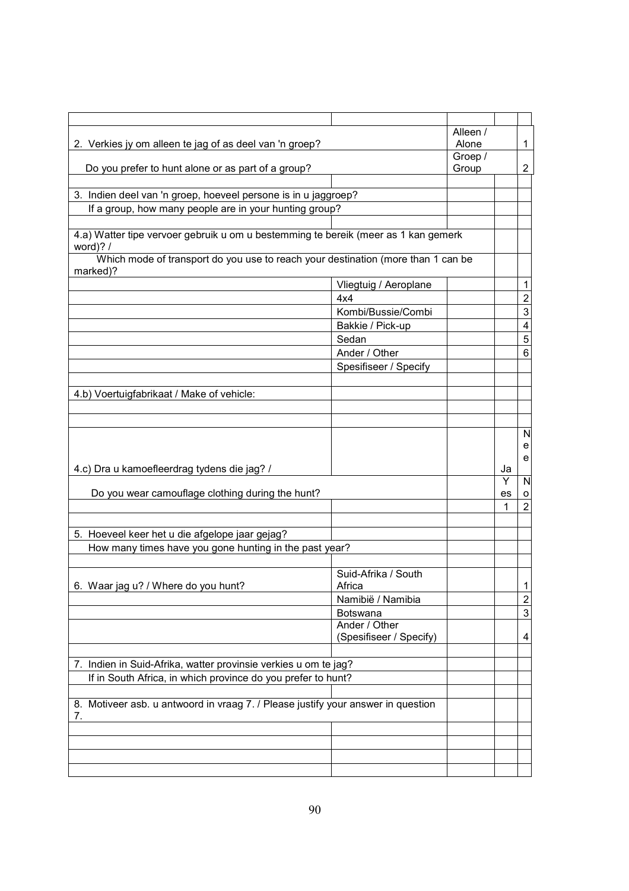|                                                                                                       |                         | Alleen / |    |                         |
|-------------------------------------------------------------------------------------------------------|-------------------------|----------|----|-------------------------|
| 2. Verkies jy om alleen te jag of as deel van 'n groep?                                               |                         | Alone    |    | $\mathbf{1}$            |
|                                                                                                       |                         | Groep /  |    |                         |
| Do you prefer to hunt alone or as part of a group?                                                    |                         | Group    |    | $\overline{c}$          |
|                                                                                                       |                         |          |    |                         |
| 3. Indien deel van 'n groep, hoeveel persone is in u jaggroep?                                        |                         |          |    |                         |
| If a group, how many people are in your hunting group?                                                |                         |          |    |                         |
|                                                                                                       |                         |          |    |                         |
| 4.a) Watter tipe vervoer gebruik u om u bestemming te bereik (meer as 1 kan gemerk<br>word)? $\prime$ |                         |          |    |                         |
| Which mode of transport do you use to reach your destination (more than 1 can be<br>marked)?          |                         |          |    |                         |
|                                                                                                       | Vliegtuig / Aeroplane   |          |    | $\mathbf{1}$            |
|                                                                                                       | 4x4                     |          |    | $\boldsymbol{2}$        |
|                                                                                                       | Kombi/Bussie/Combi      |          |    | $\mathbf{3}$            |
|                                                                                                       | Bakkie / Pick-up        |          |    | $\overline{\mathbf{4}}$ |
|                                                                                                       | Sedan                   |          |    | 5                       |
|                                                                                                       | Ander / Other           |          |    | $6\phantom{1}6$         |
|                                                                                                       | Spesifiseer / Specify   |          |    |                         |
|                                                                                                       |                         |          |    |                         |
| 4.b) Voertuigfabrikaat / Make of vehicle:                                                             |                         |          |    |                         |
|                                                                                                       |                         |          |    |                         |
|                                                                                                       |                         |          |    |                         |
|                                                                                                       |                         |          |    | N                       |
|                                                                                                       |                         |          |    |                         |
|                                                                                                       |                         |          |    | e                       |
|                                                                                                       |                         |          |    | e                       |
| 4.c) Dra u kamoefleerdrag tydens die jag? /                                                           |                         |          | Ja |                         |
|                                                                                                       |                         |          | Y  | N                       |
| Do you wear camouflage clothing during the hunt?                                                      |                         |          | es | o                       |
|                                                                                                       |                         |          | 1  | $\overline{2}$          |
|                                                                                                       |                         |          |    |                         |
| 5. Hoeveel keer het u die afgelope jaar gejag?                                                        |                         |          |    |                         |
| How many times have you gone hunting in the past year?                                                |                         |          |    |                         |
|                                                                                                       |                         |          |    |                         |
|                                                                                                       | Suid-Afrika / South     |          |    |                         |
| 6. Waar jag u? / Where do you hunt?                                                                   | Africa                  |          |    | $\mathbf{1}$            |
|                                                                                                       | Namibië / Namibia       |          |    | 2                       |
|                                                                                                       | <b>Botswana</b>         |          |    | $\mathbf{3}$            |
|                                                                                                       | Ander / Other           |          |    |                         |
|                                                                                                       | (Spesifiseer / Specify) |          |    | 4                       |
|                                                                                                       |                         |          |    |                         |
| 7. Indien in Suid-Afrika, watter provinsie verkies u om te jag?                                       |                         |          |    |                         |
| If in South Africa, in which province do you prefer to hunt?                                          |                         |          |    |                         |
|                                                                                                       |                         |          |    |                         |
| 8. Motiveer asb. u antwoord in vraag 7. / Please justify your answer in question                      |                         |          |    |                         |
| 7.                                                                                                    |                         |          |    |                         |
|                                                                                                       |                         |          |    |                         |
|                                                                                                       |                         |          |    |                         |
|                                                                                                       |                         |          |    |                         |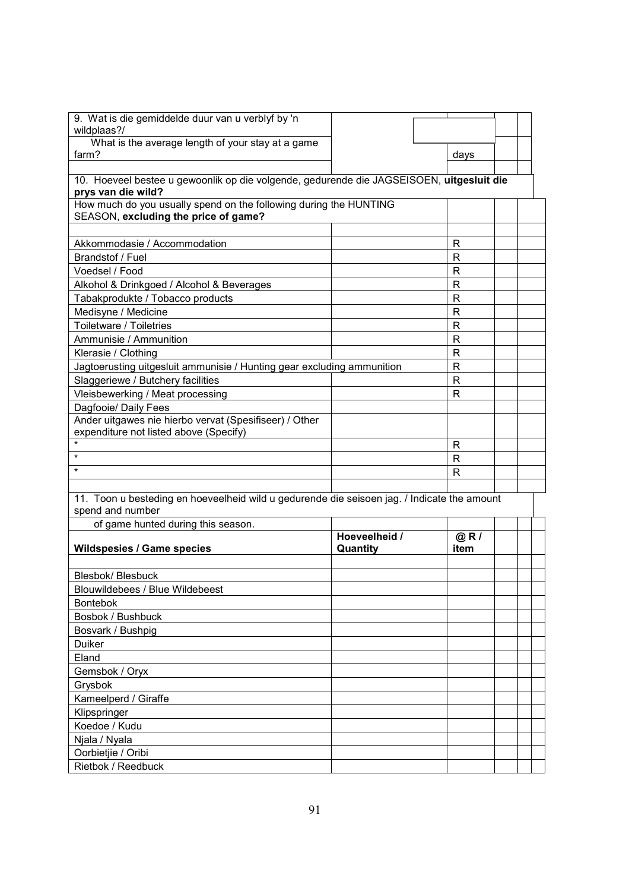| 9. Wat is die gemiddelde duur van u verblyf by 'n<br>wildplaas?/                                               |                           |              |  |
|----------------------------------------------------------------------------------------------------------------|---------------------------|--------------|--|
| What is the average length of your stay at a game                                                              |                           |              |  |
| farm?                                                                                                          |                           | days         |  |
|                                                                                                                |                           |              |  |
| 10. Hoeveel bestee u gewoonlik op die volgende, gedurende die JAGSEISOEN, uitgesluit die<br>prys van die wild? |                           |              |  |
| How much do you usually spend on the following during the HUNTING                                              |                           |              |  |
| SEASON, excluding the price of game?                                                                           |                           |              |  |
|                                                                                                                |                           |              |  |
| Akkommodasie / Accommodation                                                                                   |                           | $\mathsf{R}$ |  |
| Brandstof / Fuel                                                                                               |                           | R            |  |
| Voedsel / Food                                                                                                 |                           | $\mathsf{R}$ |  |
| Alkohol & Drinkgoed / Alcohol & Beverages                                                                      |                           | $\mathsf{R}$ |  |
| Tabakprodukte / Tobacco products                                                                               |                           | R            |  |
| Medisyne / Medicine                                                                                            |                           | $\mathsf{R}$ |  |
| Toiletware / Toiletries                                                                                        |                           | $\mathsf{R}$ |  |
| Ammunisie / Ammunition                                                                                         |                           | $\mathsf{R}$ |  |
| Klerasie / Clothing                                                                                            |                           | $\mathsf{R}$ |  |
| Jagtoerusting uitgesluit ammunisie / Hunting gear excluding ammunition                                         |                           | R            |  |
| Slaggeriewe / Butchery facilities                                                                              |                           | $\mathsf{R}$ |  |
| Vleisbewerking / Meat processing                                                                               |                           | $\mathsf{R}$ |  |
| Dagfooie/ Daily Fees                                                                                           |                           |              |  |
| Ander uitgawes nie hierbo vervat (Spesifiseer) / Other<br>expenditure not listed above (Specify)               |                           |              |  |
| $\star$                                                                                                        |                           | R            |  |
| $\star$                                                                                                        |                           | R            |  |
| $\star$                                                                                                        |                           | R            |  |
|                                                                                                                |                           |              |  |
| 11. Toon u besteding en hoeveelheid wild u gedurende die seisoen jag. / Indicate the amount                    |                           |              |  |
| spend and number                                                                                               |                           |              |  |
| of game hunted during this season.                                                                             |                           |              |  |
| <b>Wildspesies / Game species</b>                                                                              | Hoeveelheid /<br>Quantity | @R<br>item   |  |
| Blesbok/ Blesbuck                                                                                              |                           |              |  |
| Blouwildebees / Blue Wildebeest                                                                                |                           |              |  |
| <b>Bontebok</b>                                                                                                |                           |              |  |
| Bosbok / Bushbuck                                                                                              |                           |              |  |
| Bosvark / Bushpig                                                                                              |                           |              |  |
| <b>Duiker</b>                                                                                                  |                           |              |  |
|                                                                                                                |                           |              |  |
|                                                                                                                |                           |              |  |
| Eland                                                                                                          |                           |              |  |
| Gemsbok / Oryx                                                                                                 |                           |              |  |
| Grysbok                                                                                                        |                           |              |  |
| Kameelperd / Giraffe                                                                                           |                           |              |  |
| Klipspringer                                                                                                   |                           |              |  |
| Koedoe / Kudu                                                                                                  |                           |              |  |
| Njala / Nyala                                                                                                  |                           |              |  |
| Oorbietjie / Oribi<br>Rietbok / Reedbuck                                                                       |                           |              |  |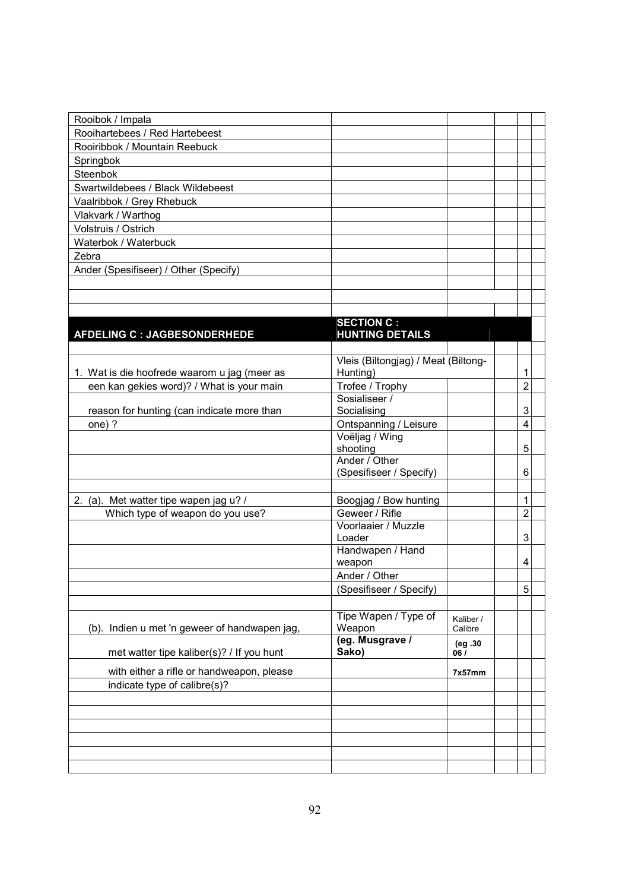| Rooibok / Impala                              |                                     |                      |                         |  |
|-----------------------------------------------|-------------------------------------|----------------------|-------------------------|--|
| Rooihartebees / Red Hartebeest                |                                     |                      |                         |  |
| Rooiribbok / Mountain Reebuck                 |                                     |                      |                         |  |
| Springbok                                     |                                     |                      |                         |  |
| Steenbok                                      |                                     |                      |                         |  |
| Swartwildebees / Black Wildebeest             |                                     |                      |                         |  |
| Vaalribbok / Grey Rhebuck                     |                                     |                      |                         |  |
| Vlakvark / Warthog                            |                                     |                      |                         |  |
| Volstruis / Ostrich                           |                                     |                      |                         |  |
| Waterbok / Waterbuck                          |                                     |                      |                         |  |
| Zebra                                         |                                     |                      |                         |  |
| Ander (Spesifiseer) / Other (Specify)         |                                     |                      |                         |  |
|                                               |                                     |                      |                         |  |
|                                               |                                     |                      |                         |  |
|                                               |                                     |                      |                         |  |
|                                               | <b>SECTION C:</b>                   |                      |                         |  |
| <b>AFDELING C : JAGBESONDERHEDE</b>           | <b>HUNTING DETAILS</b>              |                      |                         |  |
|                                               |                                     |                      |                         |  |
|                                               | Vleis (Biltongjag) / Meat (Biltong- |                      |                         |  |
| 1. Wat is die hoofrede waarom u jag (meer as  | Hunting)                            |                      | 1                       |  |
| een kan gekies word)? / What is your main     | Trofee / Trophy                     |                      | $\overline{2}$          |  |
|                                               | Sosialiseer /                       |                      |                         |  |
| reason for hunting (can indicate more than    | Socialising                         |                      | 3                       |  |
| one) ?                                        | Ontspanning / Leisure               |                      | $\overline{\mathbf{4}}$ |  |
|                                               | Voëljag / Wing                      |                      |                         |  |
|                                               | shooting                            |                      | 5                       |  |
|                                               | Ander / Other                       |                      |                         |  |
|                                               | (Spesifiseer / Specify)             |                      | $6\phantom{1}$          |  |
|                                               |                                     |                      |                         |  |
| 2. (a). Met watter tipe wapen jag u? /        | Boogjag / Bow hunting               |                      | 1                       |  |
| Which type of weapon do you use?              | Geweer / Rifle                      |                      | $\overline{2}$          |  |
|                                               | Voorlaaier / Muzzle                 |                      |                         |  |
|                                               | Loader                              |                      | 3                       |  |
|                                               | Handwapen / Hand                    |                      | 4                       |  |
|                                               | weapon<br>Ander / Other             |                      |                         |  |
|                                               |                                     |                      |                         |  |
|                                               | Spesifiseer / Specify)              |                      | 5                       |  |
|                                               | Tipe Wapen / Type of                |                      |                         |  |
| (b). Indien u met 'n geweer of handwapen jag, | Weapon                              | Kaliber /<br>Calibre |                         |  |
|                                               | (eg. Musgrave /                     |                      |                         |  |
| met watter tipe kaliber(s)? / If you hunt     | Sako)                               | (eg.30)<br>06/       |                         |  |
|                                               |                                     |                      |                         |  |
| with either a rifle or handweapon, please     |                                     | 7x57mm               |                         |  |
| indicate type of calibre(s)?                  |                                     |                      |                         |  |
|                                               |                                     |                      |                         |  |
|                                               |                                     |                      |                         |  |
|                                               |                                     |                      |                         |  |
|                                               |                                     |                      |                         |  |
|                                               |                                     |                      |                         |  |
|                                               |                                     |                      |                         |  |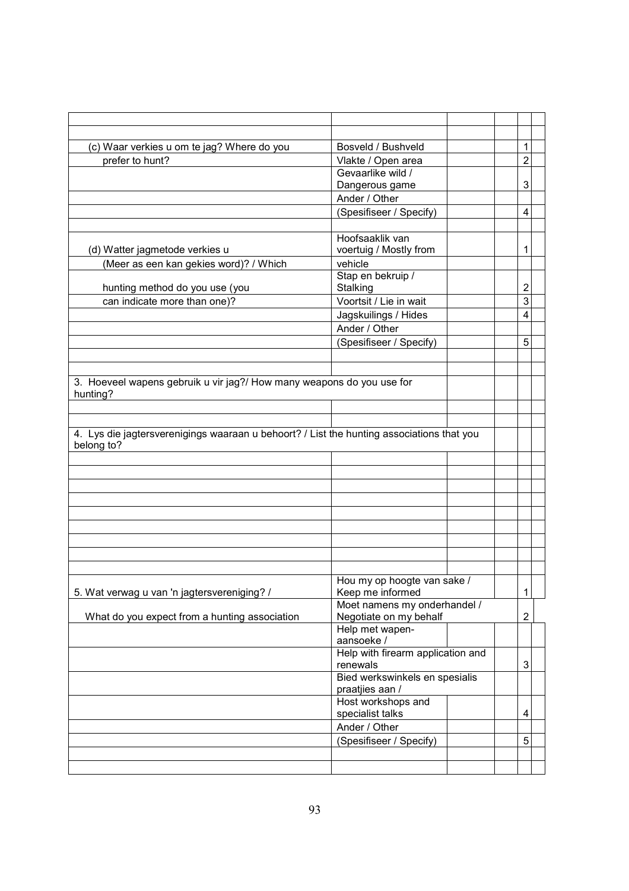|                                                                                           | Bosveld / Bushveld                                     | 1                       |  |
|-------------------------------------------------------------------------------------------|--------------------------------------------------------|-------------------------|--|
| (c) Waar verkies u om te jag? Where do you<br>prefer to hunt?                             | Vlakte / Open area                                     | $\overline{2}$          |  |
|                                                                                           | Gevaarlike wild /                                      |                         |  |
|                                                                                           | Dangerous game                                         | 3                       |  |
|                                                                                           | Ander / Other                                          |                         |  |
|                                                                                           | (Spesifiseer / Specify)                                | 4                       |  |
|                                                                                           |                                                        |                         |  |
|                                                                                           | Hoofsaaklik van                                        |                         |  |
| (d) Watter jagmetode verkies u                                                            | voertuig / Mostly from                                 | 1                       |  |
| (Meer as een kan gekies word)? / Which                                                    | vehicle                                                |                         |  |
|                                                                                           | Stap en bekruip /                                      |                         |  |
| hunting method do you use (you                                                            | Stalking                                               | $\overline{2}$          |  |
| can indicate more than one)?                                                              | Voortsit / Lie in wait                                 | 3                       |  |
|                                                                                           | Jagskuilings / Hides                                   | $\overline{\mathbf{4}}$ |  |
|                                                                                           | Ander / Other                                          |                         |  |
|                                                                                           | (Spesifiseer / Specify)                                | 5                       |  |
|                                                                                           |                                                        |                         |  |
| 3. Hoeveel wapens gebruik u vir jag?/ How many weapons do you use for                     |                                                        |                         |  |
| hunting?                                                                                  |                                                        |                         |  |
|                                                                                           |                                                        |                         |  |
|                                                                                           |                                                        |                         |  |
| 4. Lys die jagtersverenigings waaraan u behoort? / List the hunting associations that you |                                                        |                         |  |
| belong to?                                                                                |                                                        |                         |  |
|                                                                                           |                                                        |                         |  |
|                                                                                           |                                                        |                         |  |
|                                                                                           |                                                        |                         |  |
|                                                                                           |                                                        |                         |  |
|                                                                                           |                                                        |                         |  |
|                                                                                           |                                                        |                         |  |
|                                                                                           |                                                        |                         |  |
|                                                                                           |                                                        |                         |  |
|                                                                                           |                                                        |                         |  |
|                                                                                           | Hou my op hoogte van sake /                            |                         |  |
| 5. Wat verwag u van 'n jagtersvereniging? /                                               | Keep me informed                                       | 1                       |  |
| What do you expect from a hunting association                                             | Moet namens my onderhandel /<br>Negotiate on my behalf | $\overline{2}$          |  |
|                                                                                           | Help met wapen-                                        |                         |  |
|                                                                                           | aansoeke /                                             |                         |  |
|                                                                                           | Help with firearm application and                      |                         |  |
|                                                                                           | renewals                                               | 3                       |  |
|                                                                                           | Bied werkswinkels en spesialis                         |                         |  |
|                                                                                           | praatjies aan /                                        |                         |  |
|                                                                                           | Host workshops and                                     |                         |  |
|                                                                                           | specialist talks                                       | 4                       |  |
|                                                                                           | Ander / Other                                          | 5                       |  |
|                                                                                           | (Spesifiseer / Specify)                                |                         |  |
|                                                                                           |                                                        |                         |  |
|                                                                                           |                                                        |                         |  |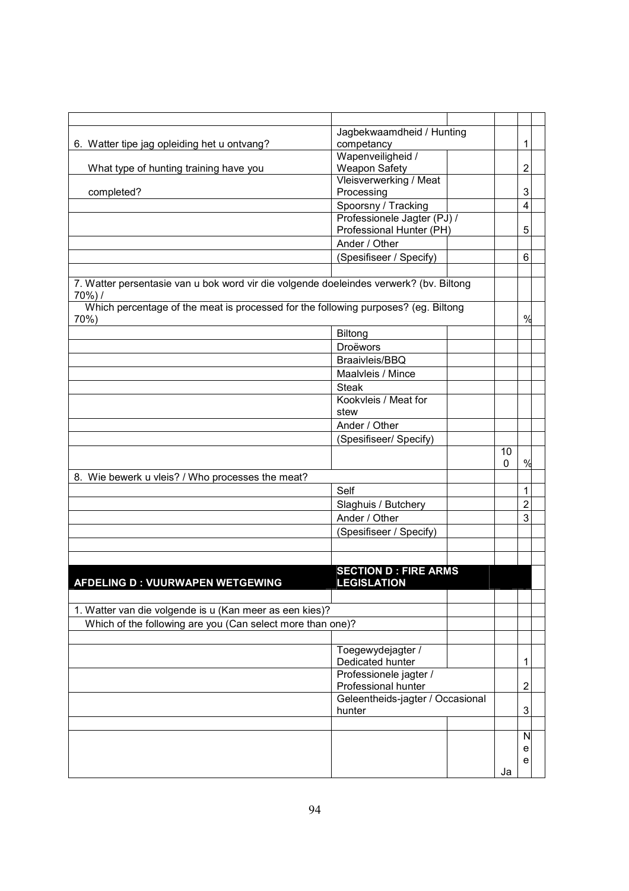|                                                                                                      | Jagbekwaamdheid / Hunting                          |  |         |                |
|------------------------------------------------------------------------------------------------------|----------------------------------------------------|--|---------|----------------|
| 6. Watter tipe jag opleiding het u ontvang?                                                          | competancy                                         |  |         | 1              |
|                                                                                                      | Wapenveiligheid /                                  |  |         |                |
| What type of hunting training have you                                                               | <b>Weapon Safety</b>                               |  |         | $\overline{2}$ |
|                                                                                                      | Vleisverwerking / Meat                             |  |         |                |
| completed?                                                                                           | Processing                                         |  |         | 3              |
|                                                                                                      | Spoorsny / Tracking                                |  |         | $\overline{4}$ |
|                                                                                                      | Professionele Jagter (PJ) /                        |  |         |                |
|                                                                                                      | Professional Hunter (PH)                           |  |         | 5              |
|                                                                                                      | Ander / Other                                      |  |         |                |
|                                                                                                      | (Spesifiseer / Specify)                            |  |         | $6\phantom{1}$ |
| 7. Watter persentasie van u bok word vir die volgende doeleindes verwerk? (bv. Biltong<br>$70\%$ ) / |                                                    |  |         |                |
| Which percentage of the meat is processed for the following purposes? (eg. Biltong<br>70%)           |                                                    |  |         | $\frac{0}{0}$  |
|                                                                                                      | Biltong                                            |  |         |                |
|                                                                                                      | Droëwors                                           |  |         |                |
|                                                                                                      | Braaivleis/BBQ                                     |  |         |                |
|                                                                                                      | Maalvleis / Mince                                  |  |         |                |
|                                                                                                      | <b>Steak</b>                                       |  |         |                |
|                                                                                                      | Kookvleis / Meat for                               |  |         |                |
|                                                                                                      | stew                                               |  |         |                |
|                                                                                                      | Ander / Other                                      |  |         |                |
|                                                                                                      | (Spesifiseer/ Specify)                             |  |         |                |
|                                                                                                      |                                                    |  | 10<br>0 | $\frac{0}{0}$  |
| 8. Wie bewerk u vleis? / Who processes the meat?                                                     |                                                    |  |         |                |
|                                                                                                      | Self                                               |  |         | 1              |
|                                                                                                      | Slaghuis / Butchery                                |  |         | $\overline{2}$ |
|                                                                                                      | Ander / Other                                      |  |         | 3              |
|                                                                                                      | (Spesifiseer / Specify)                            |  |         |                |
|                                                                                                      |                                                    |  |         |                |
|                                                                                                      |                                                    |  |         |                |
| <b>AFDELING D : VUURWAPEN WETGEWING</b>                                                              | <b>SECTION D : FIRE ARMS</b><br><b>LEGISLATION</b> |  |         |                |
|                                                                                                      |                                                    |  |         |                |
| 1. Watter van die volgende is u (Kan meer as een kies)?                                              |                                                    |  |         |                |
| Which of the following are you (Can select more than one)?                                           |                                                    |  |         |                |
|                                                                                                      | Toegewydejagter /                                  |  |         |                |
|                                                                                                      | Dedicated hunter                                   |  |         | 1              |
|                                                                                                      | Professionele jagter /                             |  |         |                |
|                                                                                                      | Professional hunter                                |  |         | $\overline{2}$ |
|                                                                                                      | Geleentheids-jagter / Occasional                   |  |         | 3              |
|                                                                                                      | hunter                                             |  |         |                |
|                                                                                                      |                                                    |  |         | N              |
|                                                                                                      |                                                    |  |         | е              |
|                                                                                                      |                                                    |  |         | е              |
|                                                                                                      |                                                    |  | Ja      |                |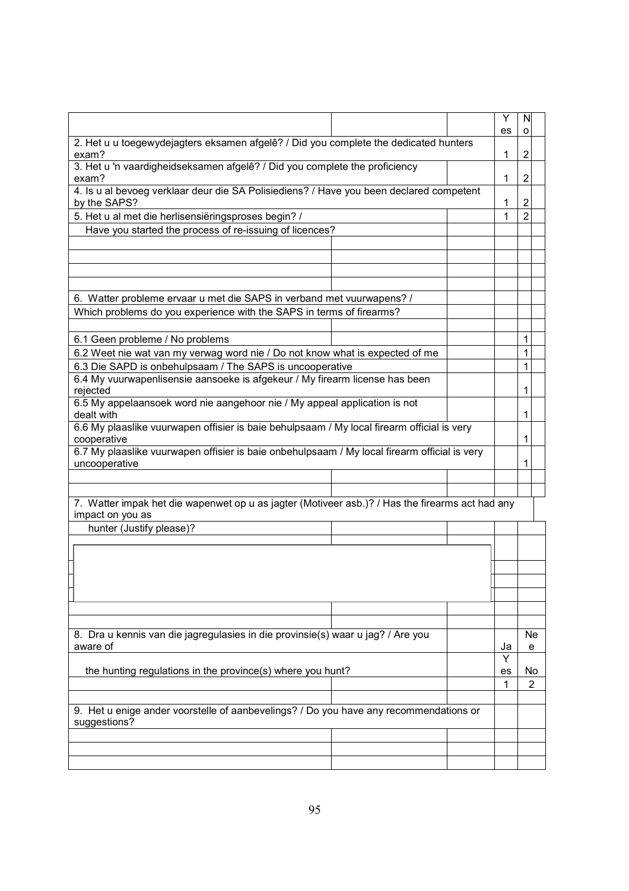|                                                                                                                     |  |  | Y       | N                   |
|---------------------------------------------------------------------------------------------------------------------|--|--|---------|---------------------|
| 2. Het u u toegewydejagters eksamen afgelê? / Did you complete the dedicated hunters                                |  |  | es<br>1 | o<br>$\overline{2}$ |
| exam?<br>3. Het u 'n vaardigheidseksamen afgelê? / Did you complete the proficiency<br>exam?                        |  |  | 1       | $\overline{2}$      |
| 4. Is u al bevoeg verklaar deur die SA Polisiediens? / Have you been declared competent<br>by the SAPS?             |  |  | 1       | 2                   |
| 5. Het u al met die herlisensiëringsproses begin? /                                                                 |  |  | 1       | $\overline{2}$      |
| Have you started the process of re-issuing of licences?                                                             |  |  |         |                     |
|                                                                                                                     |  |  |         |                     |
|                                                                                                                     |  |  |         |                     |
|                                                                                                                     |  |  |         |                     |
|                                                                                                                     |  |  |         |                     |
| 6. Watter probleme ervaar u met die SAPS in verband met vuurwapens? /                                               |  |  |         |                     |
| Which problems do you experience with the SAPS in terms of firearms?                                                |  |  |         |                     |
|                                                                                                                     |  |  |         |                     |
| 6.1 Geen probleme / No problems                                                                                     |  |  |         | 1                   |
| 6.2 Weet nie wat van my verwag word nie / Do not know what is expected of me                                        |  |  |         | 1                   |
| 6.3 Die SAPD is onbehulpsaam / The SAPS is uncooperative                                                            |  |  |         | 1                   |
| 6.4 My vuurwapenlisensie aansoeke is afgekeur / My firearm license has been                                         |  |  |         |                     |
| rejected                                                                                                            |  |  |         | 1                   |
| 6.5 My appelaansoek word nie aangehoor nie / My appeal application is not<br>dealt with                             |  |  |         | 1                   |
| 6.6 My plaaslike vuurwapen offisier is baie behulpsaam / My local firearm official is very                          |  |  |         |                     |
| cooperative                                                                                                         |  |  |         | 1                   |
| 6.7 My plaaslike vuurwapen offisier is baie onbehulpsaam / My local firearm official is very<br>uncooperative       |  |  |         | 1                   |
|                                                                                                                     |  |  |         |                     |
|                                                                                                                     |  |  |         |                     |
| 7. Watter impak het die wapenwet op u as jagter (Motiveer asb.)? / Has the firearms act had any<br>impact on you as |  |  |         |                     |
| hunter (Justify please)?                                                                                            |  |  |         |                     |
|                                                                                                                     |  |  |         |                     |
|                                                                                                                     |  |  |         |                     |
|                                                                                                                     |  |  |         |                     |
|                                                                                                                     |  |  |         |                     |
|                                                                                                                     |  |  |         |                     |
|                                                                                                                     |  |  |         |                     |
|                                                                                                                     |  |  |         |                     |
| 8. Dra u kennis van die jagregulasies in die provinsie(s) waar u jag? / Are you<br>aware of                         |  |  | Ja      | Ne                  |
|                                                                                                                     |  |  | Y       | e                   |
| the hunting regulations in the province(s) where you hunt?                                                          |  |  | es      | No                  |
|                                                                                                                     |  |  | 1       | $\overline{2}$      |
|                                                                                                                     |  |  |         |                     |
| 9. Het u enige ander voorstelle of aanbevelings? / Do you have any recommendations or                               |  |  |         |                     |
| suggestions?                                                                                                        |  |  |         |                     |
|                                                                                                                     |  |  |         |                     |
|                                                                                                                     |  |  |         |                     |
|                                                                                                                     |  |  |         |                     |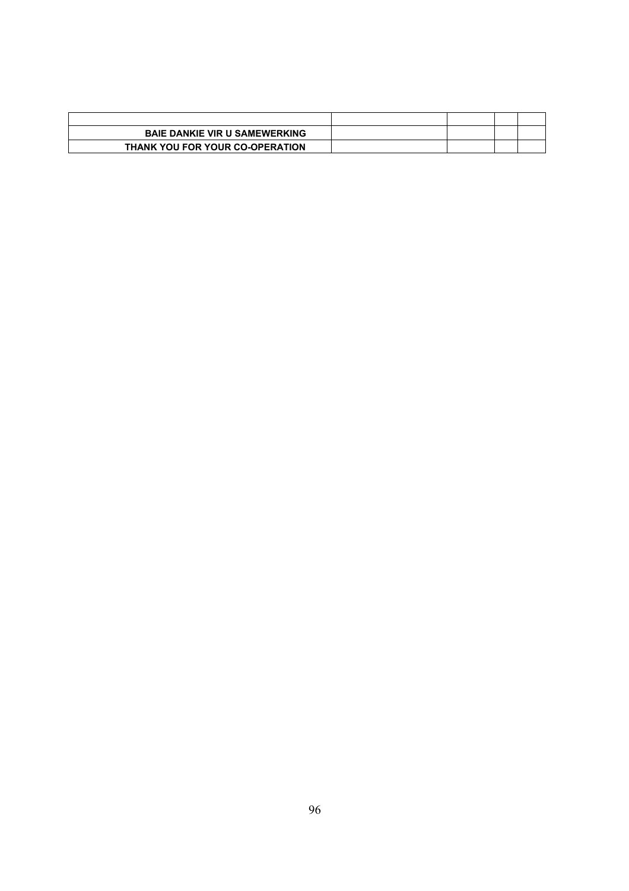| <b>BAIE DANKIE VIR U SAMEWERKING</b> |  |  |
|--------------------------------------|--|--|
| THANK YOU FOR YOUR CO-OPERATION      |  |  |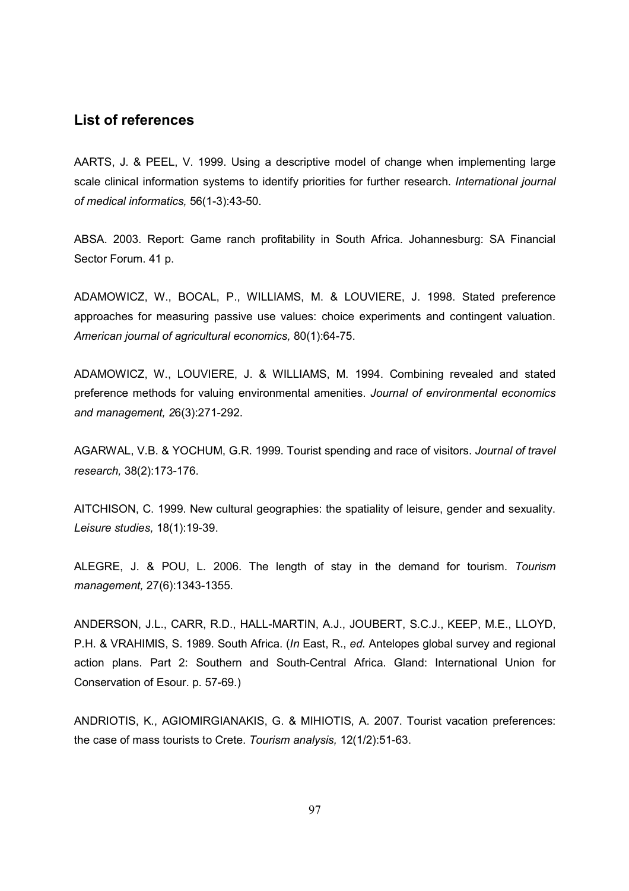## **List of references**

AARTS, J. & PEEL, V. 1999. Using a descriptive model of change when implementing large scale clinical information systems to identify priorities for further research. *International journal of medical informatics,* 56(1-3):43-50.

ABSA. 2003. Report: Game ranch profitability in South Africa. Johannesburg: SA Financial Sector Forum. 41 p.

ADAMOWICZ, W., BOCAL, P., WILLIAMS, M. & LOUVIERE, J. 1998. Stated preference approaches for measuring passive use values: choice experiments and contingent valuation. *American journal of agricultural economics,* 80(1):64-75.

ADAMOWICZ, W., LOUVIERE, J. & WILLIAMS, M. 1994. Combining revealed and stated preference methods for valuing environmental amenities. *Journal of environmental economics and management, 2*6(3):271-292.

AGARWAL, V.B. & YOCHUM, G.R. 1999. Tourist spending and race of visitors. *Jou*r*nal of travel research,* 38(2):173-176.

AITCHISON, C. 1999. New cultural geographies: the spatiality of leisure, gender and sexuality. *Leisure studies,* 18(1):19-39.

ALEGRE, J. & POU, L. 2006. The length of stay in the demand for tourism. *Tourism management,* 27(6):1343-1355.

ANDERSON, J.L., CARR, R.D., HALL-MARTIN, A.J., JOUBERT, S.C.J., KEEP, M.E., LLOYD, P.H. & VRAHIMIS, S. 1989. South Africa. (*In* East, R., *ed.* Antelopes global survey and regional action plans. Part 2: Southern and South-Central Africa. Gland: International Union for Conservation of Esour. p. 57-69.)

ANDRIOTIS, K., AGIOMIRGIANAKIS, G. & MIHIOTIS, A. 2007. Tourist vacation preferences: the case of mass tourists to Crete. *Tourism analysis,* 12(1/2):51-63.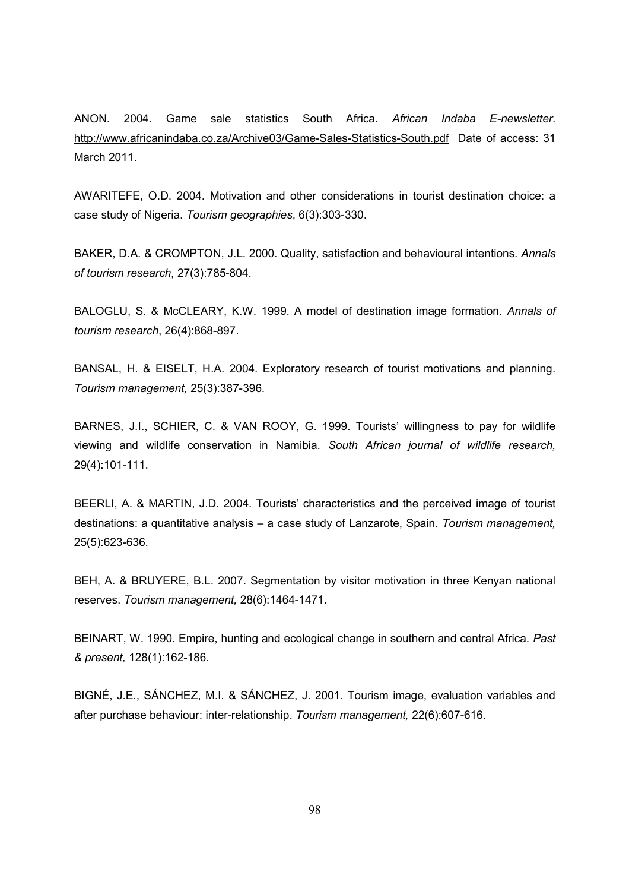ANON. 2004. Game sale statistics South Africa. *African Indaba E-newsletter*. http://www.africanindaba.co.za/Archive03/Game-Sales-Statistics-South.pdf Date of access: 31 March 2011.

AWARITEFE, O.D. 2004. Motivation and other considerations in tourist destination choice: a case study of Nigeria. *Tourism geographies*, 6(3):303-330.

BAKER, D.A. & CROMPTON, J.L. 2000. Quality, satisfaction and behavioural intentions. *Annals of tourism research*, 27(3):785-804.

BALOGLU, S. & McCLEARY, K.W. 1999. A model of destination image formation. *Annals of tourism research*, 26(4):868-897.

BANSAL, H. & EISELT, H.A. 2004. Exploratory research of tourist motivations and planning. *Tourism management,* 25(3):387-396.

BARNES, J.I., SCHIER, C. & VAN ROOY, G. 1999. Tourists' willingness to pay for wildlife viewing and wildlife conservation in Namibia. *South African journal of wildlife research,*  29(4):101-111.

BEERLI, A. & MARTIN, J.D. 2004. Tourists' characteristics and the perceived image of tourist destinations: a quantitative analysis – a case study of Lanzarote, Spain. *Tourism management,*  25(5):623-636.

BEH, A. & BRUYERE, B.L. 2007. Segmentation by visitor motivation in three Kenyan national reserves. *Tourism management,* 28(6):1464-1471.

BEINART, W. 1990. Empire, hunting and ecological change in southern and central Africa. *Past & present,* 128(1):162-186.

BIGNÉ, J.E., SÁNCHEZ, M.I. & SÁNCHEZ, J. 2001. Tourism image, evaluation variables and after purchase behaviour: inter-relationship. *Tourism management,* 22(6):607-616.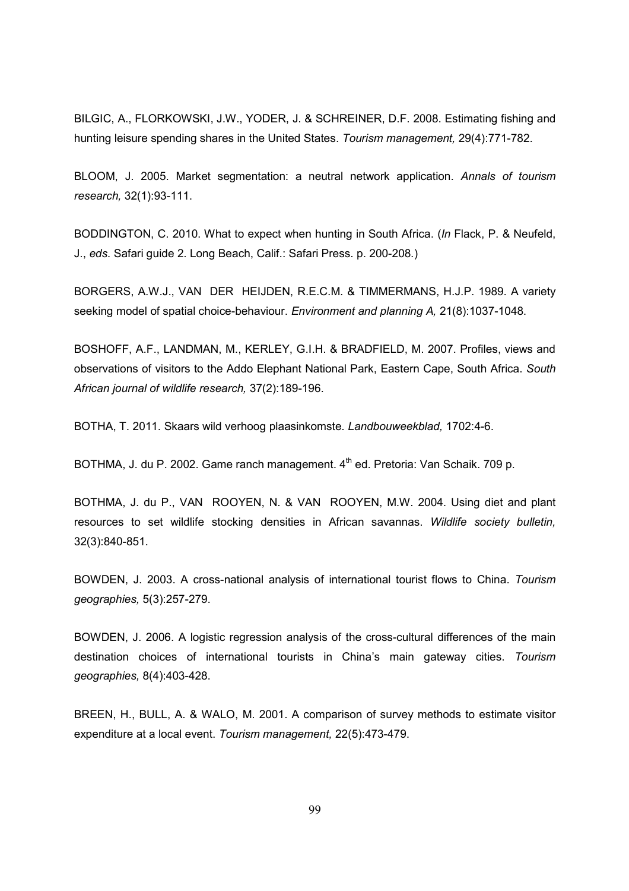BILGIC, A., FLORKOWSKI, J.W., YODER, J. & SCHREINER, D.F. 2008. Estimating fishing and hunting leisure spending shares in the United States. *Tourism management,* 29(4):771-782.

BLOOM, J. 2005. Market segmentation: a neutral network application. *Annals of tourism research,* 32(1):93-111.

BODDINGTON, C. 2010. What to expect when hunting in South Africa. (*In* Flack, P. & Neufeld, J., *eds.* Safari guide 2. Long Beach, Calif.: Safari Press. p. 200-208.)

BORGERS, A.W.J., VAN DER HEIJDEN, R.E.C.M. & TIMMERMANS, H.J.P. 1989. A variety seeking model of spatial choice-behaviour. *Environment and planning A,* 21(8):1037-1048.

BOSHOFF, A.F., LANDMAN, M., KERLEY, G.I.H. & BRADFIELD, M. 2007. Profiles, views and observations of visitors to the Addo Elephant National Park, Eastern Cape, South Africa. *South African journal of wildlife research,* 37(2):189-196.

BOTHA, T. 2011. Skaars wild verhoog plaasinkomste. *Landbouweekblad,* 1702:4-6.

BOTHMA, J. du P. 2002. Game ranch management. 4<sup>th</sup> ed. Pretoria: Van Schaik. 709 p.

BOTHMA, J. du P., VAN ROOYEN, N. & VAN ROOYEN, M.W. 2004. Using diet and plant resources to set wildlife stocking densities in African savannas. *Wildlife society bulletin,*  32(3):840-851.

BOWDEN, J. 2003. A cross-national analysis of international tourist flows to China. *Tourism geographies,* 5(3):257-279.

BOWDEN, J. 2006. A logistic regression analysis of the cross-cultural differences of the main destination choices of international tourists in China's main gateway cities. *Tourism geographies,* 8(4):403-428.

BREEN, H., BULL, A. & WALO, M. 2001. A comparison of survey methods to estimate visitor expenditure at a local event. *Tourism management,* 22(5):473-479.

99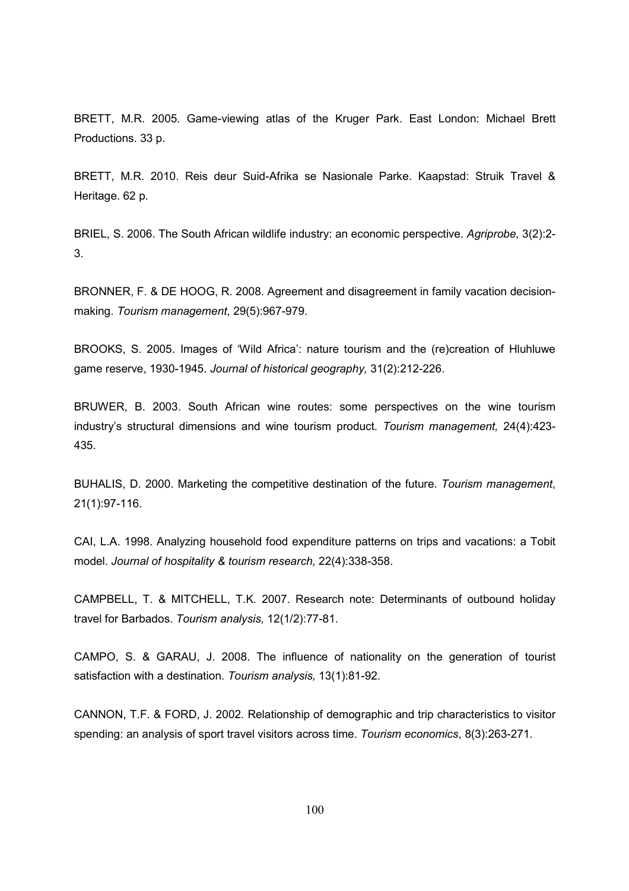BRETT, M.R. 2005. Game-viewing atlas of the Kruger Park. East London: Michael Brett Productions. 33 p.

BRETT, M.R. 2010. Reis deur Suid-Afrika se Nasionale Parke. Kaapstad: Struik Travel & Heritage. 62 p.

BRIEL, S. 2006. The South African wildlife industry: an economic perspective. *Agriprobe,* 3(2):2- 3.

BRONNER, F. & DE HOOG, R. 2008. Agreement and disagreement in family vacation decisionmaking. *Tourism management*, 29(5):967-979.

BROOKS, S. 2005. Images of 'Wild Africa': nature tourism and the (re)creation of Hluhluwe game reserve, 1930-1945. *Journal of historical geography,* 31(2):212-226.

BRUWER, B. 2003. South African wine routes: some perspectives on the wine tourism industry's structural dimensions and wine tourism product. *Tourism management,* 24(4):423- 435.

BUHALIS, D. 2000. Marketing the competitive destination of the future. *Tourism management*, 21(1):97-116.

CAI, L.A. 1998. Analyzing household food expenditure patterns on trips and vacations: a Tobit model. *Journal of hospitality & tourism research,* 22(4):338-358.

CAMPBELL, T. & MITCHELL, T.K. 2007. Research note: Determinants of outbound holiday travel for Barbados. *Tourism analysis,* 12(1/2):77-81.

CAMPO, S. & GARAU, J. 2008. The influence of nationality on the generation of tourist satisfaction with a destination. *Tourism analysis,* 13(1):81-92.

CANNON, T.F. & FORD, J. 2002. Relationship of demographic and trip characteristics to visitor spending: an analysis of sport travel visitors across time. *Tourism economics*, 8(3):263-271.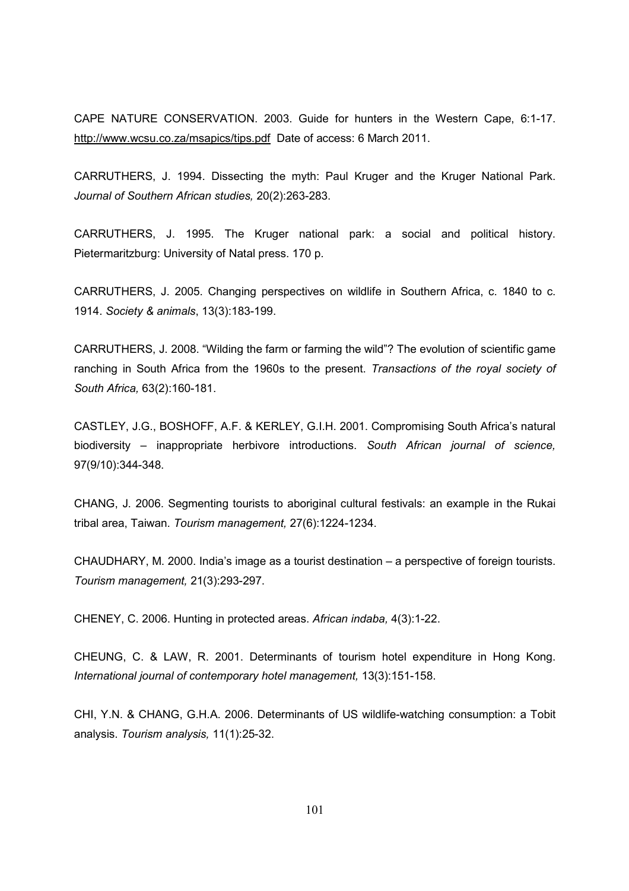CAPE NATURE CONSERVATION. 2003. Guide for hunters in the Western Cape, 6:1-17. http://www.wcsu.co.za/msapics/tips.pdf Date of access: 6 March 2011.

CARRUTHERS, J. 1994. Dissecting the myth: Paul Kruger and the Kruger National Park. *Journal of Southern African studies,* 20(2):263-283.

CARRUTHERS, J. 1995. The Kruger national park: a social and political history. Pietermaritzburg: University of Natal press. 170 p.

CARRUTHERS, J. 2005. Changing perspectives on wildlife in Southern Africa, c. 1840 to c. 1914. *Society & animals*, 13(3):183-199.

CARRUTHERS, J. 2008. "Wilding the farm or farming the wild"? The evolution of scientific game ranching in South Africa from the 1960s to the present. *Transactions of the royal society of South Africa,* 63(2):160-181.

CASTLEY, J.G., BOSHOFF, A.F. & KERLEY, G.I.H. 2001. Compromising South Africa's natural biodiversity – inappropriate herbivore introductions. *South African journal of science,*  97(9/10):344-348.

CHANG, J. 2006. Segmenting tourists to aboriginal cultural festivals: an example in the Rukai tribal area, Taiwan. *Tourism management,* 27(6):1224-1234.

CHAUDHARY, M. 2000. India's image as a tourist destination – a perspective of foreign tourists. *Tourism management,* 21(3):293-297.

CHENEY, C. 2006. Hunting in protected areas. *African indaba,* 4(3):1-22.

CHEUNG, C. & LAW, R. 2001. Determinants of tourism hotel expenditure in Hong Kong. *International journal of contemporary hotel management,* 13(3):151-158.

CHI, Y.N. & CHANG, G.H.A. 2006. Determinants of US wildlife-watching consumption: a Tobit analysis. *Tourism analysis,* 11(1):25-32.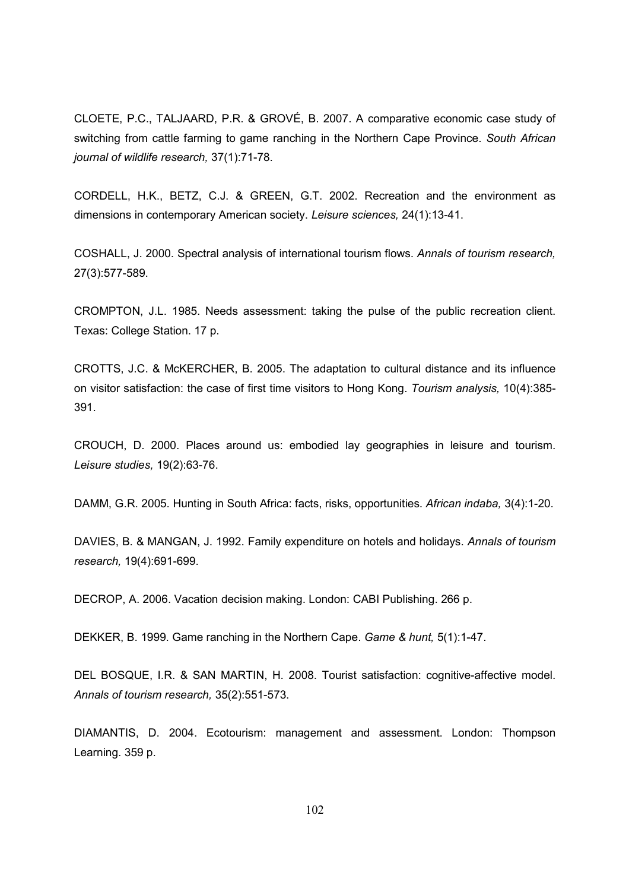CLOETE, P.C., TALJAARD, P.R. & GROVÉ, B. 2007. A comparative economic case study of switching from cattle farming to game ranching in the Northern Cape Province. *South African journal of wildlife research,* 37(1):71-78.

CORDELL, H.K., BETZ, C.J. & GREEN, G.T. 2002. Recreation and the environment as dimensions in contemporary American society. *Leisure sciences,* 24(1):13-41.

COSHALL, J. 2000. Spectral analysis of international tourism flows. *Annals of tourism research,*  27(3):577-589.

CROMPTON, J.L. 1985. Needs assessment: taking the pulse of the public recreation client. Texas: College Station. 17 p.

CROTTS, J.C. & McKERCHER, B. 2005. The adaptation to cultural distance and its influence on visitor satisfaction: the case of first time visitors to Hong Kong. *Tourism analysis,* 10(4):385- 391.

CROUCH, D. 2000. Places around us: embodied lay geographies in leisure and tourism. *Leisure studies,* 19(2):63-76.

DAMM, G.R. 2005. Hunting in South Africa: facts, risks, opportunities. *African indaba,* 3(4):1-20.

DAVIES, B. & MANGAN, J. 1992. Family expenditure on hotels and holidays. *Annals of tourism research,* 19(4):691-699.

DECROP, A. 2006. Vacation decision making. London: CABI Publishing. 266 p.

DEKKER, B. 1999. Game ranching in the Northern Cape. *Game & hunt,* 5(1):1-47.

DEL BOSQUE, I.R. & SAN MARTIN, H. 2008. Tourist satisfaction: cognitive-affective model. *Annals of tourism research,* 35(2):551-573.

DIAMANTIS, D. 2004. Ecotourism: management and assessment. London: Thompson Learning. 359 p.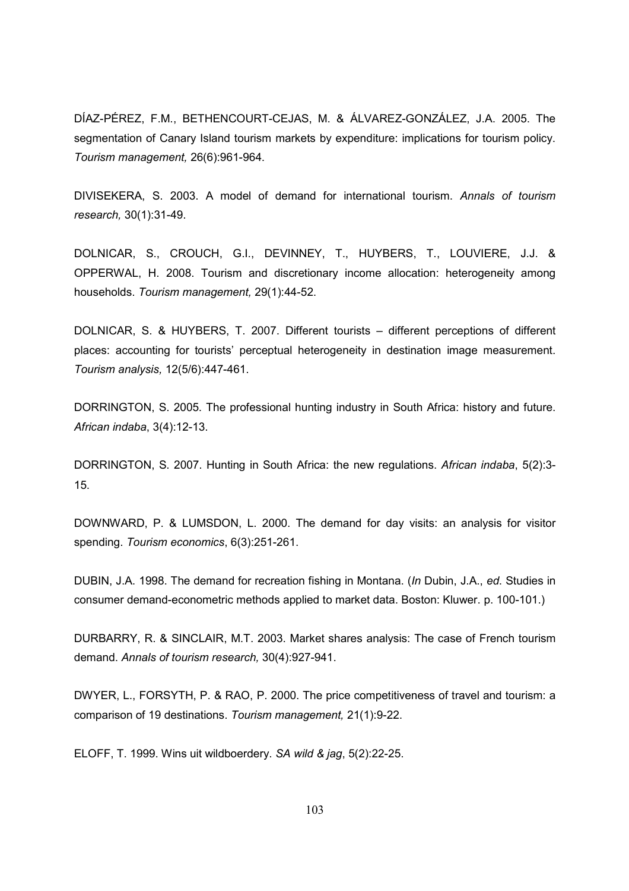DÍAZ-PÉREZ, F.M., BETHENCOURT-CEJAS, M. & ÁLVAREZ-GONZÁLEZ, J.A. 2005. The segmentation of Canary Island tourism markets by expenditure: implications for tourism policy. *Tourism management,* 26(6):961-964.

DIVISEKERA, S. 2003. A model of demand for international tourism. *Annals of tourism research,* 30(1):31-49.

DOLNICAR, S., CROUCH, G.I., DEVINNEY, T., HUYBERS, T., LOUVIERE, J.J. & OPPERWAL, H. 2008. Tourism and discretionary income allocation: heterogeneity among households. *Tourism management,* 29(1):44-52.

DOLNICAR, S. & HUYBERS, T. 2007. Different tourists – different perceptions of different places: accounting for tourists' perceptual heterogeneity in destination image measurement. *Tourism analysis,* 12(5/6):447-461.

DORRINGTON, S. 2005. The professional hunting industry in South Africa: history and future. *African indaba*, 3(4):12-13.

DORRINGTON, S. 2007. Hunting in South Africa: the new regulations. *African indaba*, 5(2):3- 15.

DOWNWARD, P. & LUMSDON, L. 2000. The demand for day visits: an analysis for visitor spending. *Tourism economics*, 6(3):251-261.

DUBIN, J.A. 1998. The demand for recreation fishing in Montana. (*In* Dubin, J.A., *ed*. Studies in consumer demand-econometric methods applied to market data. Boston: Kluwer. p. 100-101.)

DURBARRY, R. & SINCLAIR, M.T. 2003. Market shares analysis: The case of French tourism demand. *Annals of tourism research,* 30(4):927-941.

DWYER, L., FORSYTH, P. & RAO, P. 2000. The price competitiveness of travel and tourism: a comparison of 19 destinations. *Tourism management,* 21(1):9-22.

ELOFF, T. 1999. Wins uit wildboerdery. *SA wild & jag*, 5(2):22-25.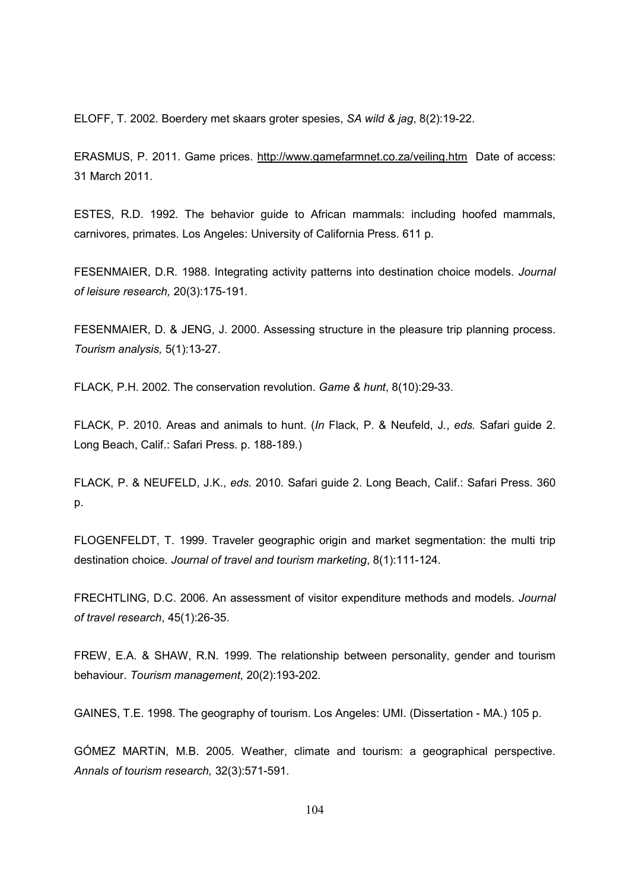ELOFF, T. 2002. Boerdery met skaars groter spesies, *SA wild & jag*, 8(2):19-22.

ERASMUS, P. 2011. Game prices. http://www.gamefarmnet.co.za/veiling.htm Date of access: 31 March 2011.

ESTES, R.D. 1992. The behavior guide to African mammals: including hoofed mammals, carnivores, primates. Los Angeles: University of California Press. 611 p.

FESENMAIER, D.R. 1988. Integrating activity patterns into destination choice models. *Journal of leisure research,* 20(3):175-191.

FESENMAIER, D. & JENG, J. 2000. Assessing structure in the pleasure trip planning process. *Tourism analysis,* 5(1):13-27.

FLACK, P.H. 2002. The conservation revolution. *Game & hunt*, 8(10):29-33.

FLACK, P. 2010. Areas and animals to hunt. (*In* Flack, P. & Neufeld, J., *eds.* Safari guide 2. Long Beach, Calif.: Safari Press. p. 188-189.)

FLACK, P. & NEUFELD, J.K., *eds*. 2010. Safari guide 2. Long Beach, Calif.: Safari Press. 360 p.

FLOGENFELDT, T. 1999. Traveler geographic origin and market segmentation: the multi trip destination choice. *Journal of travel and tourism marketing*, 8(1):111-124.

FRECHTLING, D.C. 2006. An assessment of visitor expenditure methods and models. *Journal of travel research*, 45(1):26-35.

FREW, E.A. & SHAW, R.N. 1999. The relationship between personality, gender and tourism behaviour. *Tourism management*, 20(2):193-202.

GAINES, T.E. 1998. The geography of tourism. Los Angeles: UMI. (Dissertation - MA.) 105 p.

GÓMEZ MARTíN, M.B. 2005. Weather, climate and tourism: a geographical perspective. *Annals of tourism research,* 32(3):571-591.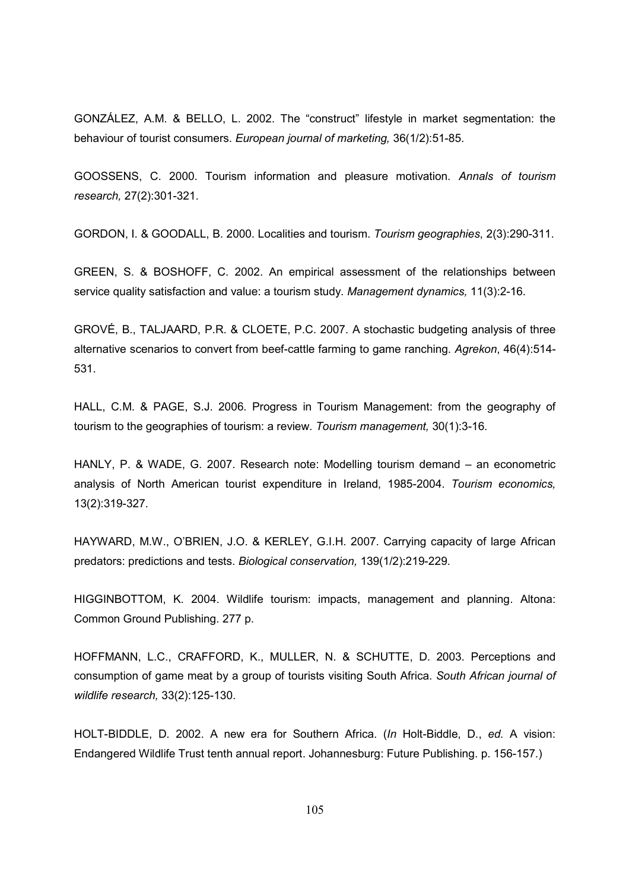GONZÁLEZ, A.M. & BELLO, L. 2002. The "construct" lifestyle in market segmentation: the behaviour of tourist consumers. *European journal of marketing,* 36(1/2):51-85.

GOOSSENS, C. 2000. Tourism information and pleasure motivation. *Annals of tourism research,* 27(2):301-321.

GORDON, I. & GOODALL, B. 2000. Localities and tourism. *Tourism geographies*, 2(3):290-311.

GREEN, S. & BOSHOFF, C. 2002. An empirical assessment of the relationships between service quality satisfaction and value: a tourism study. *Management dynamics,* 11(3):2-16.

GROVÉ, B., TALJAARD, P.R. & CLOETE, P.C. 2007. A stochastic budgeting analysis of three alternative scenarios to convert from beef-cattle farming to game ranching. *Agrekon*, 46(4):514- 531.

HALL, C.M. & PAGE, S.J. 2006. Progress in Tourism Management: from the geography of tourism to the geographies of tourism: a review. *Tourism management,* 30(1):3-16.

HANLY, P. & WADE, G. 2007. Research note: Modelling tourism demand – an econometric analysis of North American tourist expenditure in Ireland, 1985-2004. *Tourism economics,*  13(2):319-327.

HAYWARD, M.W., O'BRIEN, J.O. & KERLEY, G.I.H. 2007. Carrying capacity of large African predators: predictions and tests. *Biological conservation,* 139(1/2):219-229.

HIGGINBOTTOM, K. 2004. Wildlife tourism: impacts, management and planning. Altona: Common Ground Publishing. 277 p.

HOFFMANN, L.C., CRAFFORD, K., MULLER, N. & SCHUTTE, D. 2003. Perceptions and consumption of game meat by a group of tourists visiting South Africa. *South African journal of wildlife research,* 33(2):125-130.

HOLT-BIDDLE, D. 2002. A new era for Southern Africa. (*In* Holt-Biddle, D., *ed.* A vision: Endangered Wildlife Trust tenth annual report. Johannesburg: Future Publishing. p. 156-157.)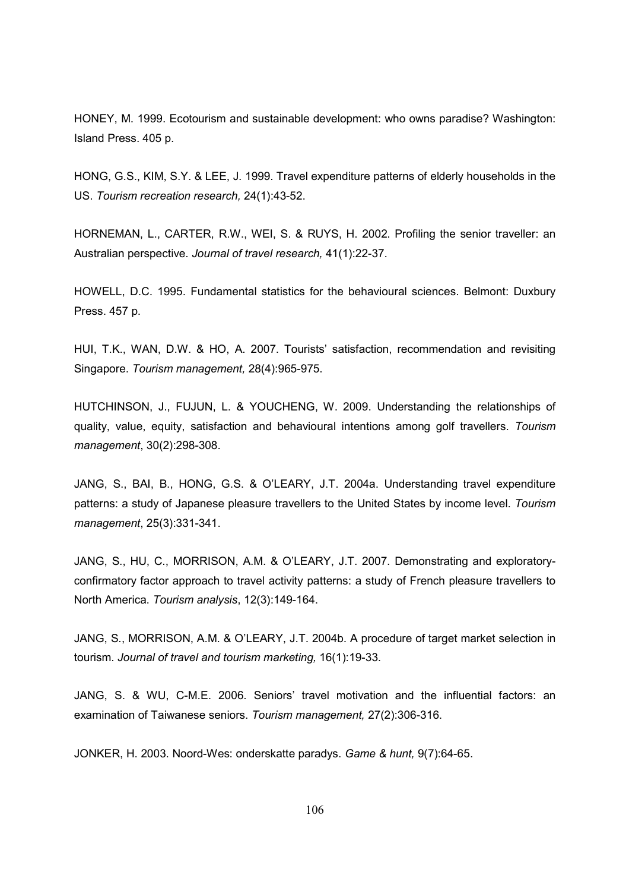HONEY, M. 1999. Ecotourism and sustainable development: who owns paradise? Washington: Island Press. 405 p.

HONG, G.S., KIM, S.Y. & LEE, J. 1999. Travel expenditure patterns of elderly households in the US. *Tourism recreation research,* 24(1):43-52.

HORNEMAN, L., CARTER, R.W., WEI, S. & RUYS, H. 2002. Profiling the senior traveller: an Australian perspective. *Journal of travel research,* 41(1):22-37.

HOWELL, D.C. 1995. Fundamental statistics for the behavioural sciences. Belmont: Duxbury Press. 457 p.

HUI, T.K., WAN, D.W. & HO, A. 2007. Tourists' satisfaction, recommendation and revisiting Singapore. *Tourism management,* 28(4):965-975.

HUTCHINSON, J., FUJUN, L. & YOUCHENG, W. 2009. Understanding the relationships of quality, value, equity, satisfaction and behavioural intentions among golf travellers. *Tourism management*, 30(2):298-308.

JANG, S., BAI, B., HONG, G.S. & O'LEARY, J.T. 2004a. Understanding travel expenditure patterns: a study of Japanese pleasure travellers to the United States by income level. *Tourism management*, 25(3):331-341.

JANG, S., HU, C., MORRISON, A.M. & O'LEARY, J.T. 2007. Demonstrating and exploratoryconfirmatory factor approach to travel activity patterns: a study of French pleasure travellers to North America. *Tourism analysis*, 12(3):149-164.

JANG, S., MORRISON, A.M. & O'LEARY, J.T. 2004b. A procedure of target market selection in tourism. *Journal of travel and tourism marketing,* 16(1):19-33.

JANG, S. & WU, C-M.E. 2006. Seniors' travel motivation and the influential factors: an examination of Taiwanese seniors. *Tourism management,* 27(2):306-316.

JONKER, H. 2003. Noord-Wes: onderskatte paradys. *Game & hunt,* 9(7):64-65.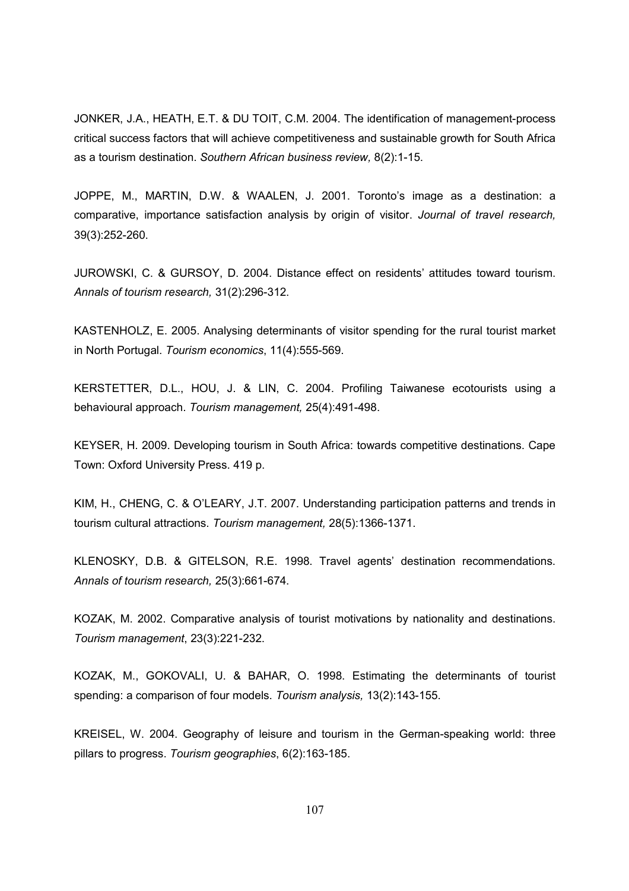JONKER, J.A., HEATH, E.T. & DU TOIT, C.M. 2004. The identification of management-process critical success factors that will achieve competitiveness and sustainable growth for South Africa as a tourism destination. *Southern African business review,* 8(2):1-15.

JOPPE, M., MARTIN, D.W. & WAALEN, J. 2001. Toronto's image as a destination: a comparative, importance satisfaction analysis by origin of visitor. *Journal of travel research,*  39(3):252-260.

JUROWSKI, C. & GURSOY, D. 2004. Distance effect on residents' attitudes toward tourism. *Annals of tourism research,* 31(2):296-312.

KASTENHOLZ, E. 2005. Analysing determinants of visitor spending for the rural tourist market in North Portugal. *Tourism economics*, 11(4):555-569.

KERSTETTER, D.L., HOU, J. & LIN, C. 2004. Profiling Taiwanese ecotourists using a behavioural approach. *Tourism management,* 25(4):491-498.

KEYSER, H. 2009. Developing tourism in South Africa: towards competitive destinations. Cape Town: Oxford University Press. 419 p.

KIM, H., CHENG, C. & O'LEARY, J.T. 2007. Understanding participation patterns and trends in tourism cultural attractions. *Tourism management,* 28(5):1366-1371.

KLENOSKY, D.B. & GITELSON, R.E. 1998. Travel agents' destination recommendations. *Annals of tourism research,* 25(3):661-674.

KOZAK, M. 2002. Comparative analysis of tourist motivations by nationality and destinations. *Tourism management*, 23(3):221-232.

KOZAK, M., GOKOVALI, U. & BAHAR, O. 1998. Estimating the determinants of tourist spending: a comparison of four models. *Tourism analysis,* 13(2):143-155.

KREISEL, W. 2004. Geography of leisure and tourism in the German-speaking world: three pillars to progress. *Tourism geographies*, 6(2):163-185.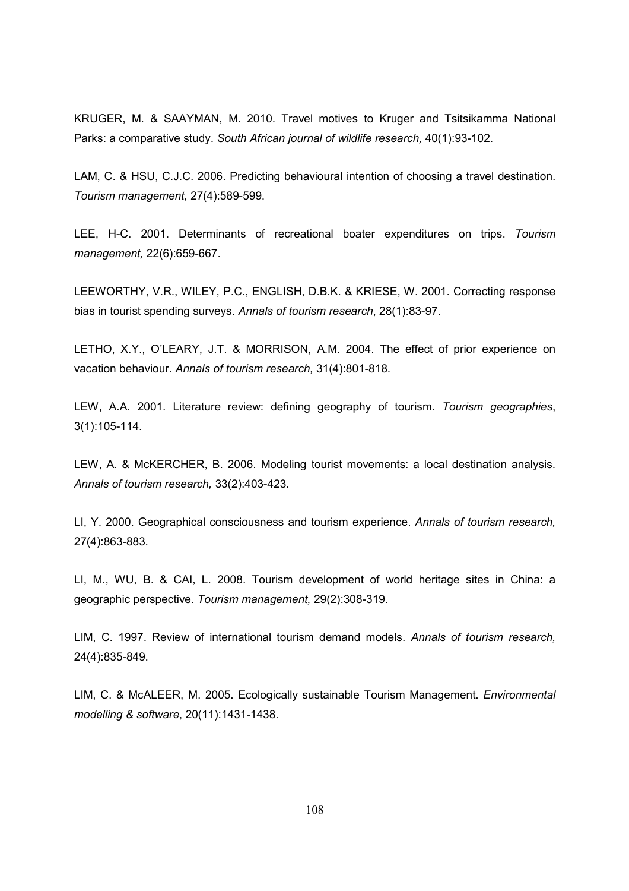KRUGER, M. & SAAYMAN, M. 2010. Travel motives to Kruger and Tsitsikamma National Parks: a comparative study. *South African journal of wildlife research,* 40(1):93-102.

LAM, C. & HSU, C.J.C. 2006. Predicting behavioural intention of choosing a travel destination. *Tourism management,* 27(4):589-599.

LEE, H-C. 2001. Determinants of recreational boater expenditures on trips. *Tourism management,* 22(6):659-667.

LEEWORTHY, V.R., WILEY, P.C., ENGLISH, D.B.K. & KRIESE, W. 2001. Correcting response bias in tourist spending surveys. *Annals of tourism research*, 28(1):83-97.

LETHO, X.Y., O'LEARY, J.T. & MORRISON, A.M. 2004. The effect of prior experience on vacation behaviour. *Annals of tourism research,* 31(4):801-818.

LEW, A.A. 2001. Literature review: defining geography of tourism. *Tourism geographies*, 3(1):105-114.

LEW, A. & McKERCHER, B. 2006. Modeling tourist movements: a local destination analysis. *Annals of tourism research,* 33(2):403-423.

LI, Y. 2000. Geographical consciousness and tourism experience. *Annals of tourism research,*  27(4):863-883.

LI, M., WU, B. & CAI, L. 2008. Tourism development of world heritage sites in China: a geographic perspective. *Tourism management,* 29(2):308-319.

LIM, C. 1997. Review of international tourism demand models. *Annals of tourism research,*  24(4):835-849.

LIM, C. & McALEER, M. 2005. Ecologically sustainable Tourism Management. *Environmental modelling & software*, 20(11):1431-1438.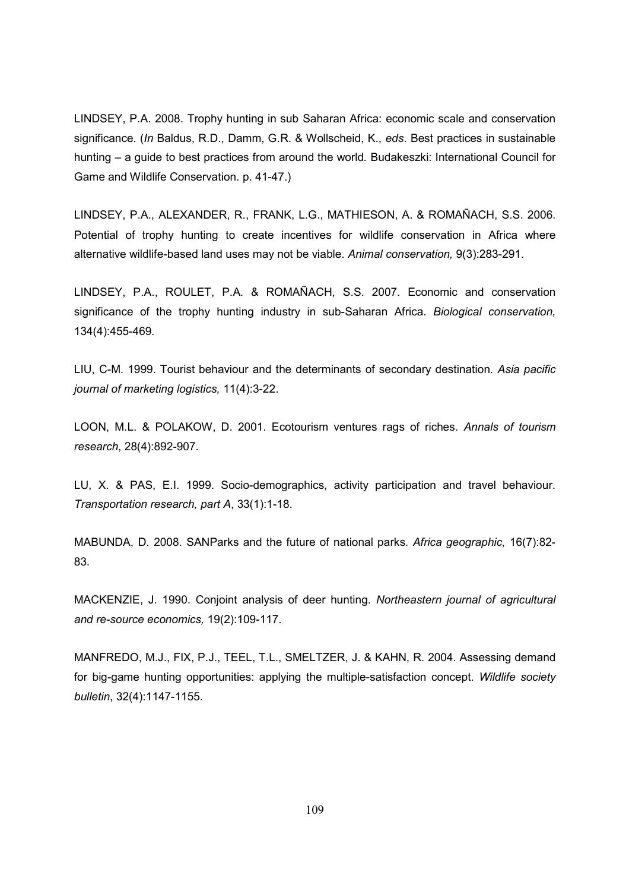LINDSEY, P.A. 2008. Trophy hunting in sub Saharan Africa: economic scale and conservation significance. (*In* Baldus, R.D., Damm, G.R. & Wollscheid, K., *eds*. Best practices in sustainable hunting – a guide to best practices from around the world*.* Budakeszki: International Council for Game and Wildlife Conservation. p. 41-47.)

LINDSEY, P.A., ALEXANDER, R., FRANK, L.G., MATHIESON, A. & ROMAÑACH, S.S. 2006. Potential of trophy hunting to create incentives for wildlife conservation in Africa where alternative wildlife-based land uses may not be viable. *Animal conservation,* 9(3):283-291.

LINDSEY, P.A., ROULET, P.A. & ROMAÑACH, S.S. 2007. Economic and conservation significance of the trophy hunting industry in sub-Saharan Africa. *Biological conservation,*  134(4):455-469.

LIU, C-M. 1999. Tourist behaviour and the determinants of secondary destination. *Asia pacific journal of marketing logistics,* 11(4):3-22.

LOON, M.L. & POLAKOW, D. 2001. Ecotourism ventures rags of riches. *Annals of tourism research*, 28(4):892-907.

LU, X. & PAS, E.I. 1999. Socio-demographics, activity participation and travel behaviour. *Transportation research, part A*, 33(1):1-18.

MABUNDA, D. 2008. SANParks and the future of national parks. *Africa geographic,* 16(7):82- 83.

MACKENZIE, J. 1990. Conjoint analysis of deer hunting. *Northeastern journal of agricultural and re-source economics,* 19(2):109-117.

MANFREDO, M.J., FIX, P.J., TEEL, T.L., SMELTZER, J. & KAHN, R. 2004. Assessing demand for big-game hunting opportunities: applying the multiple-satisfaction concept. *Wildlife society bulletin*, 32(4):1147-1155.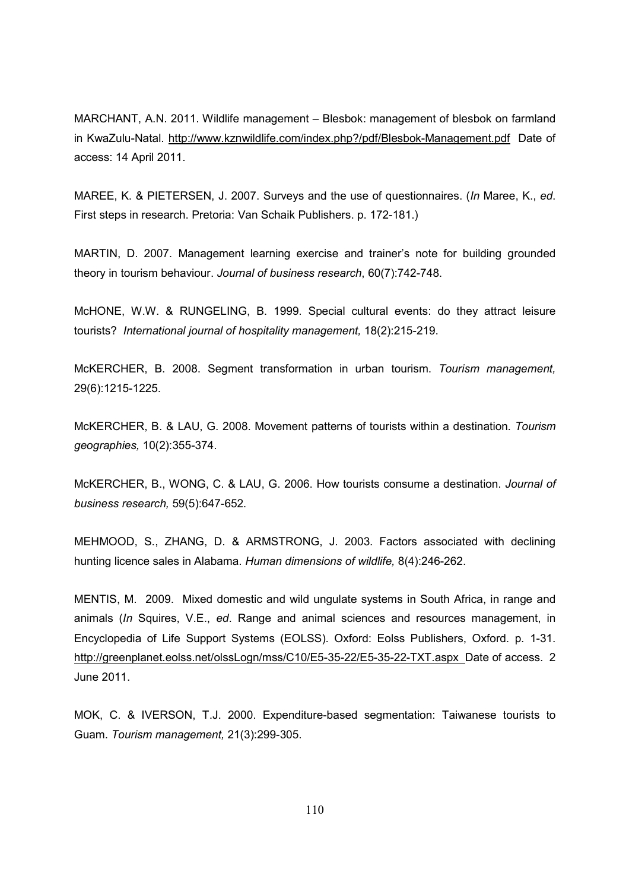MARCHANT, A.N. 2011. Wildlife management – Blesbok: management of blesbok on farmland in KwaZulu-Natal. http://www.kznwildlife.com/index.php?/pdf/Blesbok-Management.pdf Date of access: 14 April 2011.

MAREE, K. & PIETERSEN, J. 2007. Surveys and the use of questionnaires. (*In* Maree, K., *ed*. First steps in research. Pretoria: Van Schaik Publishers. p. 172-181.)

MARTIN, D. 2007. Management learning exercise and trainer's note for building grounded theory in tourism behaviour. *Journal of business research*, 60(7):742-748.

McHONE, W.W. & RUNGELING, B. 1999. Special cultural events: do they attract leisure tourists? *International journal of hospitality management,* 18(2):215-219.

McKERCHER, B. 2008. Segment transformation in urban tourism. *Tourism management,*  29(6):1215-1225.

McKERCHER, B. & LAU, G. 2008. Movement patterns of tourists within a destination. *Tourism geographies,* 10(2):355-374.

McKERCHER, B., WONG, C. & LAU, G. 2006. How tourists consume a destination. *Journal of business research,* 59(5):647-652.

MEHMOOD, S., ZHANG, D. & ARMSTRONG, J. 2003. Factors associated with declining hunting licence sales in Alabama. *Human dimensions of wildlife,* 8(4):246-262.

MENTIS, M. 2009. Mixed domestic and wild ungulate systems in South Africa, in range and animals (*In* Squires, V.E., *ed*. Range and animal sciences and resources management, in Encyclopedia of Life Support Systems (EOLSS). Oxford: Eolss Publishers, Oxford. p. 1-31. http://greenplanet.eolss.net/olssLogn/mss/C10/E5-35-22/E5-35-22-TXT.aspx Date of access. 2 June 2011.

MOK, C. & IVERSON, T.J. 2000. Expenditure-based segmentation: Taiwanese tourists to Guam. *Tourism management,* 21(3):299-305.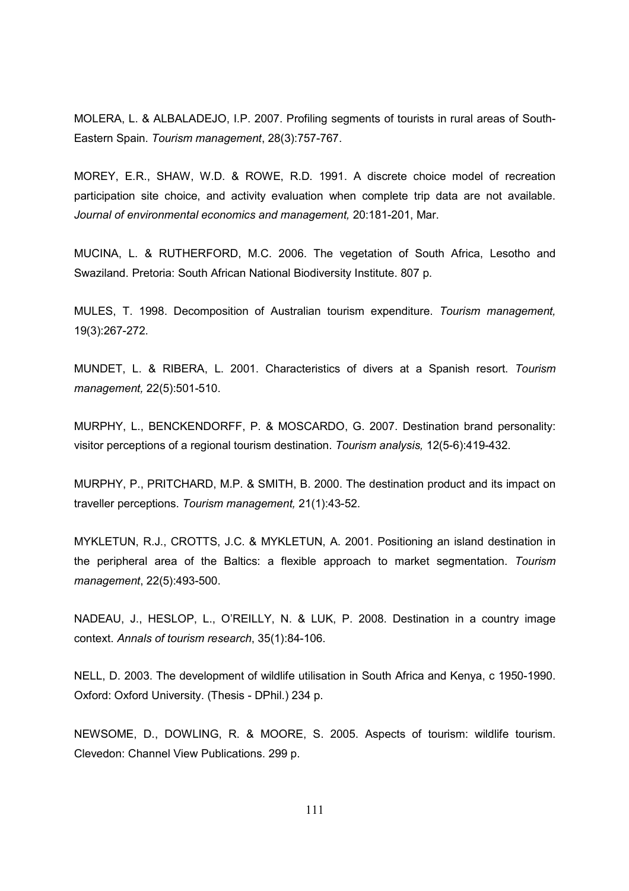MOLERA, L. & ALBALADEJO, I.P. 2007. Profiling segments of tourists in rural areas of South-Eastern Spain. *Tourism management*, 28(3):757-767.

MOREY, E.R., SHAW, W.D. & ROWE, R.D. 1991. A discrete choice model of recreation participation site choice, and activity evaluation when complete trip data are not available. *Journal of environmental economics and management,* 20:181-201, Mar.

MUCINA, L. & RUTHERFORD, M.C. 2006. The vegetation of South Africa, Lesotho and Swaziland. Pretoria: South African National Biodiversity Institute. 807 p.

MULES, T. 1998. Decomposition of Australian tourism expenditure. *Tourism management,*  19(3):267-272.

MUNDET, L. & RIBERA, L. 2001. Characteristics of divers at a Spanish resort. *Tourism management,* 22(5):501-510.

MURPHY, L., BENCKENDORFF, P. & MOSCARDO, G. 2007. Destination brand personality: visitor perceptions of a regional tourism destination. *Tourism analysis,* 12(5-6):419-432.

MURPHY, P., PRITCHARD, M.P. & SMITH, B. 2000. The destination product and its impact on traveller perceptions. *Tourism management,* 21(1):43-52.

MYKLETUN, R.J., CROTTS, J.C. & MYKLETUN, A. 2001. Positioning an island destination in the peripheral area of the Baltics: a flexible approach to market segmentation. *Tourism management*, 22(5):493-500.

NADEAU, J., HESLOP, L., O'REILLY, N. & LUK, P. 2008. Destination in a country image context. *Annals of tourism research*, 35(1):84-106.

NELL, D. 2003. The development of wildlife utilisation in South Africa and Kenya, c 1950-1990. Oxford: Oxford University. (Thesis - DPhil.) 234 p.

NEWSOME, D., DOWLING, R. & MOORE, S. 2005. Aspects of tourism: wildlife tourism. Clevedon: Channel View Publications. 299 p.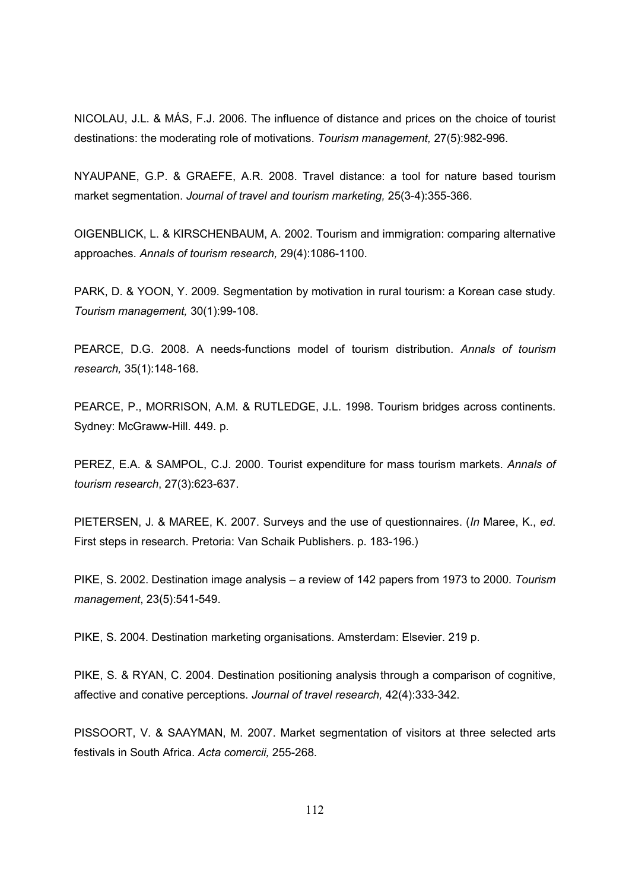NICOLAU, J.L. & MÁS, F.J. 2006. The influence of distance and prices on the choice of tourist destinations: the moderating role of motivations. *Tourism management,* 27(5):982-996.

NYAUPANE, G.P. & GRAEFE, A.R. 2008. Travel distance: a tool for nature based tourism market segmentation. *Journal of travel and tourism marketing,* 25(3-4):355-366.

OIGENBLICK, L. & KIRSCHENBAUM, A. 2002. Tourism and immigration: comparing alternative approaches. *Annals of tourism research,* 29(4):1086-1100.

PARK, D. & YOON, Y. 2009. Segmentation by motivation in rural tourism: a Korean case study. *Tourism management,* 30(1):99-108.

PEARCE, D.G. 2008. A needs-functions model of tourism distribution. *Annals of tourism research,* 35(1):148-168.

PEARCE, P., MORRISON, A.M. & RUTLEDGE, J.L. 1998. Tourism bridges across continents. Sydney: McGraww-Hill. 449. p.

PEREZ, E.A. & SAMPOL, C.J. 2000. Tourist expenditure for mass tourism markets. *Annals of tourism research*, 27(3):623-637.

PIETERSEN, J. & MAREE, K. 2007. Surveys and the use of questionnaires. (*In* Maree, K., *ed*. First steps in research. Pretoria: Van Schaik Publishers. p. 183-196.)

PIKE, S. 2002. Destination image analysis – a review of 142 papers from 1973 to 2000. *Tourism management*, 23(5):541-549.

PIKE, S. 2004. Destination marketing organisations. Amsterdam: Elsevier. 219 p.

PIKE, S. & RYAN, C. 2004. Destination positioning analysis through a comparison of cognitive, affective and conative perceptions. *Journal of travel research,* 42(4):333-342.

PISSOORT, V. & SAAYMAN, M. 2007. Market segmentation of visitors at three selected arts festivals in South Africa. *Acta comercii,* 255-268.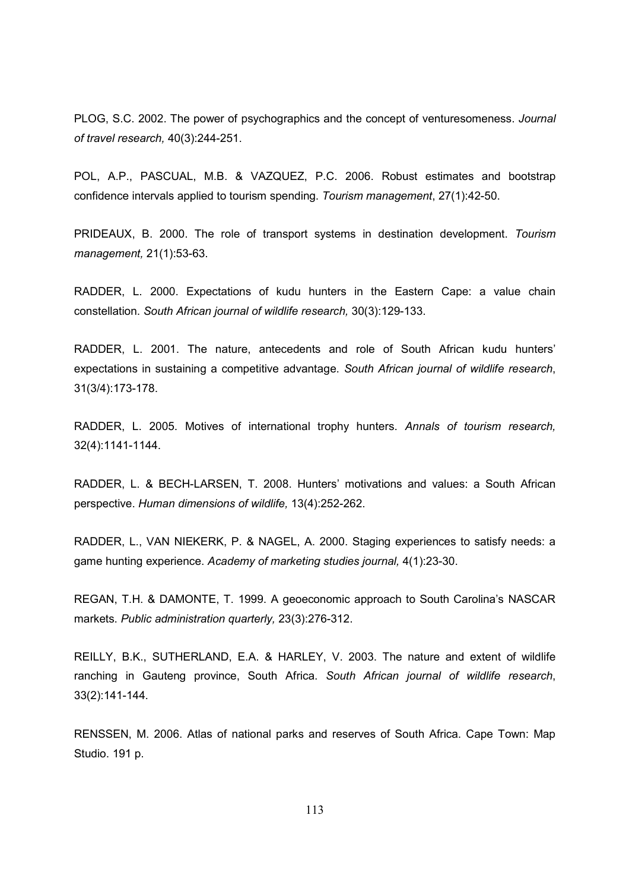PLOG, S.C. 2002. The power of psychographics and the concept of venturesomeness. *Journal of travel research,* 40(3):244-251.

POL, A.P., PASCUAL, M.B. & VAZQUEZ, P.C. 2006. Robust estimates and bootstrap confidence intervals applied to tourism spending. *Tourism management*, 27(1):42-50.

PRIDEAUX, B. 2000. The role of transport systems in destination development. *Tourism management,* 21(1):53-63.

RADDER, L. 2000. Expectations of kudu hunters in the Eastern Cape: a value chain constellation. *South African journal of wildlife research,* 30(3):129-133.

RADDER, L. 2001. The nature, antecedents and role of South African kudu hunters' expectations in sustaining a competitive advantage. *South African journal of wildlife research*, 31(3/4):173-178.

RADDER, L. 2005. Motives of international trophy hunters. *Annals of tourism research,*  32(4):1141-1144.

RADDER, L. & BECH-LARSEN, T. 2008. Hunters' motivations and values: a South African perspective. *Human dimensions of wildlife,* 13(4):252-262.

RADDER, L., VAN NIEKERK, P. & NAGEL, A. 2000. Staging experiences to satisfy needs: a game hunting experience. *Academy of marketing studies journal,* 4(1):23-30.

REGAN, T.H. & DAMONTE, T. 1999. A geoeconomic approach to South Carolina's NASCAR markets. *Public administration quarterly,* 23(3):276-312.

REILLY, B.K., SUTHERLAND, E.A. & HARLEY, V. 2003. The nature and extent of wildlife ranching in Gauteng province, South Africa. *South African journal of wildlife research*, 33(2):141-144.

RENSSEN, M. 2006. Atlas of national parks and reserves of South Africa. Cape Town: Map Studio. 191 p.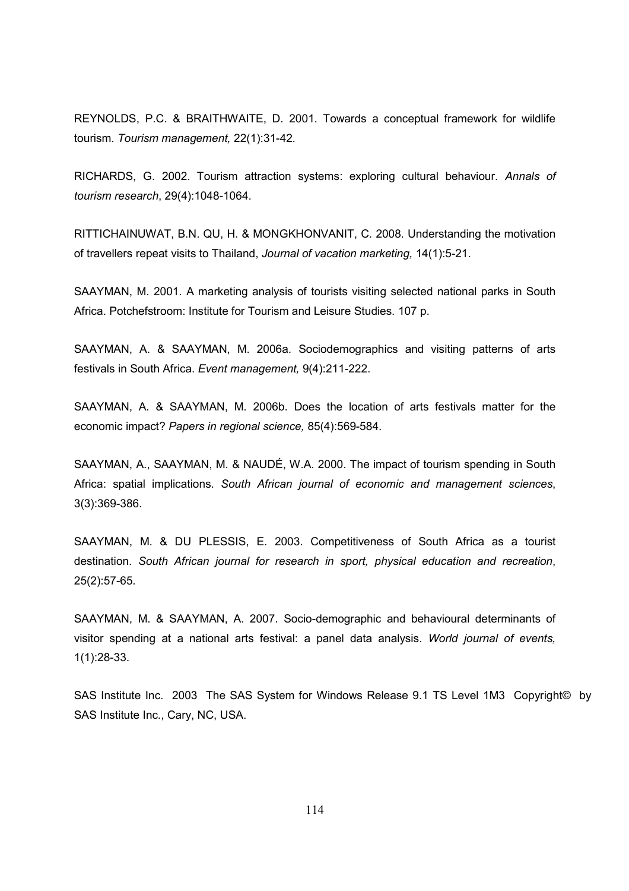REYNOLDS, P.C. & BRAITHWAITE, D. 2001. Towards a conceptual framework for wildlife tourism. *Tourism management,* 22(1):31-42.

RICHARDS, G. 2002. Tourism attraction systems: exploring cultural behaviour. *Annals of tourism research*, 29(4):1048-1064.

RITTICHAINUWAT, B.N. QU, H. & MONGKHONVANIT, C. 2008. Understanding the motivation of travellers repeat visits to Thailand, *Journal of vacation marketing,* 14(1):5-21.

SAAYMAN, M. 2001. A marketing analysis of tourists visiting selected national parks in South Africa. Potchefstroom: Institute for Tourism and Leisure Studies. 107 p.

SAAYMAN, A. & SAAYMAN, M. 2006a. Sociodemographics and visiting patterns of arts festivals in South Africa. *Event management,* 9(4):211-222.

SAAYMAN, A. & SAAYMAN, M. 2006b. Does the location of arts festivals matter for the economic impact? *Papers in regional science,* 85(4):569-584.

SAAYMAN, A., SAAYMAN, M. & NAUDÉ, W.A. 2000. The impact of tourism spending in South Africa: spatial implications. *South African journal of economic and management sciences*, 3(3):369-386.

SAAYMAN, M. & DU PLESSIS, E. 2003. Competitiveness of South Africa as a tourist destination. *South African journal for research in sport, physical education and recreation*, 25(2):57-65.

SAAYMAN, M. & SAAYMAN, A. 2007. Socio-demographic and behavioural determinants of visitor spending at a national arts festival: a panel data analysis. *World journal of events,*  1(1):28-33.

SAS Institute Inc. 2003 The SAS System for Windows Release 9.1 TS Level 1M3 Copyright© by SAS Institute Inc., Cary, NC, USA.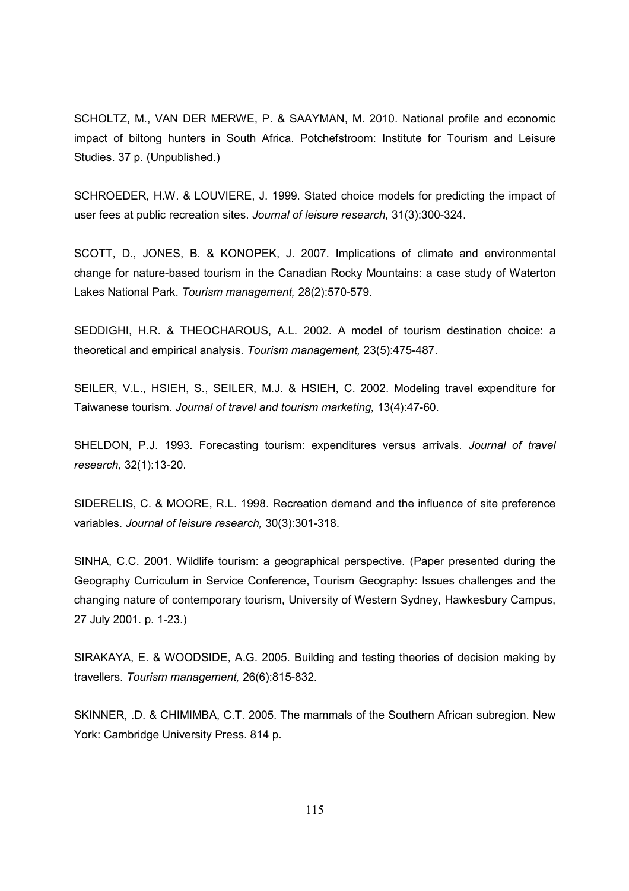SCHOLTZ, M., VAN DER MERWE, P. & SAAYMAN, M. 2010. National profile and economic impact of biltong hunters in South Africa. Potchefstroom: Institute for Tourism and Leisure Studies. 37 p. (Unpublished.)

SCHROEDER, H.W. & LOUVIERE, J. 1999. Stated choice models for predicting the impact of user fees at public recreation sites. *Journal of leisure research,* 31(3):300-324.

SCOTT, D., JONES, B. & KONOPEK, J. 2007. Implications of climate and environmental change for nature-based tourism in the Canadian Rocky Mountains: a case study of Waterton Lakes National Park. *Tourism management,* 28(2):570-579.

SEDDIGHI, H.R. & THEOCHAROUS, A.L. 2002. A model of tourism destination choice: a theoretical and empirical analysis. *Tourism management,* 23(5):475-487.

SEILER, V.L., HSIEH, S., SEILER, M.J. & HSIEH, C. 2002. Modeling travel expenditure for Taiwanese tourism. *Journal of travel and tourism marketing,* 13(4):47-60.

SHELDON, P.J. 1993. Forecasting tourism: expenditures versus arrivals. *Journal of travel research,* 32(1):13-20.

SIDERELIS, C. & MOORE, R.L. 1998. Recreation demand and the influence of site preference variables. *Journal of leisure research,* 30(3):301-318.

SINHA, C.C. 2001. Wildlife tourism: a geographical perspective. (Paper presented during the Geography Curriculum in Service Conference, Tourism Geography: Issues challenges and the changing nature of contemporary tourism, University of Western Sydney, Hawkesbury Campus, 27 July 2001. p. 1-23.)

SIRAKAYA, E. & WOODSIDE, A.G. 2005. Building and testing theories of decision making by travellers. *Tourism management,* 26(6):815-832.

SKINNER, .D. & CHIMIMBA, C.T. 2005. The mammals of the Southern African subregion. New York: Cambridge University Press. 814 p.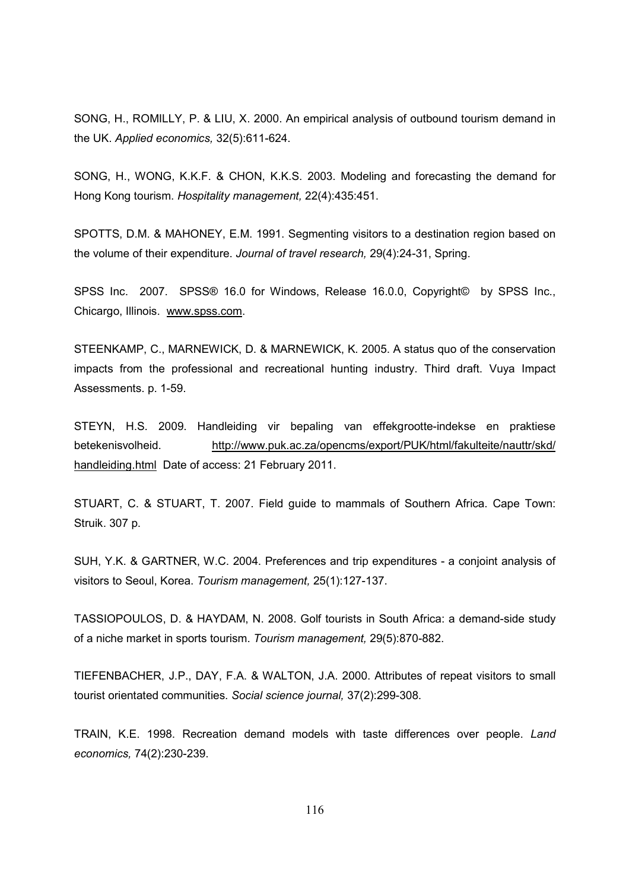SONG, H., ROMILLY, P. & LIU, X. 2000. An empirical analysis of outbound tourism demand in the UK. *Applied economics,* 32(5):611-624.

SONG, H., WONG, K.K.F. & CHON, K.K.S. 2003. Modeling and forecasting the demand for Hong Kong tourism. *Hospitality management,* 22(4):435:451.

SPOTTS, D.M. & MAHONEY, E.M. 1991. Segmenting visitors to a destination region based on the volume of their expenditure. *Journal of travel research,* 29(4):24-31, Spring.

SPSS Inc. 2007. SPSS® 16.0 for Windows, Release 16.0.0, Copyright© by SPSS Inc., Chicargo, Illinois. www.spss.com.

STEENKAMP, C., MARNEWICK, D. & MARNEWICK, K. 2005. A status quo of the conservation impacts from the professional and recreational hunting industry. Third draft. Vuya Impact Assessments. p. 1-59.

STEYN, H.S. 2009. Handleiding vir bepaling van effekgrootte-indekse en praktiese betekenisvolheid. http://www.puk.ac.za/opencms/export/PUK/html/fakulteite/nauttr/skd/ handleiding.html Date of access: 21 February 2011.

STUART, C. & STUART, T. 2007. Field guide to mammals of Southern Africa. Cape Town: Struik. 307 p.

SUH, Y.K. & GARTNER, W.C. 2004. Preferences and trip expenditures - a conjoint analysis of visitors to Seoul, Korea. *Tourism management,* 25(1):127-137.

TASSIOPOULOS, D. & HAYDAM, N. 2008. Golf tourists in South Africa: a demand-side study of a niche market in sports tourism. *Tourism management,* 29(5):870-882.

TIEFENBACHER, J.P., DAY, F.A. & WALTON, J.A. 2000. Attributes of repeat visitors to small tourist orientated communities. *Social science journal,* 37(2):299-308.

TRAIN, K.E. 1998. Recreation demand models with taste differences over people. *Land economics,* 74(2):230-239.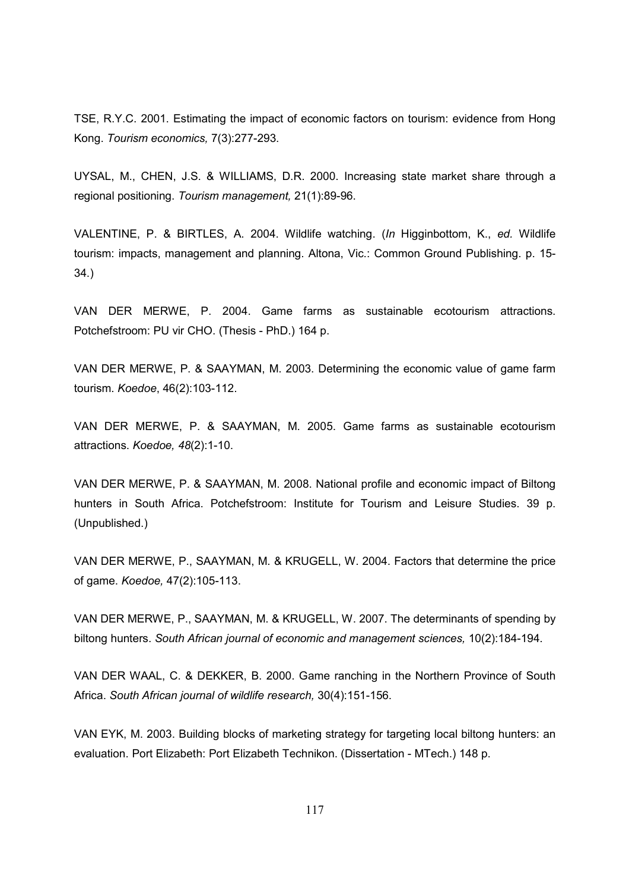TSE, R.Y.C. 2001. Estimating the impact of economic factors on tourism: evidence from Hong Kong. *Tourism economics,* 7(3):277-293.

UYSAL, M., CHEN, J.S. & WILLIAMS, D.R. 2000. Increasing state market share through a regional positioning. *Tourism management,* 21(1):89-96.

VALENTINE, P. & BIRTLES, A. 2004. Wildlife watching. (*In* Higginbottom, K., *ed.* Wildlife tourism: impacts, management and planning. Altona, Vic.: Common Ground Publishing. p. 15- 34.)

VAN DER MERWE, P. 2004. Game farms as sustainable ecotourism attractions. Potchefstroom: PU vir CHO. (Thesis - PhD.) 164 p.

VAN DER MERWE, P. & SAAYMAN, M. 2003. Determining the economic value of game farm tourism. *Koedoe*, 46(2):103-112.

VAN DER MERWE, P. & SAAYMAN, M. 2005. Game farms as sustainable ecotourism attractions. *Koedoe, 48*(2):1-10.

VAN DER MERWE, P. & SAAYMAN, M. 2008. National profile and economic impact of Biltong hunters in South Africa. Potchefstroom: Institute for Tourism and Leisure Studies. 39 p. (Unpublished.)

VAN DER MERWE, P., SAAYMAN, M. & KRUGELL, W. 2004. Factors that determine the price of game. *Koedoe,* 47(2):105-113.

VAN DER MERWE, P., SAAYMAN, M. & KRUGELL, W. 2007. The determinants of spending by biltong hunters. *South African journal of economic and management sciences,* 10(2):184-194.

VAN DER WAAL, C. & DEKKER, B. 2000. Game ranching in the Northern Province of South Africa. *South African journal of wildlife research,* 30(4):151-156.

VAN EYK, M. 2003. Building blocks of marketing strategy for targeting local biltong hunters: an evaluation. Port Elizabeth: Port Elizabeth Technikon. (Dissertation - MTech.) 148 p.